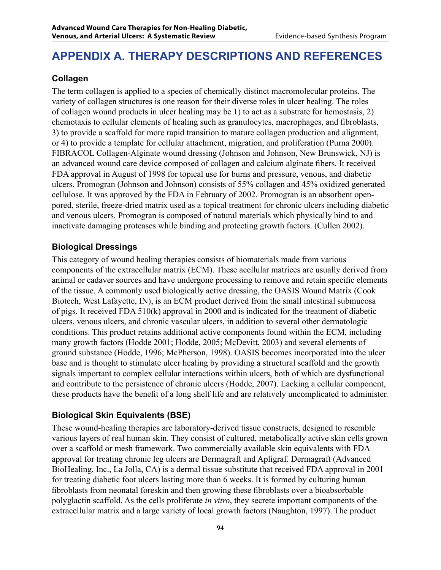# **APPENDIX A. Therapy Descriptions and References**

## **Collagen**

The term collagen is applied to a species of chemically distinct macromolecular proteins. The variety of collagen structures is one reason for their diverse roles in ulcer healing. The roles of collagen wound products in ulcer healing may be 1) to act as a substrate for hemostasis, 2) chemotaxis to cellular elements of healing such as granulocytes, macrophages, and fibroblasts, 3) to provide a scaffold for more rapid transition to mature collagen production and alignment, or 4) to provide a template for cellular attachment, migration, and proliferation (Purna 2000). FIBRACOL Collagen-Alginate wound dressing (Johnson and Johnson, New Brunswick, NJ) is an advanced wound care device composed of collagen and calcium alginate fibers. It received FDA approval in August of 1998 for topical use for burns and pressure, venous, and diabetic ulcers. Promogran (Johnson and Johnson) consists of 55% collagen and 45% oxidized generated cellulose. It was approved by the FDA in February of 2002. Promogran is an absorbent openpored, sterile, freeze-dried matrix used as a topical treatment for chronic ulcers including diabetic and venous ulcers. Promogran is composed of natural materials which physically bind to and inactivate damaging proteases while binding and protecting growth factors. (Cullen 2002).

### **Biological Dressings**

This category of wound healing therapies consists of biomaterials made from various components of the extracellular matrix (ECM). These acellular matrices are usually derived from animal or cadaver sources and have undergone processing to remove and retain specific elements of the tissue. A commonly used biologically active dressing, the OASIS Wound Matrix (Cook Biotech, West Lafayette, IN), is an ECM product derived from the small intestinal submucosa of pigs. It received FDA 510(k) approval in 2000 and is indicated for the treatment of diabetic ulcers, venous ulcers, and chronic vascular ulcers, in addition to several other dermatologic conditions. This product retains additional active components found within the ECM, including many growth factors (Hodde 2001; Hodde, 2005; McDevitt, 2003) and several elements of ground substance (Hodde, 1996; McPherson, 1998). OASIS becomes incorporated into the ulcer base and is thought to stimulate ulcer healing by providing a structural scaffold and the growth signals important to complex cellular interactions within ulcers, both of which are dysfunctional and contribute to the persistence of chronic ulcers (Hodde, 2007). Lacking a cellular component, these products have the benefit of a long shelf life and are relatively uncomplicated to administer.

### **Biological Skin Equivalents (BSE)**

These wound-healing therapies are laboratory-derived tissue constructs, designed to resemble various layers of real human skin. They consist of cultured, metabolically active skin cells grown over a scaffold or mesh framework. Two commercially available skin equivalents with FDA approval for treating chronic leg ulcers are Dermagraft and Apligraf. Dermagraft (Advanced BioHealing, Inc., La Jolla, CA) is a dermal tissue substitute that received FDA approval in 2001 for treating diabetic foot ulcers lasting more than 6 weeks. It is formed by culturing human fibroblasts from neonatal foreskin and then growing these fibroblasts over a bioabsorbable polyglactin scaffold. As the cells proliferate *in vitro*, they secrete important components of the extracellular matrix and a large variety of local growth factors (Naughton, 1997). The product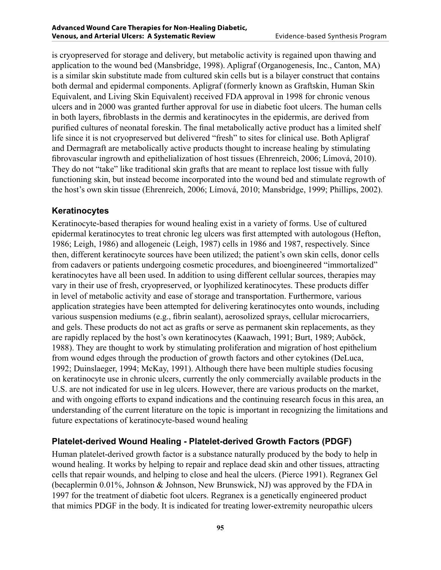is cryopreserved for storage and delivery, but metabolic activity is regained upon thawing and application to the wound bed (Mansbridge, 1998). Apligraf (Organogenesis, Inc., Canton, MA) is a similar skin substitute made from cultured skin cells but is a bilayer construct that contains both dermal and epidermal components. Apligraf (formerly known as Graftskin, Human Skin Equivalent, and Living Skin Equivalent) received FDA approval in 1998 for chronic venous ulcers and in 2000 was granted further approval for use in diabetic foot ulcers. The human cells in both layers, fibroblasts in the dermis and keratinocytes in the epidermis, are derived from purified cultures of neonatal foreskin. The final metabolically active product has a limited shelf life since it is not cryopreserved but delivered "fresh" to sites for clinical use. Both Apligraf and Dermagraft are metabolically active products thought to increase healing by stimulating fibrovascular ingrowth and epithelialization of host tissues (Ehrenreich, 2006; Límová, 2010). They do not "take" like traditional skin grafts that are meant to replace lost tissue with fully functioning skin, but instead become incorporated into the wound bed and stimulate regrowth of the host's own skin tissue (Ehrenreich, 2006; Límová, 2010; Mansbridge, 1999; Phillips, 2002).

### **Keratinocytes**

Keratinocyte-based therapies for wound healing exist in a variety of forms. Use of cultured epidermal keratinocytes to treat chronic leg ulcers was first attempted with autologous (Hefton, 1986; Leigh, 1986) and allogeneic (Leigh, 1987) cells in 1986 and 1987, respectively. Since then, different keratinocyte sources have been utilized; the patient's own skin cells, donor cells from cadavers or patients undergoing cosmetic procedures, and bioengineered "immortalized" keratinocytes have all been used. In addition to using different cellular sources, therapies may vary in their use of fresh, cryopreserved, or lyophilized keratinocytes. These products differ in level of metabolic activity and ease of storage and transportation. Furthermore, various application strategies have been attempted for delivering keratinocytes onto wounds, including various suspension mediums (e.g., fibrin sealant), aerosolized sprays, cellular microcarriers, and gels. These products do not act as grafts or serve as permanent skin replacements, as they are rapidly replaced by the host's own keratinocytes (Kaawach, 1991; Burt, 1989; Auböck, 1988). They are thought to work by stimulating proliferation and migration of host epithelium from wound edges through the production of growth factors and other cytokines (DeLuca, 1992; Duinslaeger, 1994; McKay, 1991). Although there have been multiple studies focusing on keratinocyte use in chronic ulcers, currently the only commercially available products in the U.S. are not indicated for use in leg ulcers. However, there are various products on the market, and with ongoing efforts to expand indications and the continuing research focus in this area, an understanding of the current literature on the topic is important in recognizing the limitations and future expectations of keratinocyte-based wound healing

## **Platelet-derived Wound Healing - Platelet-derived Growth Factors (PDGF)**

Human platelet-derived growth factor is a substance naturally produced by the body to help in wound healing. It works by helping to repair and replace dead skin and other tissues, attracting cells that repair wounds, and helping to close and heal the ulcers. (Pierce 1991). Regranex Gel (becaplermin 0.01%, Johnson & Johnson, New Brunswick, NJ) was approved by the FDA in 1997 for the treatment of diabetic foot ulcers. Regranex is a genetically engineered product that mimics PDGF in the body. It is indicated for treating lower-extremity neuropathic ulcers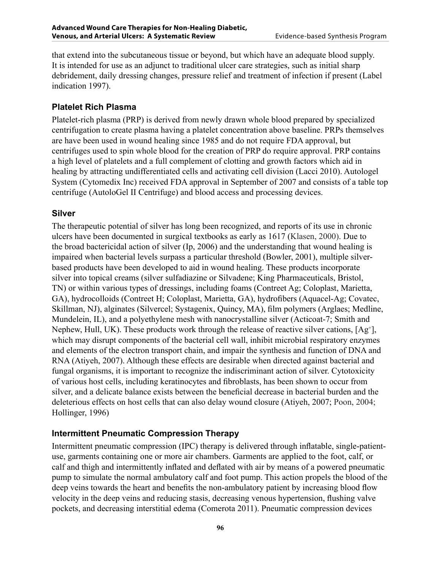that extend into the subcutaneous tissue or beyond, but which have an adequate blood supply. It is intended for use as an adjunct to traditional ulcer care strategies, such as initial sharp debridement, daily dressing changes, pressure relief and treatment of infection if present (Label indication 1997).

#### **Platelet Rich Plasma**

Platelet-rich plasma (PRP) is derived from newly drawn whole blood prepared by specialized centrifugation to create plasma having a platelet concentration above baseline. PRPs themselves are have been used in wound healing since 1985 and do not require FDA approval, but centrifuges used to spin whole blood for the creation of PRP do require approval. PRP contains a high level of platelets and a full complement of clotting and growth factors which aid in healing by attracting undifferentiated cells and activating cell division (Lacci 2010). Autologel System (Cytomedix Inc) received FDA approval in September of 2007 and consists of a table top centrifuge (AutoloGel II Centrifuge) and blood access and processing devices.

#### **Silver**

The therapeutic potential of silver has long been recognized, and reports of its use in chronic ulcers have been documented in surgical textbooks as early as 1617 (Klasen, 2000). Due to the broad bactericidal action of silver (Ip, 2006) and the understanding that wound healing is impaired when bacterial levels surpass a particular threshold (Bowler, 2001), multiple silverbased products have been developed to aid in wound healing. These products incorporate silver into topical creams (silver sulfadiazine or Silvadene; King Pharmaceuticals, Bristol, TN) or within various types of dressings, including foams (Contreet Ag; Coloplast, Marietta, GA), hydrocolloids (Contreet H; Coloplast, Marietta, GA), hydrofibers (Aquacel-Ag; Covatec, Skillman, NJ), alginates (Silvercel; Systagenix, Quincy, MA), film polymers (Arglaes; Medline, Mundelein, IL), and a polyethylene mesh with nanocrystalline silver (Acticoat-7; Smith and Nephew, Hull, UK). These products work through the release of reactive silver cations, [Ag<sup>+</sup>], which may disrupt components of the bacterial cell wall, inhibit microbial respiratory enzymes and elements of the electron transport chain, and impair the synthesis and function of DNA and RNA (Atiyeh, 2007). Although these effects are desirable when directed against bacterial and fungal organisms, it is important to recognize the indiscriminant action of silver. Cytotoxicity of various host cells, including keratinocytes and fibroblasts, has been shown to occur from silver, and a delicate balance exists between the beneficial decrease in bacterial burden and the deleterious effects on host cells that can also delay wound closure (Atiyeh, 2007; Poon, 2004; Hollinger, 1996)

### **Intermittent Pneumatic Compression Therapy**

Intermittent pneumatic compression (IPC) therapy is delivered through inflatable, single-patientuse, garments containing one or more air chambers. Garments are applied to the foot, calf, or calf and thigh and intermittently inflated and deflated with air by means of a powered pneumatic pump to simulate the normal ambulatory calf and foot pump. This action propels the blood of the deep veins towards the heart and benefits the non-ambulatory patient by increasing blood flow velocity in the deep veins and reducing stasis, decreasing venous hypertension, flushing valve pockets, and decreasing interstitial edema (Comerota 2011). Pneumatic compression devices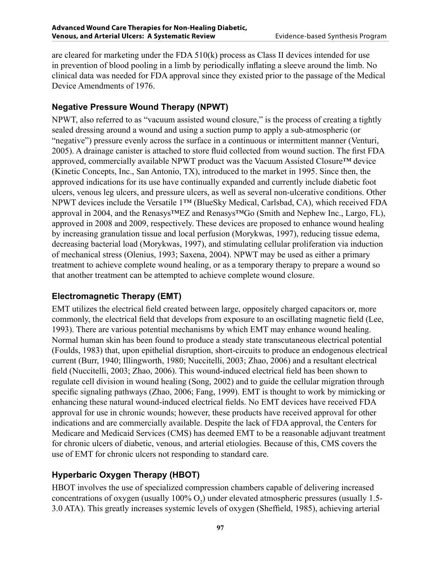are cleared for marketing under the FDA 510(k) process as Class II devices intended for use in prevention of blood pooling in a limb by periodically inflating a sleeve around the limb. No clinical data was needed for FDA approval since they existed prior to the passage of the Medical Device Amendments of 1976.

## **Negative Pressure Wound Therapy (NPWT)**

NPWT, also referred to as "vacuum assisted wound closure," is the process of creating a tightly sealed dressing around a wound and using a suction pump to apply a sub-atmospheric (or "negative") pressure evenly across the surface in a continuous or intermittent manner (Venturi, 2005). A drainage canister is attached to store fluid collected from wound suction. The first FDA approved, commercially available NPWT product was the Vacuum Assisted Closure™ device (Kinetic Concepts, Inc., San Antonio, TX), introduced to the market in 1995. Since then, the approved indications for its use have continually expanded and currently include diabetic foot ulcers, venous leg ulcers, and pressure ulcers, as well as several non-ulcerative conditions. Other NPWT devices include the Versatile 1™ (BlueSky Medical, Carlsbad, CA), which received FDA approval in 2004, and the Renasys™EZ and Renasys™Go (Smith and Nephew Inc., Largo, FL), approved in 2008 and 2009, respectively. These devices are proposed to enhance wound healing by increasing granulation tissue and local perfusion (Morykwas, 1997), reducing tissue edema, decreasing bacterial load (Morykwas, 1997), and stimulating cellular proliferation via induction of mechanical stress (Olenius, 1993; Saxena, 2004). NPWT may be used as either a primary treatment to achieve complete wound healing, or as a temporary therapy to prepare a wound so that another treatment can be attempted to achieve complete wound closure.

## **Electromagnetic Therapy (EMT)**

EMT utilizes the electrical field created between large, oppositely charged capacitors or, more commonly, the electrical field that develops from exposure to an oscillating magnetic field (Lee, 1993). There are various potential mechanisms by which EMT may enhance wound healing. Normal human skin has been found to produce a steady state transcutaneous electrical potential (Foulds, 1983) that, upon epithelial disruption, short-circuits to produce an endogenous electrical current (Burr, 1940; Illingworth, 1980; Nuccitelli, 2003; Zhao, 2006) and a resultant electrical field (Nuccitelli, 2003; Zhao, 2006). This wound-induced electrical field has been shown to regulate cell division in wound healing (Song, 2002) and to guide the cellular migration through specific signaling pathways (Zhao, 2006; Fang, 1999). EMT is thought to work by mimicking or enhancing these natural wound-induced electrical fields. No EMT devices have received FDA approval for use in chronic wounds; however, these products have received approval for other indications and are commercially available. Despite the lack of FDA approval, the Centers for Medicare and Medicaid Services (CMS) has deemed EMT to be a reasonable adjuvant treatment for chronic ulcers of diabetic, venous, and arterial etiologies. Because of this, CMS covers the use of EMT for chronic ulcers not responding to standard care.

## **Hyperbaric Oxygen Therapy (HBOT)**

HBOT involves the use of specialized compression chambers capable of delivering increased concentrations of oxygen (usually  $100\%$  O<sub>2</sub>) under elevated atmospheric pressures (usually 1.5-3.0 ATA). This greatly increases systemic levels of oxygen (Sheffield, 1985), achieving arterial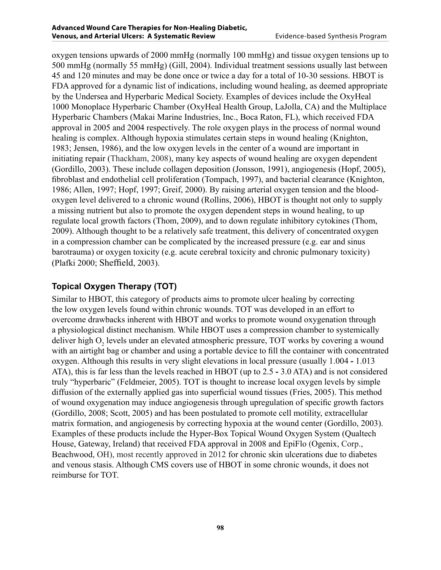oxygen tensions upwards of 2000 mmHg (normally 100 mmHg) and tissue oxygen tensions up to 500 mmHg (normally 55 mmHg) (Gill, 2004). Individual treatment sessions usually last between 45 and 120 minutes and may be done once or twice a day for a total of 10-30 sessions. HBOT is FDA approved for a dynamic list of indications, including wound healing, as deemed appropriate by the Undersea and Hyperbaric Medical Society. Examples of devices include the OxyHeal 1000 Monoplace Hyperbaric Chamber (OxyHeal Health Group, LaJolla, CA) and the Multiplace Hyperbaric Chambers (Makai Marine Industries, Inc., Boca Raton, FL), which received FDA approval in 2005 and 2004 respectively. The role oxygen plays in the process of normal wound healing is complex. Although hypoxia stimulates certain steps in wound healing (Knighton, 1983; Jensen, 1986), and the low oxygen levels in the center of a wound are important in initiating repair (Thackham, 2008), many key aspects of wound healing are oxygen dependent (Gordillo, 2003). These include collagen deposition (Jonsson, 1991), angiogenesis (Hopf, 2005), fibroblast and endothelial cell proliferation (Tompach, 1997), and bacterial clearance (Knighton, 1986; Allen, 1997; Hopf, 1997; Greif, 2000). By raising arterial oxygen tension and the bloodoxygen level delivered to a chronic wound (Rollins, 2006), HBOT is thought not only to supply a missing nutrient but also to promote the oxygen dependent steps in wound healing, to up regulate local growth factors (Thom, 2009), and to down regulate inhibitory cytokines (Thom, 2009). Although thought to be a relatively safe treatment, this delivery of concentrated oxygen in a compression chamber can be complicated by the increased pressure (e.g. ear and sinus barotrauma) or oxygen toxicity (e.g. acute cerebral toxicity and chronic pulmonary toxicity) (Plafki 2000; Sheffield, 2003).

## **Topical Oxygen Therapy (TOT)**

Similar to HBOT, this category of products aims to promote ulcer healing by correcting the low oxygen levels found within chronic wounds. TOT was developed in an effort to overcome drawbacks inherent with HBOT and works to promote wound oxygenation through a physiological distinct mechanism. While HBOT uses a compression chamber to systemically deliver high  $O_2$  levels under an elevated atmospheric pressure, TOT works by covering a wound with an airtight bag or chamber and using a portable device to fill the container with concentrated oxygen. Although this results in very slight elevations in local pressure (usually 1.004 **-** 1.013 ATA), this is far less than the levels reached in HBOT (up to 2.5 **-** 3.0 ATA) and is not considered truly "hyperbaric" (Feldmeier, 2005). TOT is thought to increase local oxygen levels by simple diffusion of the externally applied gas into superficial wound tissues (Fries, 2005). This method of wound oxygenation may induce angiogenesis through upregulation of specific growth factors (Gordillo, 2008; Scott, 2005) and has been postulated to promote cell motility, extracellular matrix formation, and angiogenesis by correcting hypoxia at the wound center (Gordillo, 2003). Examples of these products include the Hyper-Box Topical Wound Oxygen System (Qualtech House, Gateway, Ireland) that received FDA approval in 2008 and EpiFlo (Ogenix, Corp., Beachwood, OH), most recently approved in 2012 for chronic skin ulcerations due to diabetes and venous stasis. Although CMS covers use of HBOT in some chronic wounds, it does not reimburse for TOT.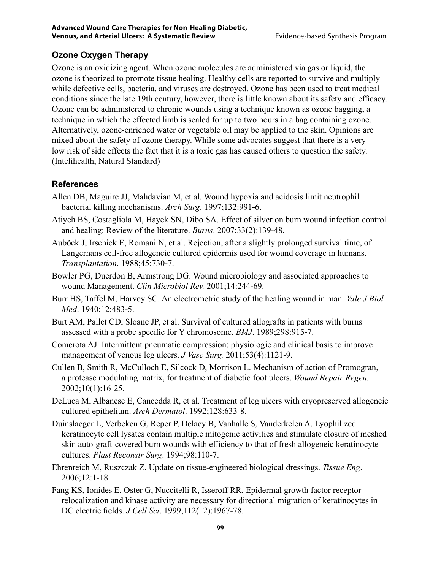## **Ozone Oxygen Therapy**

Ozone is an oxidizing agent. When ozone molecules are administered via gas or liquid, the ozone is theorized to promote tissue healing. Healthy cells are reported to survive and multiply while defective cells, bacteria, and viruses are destroyed. Ozone has been used to treat medical conditions since the late 19th century, however, there is little known about its safety and efficacy. Ozone can be administered to chronic wounds using a technique known as ozone bagging, a technique in which the effected limb is sealed for up to two hours in a bag containing ozone. Alternatively, ozone-enriched water or vegetable oil may be applied to the skin. Opinions are mixed about the safety of ozone therapy. While some advocates suggest that there is a very low risk of side effects the fact that it is a toxic gas has caused others to question the safety. (Intelihealth, Natural Standard)

#### **References**

- Allen DB, Maguire JJ, Mahdavian M, et al. Wound hypoxia and acidosis limit neutrophil bacterial killing mechanisms. *Arch Surg*. 1997;132:991**-**6.
- Atiyeh BS, Costagliola M, Hayek SN, Dibo SA. Effect of silver on burn wound infection control and healing: Review of the literature. *Burns*. 2007;33(2):139**-**48.
- Auböck J, Irschick E, Romani N, et al. Rejection, after a slightly prolonged survival time, of Langerhans cell-free allogeneic cultured epidermis used for wound coverage in humans. *Transplantation*. 1988;45:730**-**7.
- Bowler PG, Duerdon B, Armstrong DG. Wound microbiology and associated approaches to wound Management. *Clin Microbiol Rev.* 2001;14:244**-**69.
- Burr HS, Taffel M, Harvey SC. An electrometric study of the healing wound in man. *Yale J Biol Med*. 1940;12:483**-**5.
- Burt AM, Pallet CD, Sloane JP, et al. Survival of cultured allografts in patients with burns assessed with a probe specific for Y chromosome. *BMJ*. 1989;298:915-7.
- Comerota AJ. Intermittent pneumatic compression: physiologic and clinical basis to improve management of venous leg ulcers. *J Vasc Surg.* 2011;53(4):1121-9.
- Cullen B, Smith R, McCulloch E, Silcock D, Morrison L. Mechanism of action of Promogran, a protease modulating matrix, for treatment of diabetic foot ulcers. *Wound Repair Regen.* 2002;10(1):16-25.
- DeLuca M, Albanese E, Cancedda R, et al. Treatment of leg ulcers with cryopreserved allogeneic cultured epithelium. *Arch Dermatol*. 1992;128:633-8.
- Duinslaeger L, Verbeken G, Reper P, Delaey B, Vanhalle S, Vanderkelen A. Lyophilized keratinocyte cell lysates contain multiple mitogenic activities and stimulate closure of meshed skin auto-graft-covered burn wounds with efficiency to that of fresh allogeneic keratinocyte cultures. *Plast Reconstr Surg*. 1994;98:110-7.
- Ehrenreich M, Ruszczak Z. Update on tissue-engineered biological dressings. *Tissue Eng*. 2006;12:1-18.
- Fang KS, Ionides E, Oster G, Nuccitelli R, Isseroff RR. Epidermal growth factor receptor relocalization and kinase activity are necessary for directional migration of keratinocytes in DC electric fields. *J Cell Sci*. 1999;112(12):1967-78.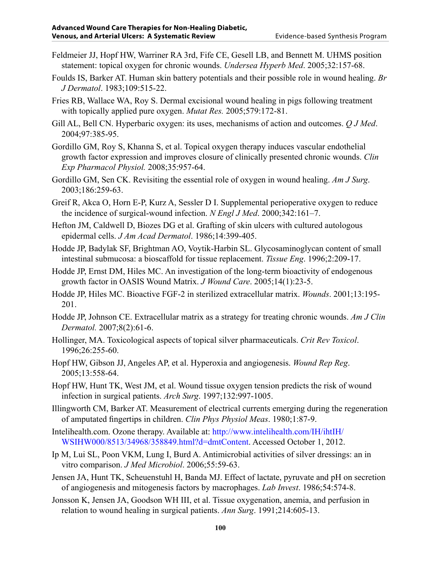- Feldmeier JJ, Hopf HW, Warriner RA 3rd, Fife CE, Gesell LB, and Bennett M. UHMS position statement: topical oxygen for chronic wounds. *Undersea Hyperb Med*. 2005;32:157-68.
- Foulds IS, Barker AT. Human skin battery potentials and their possible role in wound healing. *Br J Dermatol*. 1983;109:515-22.
- Fries RB, Wallace WA, Roy S. Dermal excisional wound healing in pigs following treatment with topically applied pure oxygen. *Mutat Res.* 2005;579:172-81.
- Gill AL, Bell CN. Hyperbaric oxygen: its uses, mechanisms of action and outcomes. *Q J Med*. 2004;97:385-95.
- Gordillo GM, Roy S, Khanna S, et al. Topical oxygen therapy induces vascular endothelial growth factor expression and improves closure of clinically presented chronic wounds. *Clin Exp Pharmacol Physiol.* 2008;35:957-64.
- Gordillo GM, Sen CK. Revisiting the essential role of oxygen in wound healing. *Am J Surg*. 2003;186:259-63.
- Greif R, Akca O, Horn E-P, Kurz A, Sessler D I. Supplemental perioperative oxygen to reduce the incidence of surgical-wound infection. *N Engl J Med*. 2000;342:161–7.
- Hefton JM, Caldwell D, Biozes DG et al. Grafting of skin ulcers with cultured autologous epidermal cells. *J Am Acad Dermatol*. 1986;14:399-405.
- Hodde JP, Badylak SF, Brightman AO, Voytik-Harbin SL. Glycosaminoglycan content of small intestinal submucosa: a bioscaffold for tissue replacement. *Tissue Eng*. 1996;2:209-17.
- Hodde JP, Ernst DM, Hiles MC. An investigation of the long-term bioactivity of endogenous growth factor in OASIS Wound Matrix. *J Wound Care*. 2005;14(1):23-5.
- Hodde JP, Hiles MC. Bioactive FGF-2 in sterilized extracellular matrix. *Wounds*. 2001;13:195- 201.
- Hodde JP, Johnson CE. Extracellular matrix as a strategy for treating chronic wounds. *Am J Clin Dermatol.* 2007;8(2):61-6.
- Hollinger, MA. Toxicological aspects of topical silver pharmaceuticals. *Crit Rev Toxicol*. 1996;26:255-60.
- Hopf HW, Gibson JJ, Angeles AP, et al. Hyperoxia and angiogenesis. *Wound Rep Reg*. 2005;13:558-64.
- Hopf HW, Hunt TK, West JM, et al. Wound tissue oxygen tension predicts the risk of wound infection in surgical patients. *Arch Surg*. 1997;132:997-1005.
- Illingworth CM, Barker AT. Measurement of electrical currents emerging during the regeneration of amputated fingertips in children. *Clin Phys Physiol Meas*. 1980;1:87-9.
- Intelihealth.com. Ozone therapy. Available at: [http://www.intelihealth.com/IH/ihtIH/](http://www.intelihealth.com/IH/ihtIH/WSIHW000/8513/34968/358849.html?d=dmtContent) [WSIHW000/8513/34968/358849.html?d=dmtContent](http://www.intelihealth.com/IH/ihtIH/WSIHW000/8513/34968/358849.html?d=dmtContent). Accessed October 1, 2012.
- Ip M, Lui SL, Poon VKM, Lung I, Burd A. Antimicrobial activities of silver dressings: an in vitro comparison. *J Med Microbiol*. 2006;55:59-63.
- Jensen JA, Hunt TK, Scheuenstuhl H, Banda MJ. Effect of lactate, pyruvate and pH on secretion of angiogenesis and mitogenesis factors by macrophages. *Lab Invest*. 1986;54:574-8.
- Jonsson K, Jensen JA, Goodson WH III, et al. Tissue oxygenation, anemia, and perfusion in relation to wound healing in surgical patients. *Ann Surg*. 1991;214:605-13.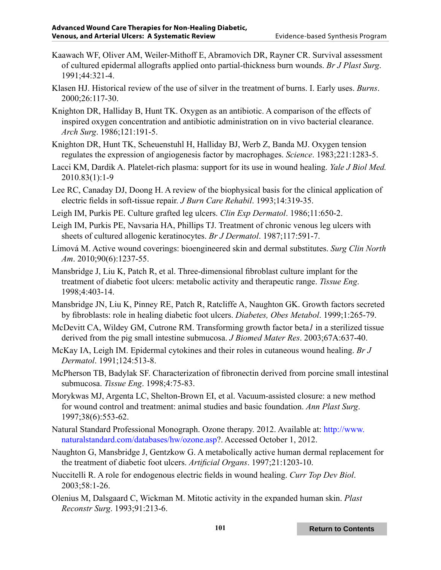- Kaawach WF, Oliver AM, Weiler-Mithoff E, Abramovich DR, Rayner CR. Survival assessment of cultured epidermal allografts applied onto partial-thickness burn wounds. *Br J Plast Surg*. 1991;44:321-4.
- Klasen HJ. Historical review of the use of silver in the treatment of burns. I. Early uses. *Burns*. 2000;26:117-30.
- Knighton DR, Halliday B, Hunt TK. Oxygen as an antibiotic. A comparison of the effects of inspired oxygen concentration and antibiotic administration on in vivo bacterial clearance. *Arch Surg*. 1986;121:191-5.
- Knighton DR, Hunt TK, Scheuenstuhl H, Halliday BJ, Werb Z, Banda MJ. Oxygen tension regulates the expression of angiogenesis factor by macrophages. *Science*. 1983;221:1283-5.
- Lacci KM, Dardik A. Platelet-rich plasma: support for its use in wound healing. *Yale J Biol Med.* 2010.83(1):1-9
- Lee RC, Canaday DJ, Doong H. A review of the biophysical basis for the clinical application of electric fields in soft-tissue repair. *J Burn Care Rehabil*. 1993;14:319-35.
- Leigh IM, Purkis PE. Culture grafted leg ulcers. *Clin Exp Dermatol*. 1986;11:650-2.
- Leigh IM, Purkis PE, Navsaria HA, Phillips TJ. Treatment of chronic venous leg ulcers with sheets of cultured allogenic keratinocytes. *Br J Dermatol*. 1987;117:591-7.
- Límová M. Active wound coverings: bioengineered skin and dermal substitutes. *Surg Clin North Am*. 2010;90(6):1237-55.
- Mansbridge J, Liu K, Patch R, et al. Three-dimensional fibroblast culture implant for the treatment of diabetic foot ulcers: metabolic activity and therapeutic range. *Tissue Eng*. 1998;4:403-14.
- Mansbridge JN, Liu K, Pinney RE, Patch R, Ratcliffe A, Naughton GK. Growth factors secreted by fibroblasts: role in healing diabetic foot ulcers. *Diabetes, Obes Metabol*. 1999;1:265-79.
- McDevitt CA, Wildey GM, Cutrone RM. Transforming growth factor beta*1* in a sterilized tissue derived from the pig small intestine submucosa. *J Biomed Mater Res*. 2003;67A:637-40.
- McKay IA, Leigh IM. Epidermal cytokines and their roles in cutaneous wound healing. *Br J Dermatol*. 1991;124:513-8.
- McPherson TB, Badylak SF. Characterization of fibronectin derived from porcine small intestinal submucosa. *Tissue Eng*. 1998;4:75-83.
- Morykwas MJ, Argenta LC, Shelton-Brown EI, et al. Vacuum-assisted closure: a new method for wound control and treatment: animal studies and basic foundation. *Ann Plast Surg*. 1997;38(6):553-62.
- Natural Standard Professional Monograph. Ozone therapy. 2012. Available at: [http://www.](http://www.naturalstandard.com/databases/hw/ozone.asp) [naturalstandard.com/databases/hw/ozone.asp](http://www.naturalstandard.com/databases/hw/ozone.asp)?. Accessed October 1, 2012.
- Naughton G, Mansbridge J, Gentzkow G. A metabolically active human dermal replacement for the treatment of diabetic foot ulcers. *Artificial Organs*. 1997;21:1203-10.
- Nuccitelli R. A role for endogenous electric fields in wound healing. *Curr Top Dev Biol*. 2003;58:1-26.
- Olenius M, Dalsgaard C, Wickman M. Mitotic activity in the expanded human skin. *Plast Reconstr Surg*. 1993;91:213-6.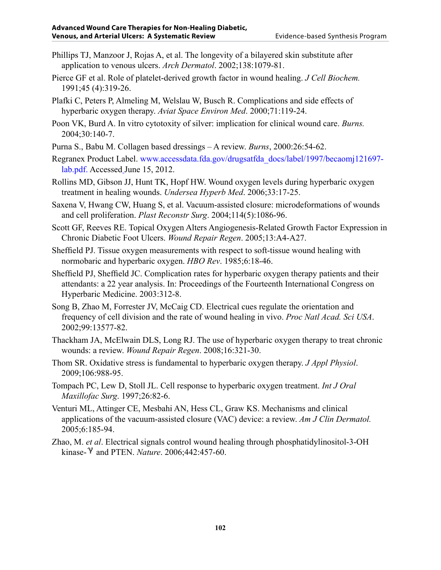- Phillips TJ, Manzoor J, Rojas A, et al. The longevity of a bilayered skin substitute after application to venous ulcers. *Arch Dermatol*. 2002;138:1079-81.
- Pierce GF et al. Role of platelet-derived growth factor in wound healing. *J Cell Biochem.*  1991;45 (4):319-26.
- Plafki C, Peters P, Almeling M, Welslau W, Busch R. Complications and side effects of hyperbaric oxygen therapy. *Aviat Space Environ Med*. 2000;71:119-24.
- Poon VK, Burd A. In vitro cytotoxity of silver: implication for clinical wound care. *Burns.* 2004;30:140-7.
- Purna S., Babu M. Collagen based dressings A review. *Burns*, 2000:26:54-62.
- Regranex Product Label. [www.accessdata.fda.gov/drugsatfda\\_docs/label/1997/becaomj121697](www.accessdata.fda.gov/drugsatfda_docs/label/1997/becaomj121697-lab.pdf) lab.pdf. Accessed June 15, 2012.
- Rollins MD, Gibson JJ, Hunt TK, Hopf HW. Wound oxygen levels during hyperbaric oxygen treatment in healing wounds. *Undersea Hyperb Med*. 2006;33:17-25.
- Saxena V, Hwang CW, Huang S, et al. Vacuum-assisted closure: microdeformations of wounds and cell proliferation. *Plast Reconstr Surg*. 2004;114(5):1086-96.
- Scott GF, Reeves RE. Topical Oxygen Alters Angiogenesis-Related Growth Factor Expression in Chronic Diabetic Foot Ulcers. *Wound Repair Regen*. 2005;13:A4-A27.
- Sheffield PJ. Tissue oxygen measurements with respect to soft-tissue wound healing with normobaric and hyperbaric oxygen. *HBO Rev*. 1985;6:18-46.
- Sheffield PJ, Sheffield JC. Complication rates for hyperbaric oxygen therapy patients and their attendants: a 22 year analysis. In: Proceedings of the Fourteenth International Congress on Hyperbaric Medicine. 2003:312-8.
- Song B, Zhao M, Forrester JV, McCaig CD. Electrical cues regulate the orientation and frequency of cell division and the rate of wound healing in vivo. *Proc Natl Acad. Sci USA*. 2002;99:13577-82.
- Thackham JA, McElwain DLS, Long RJ. The use of hyperbaric oxygen therapy to treat chronic wounds: a review. *Wound Repair Regen*. 2008;16:321-30.
- Thom SR. Oxidative stress is fundamental to hyperbaric oxygen therapy. *J Appl Physiol*. 2009;106:988-95.
- Tompach PC, Lew D, Stoll JL. Cell response to hyperbaric oxygen treatment. *Int J Oral Maxillofac Surg*. 1997;26:82-6.
- Venturi ML, Attinger CE, Mesbahi AN, Hess CL, Graw KS. Mechanisms and clinical applications of the vacuum-assisted closure (VAC) device: a review. *Am J Clin Dermatol.*  2005;6:185-94.
- Zhao, M. *et al*. Electrical signals control wound healing through phosphatidylinositol-3-OH kinase- <sup>*v*</sup> and PTEN. *Nature*. 2006;442:457-60.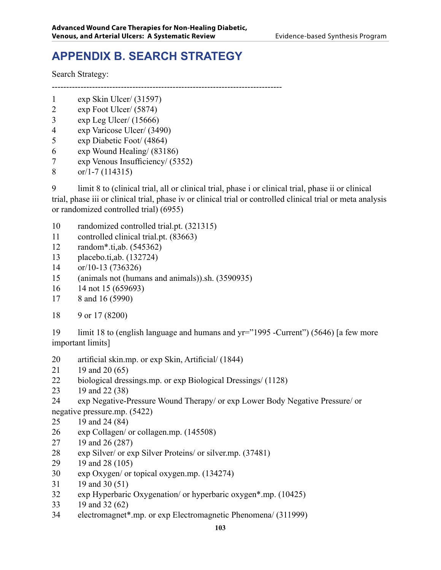# **APPENDIX B. SEARCH STRATEGY**

Search Strategy:

--------------------------------------------------------------------------------

- exp Skin Ulcer/ (31597)
- exp Foot Ulcer/ (5874)
- exp Leg Ulcer/ (15666)
- exp Varicose Ulcer/ (3490)
- exp Diabetic Foot/ (4864)
- exp Wound Healing/ (83186)
- exp Venous Insufficiency/ (5352)
- or/1-7 (114315)

9 limit 8 to (clinical trial, all or clinical trial, phase i or clinical trial, phase ii or clinical trial, phase iii or clinical trial, phase iv or clinical trial or controlled clinical trial or meta analysis or randomized controlled trial) (6955)

- randomized controlled trial.pt. (321315)
- controlled clinical trial.pt. (83663)
- random\*.ti,ab. (545362)
- placebo.ti,ab. (132724)
- or/10-13 (736326)
- (animals not (humans and animals)).sh. (3590935)
- 14 not 15 (659693)
- 8 and 16 (5990)
- 9 or 17 (8200)

19 limit 18 to (english language and humans and yr="1995 -Current") (5646) [a few more important limits]

- artificial skin.mp. or exp Skin, Artificial/ (1844)
- 19 and 20 (65)
- biological dressings.mp. or exp Biological Dressings/ (1128)
- 19 and 22 (38)
- exp Negative-Pressure Wound Therapy/ or exp Lower Body Negative Pressure/ or negative pressure.mp. (5422)
- 19 and 24 (84)
- exp Collagen/ or collagen.mp. (145508)
- 19 and 26 (287)
- exp Silver/ or exp Silver Proteins/ or silver.mp. (37481)
- 19 and 28 (105)
- exp Oxygen/ or topical oxygen.mp. (134274)
- 19 and 30 (51)
- exp Hyperbaric Oxygenation/ or hyperbaric oxygen\*.mp. (10425)
- 19 and 32 (62)
- electromagnet\*.mp. or exp Electromagnetic Phenomena/ (311999)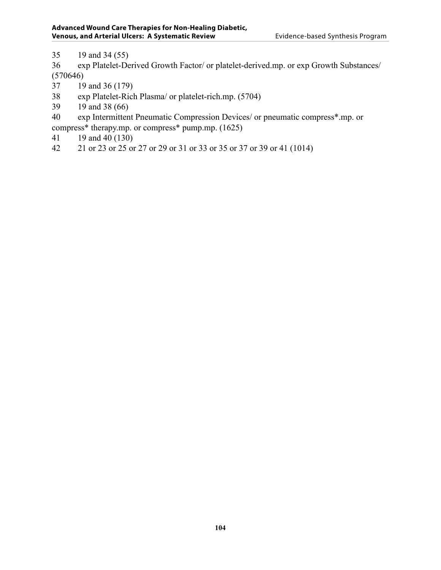19 and 34 (55)

 exp Platelet-Derived Growth Factor/ or platelet-derived.mp. or exp Growth Substances/ (570646)

- 19 and 36 (179)
- exp Platelet-Rich Plasma/ or platelet-rich.mp. (5704)
- 19 and 38 (66)

 exp Intermittent Pneumatic Compression Devices/ or pneumatic compress\*.mp. or compress\* therapy.mp. or compress\* pump.mp. (1625)

- 19 and 40 (130)
- 21 or 23 or 25 or 27 or 29 or 31 or 33 or 35 or 37 or 39 or 41 (1014)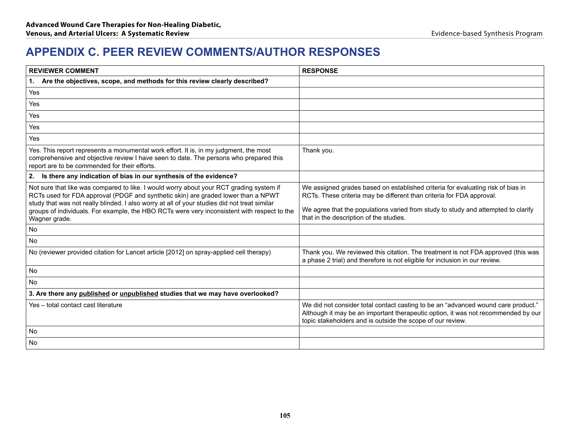## **APPENDIX C. PEER REVIEW COMMENTS/AUTHOR RESPONSES**

| <b>REVIEWER COMMENT</b>                                                                                                                                                                                                                                                                                                                                                                      | <b>RESPONSE</b>                                                                                                                                                                                                                                                                          |
|----------------------------------------------------------------------------------------------------------------------------------------------------------------------------------------------------------------------------------------------------------------------------------------------------------------------------------------------------------------------------------------------|------------------------------------------------------------------------------------------------------------------------------------------------------------------------------------------------------------------------------------------------------------------------------------------|
| 1. Are the objectives, scope, and methods for this review clearly described?                                                                                                                                                                                                                                                                                                                 |                                                                                                                                                                                                                                                                                          |
| Yes                                                                                                                                                                                                                                                                                                                                                                                          |                                                                                                                                                                                                                                                                                          |
| Yes                                                                                                                                                                                                                                                                                                                                                                                          |                                                                                                                                                                                                                                                                                          |
| Yes                                                                                                                                                                                                                                                                                                                                                                                          |                                                                                                                                                                                                                                                                                          |
| Yes                                                                                                                                                                                                                                                                                                                                                                                          |                                                                                                                                                                                                                                                                                          |
| Yes                                                                                                                                                                                                                                                                                                                                                                                          |                                                                                                                                                                                                                                                                                          |
| Yes. This report represents a monumental work effort. It is, in my judgment, the most<br>comprehensive and objective review I have seen to date. The persons who prepared this<br>report are to be commended for their efforts.                                                                                                                                                              | Thank you.                                                                                                                                                                                                                                                                               |
| 2. Is there any indication of bias in our synthesis of the evidence?                                                                                                                                                                                                                                                                                                                         |                                                                                                                                                                                                                                                                                          |
| Not sure that like was compared to like. I would worry about your RCT grading system if<br>RCTs used for FDA approval (PDGF and synthetic skin) are graded lower than a NPWT<br>study that was not really blinded. I also worry at all of your studies did not treat similar<br>groups of individuals. For example, the HBO RCTs were very inconsistent with respect to the<br>Wagner grade. | We assigned grades based on established criteria for evaluating risk of bias in<br>RCTs. These criteria may be different than criteria for FDA approval.<br>We agree that the populations varied from study to study and attempted to clarify<br>that in the description of the studies. |
| No                                                                                                                                                                                                                                                                                                                                                                                           |                                                                                                                                                                                                                                                                                          |
| <b>No</b>                                                                                                                                                                                                                                                                                                                                                                                    |                                                                                                                                                                                                                                                                                          |
| No (reviewer provided citation for Lancet article [2012] on spray-applied cell therapy)                                                                                                                                                                                                                                                                                                      | Thank you. We reviewed this citation. The treatment is not FDA approved (this was<br>a phase 2 trial) and therefore is not eligible for inclusion in our review.                                                                                                                         |
| <b>No</b>                                                                                                                                                                                                                                                                                                                                                                                    |                                                                                                                                                                                                                                                                                          |
| No                                                                                                                                                                                                                                                                                                                                                                                           |                                                                                                                                                                                                                                                                                          |
| 3. Are there any published or unpublished studies that we may have overlooked?                                                                                                                                                                                                                                                                                                               |                                                                                                                                                                                                                                                                                          |
| Yes - total contact cast literature                                                                                                                                                                                                                                                                                                                                                          | We did not consider total contact casting to be an "advanced wound care product."<br>Although it may be an important therapeutic option, it was not recommended by our<br>topic stakeholders and is outside the scope of our review.                                                     |
| <b>No</b>                                                                                                                                                                                                                                                                                                                                                                                    |                                                                                                                                                                                                                                                                                          |
| No                                                                                                                                                                                                                                                                                                                                                                                           |                                                                                                                                                                                                                                                                                          |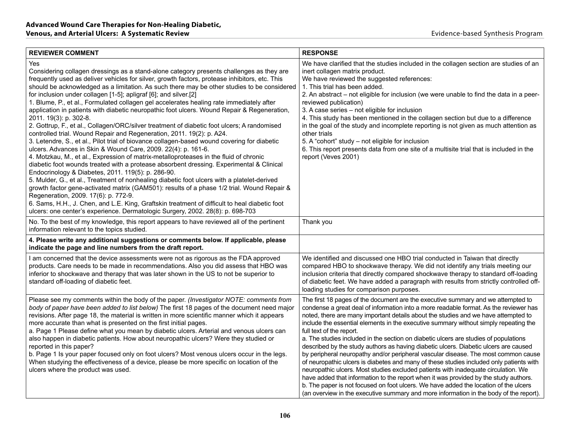| <b>REVIEWER COMMENT</b>                                                                                                                                                                                                                                                                                                                                                                                                                                                                                                                                                                                                                                                                                                                                                                                                                                                                                                                                                                                                                                                                                                                                                                                                                                                                                                                                                                                                                                                                                                                                                                              | <b>RESPONSE</b>                                                                                                                                                                                                                                                                                                                                                                                                                                                                                                                                                                                                                                                                                                                                                                                                                                                                                                                                                                                                                                                                                                      |
|------------------------------------------------------------------------------------------------------------------------------------------------------------------------------------------------------------------------------------------------------------------------------------------------------------------------------------------------------------------------------------------------------------------------------------------------------------------------------------------------------------------------------------------------------------------------------------------------------------------------------------------------------------------------------------------------------------------------------------------------------------------------------------------------------------------------------------------------------------------------------------------------------------------------------------------------------------------------------------------------------------------------------------------------------------------------------------------------------------------------------------------------------------------------------------------------------------------------------------------------------------------------------------------------------------------------------------------------------------------------------------------------------------------------------------------------------------------------------------------------------------------------------------------------------------------------------------------------------|----------------------------------------------------------------------------------------------------------------------------------------------------------------------------------------------------------------------------------------------------------------------------------------------------------------------------------------------------------------------------------------------------------------------------------------------------------------------------------------------------------------------------------------------------------------------------------------------------------------------------------------------------------------------------------------------------------------------------------------------------------------------------------------------------------------------------------------------------------------------------------------------------------------------------------------------------------------------------------------------------------------------------------------------------------------------------------------------------------------------|
| Yes<br>Considering collagen dressings as a stand-alone category presents challenges as they are<br>frequently used as deliver vehicles for silver, growth factors, protease inhibitors, etc. This<br>should be acknowledged as a limitation. As such there may be other studies to be considered<br>for inclusion under collagen [1-5]; apligraf [6]; and silver.[2]<br>1. Blume, P., et al., Formulated collagen gel accelerates healing rate immediately after<br>application in patients with diabetic neuropathic foot ulcers. Wound Repair & Regeneration,<br>2011. 19(3): p. 302-8.<br>2. Gottrup, F., et al., Collagen/ORC/silver treatment of diabetic foot ulcers; A randomised<br>controlled trial. Wound Repair and Regeneration, 2011. 19(2): p. A24.<br>3. Letendre, S., et al., Pilot trial of biovance collagen-based wound covering for diabetic<br>ulcers. Advances in Skin & Wound Care, 2009. 22(4): p. 161-6.<br>4. Motzkau, M., et al., Expression of matrix-metalloproteases in the fluid of chronic<br>diabetic foot wounds treated with a protease absorbent dressing. Experimental & Clinical<br>Endocrinology & Diabetes, 2011. 119(5): p. 286-90.<br>5. Mulder, G., et al., Treatment of nonhealing diabetic foot ulcers with a platelet-derived<br>growth factor gene-activated matrix (GAM501): results of a phase 1/2 trial. Wound Repair &<br>Regeneration, 2009. 17(6): p. 772-9.<br>6. Sams, H.H., J. Chen, and L.E. King, Graftskin treatment of difficult to heal diabetic foot<br>ulcers: one center's experience. Dermatologic Surgery, 2002. 28(8): p. 698-703 | We have clarified that the studies included in the collagen section are studies of an<br>inert collagen matrix product.<br>We have reviewed the suggested references:<br>1. This trial has been added.<br>2. An abstract – not eligible for inclusion (we were unable to find the data in a peer-<br>reviewed publication)<br>3. A case series - not eligible for inclusion<br>4. This study has been mentioned in the collagen section but due to a difference<br>in the goal of the study and incomplete reporting is not given as much attention as<br>other trials<br>5. A "cohort" study - not eligible for inclusion<br>6. This report presents data from one site of a multisite trial that is included in the<br>report (Veves 2001)                                                                                                                                                                                                                                                                                                                                                                         |
| No. To the best of my knowledge, this report appears to have reviewed all of the pertinent<br>information relevant to the topics studied.                                                                                                                                                                                                                                                                                                                                                                                                                                                                                                                                                                                                                                                                                                                                                                                                                                                                                                                                                                                                                                                                                                                                                                                                                                                                                                                                                                                                                                                            | Thank you                                                                                                                                                                                                                                                                                                                                                                                                                                                                                                                                                                                                                                                                                                                                                                                                                                                                                                                                                                                                                                                                                                            |
| 4. Please write any additional suggestions or comments below. If applicable, please<br>indicate the page and line numbers from the draft report.                                                                                                                                                                                                                                                                                                                                                                                                                                                                                                                                                                                                                                                                                                                                                                                                                                                                                                                                                                                                                                                                                                                                                                                                                                                                                                                                                                                                                                                     |                                                                                                                                                                                                                                                                                                                                                                                                                                                                                                                                                                                                                                                                                                                                                                                                                                                                                                                                                                                                                                                                                                                      |
| I am concerned that the device assessments were not as rigorous as the FDA approved<br>products. Care needs to be made in recommendations. Also you did assess that HBO was<br>inferior to shockwave and therapy that was later shown in the US to not be superior to<br>standard off-loading of diabetic feet.                                                                                                                                                                                                                                                                                                                                                                                                                                                                                                                                                                                                                                                                                                                                                                                                                                                                                                                                                                                                                                                                                                                                                                                                                                                                                      | We identified and discussed one HBO trial conducted in Taiwan that directly<br>compared HBO to shockwave therapy. We did not identify any trials meeting our<br>inclusion criteria that directly compared shockwave therapy to standard off-loading<br>of diabetic feet. We have added a paragraph with results from strictly controlled off-<br>loading studies for comparison purposes.                                                                                                                                                                                                                                                                                                                                                                                                                                                                                                                                                                                                                                                                                                                            |
| Please see my comments within the body of the paper. (Investigator NOTE: comments from<br>body of paper have been added to list below) The first 18 pages of the document need major<br>revisions. After page 18, the material is written in more scientific manner which it appears<br>more accurate than what is presented on the first initial pages.<br>a. Page 1 Please define what you mean by diabetic ulcers. Arterial and venous ulcers can<br>also happen in diabetic patients. How about neuropathic ulcers? Were they studied or<br>reported in this paper?<br>b. Page 1 Is your paper focused only on foot ulcers? Most venous ulcers occur in the legs.<br>When studying the effectiveness of a device, please be more specific on location of the<br>ulcers where the product was used.                                                                                                                                                                                                                                                                                                                                                                                                                                                                                                                                                                                                                                                                                                                                                                                               | The first 18 pages of the document are the executive summary and we attempted to<br>condense a great deal of information into a more readable format. As the reviewer has<br>noted, there are many important details about the studies and we have attempted to<br>include the essential elements in the executive summary without simply repeating the<br>full text of the report.<br>a. The studies included in the section on diabetic ulcers are studies of populations<br>described by the study authors as having diabetic ulcers. Diabetic ulcers are caused<br>by peripheral neuropathy and/or peripheral vascular disease. The most common cause<br>of neuropathic ulcers is diabetes and many of these studies included only patients with<br>neuropathic ulcers. Most studies excluded patients with inadequate circulation. We<br>have added that information to the report when it was provided by the study authors.<br>b. The paper is not focused on foot ulcers. We have added the location of the ulcers<br>(an overview in the executive summary and more information in the body of the report). |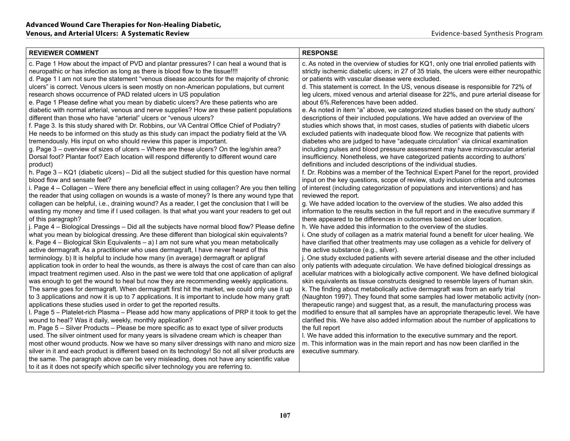| <b>REVIEWER COMMENT</b>                                                                                                                                                                                                                                                                                                                                                                                                                                                                                                                                                                                                                                                                                                                                                                                                                                                                                                                                                                                                                                                                                                                                                                                                                                                                                                                                                                                                                                                                                                                                                                                                                                                                                                                                                                                                                                                                                                                                                                                                                                                                                                                                                                                                                                                                                                                                                                                                                                                                                                                                                                                                                                                                                                                                                                                                                                                                                                                                                                                                                                                                                                                             | <b>RESPONSE</b>                                                                                                                                                                                                                                                                                                                                                                                                                                                                                                                                                                                                                                                                                                                                                                                                                                                                                                                                                                                                                                                                                                                                                                                                                                                                                                                                                                                                                                                                                                                                                                                                                                                                                                                                                                                                                                                                                                                                                                                                                                                                                                                                                                                                                                                                                                                                                                                                                                                                                                                                                                                                                                                                                                                                                                                                                                                |
|-----------------------------------------------------------------------------------------------------------------------------------------------------------------------------------------------------------------------------------------------------------------------------------------------------------------------------------------------------------------------------------------------------------------------------------------------------------------------------------------------------------------------------------------------------------------------------------------------------------------------------------------------------------------------------------------------------------------------------------------------------------------------------------------------------------------------------------------------------------------------------------------------------------------------------------------------------------------------------------------------------------------------------------------------------------------------------------------------------------------------------------------------------------------------------------------------------------------------------------------------------------------------------------------------------------------------------------------------------------------------------------------------------------------------------------------------------------------------------------------------------------------------------------------------------------------------------------------------------------------------------------------------------------------------------------------------------------------------------------------------------------------------------------------------------------------------------------------------------------------------------------------------------------------------------------------------------------------------------------------------------------------------------------------------------------------------------------------------------------------------------------------------------------------------------------------------------------------------------------------------------------------------------------------------------------------------------------------------------------------------------------------------------------------------------------------------------------------------------------------------------------------------------------------------------------------------------------------------------------------------------------------------------------------------------------------------------------------------------------------------------------------------------------------------------------------------------------------------------------------------------------------------------------------------------------------------------------------------------------------------------------------------------------------------------------------------------------------------------------------------------------------------------|----------------------------------------------------------------------------------------------------------------------------------------------------------------------------------------------------------------------------------------------------------------------------------------------------------------------------------------------------------------------------------------------------------------------------------------------------------------------------------------------------------------------------------------------------------------------------------------------------------------------------------------------------------------------------------------------------------------------------------------------------------------------------------------------------------------------------------------------------------------------------------------------------------------------------------------------------------------------------------------------------------------------------------------------------------------------------------------------------------------------------------------------------------------------------------------------------------------------------------------------------------------------------------------------------------------------------------------------------------------------------------------------------------------------------------------------------------------------------------------------------------------------------------------------------------------------------------------------------------------------------------------------------------------------------------------------------------------------------------------------------------------------------------------------------------------------------------------------------------------------------------------------------------------------------------------------------------------------------------------------------------------------------------------------------------------------------------------------------------------------------------------------------------------------------------------------------------------------------------------------------------------------------------------------------------------------------------------------------------------------------------------------------------------------------------------------------------------------------------------------------------------------------------------------------------------------------------------------------------------------------------------------------------------------------------------------------------------------------------------------------------------------------------------------------------------------------------------------------------------|
| c. Page 1 How about the impact of PVD and plantar pressures? I can heal a wound that is<br>neuropathic or has infection as long as there is blood flow to the tissue!!!!<br>d. Page 1 I am not sure the statement "venous disease accounts for the majority of chronic<br>ulcers" is correct. Venous ulcers is seen mostly on non-American populations, but current<br>research shows occurrence of PAD related ulcers in US population<br>e. Page 1 Please define what you mean by diabetic ulcers? Are these patients who are<br>diabetic with normal arterial, venous and nerve supplies? How are these patient populations<br>different than those who have "arterial" ulcers or "venous ulcers?<br>f. Page 3. Is this study shared with Dr. Robbins, our VA Central Office Chief of Podiatry?<br>He needs to be informed on this study as this study can impact the podiatry field at the VA<br>tremendously. His input on who should review this paper is important.<br>g. Page 3 – overview of sizes of ulcers – Where are these ulcers? On the leg/shin area?<br>Dorsal foot? Plantar foot? Each location will respond differently to different wound care<br>product)<br>h. Page 3 - KQ1 (diabetic ulcers) - Did all the subject studied for this question have normal<br>blood flow and sensate feet?<br>i. Page 4 - Collagen - Were there any beneficial effect in using collagen? Are you then telling<br>the reader that using collagen on wounds is a waste of money? Is there any wound type that<br>collagen can be helpful, i.e., draining wound? As a reader, I get the conclusion that I will be<br>wasting my money and time if I used collagen. Is that what you want your readers to get out<br>of this paragraph?<br>j. Page 4 – Biological Dressings – Did all the subjects have normal blood flow? Please define<br>what you mean by biological dressing. Are these different than biological skin equivalents?<br>k. Page $4$ – Biological Skin Equivalents – a) I am not sure what you mean metabolically<br>active dermagraft. As a practitioner who uses dermagraft, I have never heard of this<br>terminology. b) It is helpful to include how many (in average) dermagraft or apligraf<br>application took in order to heal the wounds, as there is always the cost of care than can also<br>impact treatment regimen used. Also in the past we were told that one application of apligraf<br>was enough to get the wound to heal but now they are recommending weekly applications.<br>The same goes for dermagraft. When dermagraft first hit the market, we could only use it up<br>to 3 applications and now it is up to 7 applications. It is important to include how many graft<br>applications these studies used in order to get the reported results.<br>I. Page 5 - Platelet-rich Plasma - Please add how many applications of PRP it took to get the<br>wound to heal? Was it daily, weekly, monthly application?<br>m. Page 5 – Silver Products – Please be more specific as to exact type of silver products<br>used. The silver ointment used for many years is silvadene cream which is cheaper than | c. As noted in the overview of studies for KQ1, only one trial enrolled patients with<br>strictly ischemic diabetic ulcers; in 27 of 35 trials, the ulcers were either neuropathic<br>or patients with vascular disease were excluded.<br>d. This statement is correct. In the US, venous disease is responsible for 72% of<br>leg ulcers, mixed venous and arterial disease for 22%, and pure arterial disease for<br>about 6%. References have been added.<br>e. As noted in item "a" above, we categorized studies based on the study authors'<br>descriptions of their included populations. We have added an overview of the<br>studies which shows that, in most cases, studies of patients with diabetic ulcers<br>excluded patients with inadequate blood flow. We recognize that patients with<br>diabetes who are judged to have "adequate circulation" via clinical examination<br>including pulses and blood pressure assessment may have microvascular arterial<br>insufficiency. Nonetheless, we have categorized patients according to authors'<br>definitions and included descriptions of the individual studies.<br>f. Dr. Robbins was a member of the Technical Expert Panel for the report, provided<br>input on the key questions, scope of review, study inclusion criteria and outcomes<br>of interest (including categorization of populations and interventions) and has<br>reviewed the report.<br>g. We have added location to the overview of the studies. We also added this<br>information to the results section in the full report and in the executive summary if<br>there appeared to be differences in outcomes based on ulcer location.<br>h. We have added this information to the overview of the studies.<br>i. One study of collagen as a matrix material found a benefit for ulcer healing. We<br>have clarified that other treatments may use collagen as a vehicle for delivery of<br>the active substance (e.g., silver).<br>j. One study excluded patients with severe arterial disease and the other included<br>only patients with adequate circulation. We have defined biological dressings as<br>acellular matrices with a biologically active component. We have defined biological<br>skin equivalents as tissue constructs designed to resemble layers of human skin.<br>k. The finding about metabolically active dermagraft was from an early trial<br>(Naughton 1997). They found that some samples had lower metabolic activity (non-<br>therapeutic range) and suggest that, as a result, the manufacturing process was<br>modified to ensure that all samples have an appropriate therapeutic level. We have<br>clarified this. We have also added information about the number of applications to<br>the full report<br>I. We have added this information to the executive summary and the report. |
| most other wound products. Now we have so many silver dressings with nano and micro size<br>silver in it and each product is different based on its technology! So not all silver products are<br>the same. The paragraph above can be very misleading, does not have any scientific value                                                                                                                                                                                                                                                                                                                                                                                                                                                                                                                                                                                                                                                                                                                                                                                                                                                                                                                                                                                                                                                                                                                                                                                                                                                                                                                                                                                                                                                                                                                                                                                                                                                                                                                                                                                                                                                                                                                                                                                                                                                                                                                                                                                                                                                                                                                                                                                                                                                                                                                                                                                                                                                                                                                                                                                                                                                          | m. This information was in the main report and has now been clarified in the<br>executive summary.                                                                                                                                                                                                                                                                                                                                                                                                                                                                                                                                                                                                                                                                                                                                                                                                                                                                                                                                                                                                                                                                                                                                                                                                                                                                                                                                                                                                                                                                                                                                                                                                                                                                                                                                                                                                                                                                                                                                                                                                                                                                                                                                                                                                                                                                                                                                                                                                                                                                                                                                                                                                                                                                                                                                                             |
| to it as it does not specify which specific silver technology you are referring to.                                                                                                                                                                                                                                                                                                                                                                                                                                                                                                                                                                                                                                                                                                                                                                                                                                                                                                                                                                                                                                                                                                                                                                                                                                                                                                                                                                                                                                                                                                                                                                                                                                                                                                                                                                                                                                                                                                                                                                                                                                                                                                                                                                                                                                                                                                                                                                                                                                                                                                                                                                                                                                                                                                                                                                                                                                                                                                                                                                                                                                                                 |                                                                                                                                                                                                                                                                                                                                                                                                                                                                                                                                                                                                                                                                                                                                                                                                                                                                                                                                                                                                                                                                                                                                                                                                                                                                                                                                                                                                                                                                                                                                                                                                                                                                                                                                                                                                                                                                                                                                                                                                                                                                                                                                                                                                                                                                                                                                                                                                                                                                                                                                                                                                                                                                                                                                                                                                                                                                |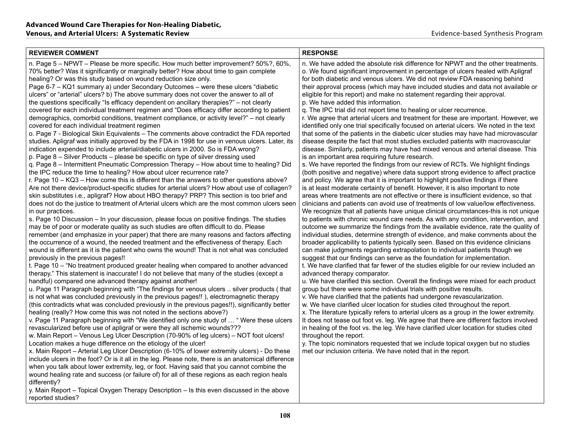| <b>REVIEWER COMMENT</b>                                                                                                                                                                                                                                                                                                                                                                                                                                                                                                                                                                                                                                                                                                                                                                                                                                                                                                                                                                                                                                                                                                                                                                                                                                                                                                                                                                                                                                                                                                                                                                                                                                                                                                                                                                                                                                                                                                                                                                                                                                                                                                                                                                                                                                                                                                                                                                                                                                                                                                                                                                                                                                                                                                                                                                                                                                                                                                                                                                                                                                                                                                                                                                                                                                                                                                                                                                                                                                                                                                                                                                                                                                                                                                                                    | <b>RESPONSE</b>                                                                                                                                                                                                                                                                                                                                                                                                                                                                                                                                                                                                                                                                                                                                                                                                                                                                                                                                                                                                                                                                                                                                                                                                                                                                                                                                                                                                                                                                                                                                                                                                                                                                                                                                                                                                                                                                                                                                                                                                                                                                                                                                                                                                                                                                                                                                                                                                                                                                                                                                                                                                                                                                                                                                                                                                                                                                                                                                                                                                                                                                                   |
|------------------------------------------------------------------------------------------------------------------------------------------------------------------------------------------------------------------------------------------------------------------------------------------------------------------------------------------------------------------------------------------------------------------------------------------------------------------------------------------------------------------------------------------------------------------------------------------------------------------------------------------------------------------------------------------------------------------------------------------------------------------------------------------------------------------------------------------------------------------------------------------------------------------------------------------------------------------------------------------------------------------------------------------------------------------------------------------------------------------------------------------------------------------------------------------------------------------------------------------------------------------------------------------------------------------------------------------------------------------------------------------------------------------------------------------------------------------------------------------------------------------------------------------------------------------------------------------------------------------------------------------------------------------------------------------------------------------------------------------------------------------------------------------------------------------------------------------------------------------------------------------------------------------------------------------------------------------------------------------------------------------------------------------------------------------------------------------------------------------------------------------------------------------------------------------------------------------------------------------------------------------------------------------------------------------------------------------------------------------------------------------------------------------------------------------------------------------------------------------------------------------------------------------------------------------------------------------------------------------------------------------------------------------------------------------------------------------------------------------------------------------------------------------------------------------------------------------------------------------------------------------------------------------------------------------------------------------------------------------------------------------------------------------------------------------------------------------------------------------------------------------------------------------------------------------------------------------------------------------------------------------------------------------------------------------------------------------------------------------------------------------------------------------------------------------------------------------------------------------------------------------------------------------------------------------------------------------------------------------------------------------------------------------------------------------------------------------------------------------------------------|---------------------------------------------------------------------------------------------------------------------------------------------------------------------------------------------------------------------------------------------------------------------------------------------------------------------------------------------------------------------------------------------------------------------------------------------------------------------------------------------------------------------------------------------------------------------------------------------------------------------------------------------------------------------------------------------------------------------------------------------------------------------------------------------------------------------------------------------------------------------------------------------------------------------------------------------------------------------------------------------------------------------------------------------------------------------------------------------------------------------------------------------------------------------------------------------------------------------------------------------------------------------------------------------------------------------------------------------------------------------------------------------------------------------------------------------------------------------------------------------------------------------------------------------------------------------------------------------------------------------------------------------------------------------------------------------------------------------------------------------------------------------------------------------------------------------------------------------------------------------------------------------------------------------------------------------------------------------------------------------------------------------------------------------------------------------------------------------------------------------------------------------------------------------------------------------------------------------------------------------------------------------------------------------------------------------------------------------------------------------------------------------------------------------------------------------------------------------------------------------------------------------------------------------------------------------------------------------------------------------------------------------------------------------------------------------------------------------------------------------------------------------------------------------------------------------------------------------------------------------------------------------------------------------------------------------------------------------------------------------------------------------------------------------------------------------------------------------------|
| n. Page 5 - NPWT - Please be more specific. How much better improvement? 50%?, 60%,<br>70% better? Was it significantly or marginally better? How about time to gain complete<br>healing? Or was this study based on wound reduction size only.<br>Page 6-7 - KQ1 summary a) under Secondary Outcomes - were these ulcers "diabetic<br>ulcers" or "arterial" ulcers? b) The above summary does not cover the answer to all of<br>the questions specifically "Is efficacy dependent on ancillary therapies?" – not clearly<br>covered for each individual treatment regimen and "Does efficacy differ according to patient<br>demographics, comorbid conditions, treatment compliance, or activity level?" – not clearly<br>covered for each individual treatment regimen<br>o. Page 7 - Biological Skin Equivalents – The comments above contradict the FDA reported<br>studies. Apligraf was initially approved by the FDA in 1998 for use in venous ulcers. Later, its<br>indication expended to include arterial/diabetic ulcers in 2000. So is FDA wrong?<br>p. Page 8 - Silver Products - please be specific on type of silver dressing used<br>g. Page 8 – Intermittent Pneumatic Compression Therapy – How about time to healing? Did<br>the IPC reduce the time to healing? How about ulcer recurrence rate?<br>r. Page $10 - KQ3$ – How come this is different than the answers to other questions above?<br>Are not there device/product-specific studies for arterial ulcers? How about use of collagen?<br>skin substitutes i.e., apligraf? How about HBO therapy? PRP? This section is too brief and<br>does not do the justice to treatment of Arterial ulcers which are the most common ulcers seen<br>in our practices.<br>s. Page 10 Discussion - In your discussion, please focus on positive findings. The studies<br>may be of poor or moderate quality as such studies are often difficult to do. Please<br>remember (and emphasize in your paper) that there are many reasons and factors affecting<br>the occurrence of a wound, the needed treatment and the effectiveness of therapy. Each<br>wound is different as it is the patient who owns the wound! That is not what was concluded<br>previously in the previous pages!!<br>t. Page 10 - "No treatment produced greater healing when compared to another advanced<br>therapy." This statement is inaccurate! I do not believe that many of the studies (except a<br>handful) compared one advanced therapy against another!<br>u. Page 11 Paragraph beginning with "The findings for venous ulcers  silver products (that<br>is not what was concluded previously in the previous pages!!), electromagnetic therapy<br>(this contradicts what was concluded previously in the previous pages!!), significantly better<br>healing (really? How come this was not noted in the sections above?)<br>v. Page 11 Paragraph beginning with "We identified only one study of  " Were these ulcers<br>revascularized before use of apligraf or were they all ischemic wounds???<br>w. Main Report - Venous Leg Ulcer Description (70-90% of leg ulcers) - NOT foot ulcers!<br>Location makes a huge difference on the etiology of the ulcer!<br>x. Main Report - Arterial Leg Ulcer Description (6-10% of lower extremity ulcers) - Do these<br>include ulcers in the foot? Or is it all in the leg. Please note, there is an anatomical difference<br>when you talk about lower extremity, leg, or foot. Having said that you cannot combine the<br>wound healing rate and success (or failure of) for all of these regions as each region heals<br>differently?<br>y. Main Report – Topical Oxygen Therapy Description – Is this even discussed in the above<br>reported studies? | n. We have added the absolute risk difference for NPWT and the other treatments.<br>o. We found significant improvement in percentage of ulcers healed with Apligraf<br>for both diabetic and venous ulcers. We did not review FDA reasoning behind<br>their approval process (which may have included studies and data not available or<br>eligible for this report) and make no statement regarding their approval.<br>p. We have added this information.<br>q. The IPC trial did not report time to healing or ulcer recurrence.<br>r. We agree that arterial ulcers and treatment for these are important. However, we<br>identified only one trial specifically focused on arterial ulcers. We noted in the text<br>that some of the patients in the diabetic ulcer studies may have had microvascular<br>disease despite the fact that most studies excluded patients with macrovascular<br>disease. Similarly, patients may have had mixed venous and arterial disease. This<br>is an important area requiring future research.<br>s. We have reported the findings from our review of RCTs. We highlight findings<br>(both positive and negative) where data support strong evidence to affect practice<br>and policy. We agree that it is important to highlight positive findings if there<br>is at least moderate certainty of benefit. However, it is also important to note<br>areas where treatments are not effective or there is insufficient evidence, so that<br>clinicians and patients can avoid use of treatments of low value/low effectiveness.<br>We recognize that all patients have unique clinical circumstances-this is not unique<br>to patients with chronic wound care needs. As with any condition, intervention, and<br>outcome we summarize the findings from the available evidence, rate the quality of<br>individual studies, determine strength of evidence, and make comments about the<br>broader applicability to patients typically seen. Based on this evidence clinicians<br>can make judgments regarding extrapolation to individual patients though we<br>suggest that our findings can serve as the foundation for implementation.<br>t. We have clarified that far fewer of the studies eligible for our review included an<br>advanced therapy comparator.<br>u. We have clarified this section. Overall the findings were mixed for each product<br>group but there were some individual trials with positive results.<br>v. We have clarified that the patients had undergone revascularization.<br>w. We have clarified ulcer location for studies cited throughout the report.<br>x. The literature typically refers to arterial ulcers as a group in the lower extremity.<br>It does not tease out foot vs. leg. We agree that there are different factors involved<br>in healing of the foot vs. the leg. We have clarified ulcer location for studies cited<br>throughout the report.<br>y. The topic nominators requested that we include topical oxygen but no studies<br>met our inclusion criteria. We have noted that in the report. |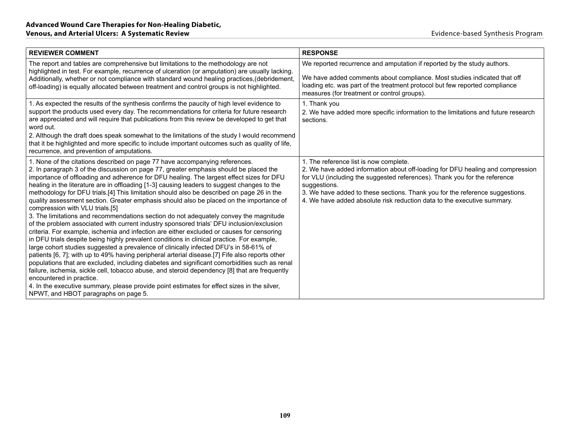| <b>REVIEWER COMMENT</b>                                                                                                                                                                                                                                                                                                                                                                                                                                                                                                                                                                                                                                                                                                                                                                                                                                                                                                                                                                                                                                                                                                                                                                                                                                                                                                                                                                                                                                                                                                                       | <b>RESPONSE</b>                                                                                                                                                                                                                                                                                                                                                                  |
|-----------------------------------------------------------------------------------------------------------------------------------------------------------------------------------------------------------------------------------------------------------------------------------------------------------------------------------------------------------------------------------------------------------------------------------------------------------------------------------------------------------------------------------------------------------------------------------------------------------------------------------------------------------------------------------------------------------------------------------------------------------------------------------------------------------------------------------------------------------------------------------------------------------------------------------------------------------------------------------------------------------------------------------------------------------------------------------------------------------------------------------------------------------------------------------------------------------------------------------------------------------------------------------------------------------------------------------------------------------------------------------------------------------------------------------------------------------------------------------------------------------------------------------------------|----------------------------------------------------------------------------------------------------------------------------------------------------------------------------------------------------------------------------------------------------------------------------------------------------------------------------------------------------------------------------------|
| The report and tables are comprehensive but limitations to the methodology are not<br>highlighted in test. For example, recurrence of ulceration (or amputation) are usually lacking.<br>Additionally, whether or not compliance with standard wound healing practices, (debridement,<br>off-loading) is equally allocated between treatment and control groups is not highlighted.                                                                                                                                                                                                                                                                                                                                                                                                                                                                                                                                                                                                                                                                                                                                                                                                                                                                                                                                                                                                                                                                                                                                                           | We reported recurrence and amputation if reported by the study authors.<br>We have added comments about compliance. Most studies indicated that off<br>loading etc. was part of the treatment protocol but few reported compliance<br>measures (for treatment or control groups).                                                                                                |
| 1. As expected the results of the synthesis confirms the paucity of high level evidence to<br>support the products used every day. The recommendations for criteria for future research<br>are appreciated and will require that publications from this review be developed to get that<br>word out.<br>2. Although the draft does speak somewhat to the limitations of the study I would recommend<br>that it be highlighted and more specific to include important outcomes such as quality of life,<br>recurrence, and prevention of amputations.                                                                                                                                                                                                                                                                                                                                                                                                                                                                                                                                                                                                                                                                                                                                                                                                                                                                                                                                                                                          | 1. Thank you<br>2. We have added more specific information to the limitations and future research<br>sections.                                                                                                                                                                                                                                                                   |
| 1. None of the citations described on page 77 have accompanying references.<br>2. In paragraph 3 of the discussion on page 77, greater emphasis should be placed the<br>importance of offloading and adherence for DFU healing. The largest effect sizes for DFU<br>healing in the literature are in offloading [1-3] causing leaders to suggest changes to the<br>methodology for DFU trials. [4] This limitation should also be described on page 26 in the<br>quality assessment section. Greater emphasis should also be placed on the importance of<br>compression with VLU trials.[5]<br>3. The limitations and recommendations section do not adequately convey the magnitude<br>of the problem associated with current industry sponsored trials' DFU inclusion/exclusion<br>criteria. For example, ischemia and infection are either excluded or causes for censoring<br>in DFU trials despite being highly prevalent conditions in clinical practice. For example,<br>large cohort studies suggested a prevalence of clinically infected DFU's in 58-61% of<br>patients [6, 7]; with up to 49% having peripheral arterial disease. [7] Fife also reports other<br>populations that are excluded, including diabetes and significant comorbidities such as renal<br>failure, ischemia, sickle cell, tobacco abuse, and steroid dependency [8] that are frequently<br>encountered in practice.<br>4. In the executive summary, please provide point estimates for effect sizes in the silver,<br>NPWT, and HBOT paragraphs on page 5. | 1. The reference list is now complete.<br>2. We have added information about off-loading for DFU healing and compression<br>for VLU (including the suggested references). Thank you for the reference<br>suggestions.<br>3. We have added to these sections. Thank you for the reference suggestions.<br>4. We have added absolute risk reduction data to the executive summary. |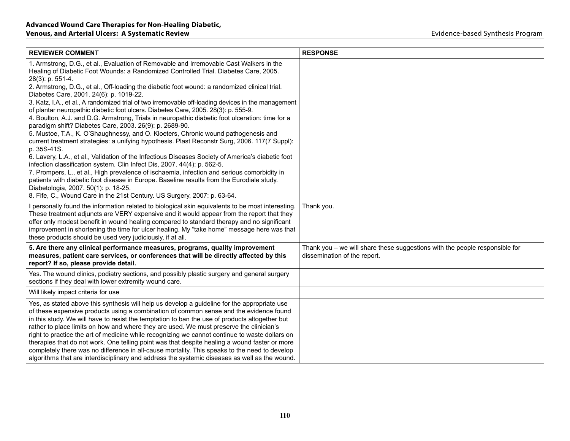| <b>REVIEWER COMMENT</b>                                                                                                                                                                                                                                                                                                                                                                                                                                                                                                                                                                                                                                                                                                                                                                         | <b>RESPONSE</b>                                                                                               |
|-------------------------------------------------------------------------------------------------------------------------------------------------------------------------------------------------------------------------------------------------------------------------------------------------------------------------------------------------------------------------------------------------------------------------------------------------------------------------------------------------------------------------------------------------------------------------------------------------------------------------------------------------------------------------------------------------------------------------------------------------------------------------------------------------|---------------------------------------------------------------------------------------------------------------|
| 1. Armstrong, D.G., et al., Evaluation of Removable and Irremovable Cast Walkers in the<br>Healing of Diabetic Foot Wounds: a Randomized Controlled Trial. Diabetes Care, 2005.<br>28(3): p. 551-4.<br>2. Armstrong, D.G., et al., Off-loading the diabetic foot wound: a randomized clinical trial.<br>Diabetes Care, 2001. 24(6): p. 1019-22.<br>3. Katz, I.A., et al., A randomized trial of two irremovable off-loading devices in the management<br>of plantar neuropathic diabetic foot ulcers. Diabetes Care, 2005. 28(3): p. 555-9.<br>4. Boulton, A.J. and D.G. Armstrong, Trials in neuropathic diabetic foot ulceration: time for a<br>paradigm shift? Diabetes Care, 2003. 26(9): p. 2689-90.<br>5. Mustoe, T.A., K. O'Shaughnessy, and O. Kloeters, Chronic wound pathogenesis and |                                                                                                               |
| current treatment strategies: a unifying hypothesis. Plast Reconstr Surg, 2006. 117(7 Suppl):<br>p. 35S-41S.                                                                                                                                                                                                                                                                                                                                                                                                                                                                                                                                                                                                                                                                                    |                                                                                                               |
| 6. Lavery, L.A., et al., Validation of the Infectious Diseases Society of America's diabetic foot<br>infection classification system. Clin Infect Dis, 2007. 44(4): p. 562-5.<br>7. Prompers, L., et al., High prevalence of ischaemia, infection and serious comorbidity in<br>patients with diabetic foot disease in Europe. Baseline results from the Eurodiale study.<br>Diabetologia, 2007. 50(1): p. 18-25.<br>8. Fife, C., Wound Care in the 21st Century. US Surgery, 2007: p. 63-64.                                                                                                                                                                                                                                                                                                   |                                                                                                               |
| personally found the information related to biological skin equivalents to be most interesting.<br>These treatment adjuncts are VERY expensive and it would appear from the report that they<br>offer only modest benefit in wound healing compared to standard therapy and no significant<br>improvement in shortening the time for ulcer healing. My "take home" message here was that<br>these products should be used very judiciously, if at all.                                                                                                                                                                                                                                                                                                                                          | Thank you.                                                                                                    |
| 5. Are there any clinical performance measures, programs, quality improvement<br>measures, patient care services, or conferences that will be directly affected by this<br>report? If so, please provide detail.                                                                                                                                                                                                                                                                                                                                                                                                                                                                                                                                                                                | Thank you $-$ we will share these suggestions with the people responsible for<br>dissemination of the report. |
| Yes. The wound clinics, podiatry sections, and possibly plastic surgery and general surgery<br>sections if they deal with lower extremity wound care.                                                                                                                                                                                                                                                                                                                                                                                                                                                                                                                                                                                                                                           |                                                                                                               |
| Will likely impact criteria for use                                                                                                                                                                                                                                                                                                                                                                                                                                                                                                                                                                                                                                                                                                                                                             |                                                                                                               |
| Yes, as stated above this synthesis will help us develop a guideline for the appropriate use<br>of these expensive products using a combination of common sense and the evidence found<br>in this study. We will have to resist the temptation to ban the use of products altogether but<br>rather to place limits on how and where they are used. We must preserve the clinician's<br>right to practice the art of medicine while recognizing we cannot continue to waste dollars on<br>therapies that do not work. One telling point was that despite healing a wound faster or more<br>completely there was no difference in all-cause mortality. This speaks to the need to develop<br>algorithms that are interdisciplinary and address the systemic diseases as well as the wound.        |                                                                                                               |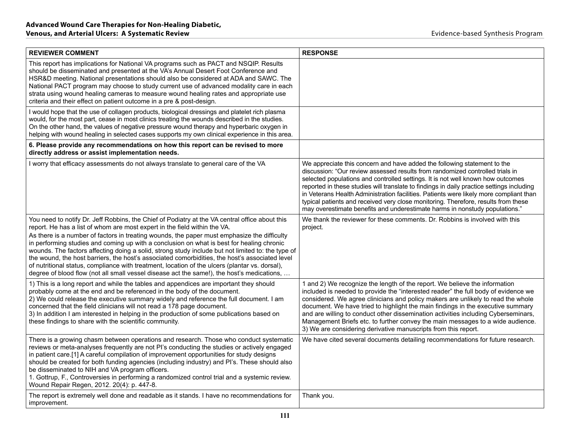| <b>REVIEWER COMMENT</b>                                                                                                                                                                                                                                                                                                                                                                                                                                                                                                                                                                                                                                                                                                                                                        | <b>RESPONSE</b>                                                                                                                                                                                                                                                                                                                                                                                                                                                                                                                                                                                          |
|--------------------------------------------------------------------------------------------------------------------------------------------------------------------------------------------------------------------------------------------------------------------------------------------------------------------------------------------------------------------------------------------------------------------------------------------------------------------------------------------------------------------------------------------------------------------------------------------------------------------------------------------------------------------------------------------------------------------------------------------------------------------------------|----------------------------------------------------------------------------------------------------------------------------------------------------------------------------------------------------------------------------------------------------------------------------------------------------------------------------------------------------------------------------------------------------------------------------------------------------------------------------------------------------------------------------------------------------------------------------------------------------------|
| This report has implications for National VA programs such as PACT and NSQIP. Results<br>should be disseminated and presented at the VA's Annual Desert Foot Conference and<br>HSR&D meeting. National presentations should also be considered at ADA and SAWC. The<br>National PACT program may choose to study current use of advanced modality care in each<br>strata using wound healing cameras to measure wound healing rates and appropriate use<br>criteria and their effect on patient outcome in a pre & post-design.                                                                                                                                                                                                                                                |                                                                                                                                                                                                                                                                                                                                                                                                                                                                                                                                                                                                          |
| I would hope that the use of collagen products, biological dressings and platelet rich plasma<br>would, for the most part, cease in most clinics treating the wounds described in the studies.<br>On the other hand, the values of negative pressure wound therapy and hyperbaric oxygen in<br>helping with wound healing in selected cases supports my own clinical experience in this area.                                                                                                                                                                                                                                                                                                                                                                                  |                                                                                                                                                                                                                                                                                                                                                                                                                                                                                                                                                                                                          |
| 6. Please provide any recommendations on how this report can be revised to more<br>directly address or assist implementation needs.                                                                                                                                                                                                                                                                                                                                                                                                                                                                                                                                                                                                                                            |                                                                                                                                                                                                                                                                                                                                                                                                                                                                                                                                                                                                          |
| I worry that efficacy assessments do not always translate to general care of the VA                                                                                                                                                                                                                                                                                                                                                                                                                                                                                                                                                                                                                                                                                            | We appreciate this concern and have added the following statement to the<br>discussion: "Our review assessed results from randomized controlled trials in<br>selected populations and controlled settings. It is not well known how outcomes<br>reported in these studies will translate to findings in daily practice settings including<br>in Veterans Health Administration facilities. Patients were likely more compliant than<br>typical patients and received very close monitoring. Therefore, results from these<br>may overestimate benefits and underestimate harms in nonstudy populations." |
| You need to notify Dr. Jeff Robbins, the Chief of Podiatry at the VA central office about this<br>report. He has a list of whom are most expert in the field within the VA.<br>As there is a number of factors in treating wounds, the paper must emphasize the difficulty<br>in performing studies and coming up with a conclusion on what is best for healing chronic<br>wounds. The factors affecting doing a solid, strong study include but not limited to: the type of<br>the wound, the host barriers, the host's associated comorbidities, the host's associated level<br>of nutritional status, compliance with treatment, location of the ulcers (plantar vs. dorsal),<br>degree of blood flow (not all small vessel disease act the same!), the host's medications, | We thank the reviewer for these comments. Dr. Robbins is involved with this<br>project.                                                                                                                                                                                                                                                                                                                                                                                                                                                                                                                  |
| 1) This is a long report and while the tables and appendices are important they should<br>probably come at the end and be referenced in the body of the document.<br>2) We could release the executive summary widely and reference the full document. I am<br>concerned that the field clinicians will not read a 178 page document.<br>3) In addition I am interested in helping in the production of some publications based on<br>these findings to share with the scientific community.                                                                                                                                                                                                                                                                                   | 1 and 2) We recognize the length of the report. We believe the information<br>included is needed to provide the "interested reader" the full body of evidence we<br>considered. We agree clinicians and policy makers are unlikely to read the whole<br>document. We have tried to highlight the main findings in the executive summary<br>and are willing to conduct other dissemination activities including Cyberseminars,<br>Management Briefs etc. to further convey the main messages to a wide audience.<br>3) We are considering derivative manuscripts from this report.                        |
| There is a growing chasm between operations and research. Those who conduct systematic<br>reviews or meta-analyses frequently are not PI's conducting the studies or actively engaged<br>in patient care.[1] A careful compilation of improvement opportunities for study designs<br>should be created for both funding agencies (including industry) and PI's. These should also<br>be disseminated to NIH and VA program officers.<br>1. Gottrup, F., Controversies in performing a randomized control trial and a systemic review.<br>Wound Repair Regen, 2012. 20(4): p. 447-8.                                                                                                                                                                                            | We have cited several documents detailing recommendations for future research.                                                                                                                                                                                                                                                                                                                                                                                                                                                                                                                           |
| The report is extremely well done and readable as it stands. I have no recommendations for<br>improvement.                                                                                                                                                                                                                                                                                                                                                                                                                                                                                                                                                                                                                                                                     | Thank you.                                                                                                                                                                                                                                                                                                                                                                                                                                                                                                                                                                                               |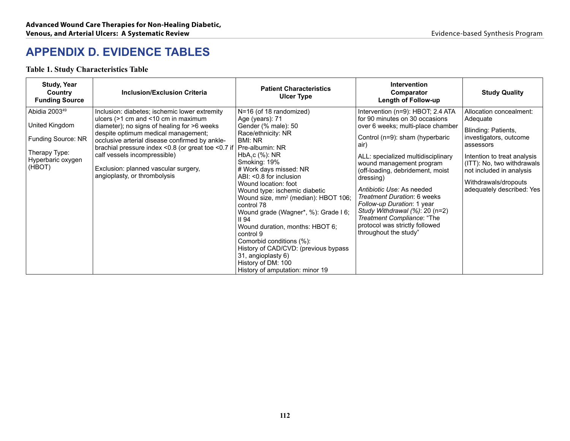## **APPENDIX D. EVIDENCE TABLES**

#### **Table 1. Study Characteristics Table**

| <b>Study, Year</b><br>Country<br><b>Funding Source</b>                                                            | <b>Inclusion/Exclusion Criteria</b>                                                                                                                                                                                                                                                                                                                                                                   | <b>Patient Characteristics</b><br><b>Ulcer Type</b>                                                                                                                                                                                                                                                                                                                                                                                                                                                                                                                                                       | <b>Intervention</b><br>Comparator<br><b>Length of Follow-up</b>                                                                                                                                                                                                                                                                                                                                                                                                                                 | <b>Study Quality</b>                                                                                                                                                                                                                            |
|-------------------------------------------------------------------------------------------------------------------|-------------------------------------------------------------------------------------------------------------------------------------------------------------------------------------------------------------------------------------------------------------------------------------------------------------------------------------------------------------------------------------------------------|-----------------------------------------------------------------------------------------------------------------------------------------------------------------------------------------------------------------------------------------------------------------------------------------------------------------------------------------------------------------------------------------------------------------------------------------------------------------------------------------------------------------------------------------------------------------------------------------------------------|-------------------------------------------------------------------------------------------------------------------------------------------------------------------------------------------------------------------------------------------------------------------------------------------------------------------------------------------------------------------------------------------------------------------------------------------------------------------------------------------------|-------------------------------------------------------------------------------------------------------------------------------------------------------------------------------------------------------------------------------------------------|
| Abidia 2003 <sup>49</sup><br>United Kingdom<br>Funding Source: NR<br>Therapy Type:<br>Hyperbaric oxygen<br>(HBOT) | Inclusion: diabetes; ischemic lower extremity<br>ulcers $(>1$ cm and $< 10$ cm in maximum<br>diameter); no signs of healing for >6 weeks<br>despite optimum medical management;<br>occlusive arterial disease confirmed by ankle-<br>brachial pressure index $< 0.8$ (or great toe $< 0.7$ if<br>calf vessels incompressible)<br>Exclusion: planned vascular surgery,<br>angioplasty, or thrombolysis | N=16 (of 18 randomized)<br>Age (years): 71<br>Gender (% male): 50<br>Race/ethnicity: NR<br>BMI: NR<br>Pre-albumin: NR<br>$HbA_{c}C$ (%): NR<br>Smoking: 19%<br># Work days missed: NR<br>ABI: <0.8 for inclusion<br>Wound location: foot<br>Wound type: ischemic diabetic<br>Wound size, mm <sup>2</sup> (median): HBOT 106;<br>control 78<br>Wound grade (Wagner*, %): Grade I 6;<br>II <sub>94</sub><br>Wound duration, months: HBOT 6;<br>control 9<br>Comorbid conditions (%):<br>History of CAD/CVD: (previous bypass<br>31, angioplasty 6)<br>History of DM: 100<br>History of amputation: minor 19 | Intervention (n=9): HBOT; 2.4 ATA<br>for 90 minutes on 30 occasions<br>over 6 weeks; multi-place chamber<br>Control (n=9): sham (hyperbaric<br>air)<br>ALL: specialized multidisciplinary<br>wound management program<br>(off-loading, debridement, moist<br>dressing)<br>Antibiotic Use: As needed<br>Treatment Duration: 6 weeks<br>Follow-up Duration: 1 year<br>Study Withdrawal $(\%)$ : 20 (n=2)<br>Treatment Compliance: "The<br>protocol was strictly followed<br>throughout the study" | Allocation concealment:<br>Adequate<br>Blinding: Patients,<br>investigators, outcome<br>assessors<br>Intention to treat analysis<br>(ITT): No, two withdrawals<br>not included in analysis<br>Withdrawals/dropouts<br>adequately described: Yes |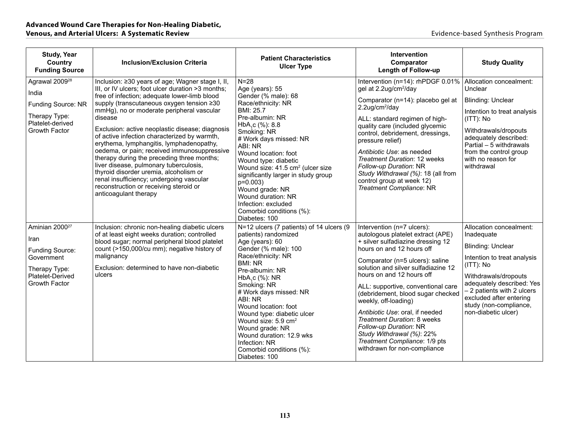| <b>Study, Year</b><br>Country<br><b>Funding Source</b>                                                                    | <b>Inclusion/Exclusion Criteria</b>                                                                                                                                                                                                                                                                                                                                                                                                                                                                                                                                                                                                                                                                       | <b>Patient Characteristics</b><br><b>Ulcer Type</b>                                                                                                                                                                                                                                                                                                                                                                                                             | Intervention<br>Comparator<br><b>Length of Follow-up</b>                                                                                                                                                                                                                                                                                                                                                                                                                                                                              | <b>Study Quality</b>                                                                                                                                                                                                                                                            |
|---------------------------------------------------------------------------------------------------------------------------|-----------------------------------------------------------------------------------------------------------------------------------------------------------------------------------------------------------------------------------------------------------------------------------------------------------------------------------------------------------------------------------------------------------------------------------------------------------------------------------------------------------------------------------------------------------------------------------------------------------------------------------------------------------------------------------------------------------|-----------------------------------------------------------------------------------------------------------------------------------------------------------------------------------------------------------------------------------------------------------------------------------------------------------------------------------------------------------------------------------------------------------------------------------------------------------------|---------------------------------------------------------------------------------------------------------------------------------------------------------------------------------------------------------------------------------------------------------------------------------------------------------------------------------------------------------------------------------------------------------------------------------------------------------------------------------------------------------------------------------------|---------------------------------------------------------------------------------------------------------------------------------------------------------------------------------------------------------------------------------------------------------------------------------|
| Agrawal 2009 <sup>28</sup><br>India<br>Funding Source: NR<br>Therapy Type:<br>Platelet-derived<br>Growth Factor           | Inclusion: ≥30 years of age; Wagner stage I, II,<br>III, or IV ulcers; foot ulcer duration >3 months;<br>free of infection; adequate lower-limb blood<br>supply (transcutaneous oxygen tension ≥30<br>mmHg), no or moderate peripheral vascular<br>disease<br>Exclusion: active neoplastic disease; diagnosis<br>of active infection characterized by warmth,<br>erythema, lymphangitis, lymphadenopathy,<br>oedema, or pain; received immunosuppressive<br>therapy during the preceding three months;<br>liver disease, pulmonary tuberculosis,<br>thyroid disorder uremia, alcoholism or<br>renal insufficiency; undergoing vascular<br>reconstruction or receiving steroid or<br>anticoagulant therapy | $N = 28$<br>Age (years): 55<br>Gender (% male): 68<br>Race/ethnicity: NR<br>BMI: 25.7<br>Pre-albumin: NR<br>HbA,c (%): 8.8<br>Smoking: NR<br># Work days missed: NR<br>ABI: NR<br>Wound location: foot<br>Wound type: diabetic<br>Wound size: 41.5 cm <sup>2</sup> (ulcer size<br>significantly larger in study group<br>$p=0.003$<br>Wound grade: NR<br>Wound duration: NR<br>Infection: excluded<br>Comorbid conditions (%):<br>Diabetes: 100                 | Intervention (n=14): rhPDGF 0.01%<br>gel at 2.2ug/cm <sup>2</sup> /day<br>Comparator (n=14): placebo gel at<br>$2.2$ ug/cm <sup>2</sup> /day<br>ALL: standard regimen of high-<br>quality care (included glycemic<br>control, debridement, dressings,<br>pressure relief)<br>Antibiotic Use: as needed<br>Treatment Duration: 12 weeks<br>Follow-up Duration: NR<br>Study Withdrawal (%): 18 (all from<br>control group at week 12)<br>Treatment Compliance: NR                                                                       | Allocation concealment:<br>Unclear<br><b>Blinding: Unclear</b><br>Intention to treat analysis<br>$(ITT)$ : No<br>Withdrawals/dropouts<br>adequately described:<br>Partial - 5 withdrawals<br>from the control group<br>with no reason for<br>withdrawal                         |
| Aminian 2000 <sup>27</sup><br>Iran<br>Funding Source:<br>Government<br>Therapy Type:<br>Platelet-Derived<br>Growth Factor | Inclusion: chronic non-healing diabetic ulcers<br>of at least eight weeks duration; controlled<br>blood sugar; normal peripheral blood platelet<br>count (>150,000/cu mm); negative history of<br>malignancy<br>Exclusion: determined to have non-diabetic<br>ulcers                                                                                                                                                                                                                                                                                                                                                                                                                                      | N=12 ulcers (7 patients) of 14 ulcers (9<br>patients) randomized<br>Age (years): 60<br>Gender (% male): 100<br>Race/ethnicity: NR<br><b>BMI: NR</b><br>Pre-albumin: NR<br>HbA <sub>1</sub> c $%$ ): NR<br>Smoking: NR<br># Work days missed: NR<br>ABI: NR<br>Wound location: foot<br>Wound type: diabetic ulcer<br>Wound size: $5.9 \text{ cm}^2$<br>Wound grade: NR<br>Wound duration: 12.9 wks<br>Infection: NR<br>Comorbid conditions (%):<br>Diabetes: 100 | Intervention (n=7 ulcers):<br>autologous platelet extract (APE)<br>+ silver sulfadiazine dressing 12<br>hours on and 12 hours off<br>Comparator (n=5 ulcers): saline<br>solution and silver sulfadiazine 12<br>hours on and 12 hours off<br>ALL: supportive, conventional care<br>(debridement, blood sugar checked<br>weekly, off-loading)<br>Antibiotic Use: oral, if needed<br>Treatment Duration: 8 weeks<br>Follow-up Duration: NR<br>Study Withdrawal (%): 22%<br>Treatment Compliance: 1/9 pts<br>withdrawn for non-compliance | Allocation concealment:<br>Inadequate<br><b>Blinding: Unclear</b><br>Intention to treat analysis<br>$(ITT)$ : No<br>Withdrawals/dropouts<br>adequately described: Yes<br>- 2 patients with 2 ulcers<br>excluded after entering<br>study (non-compliance,<br>non-diabetic ulcer) |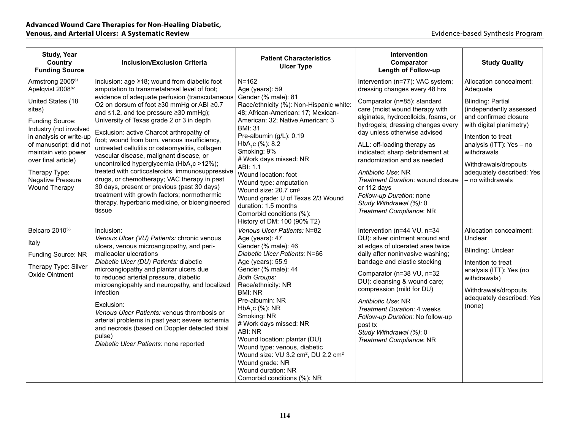| <b>Study, Year</b><br>Country<br><b>Funding Source</b>                                                                                                                                                                                                                                                           | <b>Inclusion/Exclusion Criteria</b>                                                                                                                                                                                                                                                                                                                                                                                                                                                                                                                                                                                                                                                                                                                                                              | <b>Patient Characteristics</b><br><b>Ulcer Type</b>                                                                                                                                                                                                                                                                                                                                                                                                                                                                           | Intervention<br>Comparator<br><b>Length of Follow-up</b>                                                                                                                                                                                                                                                                                                                                                                                                                                                     | <b>Study Quality</b>                                                                                                                                                                                                                                                                      |
|------------------------------------------------------------------------------------------------------------------------------------------------------------------------------------------------------------------------------------------------------------------------------------------------------------------|--------------------------------------------------------------------------------------------------------------------------------------------------------------------------------------------------------------------------------------------------------------------------------------------------------------------------------------------------------------------------------------------------------------------------------------------------------------------------------------------------------------------------------------------------------------------------------------------------------------------------------------------------------------------------------------------------------------------------------------------------------------------------------------------------|-------------------------------------------------------------------------------------------------------------------------------------------------------------------------------------------------------------------------------------------------------------------------------------------------------------------------------------------------------------------------------------------------------------------------------------------------------------------------------------------------------------------------------|--------------------------------------------------------------------------------------------------------------------------------------------------------------------------------------------------------------------------------------------------------------------------------------------------------------------------------------------------------------------------------------------------------------------------------------------------------------------------------------------------------------|-------------------------------------------------------------------------------------------------------------------------------------------------------------------------------------------------------------------------------------------------------------------------------------------|
| Armstrong 2005 <sup>81</sup><br>Apelqvist 2008 <sup>82</sup><br>United States (18<br>sites)<br>Funding Source:<br>Industry (not involved<br>in analysis or write-up<br>of manuscript; did not<br>maintain veto power<br>over final article)<br>Therapy Type:<br><b>Negative Pressure</b><br><b>Wound Therapy</b> | Inclusion: age ≥18; wound from diabetic foot<br>amputation to transmetatarsal level of foot;<br>evidence of adequate perfusion (transcutaneous<br>O2 on dorsum of foot ≥30 mmHg or ABI ≥0.7<br>and ≤1.2, and toe pressure ≥30 mmHg);<br>University of Texas grade 2 or 3 in depth<br>Exclusion: active Charcot arthropathy of<br>foot; wound from burn, venous insufficiency,<br>untreated cellulitis or osteomyelitis, collagen<br>vascular disease, malignant disease, or<br>uncontrolled hyperglycemia (HbA <sub>1</sub> c >12%);<br>treated with corticosteroids, immunosuppressive<br>drugs, or chemotherapy; VAC therapy in past<br>30 days, present or previous (past 30 days)<br>treatment with growth factors; normothermic<br>therapy, hyperbaric medicine, or bioengineered<br>tissue | $N = 162$<br>Age (years): 59<br>Gender (% male): 81<br>Race/ethnicity (%): Non-Hispanic white:<br>48; African-American: 17; Mexican-<br>American: 32; Native American: 3<br><b>BMI: 31</b><br>Pre-albumin (g/L): 0.19<br>HbA,c (%): 8.2<br>Smoking: 9%<br># Work days missed: NR<br>ABI: 1.1<br>Wound location: foot<br>Wound type: amputation<br>Wound size: 20.7 cm <sup>2</sup><br>Wound grade: U of Texas 2/3 Wound<br>duration: 1.5 months<br>Comorbid conditions (%):<br>History of DM: 100 (90% T2)                    | Intervention (n=77): VAC system;<br>dressing changes every 48 hrs<br>Comparator (n=85): standard<br>care (moist wound therapy with<br>alginates, hydrocolloids, foams, or<br>hydrogels; dressing changes every<br>day unless otherwise advised<br>ALL: off-loading therapy as<br>indicated; sharp debridement at<br>randomization and as needed<br>Antibiotic Use: NR<br>Treatment Duration: wound closure<br>or 112 days<br>Follow-up Duration: none<br>Study Withdrawal (%): 0<br>Treatment Compliance: NR | Allocation concealment:<br>Adequate<br><b>Blinding: Partial</b><br>(independently assessed<br>and confirmed closure<br>with digital planimetry)<br>Intention to treat<br>analysis (ITT): Yes - no<br>withdrawals<br>Withdrawals/dropouts<br>adequately described: Yes<br>- no withdrawals |
| Belcaro 2010 <sup>38</sup><br>Italy<br>Funding Source: NR<br>Therapy Type: Silver<br>Oxide Ointment                                                                                                                                                                                                              | Inclusion:<br>Venous Ulcer (VU) Patients: chronic venous<br>ulcers, venous microangiopathy, and peri-<br>malleaolar ulcerations<br>Diabetic Ulcer (DU) Patients: diabetic<br>microangiopathy and plantar ulcers due<br>to reduced arterial pressure, diabetic<br>microangiopahty and neuropathy, and localized<br>infection<br>Exclusion:<br>Venous Ulcer Patients: venous thrombosis or<br>arterial problems in past year; severe ischemia<br>and necrosis (based on Doppler detected tibial<br>pulse)<br>Diabetic Ulcer Patients: none reported                                                                                                                                                                                                                                                | Venous Ulcer Patients: N=82<br>Age (years): 47<br>Gender (% male): 46<br>Diabetic Ulcer Patients: N=66<br>Age (years): 55.9<br>Gender (% male): 44<br><b>Both Groups:</b><br>Race/ethnicity: NR<br><b>BMI: NR</b><br>Pre-albumin: NR<br>HbA <sub>1</sub> c (%): NR<br>Smoking: NR<br># Work days missed: NR<br>ABI: NR<br>Wound location: plantar (DU)<br>Wound type: venous, diabetic<br>Wound size: VU 3.2 cm <sup>2</sup> , DU 2.2 cm <sup>2</sup><br>Wound grade: NR<br>Wound duration: NR<br>Comorbid conditions (%): NR | Intervention (n=44 VU, n=34<br>DU): silver ointment around and<br>at edges of ulcerated area twice<br>daily after noninvasive washing;<br>bandage and elastic stocking<br>Comparator (n=38 VU, n=32<br>DU): cleansing & wound care;<br>compression (mild for DU)<br>Antibiotic Use: NR<br>Treatment Duration: 4 weeks<br>Follow-up Duration: No follow-up<br>post tx<br>Study Withdrawal (%): 0<br>Treatment Compliance: NR                                                                                  | Allocation concealment:<br>Unclear<br><b>Blinding: Unclear</b><br>Intention to treat<br>analysis (ITT): Yes (no<br>withdrawals)<br>Withdrawals/dropouts<br>adequately described: Yes<br>(none)                                                                                            |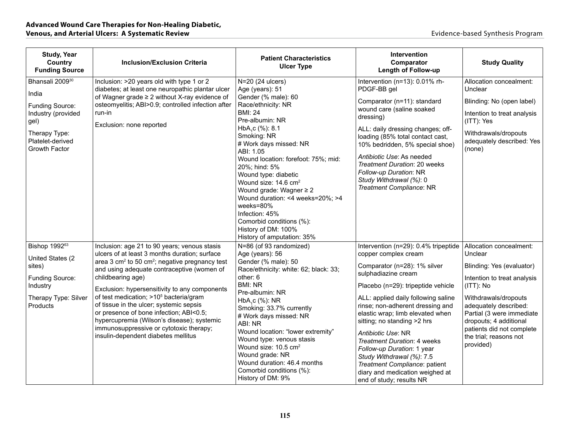| <b>Study, Year</b><br>Country<br><b>Funding Source</b>                                                                                      | <b>Inclusion/Exclusion Criteria</b>                                                                                                                                                                                                                                                                                                                                                                                                                                                                                                                                     | <b>Patient Characteristics</b><br><b>Ulcer Type</b>                                                                                                                                                                                                                                                                                                                                                                                                                                                           | <b>Intervention</b><br>Comparator<br><b>Length of Follow-up</b>                                                                                                                                                                                                                                                                                                                                                                                                                                                         | <b>Study Quality</b>                                                                                                                                                                                                                                                                    |
|---------------------------------------------------------------------------------------------------------------------------------------------|-------------------------------------------------------------------------------------------------------------------------------------------------------------------------------------------------------------------------------------------------------------------------------------------------------------------------------------------------------------------------------------------------------------------------------------------------------------------------------------------------------------------------------------------------------------------------|---------------------------------------------------------------------------------------------------------------------------------------------------------------------------------------------------------------------------------------------------------------------------------------------------------------------------------------------------------------------------------------------------------------------------------------------------------------------------------------------------------------|-------------------------------------------------------------------------------------------------------------------------------------------------------------------------------------------------------------------------------------------------------------------------------------------------------------------------------------------------------------------------------------------------------------------------------------------------------------------------------------------------------------------------|-----------------------------------------------------------------------------------------------------------------------------------------------------------------------------------------------------------------------------------------------------------------------------------------|
| Bhansali 2009 <sup>30</sup><br>India<br>Funding Source:<br>Industry (provided<br>gel)<br>Therapy Type:<br>Platelet-derived<br>Growth Factor | Inclusion: >20 years old with type 1 or 2<br>diabetes; at least one neuropathic plantar ulcer<br>of Wagner grade ≥ 2 without X-ray evidence of<br>osteomyelitis; ABI>0.9; controlled infection after<br>run-in<br>Exclusion: none reported                                                                                                                                                                                                                                                                                                                              | N=20 (24 ulcers)<br>Age (years): 51<br>Gender (% male): 60<br>Race/ethnicity: NR<br><b>BMI: 24</b><br>Pre-albumin: NR<br>HbA <sub>1</sub> c (%): 8.1<br>Smoking: NR<br># Work days missed: NR<br>ABI: 1.05<br>Wound location: forefoot: 75%; mid:<br>20%; hind: 5%<br>Wound type: diabetic<br>Wound size: 14.6 cm <sup>2</sup><br>Wound grade: Wagner ≥ 2<br>Wound duration: <4 weeks=20%; >4<br>weeks=80%<br>Infection: 45%<br>Comorbid conditions (%):<br>History of DM: 100%<br>History of amputation: 35% | Intervention (n=13): 0.01% rh-<br>PDGF-BB gel<br>Comparator (n=11): standard<br>wound care (saline soaked<br>dressing)<br>ALL: daily dressing changes; off-<br>loading (85% total contact cast,<br>10% bedridden, 5% special shoe)<br>Antibiotic Use: As needed<br>Treatment Duration: 20 weeks<br>Follow-up Duration: NR<br>Study Withdrawal (%): 0<br>Treatment Compliance: NR                                                                                                                                        | Allocation concealment:<br>Unclear<br>Blinding: No (open label)<br>Intention to treat analysis<br>(ITT): Yes<br>Withdrawals/dropouts<br>adequately described: Yes<br>(none)                                                                                                             |
| Bishop 1992 <sup>63</sup><br>United States (2<br>sites)<br>Funding Source:<br>Industry<br>Therapy Type: Silver<br>Products                  | Inclusion: age 21 to 90 years; venous stasis<br>ulcers of at least 3 months duration; surface<br>area 3 cm <sup>2</sup> to 50 cm <sup>2</sup> ; negative pregnancy test<br>and using adequate contraceptive (women of<br>childbearing age)<br>Exclusion: hypersensitivity to any components<br>of test medication; >10 <sup>5</sup> bacteria/gram<br>of tissue in the ulcer; systemic sepsis<br>or presence of bone infection; ABI<0.5;<br>hypercupremia (Wilson's disease); systemic<br>immunosuppressive or cytotoxic therapy;<br>insulin-dependent diabetes mellitus | N=86 (of 93 randomized)<br>Age (years): 56<br>Gender (% male): 50<br>Race/ethnicity: white: 62; black: 33;<br>other: 6<br><b>BMI: NR</b><br>Pre-albumin: NR<br>$HbA1c$ (%): NR<br>Smoking: 33.7% currently<br># Work days missed: NR<br>ABI: NR<br>Wound location: "lower extremity"<br>Wound type: venous stasis<br>Wound size: 10.5 cm <sup>2</sup><br>Wound grade: NR<br>Wound duration: 46.4 months<br>Comorbid conditions (%):<br>History of DM: 9%                                                      | Intervention (n=29): 0.4% tripeptide<br>copper complex cream<br>Comparator (n=28): 1% silver<br>sulphadiazine cream<br>Placebo (n=29): tripeptide vehicle<br>ALL: applied daily following saline<br>rinse; non-adherent dressing and<br>elastic wrap; limb elevated when<br>sitting; no standing >2 hrs<br>Antibiotic Use: NR<br>Treatment Duration: 4 weeks<br>Follow-up Duration: 1 year<br>Study Withdrawal (%): 7.5<br>Treatment Compliance: patient<br>diary and medication weighed at<br>end of study; results NR | Allocation concealment:<br>Unclear<br>Blinding: Yes (evaluator)<br>Intention to treat analysis<br>(ITT): No<br>Withdrawals/dropouts<br>adequately described:<br>Partial (3 were immediate<br>dropouts; 4 additional<br>patients did not complete<br>the trial; reasons not<br>provided) |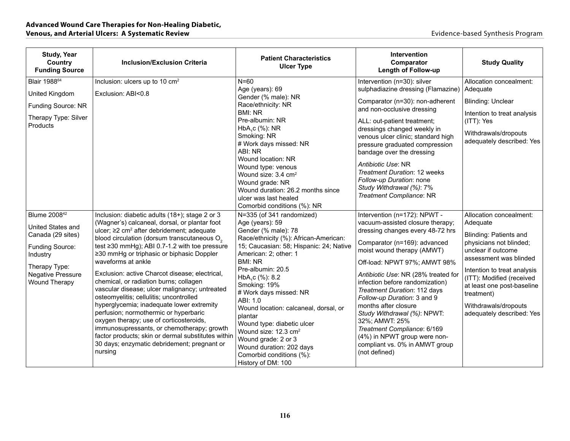| <b>Study, Year</b><br>Country<br><b>Funding Source</b>     | <b>Inclusion/Exclusion Criteria</b>                                                                                                                                                                                                                                                         | <b>Patient Characteristics</b><br><b>Ulcer Type</b>                                                                                                                                                                                                                           | <b>Intervention</b><br>Comparator<br><b>Length of Follow-up</b>                                                                                                                                                                                                                   | <b>Study Quality</b>                                                                                 |
|------------------------------------------------------------|---------------------------------------------------------------------------------------------------------------------------------------------------------------------------------------------------------------------------------------------------------------------------------------------|-------------------------------------------------------------------------------------------------------------------------------------------------------------------------------------------------------------------------------------------------------------------------------|-----------------------------------------------------------------------------------------------------------------------------------------------------------------------------------------------------------------------------------------------------------------------------------|------------------------------------------------------------------------------------------------------|
| Blair 1988 <sup>64</sup>                                   | Inclusion: ulcers up to 10 cm <sup>2</sup>                                                                                                                                                                                                                                                  | $N = 60$                                                                                                                                                                                                                                                                      | Intervention (n=30): silver                                                                                                                                                                                                                                                       | Allocation concealment:                                                                              |
| United Kingdom                                             | Exclusion: ABI<0.8                                                                                                                                                                                                                                                                          | Age (years): 69<br>Gender (% male): NR                                                                                                                                                                                                                                        | sulphadiazine dressing (Flamazine)                                                                                                                                                                                                                                                | Adequate                                                                                             |
| Funding Source: NR                                         |                                                                                                                                                                                                                                                                                             | Race/ethnicity: NR<br><b>BMI: NR</b>                                                                                                                                                                                                                                          | Comparator (n=30): non-adherent<br>and non-occlusive dressing                                                                                                                                                                                                                     | <b>Blinding: Unclear</b>                                                                             |
| Therapy Type: Silver<br>Products                           |                                                                                                                                                                                                                                                                                             | Pre-albumin: NR                                                                                                                                                                                                                                                               | ALL: out-patient treatment;                                                                                                                                                                                                                                                       | Intention to treat analysis<br>(ITT): Yes                                                            |
|                                                            |                                                                                                                                                                                                                                                                                             | HbA <sub>1</sub> c (%): NR<br>Smoking: NR<br># Work days missed: NR<br>ABI: NR<br>Wound location: NR<br>Wound type: venous<br>Wound size: 3.4 cm <sup>2</sup><br>Wound grade: NR<br>Wound duration: 26.2 months since<br>ulcer was last healed<br>Comorbid conditions (%): NR | dressings changed weekly in<br>venous ulcer clinic; standard high<br>pressure graduated compression<br>bandage over the dressing<br>Antibiotic Use: NR<br><b>Treatment Duration: 12 weeks</b><br>Follow-up Duration: none<br>Study Withdrawal (%): 7%<br>Treatment Compliance: NR | Withdrawals/dropouts<br>adequately described: Yes                                                    |
| Blume 2008 <sup>42</sup>                                   | Inclusion: diabetic adults (18+); stage 2 or 3                                                                                                                                                                                                                                              | N=335 (of 341 randomized)                                                                                                                                                                                                                                                     | Intervention (n=172): NPWT -<br>vacuum-assisted closure therapy;                                                                                                                                                                                                                  | Allocation concealment:                                                                              |
| United States and                                          | (Wagner's) calcaneal, dorsal, or plantar foot<br>ulcer; ≥2 cm <sup>2</sup> after debridement; adequate                                                                                                                                                                                      | Age (years): 59<br>Gender (% male): 78                                                                                                                                                                                                                                        | dressing changes every 48-72 hrs                                                                                                                                                                                                                                                  | Adequate<br>Blinding: Patients and                                                                   |
| Canada (29 sites)<br><b>Funding Source:</b><br>Industry    | blood circulation (dorsum transcutaneous O <sub>2</sub><br>test ≥30 mmHg); ABI 0.7-1.2 with toe pressure<br>≥30 mmHg or triphasic or biphasic Doppler<br>waveforms at ankle                                                                                                                 | Race/ethnicity (%): African-American:<br>15; Caucasian: 58; Hispanic: 24; Native<br>American: 2; other: 1<br><b>BMI: NR</b>                                                                                                                                                   | Comparator (n=169): advanced<br>moist wound therapy (AMWT)                                                                                                                                                                                                                        | physicians not blinded;<br>unclear if outcome<br>assessment was blinded                              |
| Therapy Type:<br><b>Negative Pressure</b><br>Wound Therapy | Exclusion: active Charcot disease; electrical,<br>chemical, or radiation burns; collagen<br>vascular disease; ulcer malignancy; untreated<br>osteomyelitis; cellulitis; uncontrolled                                                                                                        | Pre-albumin: 20.5<br>HbA,c (%): 8.2<br>Smoking: 19%<br># Work days missed: NR<br>ABI: 1.0                                                                                                                                                                                     | Off-load: NPWT 97%; AMWT 98%<br>Antibiotic Use: NR (28% treated for<br>infection before randomization)<br>Treatment Duration: 112 days<br>Follow-up Duration: 3 and 9                                                                                                             | Intention to treat analysis<br>(ITT): Modified (received<br>at least one post-baseline<br>treatment) |
|                                                            | hyperglycemia; inadequate lower extremity<br>perfusion; normothermic or hyperbaric<br>oxygen therapy; use of corticosteroids,<br>immunosupressants, or chemotherapy; growth<br>factor products; skin or dermal substitutes within<br>30 days; enzymatic debridement; pregnant or<br>nursing | Wound location: calcaneal, dorsal, or<br>plantar<br>Wound type: diabetic ulcer<br>Wound size: 12.3 cm <sup>2</sup><br>Wound grade: 2 or 3<br>Wound duration: 202 days<br>Comorbid conditions (%):<br>History of DM: 100                                                       | months after closure<br>Study Withdrawal (%): NPWT:<br>32%; AMWT: 25%<br>Treatment Compliance: 6/169<br>(4%) in NPWT group were non-<br>compliant vs. 0% in AMWT group<br>(not defined)                                                                                           | Withdrawals/dropouts<br>adequately described: Yes                                                    |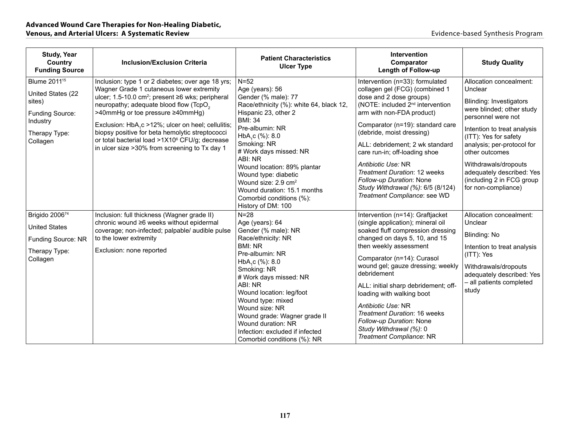| <b>Study, Year</b><br>Country<br><b>Funding Source</b>                                                                     | <b>Inclusion/Exclusion Criteria</b>                                                                                                                                                                                                                                                                                                                                                                                                                                                         | <b>Patient Characteristics</b><br><b>Ulcer Type</b>                                                                                                                                                                                                                                                                                                                                                                      | <b>Intervention</b><br>Comparator<br>Length of Follow-up                                                                                                                                                                                                                                                                                                                                                                                                                     | <b>Study Quality</b>                                                                                                                                                                                                                                                                                                              |
|----------------------------------------------------------------------------------------------------------------------------|---------------------------------------------------------------------------------------------------------------------------------------------------------------------------------------------------------------------------------------------------------------------------------------------------------------------------------------------------------------------------------------------------------------------------------------------------------------------------------------------|--------------------------------------------------------------------------------------------------------------------------------------------------------------------------------------------------------------------------------------------------------------------------------------------------------------------------------------------------------------------------------------------------------------------------|------------------------------------------------------------------------------------------------------------------------------------------------------------------------------------------------------------------------------------------------------------------------------------------------------------------------------------------------------------------------------------------------------------------------------------------------------------------------------|-----------------------------------------------------------------------------------------------------------------------------------------------------------------------------------------------------------------------------------------------------------------------------------------------------------------------------------|
| Blume 2011 <sup>15</sup><br>United States (22<br>sites)<br><b>Funding Source:</b><br>Industry<br>Therapy Type:<br>Collagen | Inclusion: type 1 or 2 diabetes; over age 18 yrs;<br>Wagner Grade 1 cutaneous lower extremity<br>ulcer; 1.5-10.0 cm <sup>2</sup> ; present ≥6 wks; peripheral<br>neuropathy; adequate blood flow (TcpO <sub>2</sub><br>>40mmHg or toe pressure ≥40mmHg)<br>Exclusion: HbA <sub>1</sub> c >12%; ulcer on heel; cellulitis;<br>biopsy positive for beta hemolytic streptococci<br>or total bacterial load >1X10 <sup>6</sup> CFU/g; decrease<br>in ulcer size >30% from screening to Tx day 1 | $N = 52$<br>Age (years): 56<br>Gender (% male): 77<br>Race/ethnicity (%): white 64, black 12,<br>Hispanic 23, other 2<br><b>BMI: 34</b><br>Pre-albumin: NR<br>HbA <sub>1</sub> c (%): 8.0<br>Smoking: NR<br># Work days missed: NR<br>ABI: NR<br>Wound location: 89% plantar<br>Wound type: diabetic<br>Wound size: 2.9 cm <sup>2</sup><br>Wound duration: 15.1 months<br>Comorbid conditions (%):<br>History of DM: 100 | Intervention (n=33): formulated<br>collagen gel (FCG) (combined 1<br>dose and 2 dose groups)<br>(NOTE: included 2 <sup>nd</sup> intervention<br>arm with non-FDA product)<br>Comparator (n=19): standard care<br>(debride, moist dressing)<br>ALL: debridement; 2 wk standard<br>care run-in; off-loading shoe<br>Antibiotic Use: NR<br><b>Treatment Duration: 12 weeks</b><br>Follow-up Duration: None<br>Study Withdrawal (%): 6/5 (8/124)<br>Treatment Compliance: see WD | Allocation concealment:<br>Unclear<br>Blinding: Investigators<br>were blinded; other study<br>personnel were not<br>Intention to treat analysis<br>(ITT): Yes for safety<br>analysis; per-protocol for<br>other outcomes<br>Withdrawals/dropouts<br>adequately described: Yes<br>(including 2 in FCG group<br>for non-compliance) |
| Brigido 200674<br><b>United States</b><br><b>Funding Source: NR</b><br>Therapy Type:<br>Collagen                           | Inclusion: full thickness (Wagner grade II)<br>chronic wound ≥6 weeks without epidermal<br>coverage; non-infected; palpable/ audible pulse<br>to the lower extremity<br>Exclusion: none reported                                                                                                                                                                                                                                                                                            | $N = 28$<br>Age (years): 64<br>Gender (% male): NR<br>Race/ethnicity: NR<br><b>BMI: NR</b><br>Pre-albumin: NR<br>HbA <sub>1</sub> c (%): 8.0<br>Smoking: NR<br># Work days missed: NR<br>ABI: NR<br>Wound location: leg/foot<br>Wound type: mixed<br>Wound size: NR<br>Wound grade: Wagner grade II<br>Wound duration: NR<br>Infection: excluded if infected<br>Comorbid conditions (%): NR                              | Intervention (n=14): Graftjacket<br>(single application); mineral oil<br>soaked fluff compression dressing<br>changed on days 5, 10, and 15<br>then weekly assessment<br>Comparator (n=14): Curasol<br>wound gel; gauze dressing; weekly<br>debridement<br>ALL: initial sharp debridement; off-<br>loading with walking boot<br>Antibiotic Use: NR<br><b>Treatment Duration: 16 weeks</b><br>Follow-up Duration: None<br>Study Withdrawal (%): 0<br>Treatment Compliance: NR | Allocation concealment:<br>Unclear<br>Blinding: No<br>Intention to treat analysis<br>(ITT): Yes<br>Withdrawals/dropouts<br>adequately described: Yes<br>- all patients completed<br>study                                                                                                                                         |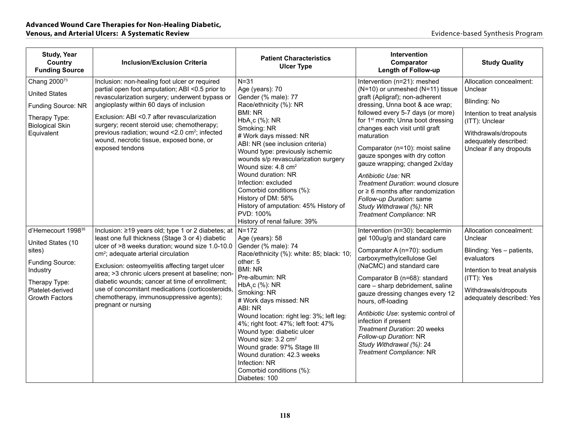| <b>Study, Year</b><br>Country<br><b>Funding Source</b>                                                                                                     | <b>Inclusion/Exclusion Criteria</b>                                                                                                                                                                                                                                                                                                                                                                                                                                                           | <b>Patient Characteristics</b><br><b>Ulcer Type</b>                                                                                                                                                                                                                                                                                                                                                                                                                                                               | Intervention<br>Comparator<br><b>Length of Follow-up</b>                                                                                                                                                                                                                                                                                                                                                                                                                                                                                                                  | <b>Study Quality</b>                                                                                                                                                            |
|------------------------------------------------------------------------------------------------------------------------------------------------------------|-----------------------------------------------------------------------------------------------------------------------------------------------------------------------------------------------------------------------------------------------------------------------------------------------------------------------------------------------------------------------------------------------------------------------------------------------------------------------------------------------|-------------------------------------------------------------------------------------------------------------------------------------------------------------------------------------------------------------------------------------------------------------------------------------------------------------------------------------------------------------------------------------------------------------------------------------------------------------------------------------------------------------------|---------------------------------------------------------------------------------------------------------------------------------------------------------------------------------------------------------------------------------------------------------------------------------------------------------------------------------------------------------------------------------------------------------------------------------------------------------------------------------------------------------------------------------------------------------------------------|---------------------------------------------------------------------------------------------------------------------------------------------------------------------------------|
| Chang 2000 <sup>73</sup><br><b>United States</b><br>Funding Source: NR<br>Therapy Type:<br><b>Biological Skin</b><br>Equivalent                            | Inclusion: non-healing foot ulcer or required<br>partial open foot amputation; ABI <0.5 prior to<br>revascularization surgery; underwent bypass or<br>angioplasty within 60 days of inclusion<br>Exclusion: ABI < 0.7 after revascularization<br>surgery; recent steroid use; chemotherapy;<br>previous radiation; wound <2.0 cm <sup>2</sup> ; infected<br>wound, necrotic tissue, exposed bone, or<br>exposed tendons                                                                       | $N = 31$<br>Age (years): 70<br>Gender (% male): 77<br>Race/ethnicity (%): NR<br><b>BMI: NR</b><br>HbA <sub>1</sub> c (%): NR<br>Smoking: NR<br># Work days missed: NR<br>ABI: NR (see inclusion criteria)<br>Wound type: previously ischemic<br>wounds s/p revascularization surgery<br>Wound size: 4.8 cm <sup>2</sup><br>Wound duration: NR<br>Infection: excluded<br>Comorbid conditions (%):<br>History of DM: 58%<br>History of amputation: 45% History of<br>PVD: 100%<br>History of renal failure: 39%     | Intervention (n=21): meshed<br>(N=10) or unmeshed (N=11) tissue<br>graft (Apligraf); non-adherent<br>dressing, Unna boot & ace wrap;<br>followed every 5-7 days (or more)<br>for 1 <sup>st</sup> month; Unna boot dressing<br>changes each visit until graft<br>maturation<br>Comparator (n=10): moist saline<br>gauze sponges with dry cotton<br>gauze wrapping; changed 2x/day<br>Antibiotic Use: NR<br>Treatment Duration: wound closure<br>or $\geq 6$ months after randomization<br>Follow-up Duration: same<br>Study Withdrawal (%): NR<br>Treatment Compliance: NR | Allocation concealment:<br>Unclear<br>Blinding: No<br>Intention to treat analysis<br>(ITT): Unclear<br>Withdrawals/dropouts<br>adequately described:<br>Unclear if any dropouts |
| d'Hemecourt 1998 <sup>35</sup><br>United States (10<br>sites)<br>Funding Source:<br>Industry<br>Therapy Type:<br>Platelet-derived<br><b>Growth Factors</b> | Inclusion: ≥19 years old; type 1 or 2 diabetes; at<br>least one full thickness (Stage 3 or 4) diabetic<br>ulcer of >8 weeks duration; wound size 1.0-10.0<br>cm <sup>2</sup> ; adequate arterial circulation<br>Exclusion: osteomyelitis affecting target ulcer<br>area; >3 chronic ulcers present at baseline; non-<br>diabetic wounds; cancer at time of enrollment;<br>use of concomitant medications (corticosteroids,<br>chemotherapy, immunosuppressive agents);<br>pregnant or nursing | $N = 172$<br>Age (years): 58<br>Gender (% male): 74<br>Race/ethnicity (%): white: 85; black: 10;<br>other: 5<br><b>BMI: NR</b><br>Pre-albumin: NR<br>HbA <sub>1</sub> c (%): NR<br>Smoking: NR<br># Work days missed: NR<br>ABI: NR<br>Wound location: right leg: 3%; left leg:<br>4%; right foot: 47%; left foot: 47%<br>Wound type: diabetic ulcer<br>Wound size: 3.2 cm <sup>2</sup><br>Wound grade: 97% Stage III<br>Wound duration: 42.3 weeks<br>Infection: NR<br>Comorbid conditions (%):<br>Diabetes: 100 | Intervention (n=30): becaplermin<br>gel 100ug/g and standard care<br>Comparator A (n=70): sodium<br>carboxymethylcellulose Gel<br>(NaCMC) and standard care<br>Comparator B (n=68): standard<br>care - sharp debridement, saline<br>gauze dressing changes every 12<br>hours, off-loading<br>Antibiotic Use: systemic control of<br>infection if present<br>Treatment Duration: 20 weeks<br>Follow-up Duration: NR<br>Study Withdrawal (%): 24<br>Treatment Compliance: NR                                                                                                | Allocation concealment:<br>Unclear<br>Blinding: Yes - patients,<br>evaluators<br>Intention to treat analysis<br>(ITT): Yes<br>Withdrawals/dropouts<br>adequately described: Yes |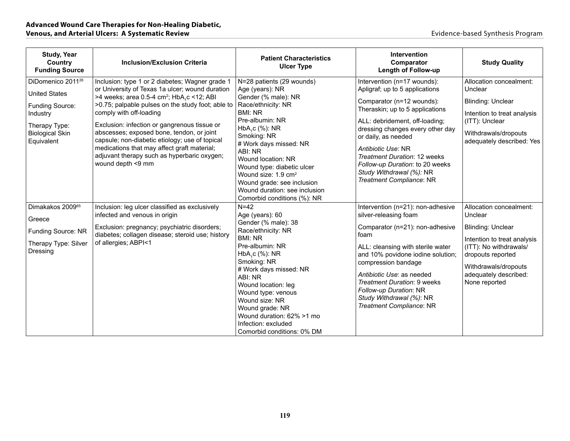| <b>Study, Year</b><br>Country<br><b>Funding Source</b>                                                                                        | <b>Inclusion/Exclusion Criteria</b>                                                                                                                                                                                                                                                                                                                                                                                                                                                                           | <b>Patient Characteristics</b><br><b>Ulcer Type</b>                                                                                                                                                                                                                                                                                                                                      | Intervention<br>Comparator<br><b>Length of Follow-up</b>                                                                                                                                                                                                                                                                                                                    | <b>Study Quality</b>                                                                                                                                                                                           |
|-----------------------------------------------------------------------------------------------------------------------------------------------|---------------------------------------------------------------------------------------------------------------------------------------------------------------------------------------------------------------------------------------------------------------------------------------------------------------------------------------------------------------------------------------------------------------------------------------------------------------------------------------------------------------|------------------------------------------------------------------------------------------------------------------------------------------------------------------------------------------------------------------------------------------------------------------------------------------------------------------------------------------------------------------------------------------|-----------------------------------------------------------------------------------------------------------------------------------------------------------------------------------------------------------------------------------------------------------------------------------------------------------------------------------------------------------------------------|----------------------------------------------------------------------------------------------------------------------------------------------------------------------------------------------------------------|
| DiDomenico 2011 <sup>26</sup><br><b>United States</b><br>Funding Source:<br>Industry<br>Therapy Type:<br><b>Biological Skin</b><br>Equivalent | Inclusion: type 1 or 2 diabetes; Wagner grade 1<br>or University of Texas 1a ulcer; wound duration<br>>4 weeks; area 0.5-4 cm <sup>2</sup> ; HbA,c <12; ABI<br>>0.75; palpable pulses on the study foot; able to<br>comply with off-loading<br>Exclusion: infection or gangrenous tissue or<br>abscesses; exposed bone, tendon, or joint<br>capsule; non-diabetic etiology; use of topical<br>medications that may affect graft material;<br>adjuvant therapy such as hyperbaric oxygen;<br>wound depth <9 mm | N=28 patients (29 wounds)<br>Age (years): NR<br>Gender (% male): NR<br>Race/ethnicity: NR<br><b>BMI: NR</b><br>Pre-albumin: NR<br>HbA,c (%): NR<br>Smoking: NR<br># Work days missed: NR<br>ABI: NR<br>Wound location: NR<br>Wound type: diabetic ulcer<br>Wound size: 1.9 cm <sup>2</sup><br>Wound grade: see inclusion<br>Wound duration: see inclusion<br>Comorbid conditions (%): NR | Intervention (n=17 wounds):<br>Apligraf; up to 5 applications<br>Comparator (n=12 wounds):<br>Theraskin; up to 5 applications<br>ALL: debridement, off-loading;<br>dressing changes every other day<br>or daily, as needed<br>Antibiotic Use: NR<br>Treatment Duration: 12 weeks<br>Follow-up Duration: to 20 weeks<br>Study Withdrawal (%): NR<br>Treatment Compliance: NR | Allocation concealment:<br>Unclear<br>Blinding: Unclear<br>Intention to treat analysis<br>(ITT): Unclear<br>Withdrawals/dropouts<br>adequately described: Yes                                                  |
| Dimakakos 200965<br>Greece<br>Funding Source: NR<br>Therapy Type: Silver<br>Dressing                                                          | Inclusion: leg ulcer classified as exclusively<br>infected and venous in origin<br>Exclusion: pregnancy; psychiatric disorders;<br>diabetes; collagen disease; steroid use; history<br>of allergies; ABPI<1                                                                                                                                                                                                                                                                                                   | $N=42$<br>Age (years): 60<br>Gender (% male): 38<br>Race/ethnicity: NR<br><b>BMI: NR</b><br>Pre-albumin: NR<br>HbA,c (%): NR<br>Smoking: NR<br># Work days missed: NR<br>ABI: NR<br>Wound location: leg<br>Wound type: venous<br>Wound size: NR<br>Wound grade: NR<br>Wound duration: 62% >1 mo<br>Infection: excluded<br>Comorbid conditions: 0% DM                                     | Intervention (n=21): non-adhesive<br>silver-releasing foam<br>Comparator (n=21): non-adhesive<br>foam<br>ALL: cleansing with sterile water<br>and 10% povidone iodine solution;<br>compression bandage<br>Antibiotic Use: as needed<br>Treatment Duration: 9 weeks<br>Follow-up Duration: NR<br>Study Withdrawal (%): NR<br>Treatment Compliance: NR                        | Allocation concealment:<br>Unclear<br><b>Blinding: Unclear</b><br>Intention to treat analysis<br>(ITT): No withdrawals/<br>dropouts reported<br>Withdrawals/dropouts<br>adequately described:<br>None reported |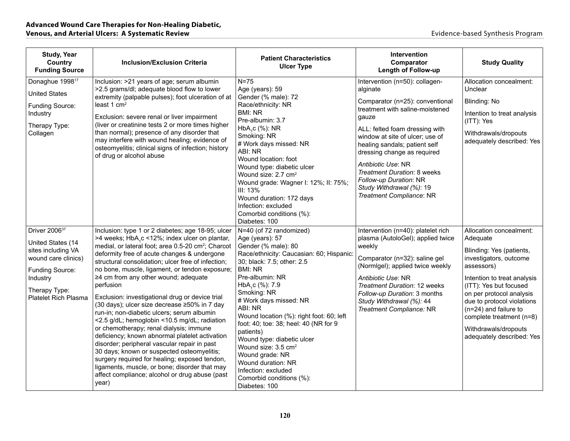| <b>Study, Year</b><br>Country<br><b>Funding Source</b>                                                                                                                            | <b>Inclusion/Exclusion Criteria</b>                                                                                                                                                                                                                                                                                                                                                                                                                                                                                                                                                                                                                                                                                                                                                                                                                                                                                                       | <b>Patient Characteristics</b><br><b>Ulcer Type</b>                                                                                                                                                                                                                                                                                                                                                                                                                                                                                                | Intervention<br>Comparator<br>Length of Follow-up                                                                                                                                                                                                                                                                                                                                                     | <b>Study Quality</b>                                                                                                                                                                                                                                                                                                                   |
|-----------------------------------------------------------------------------------------------------------------------------------------------------------------------------------|-------------------------------------------------------------------------------------------------------------------------------------------------------------------------------------------------------------------------------------------------------------------------------------------------------------------------------------------------------------------------------------------------------------------------------------------------------------------------------------------------------------------------------------------------------------------------------------------------------------------------------------------------------------------------------------------------------------------------------------------------------------------------------------------------------------------------------------------------------------------------------------------------------------------------------------------|----------------------------------------------------------------------------------------------------------------------------------------------------------------------------------------------------------------------------------------------------------------------------------------------------------------------------------------------------------------------------------------------------------------------------------------------------------------------------------------------------------------------------------------------------|-------------------------------------------------------------------------------------------------------------------------------------------------------------------------------------------------------------------------------------------------------------------------------------------------------------------------------------------------------------------------------------------------------|----------------------------------------------------------------------------------------------------------------------------------------------------------------------------------------------------------------------------------------------------------------------------------------------------------------------------------------|
| Donaghue 1998 <sup>17</sup><br><b>United States</b><br>Funding Source:<br>Industry<br>Therapy Type:<br>Collagen                                                                   | Inclusion: >21 years of age; serum albumin<br>>2.5 grams/dl; adequate blood flow to lower<br>extremity (palpable pulses); foot ulceration of at<br>least 1 cm <sup>2</sup><br>Exclusion: severe renal or liver impairment<br>(liver or creatinine tests 2 or more times higher<br>than normal); presence of any disorder that<br>may interfere with wound healing; evidence of<br>osteomyelitis; clinical signs of infection; history<br>of drug or alcohol abuse                                                                                                                                                                                                                                                                                                                                                                                                                                                                         | $N = 75$<br>Age (years): 59<br>Gender (% male): 72<br>Race/ethnicity: NR<br><b>BMI: NR</b><br>Pre-albumin: 3.7<br>$HbA1c$ (%): NR<br>Smoking: NR<br># Work days missed: NR<br>ABI: NR<br>Wound location: foot<br>Wound type: diabetic ulcer<br>Wound size: 2.7 cm <sup>2</sup><br>Wound grade: Wagner I: 12%; II: 75%;<br>III: 13%<br>Wound duration: 172 days<br>Infection: excluded<br>Comorbid conditions (%):<br>Diabetes: 100                                                                                                                 | Intervention (n=50): collagen-<br>alginate<br>Comparator (n=25): conventional<br>treatment with saline-moistened<br>gauze<br>ALL: felted foam dressing with<br>window at site of ulcer; use of<br>healing sandals; patient self<br>dressing change as required<br>Antibiotic Use: NR<br>Treatment Duration: 8 weeks<br>Follow-up Duration: NR<br>Study Withdrawal (%): 19<br>Treatment Compliance: NR | Allocation concealment:<br>Unclear<br>Blinding: No<br>Intention to treat analysis<br>(ITT): Yes<br>Withdrawals/dropouts<br>adequately described: Yes                                                                                                                                                                                   |
| Driver 2006 <sup>37</sup><br>United States (14<br>sites including VA<br>wound care clinics)<br><b>Funding Source:</b><br>Industry<br>Therapy Type:<br><b>Platelet Rich Plasma</b> | Inclusion: type 1 or 2 diabetes; age 18-95; ulcer<br>>4 weeks; HbA,c <12%; index ulcer on plantar,<br>medial, or lateral foot; area 0.5-20 cm <sup>2</sup> ; Charcot<br>deformity free of acute changes & undergone<br>structural consolidation; ulcer free of infection;<br>no bone, muscle, ligament, or tendon exposure;<br>≥4 cm from any other wound; adequate<br>perfusion<br>Exclusion: investigational drug or device trial<br>(30 days); ulcer size decrease ≥50% in 7 day<br>run-in; non-diabetic ulcers; serum albumin<br><2.5 g/dL; hemoglobin <10.5 mg/dL; radiation<br>or chemotherapy; renal dialysis; immune<br>deficiency; known abnormal platelet activation<br>disorder; peripheral vascular repair in past<br>30 days; known or suspected osteomyelitis;<br>surgery required for healing; exposed tendon,<br>ligaments, muscle, or bone; disorder that may<br>affect compliance; alcohol or drug abuse (past<br>year) | N=40 (of 72 randomized)<br>Age (years): 57<br>Gender (% male): 80<br>Race/ethnicity: Caucasian: 60; Hispanic<br>30; black: 7.5; other: 2.5<br><b>BMI: NR</b><br>Pre-albumin: NR<br>HbA <sub>1</sub> c (%): 7.9<br>Smoking: NR<br># Work days missed: NR<br>ABI: NR<br>Wound location (%): right foot: 60; left<br>foot: 40; toe: 38; heel: 40 (NR for 9<br>patients)<br>Wound type: diabetic ulcer<br>Wound size: 3.5 cm <sup>2</sup><br>Wound grade: NR<br>Wound duration: NR<br>Infection: excluded<br>Comorbid conditions (%):<br>Diabetes: 100 | Intervention (n=40): platelet rich<br>plasma (AutoloGel); applied twice<br>weekly<br>Comparator (n=32): saline gel<br>(Normigel); applied twice weekly<br>Antibiotic Use: NR<br>Treatment Duration: 12 weeks<br>Follow-up Duration: 3 months<br>Study Withdrawal (%): 44<br>Treatment Compliance: NR                                                                                                  | Allocation concealment:<br>Adequate<br>Blinding: Yes (patients,<br>investigators, outcome<br>assessors)<br>Intention to treat analysis<br>(ITT): Yes but focused<br>on per protocol analysis<br>due to protocol violations<br>$(n=24)$ and failure to<br>complete treatment (n=8)<br>Withdrawals/dropouts<br>adequately described: Yes |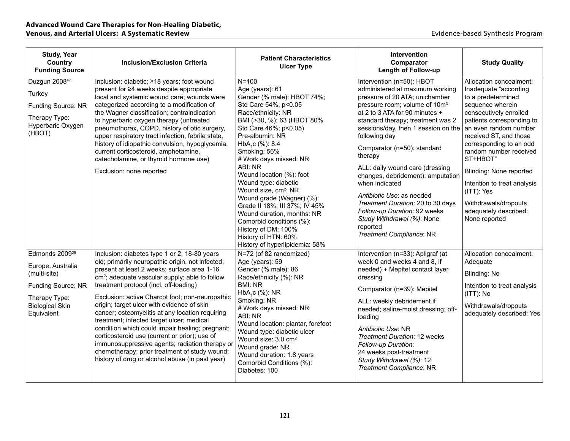| <b>Study, Year</b><br>Country<br><b>Funding Source</b>                                                                                         | <b>Inclusion/Exclusion Criteria</b>                                                                                                                                                                                                                                                                                                                                                                                                                                                                                                                                                                                                                                                                                | <b>Patient Characteristics</b><br><b>Ulcer Type</b>                                                                                                                                                                                                                                                                                                                                                                                                                                                                                                       | <b>Intervention</b><br>Comparator<br><b>Length of Follow-up</b>                                                                                                                                                                                                                                                                                                                                                                                                                                                                                                                        | <b>Study Quality</b>                                                                                                                                                                                                                                                                                                                                                                                            |
|------------------------------------------------------------------------------------------------------------------------------------------------|--------------------------------------------------------------------------------------------------------------------------------------------------------------------------------------------------------------------------------------------------------------------------------------------------------------------------------------------------------------------------------------------------------------------------------------------------------------------------------------------------------------------------------------------------------------------------------------------------------------------------------------------------------------------------------------------------------------------|-----------------------------------------------------------------------------------------------------------------------------------------------------------------------------------------------------------------------------------------------------------------------------------------------------------------------------------------------------------------------------------------------------------------------------------------------------------------------------------------------------------------------------------------------------------|----------------------------------------------------------------------------------------------------------------------------------------------------------------------------------------------------------------------------------------------------------------------------------------------------------------------------------------------------------------------------------------------------------------------------------------------------------------------------------------------------------------------------------------------------------------------------------------|-----------------------------------------------------------------------------------------------------------------------------------------------------------------------------------------------------------------------------------------------------------------------------------------------------------------------------------------------------------------------------------------------------------------|
| Duzgun 2008 <sup>47</sup><br>Turkey<br>Funding Source: NR<br>Therapy Type:<br>Hyperbaric Oxygen<br>(HBOT)                                      | Inclusion: diabetic; ≥18 years; foot wound<br>present for ≥4 weeks despite appropriate<br>local and systemic wound care; wounds were<br>categorized according to a modification of<br>the Wagner classification; contraindication<br>to hyperbaric oxygen therapy (untreated<br>pneumothorax, COPD, history of otic surgery,<br>upper respiratory tract infection, febrile state,<br>history of idiopathic convulsion, hypoglycemia,<br>current corticosteroid, amphetamine,<br>catecholamine, or thyroid hormone use)<br>Exclusion: none reported                                                                                                                                                                 | $N = 100$<br>Age (years): 61<br>Gender (% male): HBOT 74%;<br>Std Care 54%; p<0.05<br>Race/ethnicity: NR<br>BMI (>30, %): 63 (HBOT 80%<br>Std Care 46%; p<0.05)<br>Pre-albumin: NR<br>HbA.c (%): 8.4<br>Smoking: 56%<br># Work days missed: NR<br>ABI: NR<br>Wound location (%): foot<br>Wound type: diabetic<br>Wound size, cm <sup>2</sup> : NR<br>Wound grade (Wagner) (%):<br>Grade II 18%; III 37%; IV 45%<br>Wound duration, months: NR<br>Comorbid conditions (%):<br>History of DM: 100%<br>History of HTN: 60%<br>History of hyperlipidemia: 58% | Intervention (n=50): HBOT<br>administered at maximum working<br>pressure of 20 ATA; unichamber<br>pressure room; volume of 10m <sup>3</sup><br>at 2 to 3 ATA for 90 minutes +<br>standard therapy; treatment was 2<br>sessions/day, then 1 session on the<br>following day<br>Comparator (n=50): standard<br>therapy<br>ALL: daily wound care (dressing<br>changes, debridement); amputation<br>when indicated<br>Antibiotic Use: as needed<br>Treatment Duration: 20 to 30 days<br>Follow-up Duration: 92 weeks<br>Study Withdrawal (%): None<br>reported<br>Treatment Compliance: NR | Allocation concealment:<br>Inadequate "according<br>to a predetermined<br>sequence wherein<br>consecutively enrolled<br>patients corresponding to<br>an even random number<br>received ST, and those<br>corresponding to an odd<br>random number received<br>ST+HBOT"<br>Blinding: None reported<br>Intention to treat analysis<br>(ITT): Yes<br>Withdrawals/dropouts<br>adequately described:<br>None reported |
| Edmonds 2009 <sup>25</sup><br>Europe, Australia<br>(multi-site)<br>Funding Source: NR<br>Therapy Type:<br><b>Biological Skin</b><br>Equivalent | Inclusion: diabetes type 1 or 2; 18-80 years<br>old; primarily neuropathic origin, not infected;<br>present at least 2 weeks; surface area 1-16<br>cm <sup>2</sup> ; adequate vascular supply; able to follow<br>treatment protocol (incl. off-loading)<br>Exclusion: active Charcot foot; non-neuropathic<br>origin; target ulcer with evidence of skin<br>cancer; osteomyelitis at any location requiring<br>treatment; infected target ulcer; medical<br>condition which could impair healing; pregnant;<br>corticosteroid use (current or prior); use of<br>immunosuppressive agents; radiation therapy or<br>chemotherapy; prior treatment of study wound;<br>history of drug or alcohol abuse (in past year) | N=72 (of 82 randomized)<br>Age (years): 59<br>Gender (% male): 86<br>Race/ethnicity (%): NR<br><b>BMI: NR</b><br>HbA,c (%): NR<br>Smoking: NR<br># Work days missed: NR<br>ABI: NR<br>Wound location: plantar, forefoot<br>Wound type: diabetic ulcer<br>Wound size: 3.0 cm <sup>2</sup><br>Wound grade: NR<br>Wound duration: 1.8 years<br>Comorbid Conditions (%):<br>Diabetes: 100                                                                                                                                                                     | Intervention (n=33): Apligraf (at<br>week 0 and weeks 4 and 8, if<br>needed) + Mepitel contact layer<br>dressing<br>Comparator (n=39): Mepitel<br>ALL: weekly debridement if<br>needed; saline-moist dressing; off-<br>loading<br>Antibiotic Use: NR<br><b>Treatment Duration: 12 weeks</b><br>Follow-up Duration:<br>24 weeks post-treatment<br>Study Withdrawal (%): 12<br>Treatment Compliance: NR                                                                                                                                                                                  | Allocation concealment:<br>Adequate<br>Blinding: No<br>Intention to treat analysis<br>$(ITT)$ : No<br>Withdrawals/dropouts<br>adequately described: Yes                                                                                                                                                                                                                                                         |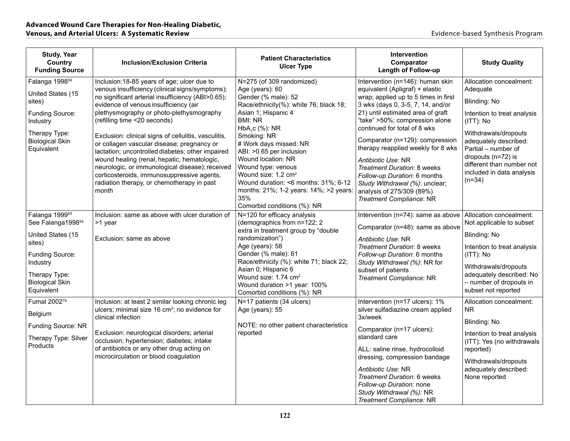| <b>Study, Year</b><br>Country<br><b>Funding Source</b>                                                                                                                             | <b>Inclusion/Exclusion Criteria</b>                                                                                                                                                                                                                                                                                                                                                                                                                                                                                                                                                                                                       | <b>Patient Characteristics</b><br><b>Ulcer Type</b>                                                                                                                                                                                                                                                                                                                                                                                                              | Intervention<br>Comparator<br><b>Length of Follow-up</b>                                                                                                                                                                                                                                                                                                                                                                                                                                                         | <b>Study Quality</b>                                                                                                                                                                                                                                                |
|------------------------------------------------------------------------------------------------------------------------------------------------------------------------------------|-------------------------------------------------------------------------------------------------------------------------------------------------------------------------------------------------------------------------------------------------------------------------------------------------------------------------------------------------------------------------------------------------------------------------------------------------------------------------------------------------------------------------------------------------------------------------------------------------------------------------------------------|------------------------------------------------------------------------------------------------------------------------------------------------------------------------------------------------------------------------------------------------------------------------------------------------------------------------------------------------------------------------------------------------------------------------------------------------------------------|------------------------------------------------------------------------------------------------------------------------------------------------------------------------------------------------------------------------------------------------------------------------------------------------------------------------------------------------------------------------------------------------------------------------------------------------------------------------------------------------------------------|---------------------------------------------------------------------------------------------------------------------------------------------------------------------------------------------------------------------------------------------------------------------|
| Falanga 1998 <sup>54</sup><br>United States (15<br>sites)<br>Funding Source:<br>Industry<br>Therapy Type:<br><b>Biological Skin</b><br>Equivalent                                  | Inclusion: 18-85 years of age; ulcer due to<br>venous insufficiency (clinical signs/symptoms);<br>no significant arterial insufficiency (ABI>0.65);<br>evidence of venous insufficiency (air<br>plethysmography or photo-plethysmography<br>(refilling time <20 seconds)<br>Exclusion: clinical signs of cellulitis, vasculitis,<br>or collagen vascular disease; pregnancy or<br>lactation; uncontrolled diabetes; other impaired<br>wound healing (renal, hepatic, hematologic,<br>neurologic, or immunological disease); received<br>corticosteroids, immunosuppressive agents,<br>radiation therapy, or chemotherapy in past<br>month | N=275 (of 309 randomized)<br>Age (years): 60<br>Gender (% male): 52<br>Race/ethnicity(%): white 76; black 18;<br>Asian 1; Hispanic 4<br><b>BMI: NR</b><br>HbA <sub>1</sub> c (%): NR<br>Smoking: NR<br># Work days missed: NR<br>ABI: >0.65 per inclusion<br>Wound location: NR<br>Wound type: venous<br>Wound size: 1.2 cm <sup>2</sup><br>Wound duration: <6 months: 31%; 6-12<br>months: 21%; 1-2 years: 14%; >2 years:<br>35%<br>Comorbid conditions (%): NR | Intervention (n=146): human skin<br>equivalent (Apligraf) + elastic<br>wrap; applied up to 5 times in first<br>3 wks (days 0, 3-5, 7, 14, and/or<br>21) until estimated area of graft<br>"take" >50%; compression alone<br>continued for total of 8 wks<br>Comparator (n=129): compression<br>therapy reapplied weekly for 8 wks<br>Antibiotic Use: NR<br>Treatment Duration: 8 weeks<br>Follow-up Duration: 6 months<br>Study Withdrawal (%): unclear;<br>analysis of 275/309 (89%)<br>Treatment Compliance: NR | Allocation concealment:<br>Adequate<br>Blinding: No<br>Intention to treat analysis<br>(ITT): No<br>Withdrawals/dropouts<br>adequately described:<br>Partial - number of<br>dropouts (n=72) is<br>different than number not<br>included in data analysis<br>$(n=34)$ |
| Falanga 1999 <sup>55</sup><br>See Falanga1998 <sup>54</sup><br>United States (15<br>sites)<br>Funding Source:<br>Industry<br>Therapy Type:<br><b>Biological Skin</b><br>Equivalent | Inclusion: same as above with ulcer duration of<br>>1 year<br>Exclusion: same as above                                                                                                                                                                                                                                                                                                                                                                                                                                                                                                                                                    | N=120 for efficacy analysis<br>(demographics from n=122; 2<br>extra in treatment group by "double<br>randomization")<br>Age (years): 58<br>Gender (% male): 61<br>Race/ethnicity (%): white 71; black 22;<br>Asian 0; Hispanic 6<br>Wound size: 1.74 cm <sup>2</sup><br>Wound duration >1 year: 100%<br>Comorbid conditions (%): NR                                                                                                                              | Intervention (n=74): same as above<br>Comparator (n=48): same as above<br>Antibiotic Use: NR<br>Treatment Duration: 8 weeks<br>Follow-up Duration: 6 months<br>Study Withdrawal (%): NR for<br>subset of patients<br>Treatment Compliance: NR                                                                                                                                                                                                                                                                    | Allocation concealment:<br>Not applicable to subset<br>Blinding: No<br>Intention to treat analysis<br>$(ITT)$ : No<br>Withdrawals/dropouts<br>adequately described: No<br>- number of dropouts in<br>subset not reported                                            |
| Fumal 2002 <sup>79</sup><br>Belgium<br>Funding Source: NR<br>Therapy Type: Silver<br>Products                                                                                      | Inclusion: at least 2 similar looking chronic leg<br>ulcers; minimal size 16 cm <sup>2</sup> ; no evidence for<br>clinical infection<br>Exclusion: neurological disorders; arterial<br>occlusion; hypertension; diabetes; intake<br>of antibiotics or any other drug acting on<br>microcirculation or blood coagulation                                                                                                                                                                                                                                                                                                                   | N=17 patients (34 ulcers)<br>Age (years): 55<br>NOTE: no other patient characteristics<br>reported                                                                                                                                                                                                                                                                                                                                                               | Intervention (n=17 ulcers): 1%<br>silver sulfadiazine cream applied<br>3x/week<br>Comparator (n=17 ulcers):<br>standard care<br>ALL: saline rinse, hydrocolloid<br>dressing, compression bandage<br>Antibiotic Use: NR<br>Treatment Duration: 6 weeks<br>Follow-up Duration: none<br>Study Withdrawal (%): NR<br>Treatment Compliance: NR                                                                                                                                                                        | Allocation concealment:<br><b>NR</b><br>Blinding: No<br>Intention to treat analysis<br>(ITT): Yes (no withdrawals<br>reported)<br>Withdrawals/dropouts<br>adequately described:<br>None reported                                                                    |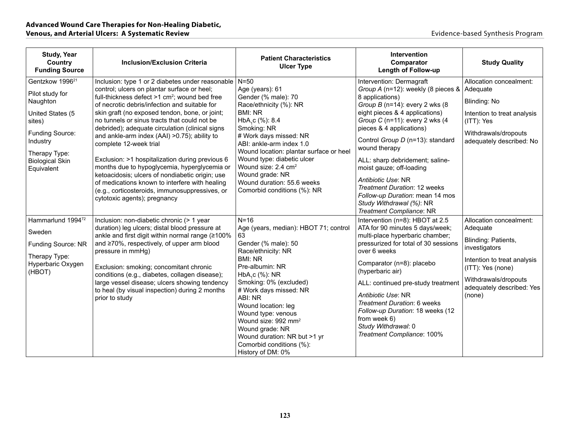| <b>Study, Year</b><br>Country<br><b>Funding Source</b>                                                                                                                           | <b>Inclusion/Exclusion Criteria</b>                                                                                                                                                                                                                                                                                                                                                                                                                                                                                                                                                                                                                                                                                                     | <b>Patient Characteristics</b><br><b>Ulcer Type</b>                                                                                                                                                                                                                                                                                                                                                    | <b>Intervention</b><br>Comparator<br><b>Length of Follow-up</b>                                                                                                                                                                                                                                                                                                                                                                                                                                    | <b>Study Quality</b>                                                                                                                                                                           |
|----------------------------------------------------------------------------------------------------------------------------------------------------------------------------------|-----------------------------------------------------------------------------------------------------------------------------------------------------------------------------------------------------------------------------------------------------------------------------------------------------------------------------------------------------------------------------------------------------------------------------------------------------------------------------------------------------------------------------------------------------------------------------------------------------------------------------------------------------------------------------------------------------------------------------------------|--------------------------------------------------------------------------------------------------------------------------------------------------------------------------------------------------------------------------------------------------------------------------------------------------------------------------------------------------------------------------------------------------------|----------------------------------------------------------------------------------------------------------------------------------------------------------------------------------------------------------------------------------------------------------------------------------------------------------------------------------------------------------------------------------------------------------------------------------------------------------------------------------------------------|------------------------------------------------------------------------------------------------------------------------------------------------------------------------------------------------|
| Gentzkow 1996 <sup>21</sup><br>Pilot study for<br>Naughton<br>United States (5<br>sites)<br>Funding Source:<br>Industry<br>Therapy Type:<br><b>Biological Skin</b><br>Equivalent | Inclusion: type 1 or 2 diabetes under reasonable<br>control; ulcers on plantar surface or heel;<br>full-thickness defect >1 cm <sup>2</sup> ; wound bed free<br>of necrotic debris/infection and suitable for<br>skin graft (no exposed tendon, bone, or joint;<br>no tunnels or sinus tracts that could not be<br>debrided); adequate circulation (clinical signs<br>and ankle-arm index (AAI) > 0.75); ability to<br>complete 12-week trial<br>Exclusion: >1 hospitalization during previous 6<br>months due to hypoglycemia, hyperglycemia or<br>ketoacidosis; ulcers of nondiabetic origin; use<br>of medications known to interfere with healing<br>(e.g., corticosteroids, immunosuppressives, or<br>cytotoxic agents); pregnancy | $N = 50$<br>Age (years): 61<br>Gender (% male): 70<br>Race/ethnicity (%): NR<br><b>BMI: NR</b><br>HbA <sub>1</sub> c (%): 8.4<br>Smoking: NR<br># Work days missed: NR<br>ABI: ankle-arm index 1.0<br>Wound location: plantar surface or heel<br>Wound type: diabetic ulcer<br>Wound size: 2.4 cm <sup>2</sup><br>Wound grade: NR<br>Wound duration: 55.6 weeks<br>Comorbid conditions (%): NR         | Intervention: Dermagraft<br>Group A (n=12): weekly (8 pieces &<br>8 applications)<br>Group $B$ (n=14): every 2 wks (8)<br>eight pieces & 4 applications)<br>Group C (n=11): every 2 wks (4<br>pieces & 4 applications)<br>Control Group D (n=13): standard<br>wound therapy<br>ALL: sharp debridement; saline-<br>moist gauze; off-loading<br>Antibiotic Use: NR<br><b>Treatment Duration: 12 weeks</b><br>Follow-up Duration: mean 14 mos<br>Study Withdrawal (%): NR<br>Treatment Compliance: NR | Allocation concealment:<br>Adequate<br>Blinding: No<br>Intention to treat analysis<br>(ITT): Yes<br>Withdrawals/dropouts<br>adequately described: No                                           |
| Hammarlund 1994 <sup>72</sup><br>Sweden<br><b>Funding Source: NR</b><br>Therapy Type:<br>Hyperbaric Oxygen<br>(HBOT)                                                             | Inclusion: non-diabetic chronic (> 1 year<br>duration) leg ulcers; distal blood pressure at<br>ankle and first digit within normal range (≥100%<br>and ≥70%, respectively, of upper arm blood<br>pressure in mmHg)<br>Exclusion: smoking; concomitant chronic<br>conditions (e.g., diabetes, collagen disease);<br>large vessel disease; ulcers showing tendency<br>to heal (by visual inspection) during 2 months<br>prior to study                                                                                                                                                                                                                                                                                                    | $N = 16$<br>Age (years, median): HBOT 71; control<br>63<br>Gender (% male): 50<br>Race/ethnicity: NR<br>BMI: NR<br>Pre-albumin: NR<br>HbA,c (%): NR<br>Smoking: 0% (excluded)<br># Work days missed: NR<br>ABI: NR<br>Wound location: leg<br>Wound type: venous<br>Wound size: 992 mm <sup>2</sup><br>Wound grade: NR<br>Wound duration: NR but >1 yr<br>Comorbid conditions (%):<br>History of DM: 0% | Intervention (n=8): HBOT at 2.5<br>ATA for 90 minutes 5 days/week;<br>multi-place hyperbaric chamber;<br>pressurized for total of 30 sessions<br>over 6 weeks<br>Comparator (n=8): placebo<br>(hyperbaric air)<br>ALL: continued pre-study treatment<br>Antibiotic Use: NR<br>Treatment Duration: 6 weeks<br>Follow-up Duration: 18 weeks (12<br>from week 6)<br>Study Withdrawal: 0<br>Treatment Compliance: 100%                                                                                 | Allocation concealment:<br>Adequate<br>Blinding: Patients,<br>investigators<br>Intention to treat analysis<br>(ITT): Yes (none)<br>Withdrawals/dropouts<br>adequately described: Yes<br>(none) |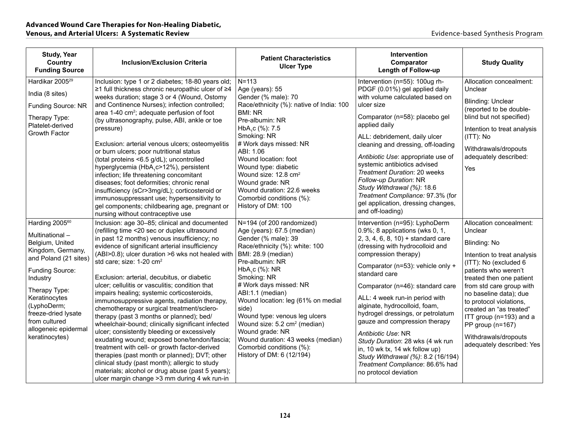| <b>Study, Year</b><br>Country<br><b>Funding Source</b>                                                                                                                                                                                                                          | <b>Inclusion/Exclusion Criteria</b>                                                                                                                                                                                                                                                                                                                                                                                                                                                                                                                                                                                                                                                                                                                                                                                                                                                                                                                                                               | <b>Patient Characteristics</b><br><b>Ulcer Type</b>                                                                                                                                                                                                                                                                                                                                                                                                                                                    | <b>Intervention</b><br>Comparator<br>Length of Follow-up                                                                                                                                                                                                                                                                                                                                                                                                                                                                                                                                                 | <b>Study Quality</b>                                                                                                                                                                                                                                                                                                                                                           |
|---------------------------------------------------------------------------------------------------------------------------------------------------------------------------------------------------------------------------------------------------------------------------------|---------------------------------------------------------------------------------------------------------------------------------------------------------------------------------------------------------------------------------------------------------------------------------------------------------------------------------------------------------------------------------------------------------------------------------------------------------------------------------------------------------------------------------------------------------------------------------------------------------------------------------------------------------------------------------------------------------------------------------------------------------------------------------------------------------------------------------------------------------------------------------------------------------------------------------------------------------------------------------------------------|--------------------------------------------------------------------------------------------------------------------------------------------------------------------------------------------------------------------------------------------------------------------------------------------------------------------------------------------------------------------------------------------------------------------------------------------------------------------------------------------------------|----------------------------------------------------------------------------------------------------------------------------------------------------------------------------------------------------------------------------------------------------------------------------------------------------------------------------------------------------------------------------------------------------------------------------------------------------------------------------------------------------------------------------------------------------------------------------------------------------------|--------------------------------------------------------------------------------------------------------------------------------------------------------------------------------------------------------------------------------------------------------------------------------------------------------------------------------------------------------------------------------|
| Hardikar 2005 <sup>29</sup><br>India (8 sites)<br>Funding Source: NR<br>Therapy Type:<br>Platelet-derived<br>Growth Factor                                                                                                                                                      | Inclusion: type 1 or 2 diabetes; 18-80 years old;<br>≥1 full thickness chronic neuropathic ulcer of ≥4<br>weeks duration; stage 3 or 4 (Wound, Ostomy<br>and Continence Nurses); infection controlled;<br>area 1-40 cm <sup>2</sup> ; adequate perfusion of foot<br>(by ultrasonography, pulse, ABI, ankle or toe<br>pressure)<br>Exclusion: arterial venous ulcers; osteomyelitis<br>or burn ulcers; poor nutritional status<br>(total proteins <6.5 g/dL); uncontrolled<br>hyperglycemia (HbA <sub>1</sub> c>12%), persistent<br>infection; life threatening concomitant<br>diseases; foot deformities; chronic renal<br>insufficiency (sCr>3mg/dL); corticosteroid or<br>immunosuppressant use; hypersensitivity to<br>gel components; childbearing age, pregnant or<br>nursing without contraceptive use                                                                                                                                                                                      | $N = 113$<br>Age (years): 55<br>Gender (% male): 70<br>Race/ethnicity (%): native of India: 100<br><b>BMI: NR</b><br>Pre-albumin: NR<br>HbA <sub>1</sub> c (%): 7.5<br>Smoking: NR<br># Work days missed: NR<br>ABI: 1.06<br>Wound location: foot<br>Wound type: diabetic<br>Wound size: 12.8 cm <sup>2</sup><br>Wound grade: NR<br>Wound duration: 22.6 weeks<br>Comorbid conditions (%):<br>History of DM: 100                                                                                       | Intervention (n=55): 100ug rh-<br>PDGF (0.01%) gel applied daily<br>with volume calculated based on<br>ulcer size<br>Comparator (n=58): placebo gel<br>applied daily<br>ALL: debridement, daily ulcer<br>cleaning and dressing, off-loading<br>Antibiotic Use: appropriate use of<br>systemic antibiotics advised<br>Treatment Duration: 20 weeks<br>Follow-up Duration: NR<br>Study Withdrawal (%): 18.6<br>Treatment Compliance: 97.3% (for<br>gel application, dressing changes,<br>and off-loading)                                                                                                  | Allocation concealment:<br>Unclear<br><b>Blinding: Unclear</b><br>(reported to be double-<br>blind but not specified)<br>Intention to treat analysis<br>(ITT): No<br>Withdrawals/dropouts<br>adequately described:<br>Yes                                                                                                                                                      |
| Harding 2005 <sup>60</sup><br>Multinational-<br>Belgium, United<br>Kingdom, Germany,<br>and Poland (21 sites)<br>Funding Source:<br>Industry<br>Therapy Type:<br>Keratinocytes<br>(LyphoDerm;<br>freeze-dried lysate<br>from cultured<br>allogeneic epidermal<br>keratinocytes) | Inclusion: age 30-85; clinical and documented<br>(refilling time <20 sec or duplex ultrasound<br>in past 12 months) venous insufficiency; no<br>evidence of significant arterial insufficiency<br>(ABI>0.8); ulcer duration >6 wks not healed with<br>std care; size: 1-20 cm <sup>2</sup><br>Exclusion: arterial, decubitus, or diabetic<br>ulcer; cellulitis or vasculitis; condition that<br>impairs healing; systemic corticosteroids,<br>immunosuppressive agents, radiation therapy,<br>chemotherapy or surgical treatment/sclero-<br>therapy (past 3 months or planned); bed/<br>wheelchair-bound; clinically significant infected<br>ulcer; consistently bleeding or excessively<br>exudating wound; exposed bone/tendon/fascia;<br>treatment with cell- or growth factor-derived<br>therapies (past month or planned); DVT; other<br>clinical study (past month); allergic to study<br>materials; alcohol or drug abuse (past 5 years);<br>ulcer margin change > 3 mm during 4 wk run-in | N=194 (of 200 randomized)<br>Age (years): 67.5 (median)<br>Gender (% male): 39<br>Race/ethnicity (%): white: 100<br>BMI: 28.9 (median)<br>Pre-albumin: NR<br>HbA <sub>1</sub> c $(%$ (%): NR<br>Smoking: NR<br># Work days missed: NR<br>ABI:1.1 (median)<br>Wound location: leg (61% on medial<br>side)<br>Wound type: venous leg ulcers<br>Wound size: 5.2 cm <sup>2</sup> (median)<br>Wound grade: NR<br>Wound duration: 43 weeks (median)<br>Comorbid conditions (%):<br>History of DM: 6 (12/194) | Intervention (n=95): LyphoDerm<br>$0.9\%$ ; 8 applications (wks 0, 1,<br>$2, 3, 4, 6, 8, 10$ + standard care<br>(dressing with hydrocolloid and<br>compression therapy)<br>Comparator (n=53): vehicle only +<br>standard care<br>Comparator (n=46): standard care<br>ALL: 4 week run-in period with<br>alginate, hydrocolloid, foam,<br>hydrogel dressings, or petrolatum<br>gauze and compression therapy<br>Antibiotic Use: NR<br>Study Duration: 28 wks (4 wk run<br>in, 10 wk tx, 14 wk follow up)<br>Study Withdrawal (%): 8.2 (16/194)<br>Treatment Compliance: 86.6% had<br>no protocol deviation | Allocation concealment:<br>Unclear<br>Blinding: No<br>Intention to treat analysis<br>(ITT): No (excluded 6<br>patients who weren't<br>treated then one patient<br>from std care group with<br>no baseline data); due<br>to protocol violations,<br>created an "as treated"<br>ITT group (n=193) and a<br>PP group (n=167)<br>Withdrawals/dropouts<br>adequately described: Yes |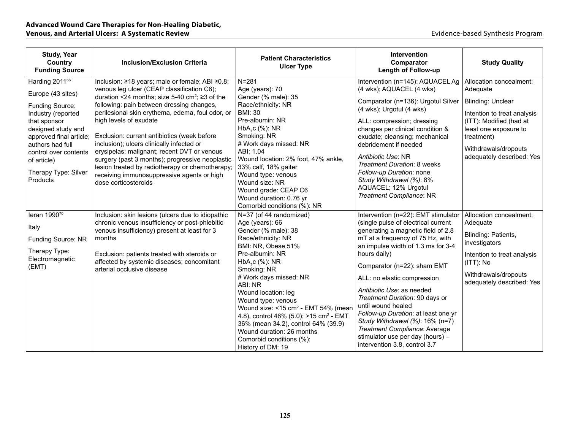| <b>Study, Year</b><br>Country<br><b>Funding Source</b>                                                                                                                                                                      | <b>Inclusion/Exclusion Criteria</b>                                                                                                                                                                                                                                                                                                                                                                                                                                                                               | <b>Patient Characteristics</b><br><b>Ulcer Type</b>                                                                                                                                                                                                                                                                                            | Intervention<br>Comparator<br><b>Length of Follow-up</b>                                                                                                                                                                                                                                                                                                     | <b>Study Quality</b>                                                                                                                                                    |
|-----------------------------------------------------------------------------------------------------------------------------------------------------------------------------------------------------------------------------|-------------------------------------------------------------------------------------------------------------------------------------------------------------------------------------------------------------------------------------------------------------------------------------------------------------------------------------------------------------------------------------------------------------------------------------------------------------------------------------------------------------------|------------------------------------------------------------------------------------------------------------------------------------------------------------------------------------------------------------------------------------------------------------------------------------------------------------------------------------------------|--------------------------------------------------------------------------------------------------------------------------------------------------------------------------------------------------------------------------------------------------------------------------------------------------------------------------------------------------------------|-------------------------------------------------------------------------------------------------------------------------------------------------------------------------|
| Harding 2011 <sup>66</sup>                                                                                                                                                                                                  | Inclusion: ≥18 years; male or female; ABI ≥0.8;<br>venous leg ulcer (CEAP classification C6);                                                                                                                                                                                                                                                                                                                                                                                                                     | $N = 281$<br>Age (years): 70                                                                                                                                                                                                                                                                                                                   | Intervention (n=145): AQUACEL Ag<br>(4 wks); AQUACEL (4 wks)                                                                                                                                                                                                                                                                                                 | Allocation concealment:<br>Adequate                                                                                                                                     |
| Europe (43 sites)<br>Funding Source:<br>Industry (reported<br>that sponsor<br>designed study and<br>approved final article;<br>authors had full<br>control over contents<br>of article)<br>Therapy Type: Silver<br>Products | duration <24 months; size 5-40 cm <sup>2</sup> ; $\ge$ 3 of the<br>following: pain between dressing changes,<br>perilesional skin erythema, edema, foul odor, or<br>high levels of exudate<br>Exclusion: current antibiotics (week before<br>inclusion); ulcers clinically infected or<br>erysipelas; malignant; recent DVT or venous<br>surgery (past 3 months); progressive neoplastic<br>lesion treated by radiotherapy or chemotherapy;<br>receiving immunosuppressive agents or high<br>dose corticosteroids | Gender (% male): 35<br>Race/ethnicity: NR<br><b>BMI: 30</b><br>Pre-albumin: NR<br>HbA,c (%): NR<br>Smoking: NR<br># Work days missed: NR<br>ABI: 1.04<br>Wound location: 2% foot, 47% ankle,<br>33% calf, 18% gaiter<br>Wound type: venous<br>Wound size: NR<br>Wound grade: CEAP C6<br>Wound duration: 0.76 yr<br>Comorbid conditions (%): NR | Comparator (n=136): Urgotul Silver<br>(4 wks); Urgotul (4 wks)<br>ALL: compression; dressing<br>changes per clinical condition &<br>exudate; cleansing; mechanical<br>debridement if needed<br>Antibiotic Use: NR<br>Treatment Duration: 8 weeks<br>Follow-up Duration: none<br>Study Withdrawal (%): 8%<br>AQUACEL; 12% Urgotul<br>Treatment Compliance: NR | Blinding: Unclear<br>Intention to treat analysis<br>(ITT): Modified (had at<br>least one exposure to<br>treatment)<br>Withdrawals/dropouts<br>adequately described: Yes |
| leran 199070                                                                                                                                                                                                                | Inclusion: skin lesions (ulcers due to idiopathic                                                                                                                                                                                                                                                                                                                                                                                                                                                                 | N=37 (of 44 randomized)                                                                                                                                                                                                                                                                                                                        | Intervention (n=22): EMT stimulator                                                                                                                                                                                                                                                                                                                          | Allocation concealment:                                                                                                                                                 |
| Italy                                                                                                                                                                                                                       | chronic venous insufficiency or post-phlebitic<br>venous insufficiency) present at least for 3                                                                                                                                                                                                                                                                                                                                                                                                                    | Age (years): 66<br>Gender (% male): 38                                                                                                                                                                                                                                                                                                         | (single pulse of electrical current<br>generating a magnetic field of 2.8                                                                                                                                                                                                                                                                                    | Adequate                                                                                                                                                                |
| Funding Source: NR                                                                                                                                                                                                          | months                                                                                                                                                                                                                                                                                                                                                                                                                                                                                                            | Race/ethnicity: NR<br>BMI: NR. Obese 51%                                                                                                                                                                                                                                                                                                       | mT at a frequency of 75 Hz, with<br>an impulse width of 1.3 ms for 3-4                                                                                                                                                                                                                                                                                       | Blinding: Patients,<br>investigators                                                                                                                                    |
| Therapy Type:<br>Electromagnetic<br>(EMT)                                                                                                                                                                                   | Exclusion: patients treated with steroids or<br>affected by systemic diseases; concomitant                                                                                                                                                                                                                                                                                                                                                                                                                        | Pre-albumin: NR<br>HbA,c (%): NR                                                                                                                                                                                                                                                                                                               | hours daily)<br>Comparator (n=22): sham EMT                                                                                                                                                                                                                                                                                                                  | Intention to treat analysis<br>$(ITT)$ : No                                                                                                                             |
|                                                                                                                                                                                                                             | arterial occlusive disease                                                                                                                                                                                                                                                                                                                                                                                                                                                                                        | Smoking: NR<br># Work days missed: NR<br>ABI: NR<br>Wound location: leg<br>Wound type: venous<br>Wound size: <15 cm <sup>2</sup> - EMT 54% (mean<br>4.8), control 46% (5.0); >15 cm <sup>2</sup> - EMT<br>36% (mean 34.2), control 64% (39.9)<br>Wound duration: 26 months<br>Comorbid conditions (%):<br>History of DM: 19                    | ALL: no elastic compression<br>Antibiotic Use: as needed<br>Treatment Duration: 90 days or<br>until wound healed<br>Follow-up Duration: at least one yr<br>Study Withdrawal (%): 16% (n=7)<br>Treatment Compliance: Average<br>stimulator use per day (hours) -<br>intervention 3.8, control 3.7                                                             | Withdrawals/dropouts<br>adequately described: Yes                                                                                                                       |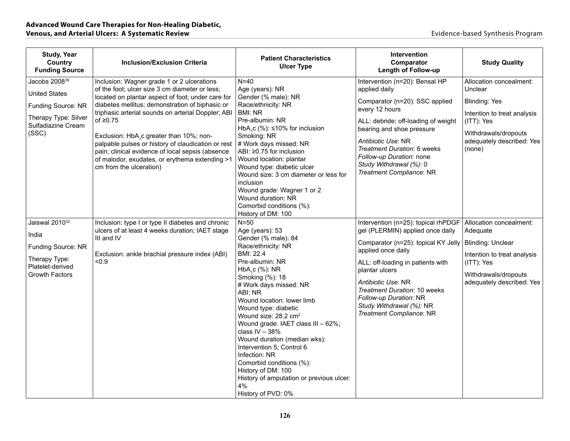| <b>Study, Year</b><br>Country<br><b>Funding Source</b>                                                                         | <b>Inclusion/Exclusion Criteria</b>                                                                                                                                                                                                                                                                                                                                                                                                                                                                                         | <b>Patient Characteristics</b><br><b>Ulcer Type</b>                                                                                                                                                                                                                                                                                                                                                                                                                                                                                                      | <b>Intervention</b><br>Comparator<br><b>Length of Follow-up</b>                                                                                                                                                                                                                                                                     | <b>Study Quality</b>                                                                                                                                                   |
|--------------------------------------------------------------------------------------------------------------------------------|-----------------------------------------------------------------------------------------------------------------------------------------------------------------------------------------------------------------------------------------------------------------------------------------------------------------------------------------------------------------------------------------------------------------------------------------------------------------------------------------------------------------------------|----------------------------------------------------------------------------------------------------------------------------------------------------------------------------------------------------------------------------------------------------------------------------------------------------------------------------------------------------------------------------------------------------------------------------------------------------------------------------------------------------------------------------------------------------------|-------------------------------------------------------------------------------------------------------------------------------------------------------------------------------------------------------------------------------------------------------------------------------------------------------------------------------------|------------------------------------------------------------------------------------------------------------------------------------------------------------------------|
| Jacobs 2008 <sup>39</sup><br><b>United States</b><br>Funding Source: NR<br>Therapy Type: Silver<br>Sulfadiazine Cream<br>(SSC) | Inclusion: Wagner grade 1 or 2 ulcerations<br>of the foot; ulcer size 3 cm diameter or less;<br>located on plantar aspect of foot; under care for<br>diabetes mellitus; demonstration of biphasic or<br>triphasic arterial sounds on arterial Doppler; ABI<br>of $\geq 0.75$<br>Exclusion: HbA <sub>1</sub> c greater than 10%; non-<br>palpable pulses or history of claudication or rest<br>pain; clinical evidence of local sepsis (absence<br>of malodor, exudates, or erythema extending >1<br>cm from the ulceration) | $N=40$<br>Age (years): NR<br>Gender (% male): NR<br>Race/ethnicity: NR<br>BMI: NR<br>Pre-albumin: NR<br>HbA <sub>1</sub> c (%): $\leq 10\%$ for inclusion<br>Smoking: NR<br># Work days missed: NR<br>ABI: ≥0.75 for inclusion<br>Wound location: plantar<br>Wound type: diabetic ulcer<br>Wound size: 3 cm diameter or less for<br><i>inclusion</i><br>Wound grade: Wagner 1 or 2<br>Wound duration: NR<br>Comorbid conditions (%):<br>History of DM: 100                                                                                               | Intervention (n=20): Bensal HP<br>applied daily<br>Comparator (n=20): SSC applied<br>every 12 hours<br>ALL: debride; off-loading of weight<br>bearing and shoe pressure<br>Antibiotic Use: NR<br>Treatment Duration: 6 weeks<br>Follow-up Duration: none<br>Study Withdrawal (%): 0<br>Treatment Compliance: NR                     | Allocation concealment:<br>Unclear<br><b>Blinding: Yes</b><br>Intention to treat analysis<br>(ITT): Yes<br>Withdrawals/dropouts<br>adequately described: Yes<br>(none) |
| Jaiswal 2010 <sup>32</sup><br>India<br>Funding Source: NR<br>Therapy Type:<br>Platelet-derived<br><b>Growth Factors</b>        | Inclusion: type I or type II diabetes and chronic<br>ulcers of at least 4 weeks duration; IAET stage<br>III and IV<br>Exclusion: ankle brachial pressure index (ABI)<br>< 0.9                                                                                                                                                                                                                                                                                                                                               | $N=50$<br>Age (years): 53<br>Gender (% male): 84<br>Race/ethnicity: NR<br>BMI: 22.4<br>Pre-albumin: NR<br>HbA <sub>1</sub> c (%): NR<br>Smoking (%): 18<br># Work days missed: NR<br>ABI: NR<br>Wound location: lower limb<br>Wound type: diabetic<br>Wound size: 28.2 cm <sup>2</sup><br>Wound grade: IAET class III - 62%;<br>class $IV - 38%$<br>Wound duration (median wks):<br>Intervention 5; Control 6<br>Infection: NR<br>Comorbid conditions (%):<br>History of DM: 100<br>History of amputation or previous ulcer:<br>4%<br>History of PVD: 0% | Intervention (n=25): topical rhPDGF<br>gel (PLERMIN) applied once daily<br>Comparator (n=25): topical KY Jelly<br>applied once daily<br>ALL: off-loading in patients with<br>plantar ulcers<br>Antibiotic Use: NR<br>Treatment Duration: 10 weeks<br>Follow-up Duration: NR<br>Study Withdrawal (%): NR<br>Treatment Compliance: NR | Allocation concealment:<br>Adequate<br>Blinding: Unclear<br>Intention to treat analysis<br>(ITT): Yes<br>Withdrawals/dropouts<br>adequately described: Yes             |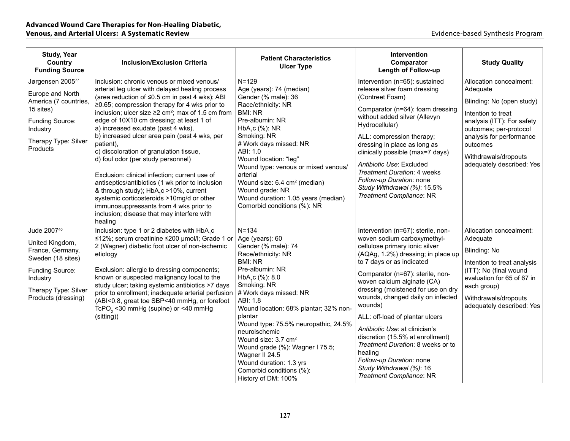| <b>Study, Year</b><br>Country<br><b>Funding Source</b>                                                                                                | <b>Inclusion/Exclusion Criteria</b>                                                                                                                                                                                                                                                                                                                                                                                                                                                                                                                                                                                                                                                                                                                                                                    | <b>Patient Characteristics</b><br><b>Ulcer Type</b>                                                                                                                                                                                                                                                                                                                                                                                                                                   | Intervention<br>Comparator<br><b>Length of Follow-up</b>                                                                                                                                                                                                                                                                                                                                                                                                                                                                                                                     | <b>Study Quality</b>                                                                                                                                                                                                                        |
|-------------------------------------------------------------------------------------------------------------------------------------------------------|--------------------------------------------------------------------------------------------------------------------------------------------------------------------------------------------------------------------------------------------------------------------------------------------------------------------------------------------------------------------------------------------------------------------------------------------------------------------------------------------------------------------------------------------------------------------------------------------------------------------------------------------------------------------------------------------------------------------------------------------------------------------------------------------------------|---------------------------------------------------------------------------------------------------------------------------------------------------------------------------------------------------------------------------------------------------------------------------------------------------------------------------------------------------------------------------------------------------------------------------------------------------------------------------------------|------------------------------------------------------------------------------------------------------------------------------------------------------------------------------------------------------------------------------------------------------------------------------------------------------------------------------------------------------------------------------------------------------------------------------------------------------------------------------------------------------------------------------------------------------------------------------|---------------------------------------------------------------------------------------------------------------------------------------------------------------------------------------------------------------------------------------------|
| Jørgensen 200577<br>Europe and North<br>America (7 countries,<br>15 sites)<br>Funding Source:<br>Industry<br>Therapy Type: Silver<br>Products         | Inclusion: chronic venous or mixed venous/<br>arterial leg ulcer with delayed healing process<br>(area reduction of ≤0.5 cm in past 4 wks); ABI<br>≥0.65; compression therapy for 4 wks prior to<br>inclusion; ulcer size $\geq 2$ cm <sup>2</sup> ; max of 1.5 cm from<br>edge of 10X10 cm dressing; at least 1 of<br>a) increased exudate (past 4 wks),<br>b) increased ulcer area pain (past 4 wks, per<br>patient),<br>c) discoloration of granulation tissue,<br>d) foul odor (per study personnel)<br>Exclusion: clinical infection; current use of<br>antiseptics/antibiotics (1 wk prior to inclusion<br>& through study); HbA,c >10%, current<br>systemic corticosteroids >10mg/d or other<br>immunosuppressants from 4 wks prior to<br>inclusion; disease that may interfere with<br>healing | $N = 129$<br>Age (years): 74 (median)<br>Gender (% male): 36<br>Race/ethnicity: NR<br><b>BMI: NR</b><br>Pre-albumin: NR<br>HbA, c (%): NR<br>Smoking: NR<br># Work days missed: NR<br>ABI: 1.0<br>Wound location: "leg"<br>Wound type: venous or mixed venous/<br>arterial<br>Wound size: 6.4 cm <sup>2</sup> (median)<br>Wound grade: NR<br>Wound duration: 1.05 years (median)<br>Comorbid conditions (%): NR                                                                       | Intervention (n=65): sustained<br>release silver foam dressing<br>(Contreet Foam)<br>Comparator (n=64): foam dressing<br>without added silver (Allevyn<br>Hydrocellular)<br>ALL: compression therapy;<br>dressing in place as long as<br>clinically possible (max=7 days)<br><i>Antibiotic Use</i> : Excluded<br><b>Treatment Duration: 4 weeks</b><br>Follow-up Duration: none<br>Study Withdrawal (%): 15.5%<br>Treatment Compliance: NR                                                                                                                                   | Allocation concealment:<br>Adequate<br>Blinding: No (open study)<br>Intention to treat<br>analysis (ITT): For safety<br>outcomes; per-protocol<br>analysis for performance<br>outcomes<br>Withdrawals/dropouts<br>adequately described: Yes |
| Jude 200740<br>United Kingdom,<br>France, Germany,<br>Sweden (18 sites)<br>Funding Source:<br>Industry<br>Therapy Type: Silver<br>Products (dressing) | Inclusion: type 1 or 2 diabetes with HbA,c<br>≤12%; serum creatinine ≤200 µmol/l; Grade 1 or<br>2 (Wagner) diabetic foot ulcer of non-ischemic<br>etiology<br>Exclusion: allergic to dressing components;<br>known or suspected malignancy local to the<br>study ulcer; taking systemic antibiotics >7 days<br>prior to enrollment; inadequate arterial perfusion<br>(ABI<0.8, great toe SBP<40 mmHg, or forefoot<br>TcPO <sub>2</sub> < 30 mmHg (supine) or < 40 mmHg<br>(sitting))                                                                                                                                                                                                                                                                                                                   | $N = 134$<br>Age (years): 60<br>Gender (% male): 74<br>Race/ethnicity: NR<br><b>BMI: NR</b><br>Pre-albumin: NR<br>HbA <sub>1</sub> c (%): 8.0<br>Smoking: NR<br># Work days missed: NR<br>ABI: 1.8<br>Wound location: 68% plantar; 32% non-<br>plantar<br>Wound type: 75.5% neuropathic, 24.5%<br>neuroischemic<br>Wound size: 3.7 cm <sup>2</sup><br>Wound grade (%): Wagner I 75.5;<br>Wagner II 24.5<br>Wound duration: 1.3 yrs<br>Comorbid conditions (%):<br>History of DM: 100% | Intervention (n=67): sterile, non-<br>woven sodium carboxymethyl-<br>cellulose primary ionic silver<br>(AQAg, 1.2%) dressing; in place up<br>to 7 days or as indicated<br>Comparator (n=67): sterile, non-<br>woven calcium alginate (CA)<br>dressing (moistened for use on dry<br>wounds, changed daily on infected<br>wounds)<br>ALL: off-load of plantar ulcers<br>Antibiotic Use: at clinician's<br>discretion (15.5% at enrollment)<br>Treatment Duration: 8 weeks or to<br>healing<br>Follow-up Duration: none<br>Study Withdrawal (%): 16<br>Treatment Compliance: NR | Allocation concealment:<br>Adequate<br><b>Blinding: No</b><br>Intention to treat analysis<br>(ITT): No (final wound<br>evaluation for 65 of 67 in<br>each group)<br>Withdrawals/dropouts<br>adequately described: Yes                       |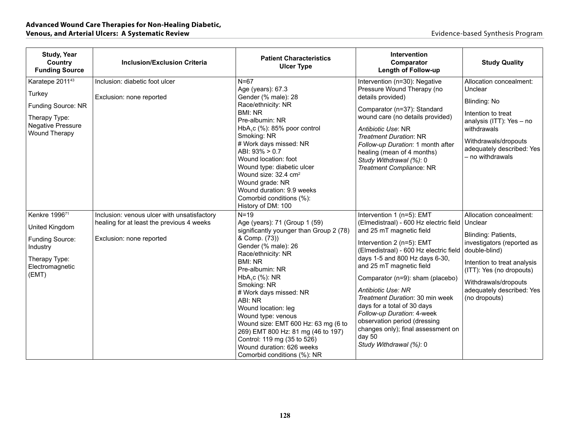| <b>Study, Year</b><br>Country<br><b>Funding Source</b>                                                                    | <b>Inclusion/Exclusion Criteria</b>                                                                                  | <b>Patient Characteristics</b><br><b>Ulcer Type</b>                                                                                                                                                                                                                                                                                                                                                                                                                                          | <b>Intervention</b><br>Comparator<br><b>Length of Follow-up</b>                                                                                                                                                                                                                                                                                                                                                                                                                                           | <b>Study Quality</b>                                                                                                                                                                                                                      |
|---------------------------------------------------------------------------------------------------------------------------|----------------------------------------------------------------------------------------------------------------------|----------------------------------------------------------------------------------------------------------------------------------------------------------------------------------------------------------------------------------------------------------------------------------------------------------------------------------------------------------------------------------------------------------------------------------------------------------------------------------------------|-----------------------------------------------------------------------------------------------------------------------------------------------------------------------------------------------------------------------------------------------------------------------------------------------------------------------------------------------------------------------------------------------------------------------------------------------------------------------------------------------------------|-------------------------------------------------------------------------------------------------------------------------------------------------------------------------------------------------------------------------------------------|
| Karatepe 2011 <sup>43</sup><br>Turkey<br>Funding Source: NR<br>Therapy Type:<br>Negative Pressure<br><b>Wound Therapy</b> | Inclusion: diabetic foot ulcer<br>Exclusion: none reported                                                           | $N=67$<br>Age (years): 67.3<br>Gender (% male): 28<br>Race/ethnicity: NR<br><b>BMI: NR</b><br>Pre-albumin: NR<br>HbA <sub>1</sub> c $%$ ): 85% poor control<br>Smoking: NR<br># Work days missed: NR<br>ABI: 93% > 0.7<br>Wound location: foot<br>Wound type: diabetic ulcer<br>Wound size: 32.4 cm <sup>2</sup><br>Wound grade: NR<br>Wound duration: 9.9 weeks<br>Comorbid conditions (%):<br>History of DM: 100                                                                           | Intervention (n=30): Negative<br>Pressure Wound Therapy (no<br>details provided)<br>Comparator (n=37): Standard<br>wound care (no details provided)<br>Antibiotic Use: NR<br><b>Treatment Duration: NR</b><br>Follow-up Duration: 1 month after<br>healing (mean of 4 months)<br>Study Withdrawal (%): 0<br>Treatment Compliance: NR                                                                                                                                                                      | Allocation concealment:<br>Unclear<br>Blinding: No<br>Intention to treat<br>analysis (ITT): Yes - no<br>withdrawals<br>Withdrawals/dropouts<br>adequately described: Yes<br>- no withdrawals                                              |
| Kenkre 199671<br>United Kingdom<br>Funding Source:<br>Industry<br>Therapy Type:<br>Electromagnetic<br>(EMT)               | Inclusion: venous ulcer with unsatisfactory<br>healing for at least the previous 4 weeks<br>Exclusion: none reported | $N=19$<br>Age (years): 71 (Group 1 (59)<br>significantly younger than Group 2 (78)<br>& Comp. (73))<br>Gender (% male): 26<br>Race/ethnicity: NR<br><b>BMI: NR</b><br>Pre-albumin: NR<br>HbA <sub>1</sub> c (%): NR<br>Smoking: NR<br># Work days missed: NR<br>ABI: NR<br>Wound location: leg<br>Wound type: venous<br>Wound size: EMT 600 Hz: 63 mg (6 to<br>269) EMT 800 Hz: 81 mg (46 to 197)<br>Control: 119 mg (35 to 526)<br>Wound duration: 626 weeks<br>Comorbid conditions (%): NR | Intervention 1 (n=5): EMT<br>(Elmedistraal) - 600 Hz electric field<br>and 25 mT magnetic field<br>Intervention 2 (n=5): EMT<br>(Elmedistraal) - 600 Hz electric field<br>days 1-5 and 800 Hz days 6-30,<br>and 25 mT magnetic field<br>Comparator (n=9): sham (placebo)<br>Antibiotic Use: NR<br>Treatment Duration: 30 min week<br>days for a total of 30 days<br>Follow-up Duration: 4-week<br>observation period (dressing<br>changes only); final assessment on<br>day 50<br>Study Withdrawal (%): 0 | Allocation concealment:<br>Unclear<br>Blinding: Patients,<br>investigators (reported as<br>double-blind)<br>Intention to treat analysis<br>(ITT): Yes (no dropouts)<br>Withdrawals/dropouts<br>adequately described: Yes<br>(no dropouts) |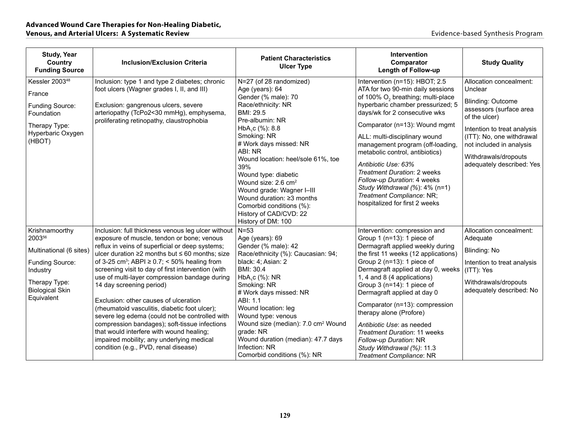| <b>Study, Year</b><br>Country<br><b>Funding Source</b>                                                                                             | <b>Inclusion/Exclusion Criteria</b>                                                                                                                                                                                                                                                                                                                                                                                                                                                                                                                                                                                                                                                                                                                | <b>Patient Characteristics</b><br><b>Ulcer Type</b>                                                                                                                                                                                                                                                                                                                                                                                                      | <b>Intervention</b><br>Comparator<br>Length of Follow-up                                                                                                                                                                                                                                                                                                                                                                                                                                                                        | <b>Study Quality</b>                                                                                                                                                                                                                                    |
|----------------------------------------------------------------------------------------------------------------------------------------------------|----------------------------------------------------------------------------------------------------------------------------------------------------------------------------------------------------------------------------------------------------------------------------------------------------------------------------------------------------------------------------------------------------------------------------------------------------------------------------------------------------------------------------------------------------------------------------------------------------------------------------------------------------------------------------------------------------------------------------------------------------|----------------------------------------------------------------------------------------------------------------------------------------------------------------------------------------------------------------------------------------------------------------------------------------------------------------------------------------------------------------------------------------------------------------------------------------------------------|---------------------------------------------------------------------------------------------------------------------------------------------------------------------------------------------------------------------------------------------------------------------------------------------------------------------------------------------------------------------------------------------------------------------------------------------------------------------------------------------------------------------------------|---------------------------------------------------------------------------------------------------------------------------------------------------------------------------------------------------------------------------------------------------------|
| Kessler 2003 <sup>48</sup><br>France<br>Funding Source:<br>Foundation<br>Therapy Type:<br>Hyperbaric Oxygen<br>(HBOT)                              | Inclusion: type 1 and type 2 diabetes; chronic<br>foot ulcers (Wagner grades I, II, and III)<br>Exclusion: gangrenous ulcers, severe<br>arteriopathy (TcPo2<30 mmHg), emphysema,<br>proliferating retinopathy, claustrophobia                                                                                                                                                                                                                                                                                                                                                                                                                                                                                                                      | N=27 (of 28 randomized)<br>Age (years): 64<br>Gender (% male): 70<br>Race/ethnicity: NR<br>BMI: 29.5<br>Pre-albumin: NR<br>HbA <sub>1</sub> c (%): 8.8<br>Smoking: NR<br># Work days missed: NR<br>ABI: NR<br>Wound location: heel/sole 61%, toe<br>39%<br>Wound type: diabetic<br>Wound size: 2.6 cm <sup>2</sup><br>Wound grade: Wagner I-III<br>Wound duration: ≥3 months<br>Comorbid conditions (%):<br>History of CAD/CVD: 22<br>History of DM: 100 | Intervention (n=15): HBOT; 2.5<br>ATA for two 90-min daily sessions<br>of 100% O <sub>2</sub> breathing; multi-place<br>hyperbaric chamber pressurized; 5<br>days/wk for 2 consecutive wks<br>Comparator (n=13): Wound mgmt<br>ALL: multi-disciplinary wound<br>management program (off-loading,<br>metabolic control, antibiotics)<br>Antibiotic Use: 63%<br>Treatment Duration: 2 weeks<br>Follow-up Duration: 4 weeks<br>Study Withdrawal (%): 4% (n=1)<br>Treatment Compliance: NR;<br>hospitalized for first 2 weeks       | Allocation concealment:<br>Unclear<br><b>Blinding: Outcome</b><br>assessors (surface area<br>of the ulcer)<br>Intention to treat analysis<br>(ITT): No, one withdrawal<br>not included in analysis<br>Withdrawals/dropouts<br>adequately described: Yes |
| Krishnamoorthy<br>200356<br>Multinational (6 sites)<br><b>Funding Source:</b><br>Industry<br>Therapy Type:<br><b>Biological Skin</b><br>Equivalent | Inclusion: full thickness venous leg ulcer without<br>exposure of muscle, tendon or bone; venous<br>reflux in veins of superficial or deep systems;<br>ulcer duration $\geq 2$ months but $\leq 60$ months; size<br>of 3-25 cm <sup>3</sup> ; ABPI $\geq$ 0.7; < 50% healing from<br>screening visit to day of first intervention (with<br>use of multi-layer compression bandage during<br>14 day screening period)<br>Exclusion: other causes of ulceration<br>(rheumatoid vasculitis, diabetic foot ulcer);<br>severe leg edema (could not be controlled with<br>compression bandages); soft-tissue infections<br>that would interfere with wound healing;<br>impaired mobility; any underlying medical<br>condition (e.g., PVD, renal disease) | $N = 53$<br>Age (years): 69<br>Gender (% male): 42<br>Race/ethnicity (%): Caucasian: 94;<br>black: 4; Asian: 2<br><b>BMI: 30.4</b><br>HbA <sub>1</sub> c $%$ ): NR<br>Smoking: NR<br># Work days missed: NR<br>ABI: 1.1<br>Wound location: leg<br>Wound type: venous<br>Wound size (median): 7.0 cm <sup>2</sup> Wound<br>grade: NR<br>Wound duration (median): 47.7 days<br>Infection: NR<br>Comorbid conditions (%): NR                                | Intervention: compression and<br>Group 1 ( $n=13$ ): 1 piece of<br>Dermagraft applied weekly during<br>the first 11 weeks (12 applications)<br>Group 2 ( $n=13$ ): 1 piece of<br>Dermagraft applied at day 0, weeks<br>1, 4 and 8 (4 applications)<br>Group $3$ (n=14): 1 piece of<br>Dermagraft applied at day 0<br>Comparator (n=13): compression<br>therapy alone (Profore)<br>Antibiotic Use: as needed<br>Treatment Duration: 11 weeks<br>Follow-up Duration: NR<br>Study Withdrawal (%): 11.3<br>Treatment Compliance: NR | Allocation concealment:<br>Adequate<br>Blinding: No<br>Intention to treat analysis<br>(ITT): Yes<br>Withdrawals/dropouts<br>adequately described: No                                                                                                    |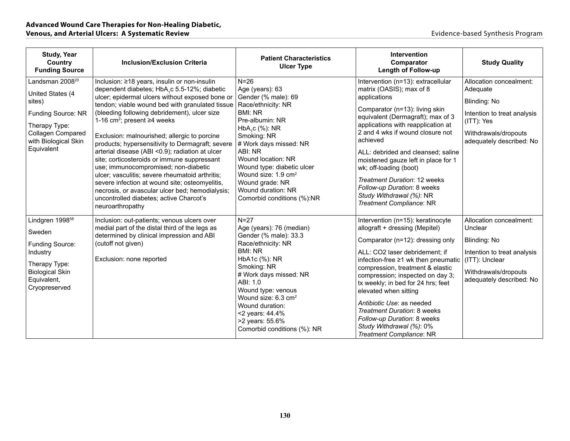| <b>Study, Year</b><br>Country<br><b>Funding Source</b>                                                                                                             | <b>Inclusion/Exclusion Criteria</b>                                                                                                                                                                                                                                                                                                                                                                                                                                                                                                                                                                                                                                                                      | <b>Patient Characteristics</b><br><b>Ulcer Type</b>                                                                                                                                                                                                                                                                                                      | <b>Intervention</b><br>Comparator<br><b>Length of Follow-up</b>                                                                                                                                                                                                                                                                                                                                                                                                                                                                    | <b>Study Quality</b>                                                                                                                                    |
|--------------------------------------------------------------------------------------------------------------------------------------------------------------------|----------------------------------------------------------------------------------------------------------------------------------------------------------------------------------------------------------------------------------------------------------------------------------------------------------------------------------------------------------------------------------------------------------------------------------------------------------------------------------------------------------------------------------------------------------------------------------------------------------------------------------------------------------------------------------------------------------|----------------------------------------------------------------------------------------------------------------------------------------------------------------------------------------------------------------------------------------------------------------------------------------------------------------------------------------------------------|------------------------------------------------------------------------------------------------------------------------------------------------------------------------------------------------------------------------------------------------------------------------------------------------------------------------------------------------------------------------------------------------------------------------------------------------------------------------------------------------------------------------------------|---------------------------------------------------------------------------------------------------------------------------------------------------------|
| Landsman 2008 <sup>20</sup><br>United States (4<br>sites)<br>Funding Source: NR<br>Therapy Type:<br><b>Collagen Compared</b><br>with Biological Skin<br>Equivalent | Inclusion: ≥18 years, insulin or non-insulin<br>dependent diabetes; HbA,c 5.5-12%; diabetic<br>ulcer; epidermal ulcers without exposed bone or<br>tendon; viable wound bed with granulated tissue<br>(bleeding following debridement), ulcer size<br>1-16 cm <sup>2</sup> ; present $\geq$ 4 weeks<br>Exclusion: malnourished; allergic to porcine<br>products; hypersensitivity to Dermagraft; severe<br>arterial disease (ABI <0.9); radiation at ulcer<br>site; corticosteroids or immune suppressant<br>use; immunocompromised; non-diabetic<br>ulcer; vasculitis; severe rheumatoid arthritis;<br>severe infection at wound site; osteomyelitis,<br>necrosis, or avascular ulcer bed; hemodialysis; | $N = 26$<br>Age (years): 63<br>Gender (% male): 69<br>Race/ethnicity: NR<br><b>BMI: NR</b><br>Pre-albumin: NR<br>HbA <sub>1</sub> c (%): NR<br>Smoking: NR<br># Work days missed: NR<br>ABI: NR<br>Wound location: NR<br>Wound type: diabetic ulcer<br>Wound size: 1.9 cm <sup>2</sup><br>Wound grade: NR<br>Wound duration: NR                          | Intervention (n=13): extracellular<br>matrix (OASIS); max of 8<br>applications<br>Comparator (n=13): living skin<br>equivalent (Dermagraft); max of 3<br>applications with reapplication at<br>2 and 4 wks if wound closure not<br>achieved<br>ALL: debrided and cleansed; saline<br>moistened gauze left in place for 1<br>wk; off-loading (boot)<br><b>Treatment Duration: 12 weeks</b><br>Follow-up Duration: 8 weeks                                                                                                           | Allocation concealment:<br>Adequate<br>Blinding: No<br>Intention to treat analysis<br>(ITT): Yes<br>Withdrawals/dropouts<br>adequately described: No    |
| Lindgren 1998 <sup>58</sup><br>Sweden<br><b>Funding Source:</b><br>Industry<br>Therapy Type:<br><b>Biological Skin</b><br>Equivalent,<br>Cryopreserved             | uncontrolled diabetes; active Charcot's<br>neuroarthropathy<br>Inclusion: out-patients; venous ulcers over<br>medial part of the distal third of the legs as<br>determined by clinical impression and ABI<br>(cutoff not given)<br>Exclusion: none reported                                                                                                                                                                                                                                                                                                                                                                                                                                              | Comorbid conditions (%):NR<br>$N=27$<br>Age (years): 76 (median)<br>Gender (% male): 33.3<br>Race/ethnicity: NR<br><b>BMI: NR</b><br>HbA1c (%): NR<br>Smoking: NR<br># Work days missed: NR<br>ABI: 1.0<br>Wound type: venous<br>Wound size: 6.3 cm <sup>2</sup><br>Wound duration:<br><2 years: 44.4%<br>>2 years: 55.6%<br>Comorbid conditions (%): NR | Study Withdrawal (%): NR<br>Treatment Compliance: NR<br>Intervention (n=15): keratinocyte<br>allograft + dressing (Mepitel)<br>Comparator (n=12): dressing only<br>ALL: CO2 laser debridement; if<br>infection-free ≥1 wk then pneumatic<br>compression, treatment & elastic<br>compression; inspected on day 3;<br>tx weekly; in bed for 24 hrs; feet<br>elevated when sitting<br>Antibiotic Use: as needed<br>Treatment Duration: 8 weeks<br>Follow-up Duration: 8 weeks<br>Study Withdrawal (%): 0%<br>Treatment Compliance: NR | Allocation concealment:<br>Unclear<br>Blinding: No<br>Intention to treat analysis<br>(ITT): Unclear<br>Withdrawals/dropouts<br>adequately described: No |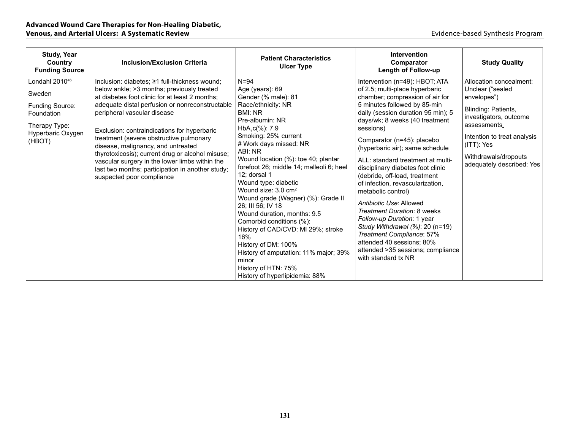| <b>Study, Year</b><br>Country<br><b>Funding Source</b>                                                                | <b>Inclusion/Exclusion Criteria</b>                                                                                                                                                                                                                                                                                                                                                                                                                                                                                                                     | <b>Patient Characteristics</b><br><b>Ulcer Type</b>                                                                                                                                                                                                                                                                                                                                                                                                                                                                                                                                                                                                        | Intervention<br>Comparator<br><b>Length of Follow-up</b>                                                                                                                                                                                                                                                                                                                                                                                                                                                                                                                                                                                                                                                        | <b>Study Quality</b>                                                                                                                                                                                                            |
|-----------------------------------------------------------------------------------------------------------------------|---------------------------------------------------------------------------------------------------------------------------------------------------------------------------------------------------------------------------------------------------------------------------------------------------------------------------------------------------------------------------------------------------------------------------------------------------------------------------------------------------------------------------------------------------------|------------------------------------------------------------------------------------------------------------------------------------------------------------------------------------------------------------------------------------------------------------------------------------------------------------------------------------------------------------------------------------------------------------------------------------------------------------------------------------------------------------------------------------------------------------------------------------------------------------------------------------------------------------|-----------------------------------------------------------------------------------------------------------------------------------------------------------------------------------------------------------------------------------------------------------------------------------------------------------------------------------------------------------------------------------------------------------------------------------------------------------------------------------------------------------------------------------------------------------------------------------------------------------------------------------------------------------------------------------------------------------------|---------------------------------------------------------------------------------------------------------------------------------------------------------------------------------------------------------------------------------|
| Londahl 2010 <sup>46</sup><br>Sweden<br>Funding Source:<br>Foundation<br>Therapy Type:<br>Hyperbaric Oxygen<br>(HBOT) | Inclusion: diabetes; ≥1 full-thickness wound;<br>below ankle; > 3 months; previously treated<br>at diabetes foot clinic for at least 2 months;<br>adequate distal perfusion or nonreconstructable<br>peripheral vascular disease<br>Exclusion: contraindications for hyperbaric<br>treatment (severe obstructive pulmonary<br>disease, malignancy, and untreated<br>thyrotoxicosis); current drug or alcohol misuse;<br>vascular surgery in the lower limbs within the<br>last two months; participation in another study;<br>suspected poor compliance | $N = 94$<br>Age (years): 69<br>Gender (% male): 81<br>Race/ethnicity: NR<br>BMI: NR<br>Pre-albumin: NR<br>$HbA, c(\%): 7.9$<br>Smoking: 25% current<br># Work days missed: NR<br>ABI: NR<br>Wound location (%): toe 40; plantar<br>forefoot 26; middle 14; malleoli 6; heel<br>12; dorsal 1<br>Wound type: diabetic<br>Wound size: $3.0 \text{ cm}^2$<br>Wound grade (Wagner) (%): Grade II<br>26; III 56; IV 18<br>Wound duration, months: 9.5<br>Comorbid conditions (%):<br>History of CAD/CVD: MI 29%; stroke<br>16%<br>History of DM: 100%<br>History of amputation: 11% major; 39%<br>minor<br>History of HTN: 75%<br>History of hyperlipidemia: 88% | Intervention (n=49): HBOT; ATA<br>of 2.5; multi-place hyperbaric<br>chamber; compression of air for<br>5 minutes followed by 85-min<br>daily (session duration 95 min); 5<br>days/wk; 8 weeks (40 treatment<br>sessions)<br>Comparator (n=45): placebo<br>(hyperbaric air); same schedule<br>ALL: standard treatment at multi-<br>disciplinary diabetes foot clinic<br>(debride, off-load, treatment<br>of infection, revascularization,<br>metabolic control)<br>Antibiotic Use: Allowed<br>Treatment Duration: 8 weeks<br>Follow-up Duration: 1 year<br>Study Withdrawal (%): 20 (n=19)<br>Treatment Compliance: 57%<br>attended 40 sessions; 80%<br>attended >35 sessions; compliance<br>with standard tx NR | Allocation concealment:<br>Unclear ("sealed<br>envelopes")<br>Blinding: Patients,<br>investigators, outcome<br>assessments<br>Intention to treat analysis<br>$(ITT)$ : Yes<br>Withdrawals/dropouts<br>adequately described: Yes |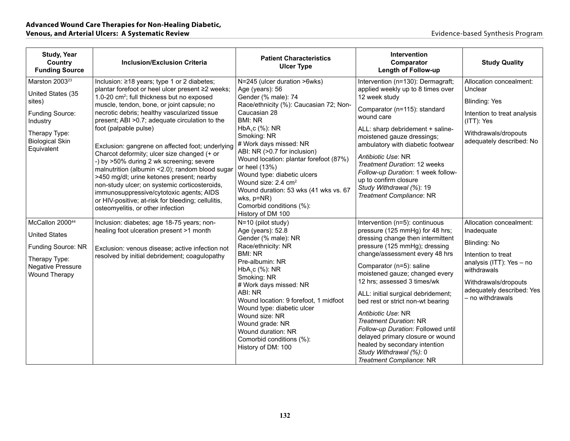| <b>Study, Year</b><br>Country<br><b>Funding Source</b>                                                                                                   | <b>Inclusion/Exclusion Criteria</b>                                                                                                                                                                                                                                                                                                                                                                                                                                                                                                                                                                                                                                                                                                                                        | <b>Patient Characteristics</b><br><b>Ulcer Type</b>                                                                                                                                                                                                                                                                                                                                                                                                                                            | <b>Intervention</b><br>Comparator<br>Length of Follow-up                                                                                                                                                                                                                                                                                                                                                                                                                                                                                                                   | <b>Study Quality</b>                                                                                                                                                                            |
|----------------------------------------------------------------------------------------------------------------------------------------------------------|----------------------------------------------------------------------------------------------------------------------------------------------------------------------------------------------------------------------------------------------------------------------------------------------------------------------------------------------------------------------------------------------------------------------------------------------------------------------------------------------------------------------------------------------------------------------------------------------------------------------------------------------------------------------------------------------------------------------------------------------------------------------------|------------------------------------------------------------------------------------------------------------------------------------------------------------------------------------------------------------------------------------------------------------------------------------------------------------------------------------------------------------------------------------------------------------------------------------------------------------------------------------------------|----------------------------------------------------------------------------------------------------------------------------------------------------------------------------------------------------------------------------------------------------------------------------------------------------------------------------------------------------------------------------------------------------------------------------------------------------------------------------------------------------------------------------------------------------------------------------|-------------------------------------------------------------------------------------------------------------------------------------------------------------------------------------------------|
| Marston 2003 <sup>23</sup><br>United States (35<br>sites)<br><b>Funding Source:</b><br>Industry<br>Therapy Type:<br><b>Biological Skin</b><br>Equivalent | Inclusion: ≥18 years; type 1 or 2 diabetes;<br>plantar forefoot or heel ulcer present ≥2 weeks;<br>1.0-20 cm <sup>2</sup> ; full thickness but no exposed<br>muscle, tendon, bone, or joint capsule; no<br>necrotic debris; healthy vascularized tissue<br>present; ABI > 0.7; adequate circulation to the<br>foot (palpable pulse)<br>Exclusion: gangrene on affected foot; underlying<br>Charcot deformity; ulcer size changed (+ or<br>-) by >50% during 2 wk screening; severe<br>malnutrition (albumin <2.0); random blood sugar<br>>450 mg/dl; urine ketones present; nearby<br>non-study ulcer; on systemic corticosteroids,<br>immunosuppressive/cytotoxic agents; AIDS<br>or HIV-positive; at-risk for bleeding; cellulitis,<br>osteomyelitis, or other infection | N=245 (ulcer duration >6wks)<br>Age (years): 56<br>Gender (% male): 74<br>Race/ethnicity (%): Caucasian 72; Non-<br>Caucasian 28<br><b>BMI: NR</b><br>HbA <sub>1</sub> c (%): NR<br>Smoking: NR<br># Work days missed: NR<br>ABI: NR (>0.7 for inclusion)<br>Wound location: plantar forefoot (87%)<br>or heel (13%)<br>Wound type: diabetic ulcers<br>Wound size: 2.4 cm <sup>2</sup><br>Wound duration: 53 wks (41 wks vs. 67<br>wks, p=NR)<br>Comorbid conditions (%):<br>History of DM 100 | Intervention (n=130): Dermagraft;<br>applied weekly up to 8 times over<br>12 week study<br>Comparator (n=115): standard<br>wound care<br>ALL: sharp debridement + saline-<br>moistened gauze dressings;<br>ambulatory with diabetic footwear<br>Antibiotic Use: NR<br>Treatment Duration: 12 weeks<br>Follow-up Duration: 1 week follow-<br>up to confirm closure<br>Study Withdrawal (%): 19<br>Treatment Compliance: NR                                                                                                                                                  | Allocation concealment:<br>Unclear<br><b>Blinding: Yes</b><br>Intention to treat analysis<br>(ITT): Yes<br>Withdrawals/dropouts<br>adequately described: No                                     |
| McCallon 200044<br><b>United States</b><br>Funding Source: NR<br>Therapy Type:<br><b>Negative Pressure</b><br>Wound Therapy                              | Inclusion: diabetes; age 18-75 years; non-<br>healing foot ulceration present >1 month<br>Exclusion: venous disease; active infection not<br>resolved by initial debridement; coagulopathy                                                                                                                                                                                                                                                                                                                                                                                                                                                                                                                                                                                 | N=10 (pilot study)<br>Age (years): 52.8<br>Gender (% male): NR<br>Race/ethnicity: NR<br>BMI: NR<br>Pre-albumin: NR<br>HbA <sub>1</sub> c (%): NR<br>Smoking: NR<br># Work days missed: NR<br>ABI: NR<br>Wound location: 9 forefoot, 1 midfoot<br>Wound type: diabetic ulcer<br>Wound size: NR<br>Wound grade: NR<br>Wound duration: NR<br>Comorbid conditions (%):<br>History of DM: 100                                                                                                       | Intervention (n=5): continuous<br>pressure (125 mmHg) for 48 hrs;<br>dressing change then intermittent<br>pressure (125 mmHg); dressing<br>change/assessment every 48 hrs<br>Comparator (n=5): saline<br>moistened gauze; changed every<br>12 hrs; assessed 3 times/wk<br>ALL: initial surgical debridement;<br>bed rest or strict non-wt bearing<br>Antibiotic Use: NR<br><b>Treatment Duration: NR</b><br>Follow-up Duration: Followed until<br>delayed primary closure or wound<br>healed by secondary intention<br>Study Withdrawal (%): 0<br>Treatment Compliance: NR | Allocation concealment:<br>Inadequate<br>Blinding: No<br>Intention to treat<br>analysis (ITT): Yes - no<br>withdrawals<br>Withdrawals/dropouts<br>adequately described: Yes<br>- no withdrawals |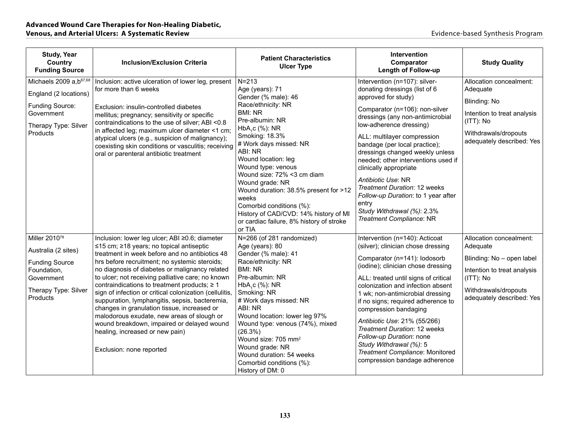| <b>Study, Year</b><br>Country<br><b>Funding Source</b>                                                                                     | <b>Inclusion/Exclusion Criteria</b>                                                                                                                                                                                                                                                                                                                                                                                                                                                                                                                                                                                                                                              | <b>Patient Characteristics</b><br><b>Ulcer Type</b>                                                                                                                                                                                                                                                                                                                                                                                                                 | <b>Intervention</b><br>Comparator<br>Length of Follow-up                                                                                                                                                                                                                                                                                                                                                                                                                                                                          | <b>Study Quality</b>                                                                                                                                              |
|--------------------------------------------------------------------------------------------------------------------------------------------|----------------------------------------------------------------------------------------------------------------------------------------------------------------------------------------------------------------------------------------------------------------------------------------------------------------------------------------------------------------------------------------------------------------------------------------------------------------------------------------------------------------------------------------------------------------------------------------------------------------------------------------------------------------------------------|---------------------------------------------------------------------------------------------------------------------------------------------------------------------------------------------------------------------------------------------------------------------------------------------------------------------------------------------------------------------------------------------------------------------------------------------------------------------|-----------------------------------------------------------------------------------------------------------------------------------------------------------------------------------------------------------------------------------------------------------------------------------------------------------------------------------------------------------------------------------------------------------------------------------------------------------------------------------------------------------------------------------|-------------------------------------------------------------------------------------------------------------------------------------------------------------------|
| Michaels 2009 a, b <sup>67,68</sup><br>England (2 locations)<br>Funding Source:<br>Government<br>Therapy Type: Silver<br><b>Products</b>   | Inclusion: active ulceration of lower leg, present<br>for more than 6 weeks<br>Exclusion: insulin-controlled diabetes<br>mellitus; pregnancy; sensitivity or specific<br>contraindications to the use of silver; ABI <0.8<br>in affected leg; maximum ulcer diameter <1 cm;<br>atypical ulcers (e.g., suspicion of malignancy);<br>coexisting skin conditions or vasculitis; receiving<br>oral or parenteral antibiotic treatment                                                                                                                                                                                                                                                | $N = 213$<br>Age (years): 71<br>Gender (% male): 46<br>Race/ethnicity: NR<br><b>BMI: NR</b><br>Pre-albumin: NR<br>$HbA1c$ (%): NR<br>Smoking: 18.3%<br># Work days missed: NR<br>ABI: NR<br>Wound location: leg<br>Wound type: venous<br>Wound size: 72% <3 cm diam<br>Wound grade: NR<br>Wound duration: 38.5% present for >12<br>weeks<br>Comorbid conditions (%):<br>History of CAD/CVD: 14% history of MI<br>or cardiac failure, 8% history of stroke<br>or TIA | Intervention (n=107): silver-<br>donating dressings (list of 6<br>approved for study)<br>Comparator (n=106): non-silver<br>dressings (any non-antimicrobial<br>low-adherence dressing)<br>ALL: multilayer compression<br>bandage (per local practice);<br>dressings changed weekly unless<br>needed; other interventions used if<br>clinically appropriate<br>Antibiotic Use: NR<br><b>Treatment Duration: 12 weeks</b><br>Follow-up Duration: to 1 year after<br>entry<br>Study Withdrawal (%): 2.3%<br>Treatment Compliance: NR | Allocation concealment:<br>Adequate<br>Blinding: No<br>Intention to treat analysis<br>(ITT): No<br>Withdrawals/dropouts<br>adequately described: Yes              |
| Miller 2010 <sup>78</sup><br>Australia (2 sites)<br><b>Funding Source</b><br>Foundation,<br>Government<br>Therapy Type: Silver<br>Products | Inclusion: lower leg ulcer; ABI ≥0.6; diameter<br>≤15 cm; ≥18 years; no topical antiseptic<br>treatment in week before and no antibiotics 48<br>hrs before recruitment; no systemic steroids;<br>no diagnosis of diabetes or malignancy related<br>to ulcer; not receiving palliative care; no known<br>contraindications to treatment products; $\geq 1$<br>sign of infection or critical colonization (cellulitis,<br>suppuration, lymphangitis, sepsis, bacteremia,<br>changes in granulation tissue, increased or<br>malodorous exudate, new areas of slough or<br>wound breakdown, impaired or delayed wound<br>healing, increased or new pain)<br>Exclusion: none reported | N=266 (of 281 randomized)<br>Age (years): 80<br>Gender (% male): 41<br>Race/ethnicity: NR<br><b>BMI: NR</b><br>Pre-albumin: NR<br>HbA <sub>1</sub> c (%): NR<br>Smoking: NR<br># Work days missed: NR<br>ABI: NR<br>Wound location: lower leg 97%<br>Wound type: venous (74%), mixed<br>(26.3%)<br>Wound size: 705 mm <sup>2</sup><br>Wound grade: NR<br>Wound duration: 54 weeks<br>Comorbid conditions (%):<br>History of DM: 0                                   | Intervention (n=140): Acticoat<br>(silver); clinician chose dressing<br>Comparator (n=141): Iodosorb<br>(iodine); clinician chose dressing<br>ALL: treated until signs of critical<br>colonization and infection absent<br>1 wk; non-antimicrobial dressing<br>if no signs; required adherence to<br>compression bandaging<br>Antibiotic Use: 21% (55/266)<br>Treatment Duration: 12 weeks<br>Follow-up Duration: none<br>Study Withdrawal (%): 5<br>Treatment Compliance: Monitored<br>compression bandage adherence             | Allocation concealment:<br>Adequate<br>Blinding: No - open label<br>Intention to treat analysis<br>(ITT): No<br>Withdrawals/dropouts<br>adequately described: Yes |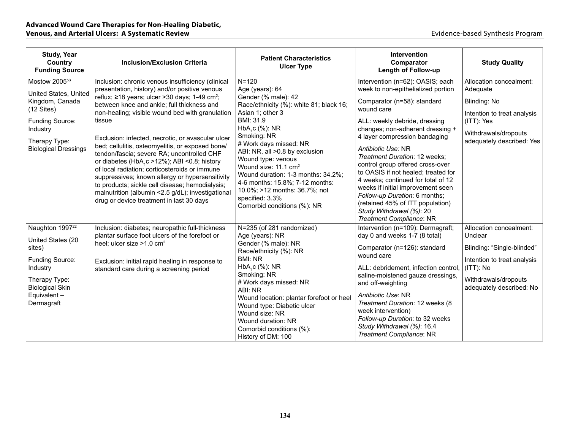| <b>Study, Year</b><br>Country<br><b>Funding Source</b>               | <b>Inclusion/Exclusion Criteria</b>                                                                                                                                                                                                                                                                                                                                                                                                                                     | <b>Patient Characteristics</b><br><b>Ulcer Type</b>                                                                                                                                                                                                                                                                    | <b>Intervention</b><br>Comparator<br><b>Length of Follow-up</b>                                                                                                                                                                                                                                                                                                                                             | <b>Study Quality</b>                              |
|----------------------------------------------------------------------|-------------------------------------------------------------------------------------------------------------------------------------------------------------------------------------------------------------------------------------------------------------------------------------------------------------------------------------------------------------------------------------------------------------------------------------------------------------------------|------------------------------------------------------------------------------------------------------------------------------------------------------------------------------------------------------------------------------------------------------------------------------------------------------------------------|-------------------------------------------------------------------------------------------------------------------------------------------------------------------------------------------------------------------------------------------------------------------------------------------------------------------------------------------------------------------------------------------------------------|---------------------------------------------------|
| Mostow 2005 <sup>53</sup>                                            | Inclusion: chronic venous insufficiency (clinical<br>presentation, history) and/or positive venous                                                                                                                                                                                                                                                                                                                                                                      | $N = 120$<br>Age (years): 64                                                                                                                                                                                                                                                                                           | Intervention (n=62): OASIS; each<br>week to non-epithelialized portion                                                                                                                                                                                                                                                                                                                                      | Allocation concealment:<br>Adequate               |
| United States, United<br>Kingdom, Canada<br>$(12$ Sites)             | reflux; $\geq$ 18 years; ulcer >30 days; 1-49 cm <sup>2</sup> ;<br>between knee and ankle; full thickness and<br>non-healing; visible wound bed with granulation                                                                                                                                                                                                                                                                                                        | Gender (% male): 42<br>Race/ethnicity (%): white 81; black 16;<br>Asian 1; other 3                                                                                                                                                                                                                                     | Comparator (n=58): standard<br>wound care                                                                                                                                                                                                                                                                                                                                                                   | Blinding: No<br>Intention to treat analysis       |
| Funding Source:                                                      | tissue                                                                                                                                                                                                                                                                                                                                                                                                                                                                  | BMI: 31.9                                                                                                                                                                                                                                                                                                              | ALL: weekly debride, dressing                                                                                                                                                                                                                                                                                                                                                                               | (ITT): Yes                                        |
| Industry<br>Therapy Type:<br><b>Biological Dressings</b>             | Exclusion: infected, necrotic, or avascular ulcer<br>bed; cellulitis, osteomyelitis, or exposed bone/<br>tendon/fascia; severe RA; uncontrolled CHF<br>or diabetes (HbA <sub>1</sub> c >12%); ABI <0.8; history<br>of local radiation; corticosteroids or immune<br>suppressives; known allergy or hypersensitivity<br>to products; sickle cell disease; hemodialysis;<br>malnutrition (albumin <2.5 g/dL); investigational<br>drug or device treatment in last 30 days | $HbA1c$ (%): NR<br>Smoking: NR<br># Work days missed: NR<br>ABI: NR, all >0.8 by exclusion<br>Wound type: venous<br>Wound size: 11.1 cm <sup>2</sup><br>Wound duration: 1-3 months: 34.2%;<br>4-6 months: 15.8%; 7-12 months:<br>10.0%; >12 months: 36.7%; not<br>specified: 3.3%<br>Comorbid conditions (%): NR       | changes; non-adherent dressing +<br>4 layer compression bandaging<br>Antibiotic Use: NR<br>Treatment Duration: 12 weeks;<br>control group offered cross-over<br>to OASIS if not healed; treated for<br>4 weeks; continued for total of 12<br>weeks if initial improvement seen<br>Follow-up Duration: 6 months;<br>(retained 45% of ITT population)<br>Study Withdrawal (%): 20<br>Treatment Compliance: NR | Withdrawals/dropouts<br>adequately described: Yes |
| Naughton 1997 <sup>22</sup>                                          | Inclusion: diabetes; neuropathic full-thickness<br>plantar surface foot ulcers of the forefoot or                                                                                                                                                                                                                                                                                                                                                                       | N=235 (of 281 randomized)<br>Age (years): NR                                                                                                                                                                                                                                                                           | Intervention (n=109): Dermagraft;<br>day 0 and weeks 1-7 (8 total)                                                                                                                                                                                                                                                                                                                                          | Allocation concealment:<br>Unclear                |
| United States (20<br>sites)                                          | heel; ulcer size >1.0 cm <sup>2</sup><br>Exclusion: initial rapid healing in response to<br>standard care during a screening period                                                                                                                                                                                                                                                                                                                                     | Gender (% male): NR<br>Race/ethnicity (%): NR<br>wound care<br><b>BMI: NR</b><br>HbA,c (%): NR<br>Smoking: NR<br># Work days missed: NR<br>ABI: NR<br>Wound location: plantar forefoot or heel<br>Wound type: Diabetic ulcer<br>Wound size: NR<br>Wound duration: NR<br>Comorbid conditions (%):<br>History of DM: 100 | Comparator (n=126): standard                                                                                                                                                                                                                                                                                                                                                                                | Blinding: "Single-blinded"                        |
| Funding Source:<br>Industry                                          |                                                                                                                                                                                                                                                                                                                                                                                                                                                                         |                                                                                                                                                                                                                                                                                                                        | ALL: debridement, infection control,                                                                                                                                                                                                                                                                                                                                                                        | Intention to treat analysis<br>$(ITT)$ : No       |
| Therapy Type:<br><b>Biological Skin</b><br>Equivalent-<br>Dermagraft |                                                                                                                                                                                                                                                                                                                                                                                                                                                                         |                                                                                                                                                                                                                                                                                                                        | saline-moistened gauze dressings,<br>and off-weighting<br>Antibiotic Use: NR<br>Treatment Duration: 12 weeks (8<br>week intervention)<br>Follow-up Duration: to 32 weeks<br>Study Withdrawal (%): 16.4<br>Treatment Compliance: NR                                                                                                                                                                          | Withdrawals/dropouts<br>adequately described: No  |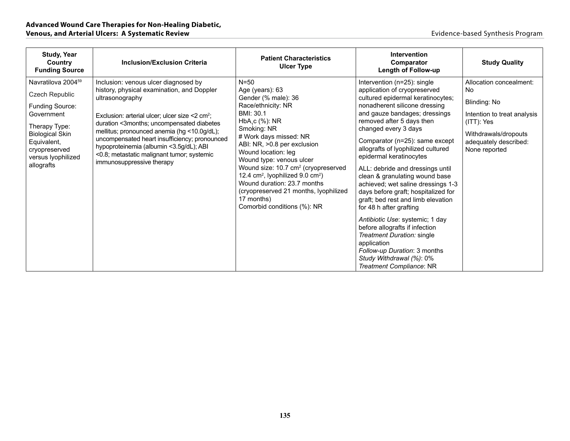| <b>Study, Year</b><br>Country<br><b>Funding Source</b>                                                                                                                                    | <b>Inclusion/Exclusion Criteria</b>                                                                                                                                                                                                                                                                                                                                                                                                       | <b>Patient Characteristics</b><br><b>Ulcer Type</b>                                                                                                                                                                                                                                                                                                                                                                                                                    | Intervention<br>Comparator<br><b>Length of Follow-up</b>                                                                                                                                                                                                                                                                                                                                                                                                                                                                                                                                                                                                                                                                                                 | <b>Study Quality</b>                                                                                                                                         |
|-------------------------------------------------------------------------------------------------------------------------------------------------------------------------------------------|-------------------------------------------------------------------------------------------------------------------------------------------------------------------------------------------------------------------------------------------------------------------------------------------------------------------------------------------------------------------------------------------------------------------------------------------|------------------------------------------------------------------------------------------------------------------------------------------------------------------------------------------------------------------------------------------------------------------------------------------------------------------------------------------------------------------------------------------------------------------------------------------------------------------------|----------------------------------------------------------------------------------------------------------------------------------------------------------------------------------------------------------------------------------------------------------------------------------------------------------------------------------------------------------------------------------------------------------------------------------------------------------------------------------------------------------------------------------------------------------------------------------------------------------------------------------------------------------------------------------------------------------------------------------------------------------|--------------------------------------------------------------------------------------------------------------------------------------------------------------|
| Navratilova 2004 <sup>59</sup><br>Czech Republic<br>Funding Source:<br>Government<br>Therapy Type:<br>Biological Skin<br>Equivalent,<br>cryopreserved<br>versus lyophilized<br>allografts | Inclusion: venous ulcer diagnosed by<br>history, physical examination, and Doppler<br>ultrasonography<br>Exclusion: arterial ulcer; ulcer size $<$ 2 cm <sup>2</sup> ;<br>duration <3months; uncompensated diabetes<br>mellitus; pronounced anemia (hg <10.0g/dL);<br>uncompensated heart insufficiency; pronounced<br>hypoproteinemia (albumin <3.5g/dL); ABI<br><0.8; metastatic malignant tumor; systemic<br>immunosuppressive therapy | $N = 50$<br>Age (years): 63<br>Gender (% male): 36<br>Race/ethnicity: NR<br>BMI: 30.1<br>HbA, c (%): NR<br>Smoking: NR<br># Work days missed: NR<br>ABI: NR, >0.8 per exclusion<br>Wound location: leg<br>Wound type: venous ulcer<br>Wound size: 10.7 cm <sup>2</sup> (cryopreserved<br>12.4 cm <sup>2</sup> , lyophilized 9.0 cm <sup>2</sup> )<br>Wound duration: 23.7 months<br>(cryopreserved 21 months, lyophilized<br>17 months)<br>Comorbid conditions (%): NR | Intervention (n=25): single<br>application of cryopreserved<br>cultured epidermal keratinocytes;<br>nonadherent silicone dressing<br>and gauze bandages; dressings<br>removed after 5 days then<br>changed every 3 days<br>Comparator (n=25): same except<br>allografts of lyophilized cultured<br>epidermal keratinocytes<br>ALL: debride and dressings until<br>clean & granulating wound base<br>achieved; wet saline dressings 1-3<br>days before graft; hospitalized for<br>graft; bed rest and limb elevation<br>for 48 h after grafting<br>Antibiotic Use: systemic; 1 day<br>before allografts if infection<br>Treatment Duration: single<br>application<br>Follow-up Duration: 3 months<br>Study Withdrawal (%): 0%<br>Treatment Compliance: NR | Allocation concealment:<br>No<br>Blinding: No<br>Intention to treat analysis<br>(ITT): Yes<br>Withdrawals/dropouts<br>adequately described:<br>None reported |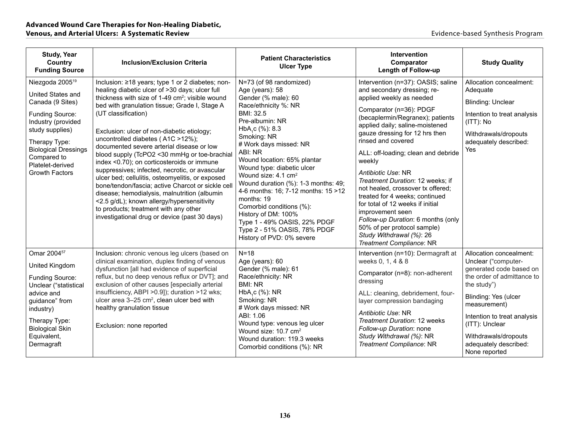| <b>Study, Year</b><br>Country<br><b>Funding Source</b>                                                                                                                                                                                       | <b>Inclusion/Exclusion Criteria</b>                                                                                                                                                                                                                                                                                                                                                                                                                                                                                                                                                                                                                                                                                                                                                                                        | <b>Patient Characteristics</b><br><b>Ulcer Type</b>                                                                                                                                                                                                                                                                                                                                                                                                                                                                                                       | <b>Intervention</b><br><b>Comparator</b><br><b>Length of Follow-up</b>                                                                                                                                                                                                                                                                                                                                                                                                                                                                                                                                                         | <b>Study Quality</b>                                                                                                                                                                                                                                                              |
|----------------------------------------------------------------------------------------------------------------------------------------------------------------------------------------------------------------------------------------------|----------------------------------------------------------------------------------------------------------------------------------------------------------------------------------------------------------------------------------------------------------------------------------------------------------------------------------------------------------------------------------------------------------------------------------------------------------------------------------------------------------------------------------------------------------------------------------------------------------------------------------------------------------------------------------------------------------------------------------------------------------------------------------------------------------------------------|-----------------------------------------------------------------------------------------------------------------------------------------------------------------------------------------------------------------------------------------------------------------------------------------------------------------------------------------------------------------------------------------------------------------------------------------------------------------------------------------------------------------------------------------------------------|--------------------------------------------------------------------------------------------------------------------------------------------------------------------------------------------------------------------------------------------------------------------------------------------------------------------------------------------------------------------------------------------------------------------------------------------------------------------------------------------------------------------------------------------------------------------------------------------------------------------------------|-----------------------------------------------------------------------------------------------------------------------------------------------------------------------------------------------------------------------------------------------------------------------------------|
| Niezgoda 2005 <sup>19</sup><br>United States and<br>Canada (9 Sites)<br>Funding Source:<br>Industry (provided<br>study supplies)<br>Therapy Type:<br><b>Biological Dressings</b><br>Compared to<br>Platelet-derived<br><b>Growth Factors</b> | Inclusion: ≥18 years; type 1 or 2 diabetes; non-<br>healing diabetic ulcer of >30 days; ulcer full<br>thickness with size of 1-49 cm <sup>2</sup> ; visible wound<br>bed with granulation tissue; Grade I, Stage A<br>(UT classification)<br>Exclusion: ulcer of non-diabetic etiology;<br>uncontrolled diabetes (A1C >12%);<br>documented severe arterial disease or low<br>blood supply (TcPO2 <30 mmHg or toe-brachial<br>index <0.70); on corticosteroids or immune<br>suppressives; infected, necrotic, or avascular<br>ulcer bed; cellulitis, osteomyelitis, or exposed<br>bone/tendon/fascia; active Charcot or sickle cell<br>disease; hemodialysis, malnutrition (albumin<br><2.5 g/dL); known allergy/hypersensitivity<br>to products; treatment with any other<br>investigational drug or device (past 30 days) | N=73 (of 98 randomized)<br>Age (years): 58<br>Gender (% male): 60<br>Race/ethnicity %: NR<br>BMI: 32.5<br>Pre-albumin: NR<br>HbA <sub>1</sub> c (%): 8.3<br>Smoking: NR<br># Work days missed: NR<br>ABI: NR<br>Wound location: 65% plantar<br>Wound type: diabetic ulcer<br>Wound size: 4.1 cm <sup>2</sup><br>Wound duration (%): 1-3 months: 49;<br>4-6 months: 16; 7-12 months: 15 > 12<br>months: 19<br>Comorbid conditions (%):<br>History of DM: 100%<br>Type 1 - 49% OASIS, 22% PDGF<br>Type 2 - 51% OASIS, 78% PDGF<br>History of PVD: 0% severe | Intervention (n=37): OASIS; saline<br>and secondary dressing; re-<br>applied weekly as needed<br>Comparator (n=36): PDGF<br>(becaplermin/Regranex); patients<br>applied daily; saline-moistened<br>gauze dressing for 12 hrs then<br>rinsed and covered<br>ALL: off-loading; clean and debride<br>weekly<br>Antibiotic Use: NR<br>Treatment Duration: 12 weeks; if<br>not healed, crossover tx offered;<br>treated for 4 weeks; continued<br>for total of 12 weeks if initial<br>improvement seen<br>Follow-up Duration: 6 months (only<br>50% of per protocol sample)<br>Study Withdrawal (%): 26<br>Treatment Compliance: NR | Allocation concealment:<br>Adequate<br><b>Blinding: Unclear</b><br>Intention to treat analysis<br>$(ITT)$ : No<br>Withdrawals/dropouts<br>adequately described:<br>Yes                                                                                                            |
| Omar 2004 <sup>57</sup><br>United Kingdom<br>Funding Source:<br>Unclear ("statistical<br>advice and<br>guidance" from<br>industry)<br>Therapy Type:<br><b>Biological Skin</b><br>Equivalent,<br>Dermagraft                                   | Inclusion: chronic venous leg ulcers (based on<br>clinical examination, duplex finding of venous<br>dysfunction [all had evidence of superficial<br>reflux, but no deep venous reflux or DVT]; and<br>exclusion of other causes [especially arterial<br>insufficiency, ABPI > 0.9]); duration > 12 wks;<br>ulcer area 3-25 cm <sup>2</sup> , clean ulcer bed with<br>healthy granulation tissue<br>Exclusion: none reported                                                                                                                                                                                                                                                                                                                                                                                                | $N=18$<br>Age (years): 60<br>Gender (% male): 61<br>Race/ethnicity: NR<br><b>BMI: NR</b><br>HbA <sub>1</sub> c (%): NR<br>Smoking: NR<br># Work days missed: NR<br>ABI: 1.06<br>Wound type: venous leg ulcer<br>Wound size: 10.7 cm <sup>2</sup><br>Wound duration: 119.3 weeks<br>Comorbid conditions (%): NR                                                                                                                                                                                                                                            | Intervention (n=10): Dermagraft at<br>weeks 0, 1, 4 & 8<br>Comparator (n=8): non-adherent<br>dressing<br>ALL: cleaning, debridement, four-<br>layer compression bandaging<br>Antibiotic Use: NR<br>Treatment Duration: 12 weeks<br>Follow-up Duration: none<br>Study Withdrawal (%): NR<br>Treatment Compliance: NR                                                                                                                                                                                                                                                                                                            | Allocation concealment:<br>Unclear ("computer-<br>generated code based on<br>the order of admittance to<br>the study")<br>Blinding: Yes (ulcer<br>measurement)<br>Intention to treat analysis<br>(ITT): Unclear<br>Withdrawals/dropouts<br>adequately described:<br>None reported |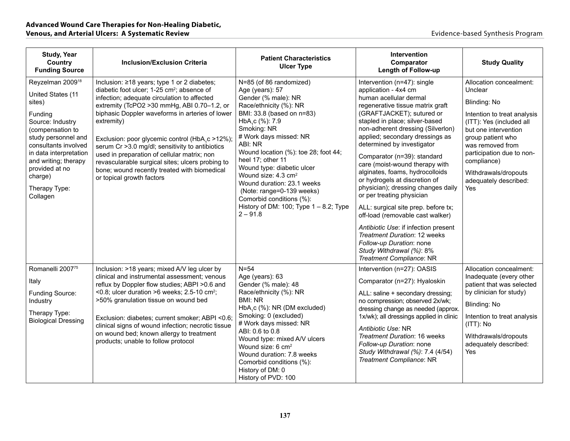| <b>Study, Year</b><br>Country<br><b>Funding Source</b>                                                                                                                                                                                                                    | <b>Inclusion/Exclusion Criteria</b>                                                                                                                                                                                                                                                                                                                                                                                                                                                                                                                         | <b>Patient Characteristics</b><br><b>Ulcer Type</b>                                                                                                                                                                                                                                                                                                                                                                                                                                         | Intervention<br>Comparator<br><b>Length of Follow-up</b>                                                                                                                                                                                                                                                                                                                                                                                                                                                                                                                                                                                                                                                                              | <b>Study Quality</b>                                                                                                                                                                                                                                                                      |
|---------------------------------------------------------------------------------------------------------------------------------------------------------------------------------------------------------------------------------------------------------------------------|-------------------------------------------------------------------------------------------------------------------------------------------------------------------------------------------------------------------------------------------------------------------------------------------------------------------------------------------------------------------------------------------------------------------------------------------------------------------------------------------------------------------------------------------------------------|---------------------------------------------------------------------------------------------------------------------------------------------------------------------------------------------------------------------------------------------------------------------------------------------------------------------------------------------------------------------------------------------------------------------------------------------------------------------------------------------|---------------------------------------------------------------------------------------------------------------------------------------------------------------------------------------------------------------------------------------------------------------------------------------------------------------------------------------------------------------------------------------------------------------------------------------------------------------------------------------------------------------------------------------------------------------------------------------------------------------------------------------------------------------------------------------------------------------------------------------|-------------------------------------------------------------------------------------------------------------------------------------------------------------------------------------------------------------------------------------------------------------------------------------------|
| Reyzelman 2009 <sup>18</sup><br>United States (11<br>sites)<br>Funding<br>Source: Industry<br>(compensation to<br>study personnel and<br>consultants involved<br>in data interpretation<br>and writing; therapy<br>provided at no<br>charge)<br>Therapy Type:<br>Collagen | Inclusion: ≥18 years; type 1 or 2 diabetes;<br>diabetic foot ulcer; 1-25 cm <sup>2</sup> ; absence of<br>infection; adequate circulation to affected<br>extremity (TcPO2 > 30 mmHg, ABI 0.70-1.2, or<br>biphasic Doppler waveforms in arteries of lower<br>extremity)<br>Exclusion: poor glycemic control (HbA,c >12%);<br>serum Cr > 3.0 mg/dl; sensitivity to antibiotics<br>used in preparation of cellular matrix; non<br>revascularable surgical sites; ulcers probing to<br>bone; wound recently treated with biomedical<br>or topical growth factors | N=85 (of 86 randomized)<br>Age (years): 57<br>Gender (% male): NR<br>Race/ethnicity (%): NR<br>BMI: 33.8 (based on n=83)<br>HbA <sub>1</sub> c (%): 7.9<br>Smoking: NR<br># Work days missed: NR<br>ABI: NR<br>Wound location (%): toe 28; foot 44;<br>heel 17; other 11<br>Wound type: diabetic ulcer<br>Wound size: 4.3 cm <sup>2</sup><br>Wound duration: 23.1 weeks<br>(Note: range=0-139 weeks)<br>Comorbid conditions (%):<br>History of DM: 100; Type $1 - 8.2$ ; Type<br>$2 - 91.8$ | Intervention (n=47): single<br>application - 4x4 cm<br>human acellular dermal<br>regenerative tissue matrix graft<br>(GRAFTJACKET); sutured or<br>stapled in place; silver-based<br>non-adherent dressing (Silverlon)<br>applied; secondary dressings as<br>determined by investigator<br>Comparator (n=39): standard<br>care (moist-wound therapy with<br>alginates, foams, hydrocolloids<br>or hydrogels at discretion of<br>physician); dressing changes daily<br>or per treating physician<br>ALL: surgical site prep. before tx;<br>off-load (removable cast walker)<br>Antibiotic Use: if infection present<br>Treatment Duration: 12 weeks<br>Follow-up Duration: none<br>Study Withdrawal (%): 8%<br>Treatment Compliance: NR | Allocation concealment:<br>Unclear<br><b>Blinding: No</b><br>Intention to treat analysis<br>(ITT): Yes (included all<br>but one intervention<br>group patient who<br>was removed from<br>participation due to non-<br>compliance)<br>Withdrawals/dropouts<br>adequately described:<br>Yes |
| Romanelli 200775<br>Italy<br>Funding Source:<br>Industry<br>Therapy Type:<br><b>Biological Dressing</b>                                                                                                                                                                   | Inclusion: >18 years; mixed A/V leg ulcer by<br>clinical and instrumental assessment; venous<br>reflux by Doppler flow studies; ABPI >0.6 and<br><0.8; ulcer duration >6 weeks; $2.5-10$ cm <sup>2</sup> ;<br>>50% granulation tissue on wound bed<br>Exclusion: diabetes; current smoker; ABPI <0.6;<br>clinical signs of wound infection; necrotic tissue<br>on wound bed; known allergy to treatment<br>products; unable to follow protocol                                                                                                              | $N = 54$<br>Age (years): 63<br>Gender (% male): 48<br>Race/ethnicity (%): NR<br><b>BMI: NR</b><br>HbA,c (%): NR (DM excluded)<br>Smoking: 0 (excluded)<br># Work days missed: NR<br>ABI: 0.6 to 0.8<br>Wound type: mixed A/V ulcers<br>Wound size: 6 cm <sup>2</sup><br>Wound duration: 7.8 weeks<br>Comorbid conditions (%):<br>History of DM: 0<br>History of PVD: 100                                                                                                                    | Intervention (n=27): OASIS<br>Comparator (n=27): Hyaloskin<br>ALL: saline + secondary dressing;<br>no compression; observed 2x/wk;<br>dressing change as needed (approx.<br>1x/wk); all dressings applied in clinic<br>Antibiotic Use: NR<br>Treatment Duration: 16 weeks<br>Follow-up Duration: none<br>Study Withdrawal (%): 7.4 (4/54)<br>Treatment Compliance: NR                                                                                                                                                                                                                                                                                                                                                                 | Allocation concealment:<br>Inadequate (every other<br>patient that was selected<br>by clinician for study)<br>Blinding: No<br>Intention to treat analysis<br>(ITT): No<br>Withdrawals/dropouts<br>adequately described:<br>Yes                                                            |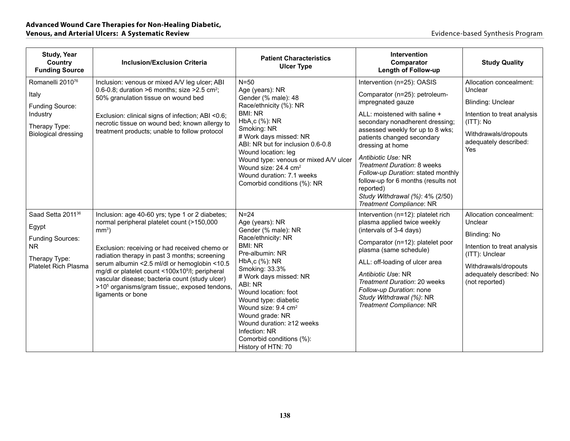| <b>Study, Year</b><br>Country<br><b>Funding Source</b>                                                                   | <b>Inclusion/Exclusion Criteria</b>                                                                                                                                                                                                                                                                                                                                                                                                                           | <b>Patient Characteristics</b><br><b>Ulcer Type</b>                                                                                                                                                                                                                                                                                                                                         | Intervention<br>Comparator<br><b>Length of Follow-up</b>                                                                                                                                                                                                                                                                                                                                                                                                | <b>Study Quality</b>                                                                                                                                                      |
|--------------------------------------------------------------------------------------------------------------------------|---------------------------------------------------------------------------------------------------------------------------------------------------------------------------------------------------------------------------------------------------------------------------------------------------------------------------------------------------------------------------------------------------------------------------------------------------------------|---------------------------------------------------------------------------------------------------------------------------------------------------------------------------------------------------------------------------------------------------------------------------------------------------------------------------------------------------------------------------------------------|---------------------------------------------------------------------------------------------------------------------------------------------------------------------------------------------------------------------------------------------------------------------------------------------------------------------------------------------------------------------------------------------------------------------------------------------------------|---------------------------------------------------------------------------------------------------------------------------------------------------------------------------|
| Romanelli 2010 <sup>76</sup><br>Italy<br>Funding Source:<br>Industry<br>Therapy Type:<br><b>Biological dressing</b>      | Inclusion: venous or mixed A/V leg ulcer; ABI<br>0.6-0.8; duration >6 months; size > 2.5 cm <sup>2</sup> ;<br>50% granulation tissue on wound bed<br>Exclusion: clinical signs of infection; ABI <0.6;<br>necrotic tissue on wound bed; known allergy to<br>treatment products; unable to follow protocol                                                                                                                                                     | $N = 50$<br>Age (years): NR<br>Gender (% male): 48<br>Race/ethnicity (%): NR<br><b>BMI: NR</b><br>HbA <sub>1</sub> c (%): NR<br>Smoking: NR<br># Work days missed: NR<br>ABI: NR but for inclusion 0.6-0.8<br>Wound location: leg<br>Wound type: venous or mixed A/V ulcer<br>Wound size: 24.4 cm <sup>2</sup><br>Wound duration: 7.1 weeks<br>Comorbid conditions (%): NR                  | Intervention (n=25): OASIS<br>Comparator (n=25): petroleum-<br>impregnated gauze<br>ALL: moistened with saline +<br>secondary nonadherent dressing;<br>assessed weekly for up to 8 wks;<br>patients changed secondary<br>dressing at home<br>Antibiotic Use: NR<br>Treatment Duration: 8 weeks<br>Follow-up Duration: stated monthly<br>follow-up for 6 months (results not<br>reported)<br>Study Withdrawal (%): 4% (2/50)<br>Treatment Compliance: NR | Allocation concealment:<br>Unclear<br><b>Blinding: Unclear</b><br>Intention to treat analysis<br>$(ITT)$ : No<br>Withdrawals/dropouts<br>adequately described:<br>Yes     |
| Saad Setta 2011 <sup>36</sup><br>Egypt<br><b>Funding Sources:</b><br>NR.<br>Therapy Type:<br><b>Platelet Rich Plasma</b> | Inclusion: age 40-60 yrs; type 1 or 2 diabetes;<br>normal peripheral platelet count (>150,000<br>$mm3$ )<br>Exclusion: receiving or had received chemo or<br>radiation therapy in past 3 months; screening<br>serum albumin <2.5 ml/dl or hemoglobin <10.5<br>mg/dl or platelet count <100x10 <sup>9</sup> /l; peripheral<br>vascular disease; bacteria count (study ulcer)<br>>10 <sup>5</sup> organisms/gram tissue;, exposed tendons,<br>ligaments or bone | $N=24$<br>Age (years): NR<br>Gender (% male): NR<br>Race/ethnicity: NR<br><b>BMI: NR</b><br>Pre-albumin: NR<br>$HbA1c$ (%): NR<br>Smoking: 33.3%<br># Work days missed: NR<br>ABI: NR<br>Wound location: foot<br>Wound type: diabetic<br>Wound size: 9.4 cm <sup>2</sup><br>Wound grade: NR<br>Wound duration: ≥12 weeks<br>Infection: NR<br>Comorbid conditions (%):<br>History of HTN: 70 | Intervention (n=12): platelet rich<br>plasma applied twice weekly<br>(intervals of 3-4 days)<br>Comparator (n=12): platelet poor<br>plasma (same schedule)<br>ALL: off-loading of ulcer area<br>Antibiotic Use: NR<br>Treatment Duration: 20 weeks<br>Follow-up Duration: none<br>Study Withdrawal (%): NR<br>Treatment Compliance: NR                                                                                                                  | Allocation concealment:<br>Unclear<br>Blinding: No<br>Intention to treat analysis<br>(ITT): Unclear<br>Withdrawals/dropouts<br>adequately described: No<br>(not reported) |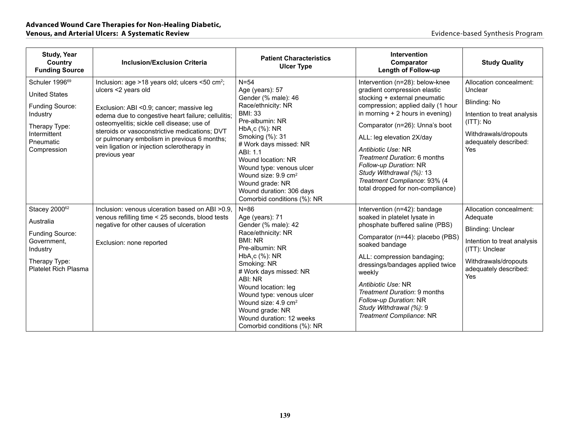| <b>Study, Year</b><br>Country<br><b>Funding Source</b>                                                                                         | <b>Inclusion/Exclusion Criteria</b>                                                                                                                                                                                                                                                                                                                                                               | <b>Patient Characteristics</b><br><b>Ulcer Type</b>                                                                                                                                                                                                                                                                                                           | Intervention<br>Comparator<br><b>Length of Follow-up</b>                                                                                                                                                                                                                                                                                                                                                                    | <b>Study Quality</b>                                                                                                                                                     |
|------------------------------------------------------------------------------------------------------------------------------------------------|---------------------------------------------------------------------------------------------------------------------------------------------------------------------------------------------------------------------------------------------------------------------------------------------------------------------------------------------------------------------------------------------------|---------------------------------------------------------------------------------------------------------------------------------------------------------------------------------------------------------------------------------------------------------------------------------------------------------------------------------------------------------------|-----------------------------------------------------------------------------------------------------------------------------------------------------------------------------------------------------------------------------------------------------------------------------------------------------------------------------------------------------------------------------------------------------------------------------|--------------------------------------------------------------------------------------------------------------------------------------------------------------------------|
| Schuler 1996 <sup>69</sup><br><b>United States</b><br>Funding Source:<br>Industry<br>Therapy Type:<br>Intermittent<br>Pneumatic<br>Compression | Inclusion: age >18 years old; ulcers <50 cm <sup>2</sup> ;<br>ulcers <2 years old<br>Exclusion: ABI <0.9; cancer; massive leg<br>edema due to congestive heart failure; cellulitis;<br>osteomyelitis; sickle cell disease; use of<br>steroids or vasoconstrictive medications; DVT<br>or pulmonary embolism in previous 6 months;<br>vein ligation or injection sclerotherapy in<br>previous year | $N = 54$<br>Age (years): 57<br>Gender (% male): 46<br>Race/ethnicity: NR<br><b>BMI: 33</b><br>Pre-albumin: NR<br>$HbAsc (\%): NR$<br>Smoking (%): 31<br># Work days missed: NR<br>ABI: 1.1<br>Wound location: NR<br>Wound type: venous ulcer<br>Wound size: 9.9 cm <sup>2</sup><br>Wound grade: NR<br>Wound duration: 306 days<br>Comorbid conditions (%): NR | Intervention (n=28): below-knee<br>gradient compression elastic<br>stocking + external pneumatic<br>compression; applied daily (1 hour<br>in morning $+2$ hours in evening)<br>Comparator (n=26): Unna's boot<br>ALL: leg elevation 2X/day<br>Antibiotic Use: NR<br>Treatment Duration: 6 months<br>Follow-up Duration: NR<br>Study Withdrawal (%): 13<br>Treatment Compliance: 93% (4<br>total dropped for non-compliance) | Allocation concealment:<br>Unclear<br>Blinding: No<br>Intention to treat analysis<br>$(ITT)$ : No<br>Withdrawals/dropouts<br>adequately described:<br>Yes                |
| Stacey 200062<br>Australia<br>Funding Source:<br>Government.<br>Industry<br>Therapy Type:<br>Platelet Rich Plasma                              | Inclusion: venous ulceration based on ABI > 0.9.<br>venous refilling time < 25 seconds, blood tests<br>negative for other causes of ulceration<br>Exclusion: none reported                                                                                                                                                                                                                        | $N = 86$<br>Age (years): 71<br>Gender (% male): 42<br>Race/ethnicity: NR<br><b>BMI: NR</b><br>Pre-albumin: NR<br>HbA,c (%): NR<br>Smoking: NR<br># Work days missed: NR<br>ABI: NR<br>Wound location: leg<br>Wound type: venous ulcer<br>Wound size: 4.9 cm <sup>2</sup><br>Wound grade: NR<br>Wound duration: 12 weeks<br>Comorbid conditions (%): NR        | Intervention (n=42): bandage<br>soaked in platelet lysate in<br>phosphate buffered saline (PBS)<br>Comparator (n=44): placebo (PBS)<br>soaked bandage<br>ALL: compression bandaging;<br>dressings/bandages applied twice<br>weekly<br>Antibiotic Use: NR<br>Treatment Duration: 9 months<br>Follow-up Duration: NR<br>Study Withdrawal (%): 9<br>Treatment Compliance: NR                                                   | Allocation concealment:<br>Adequate<br><b>Blinding: Unclear</b><br>Intention to treat analysis<br>(ITT): Unclear<br>Withdrawals/dropouts<br>adequately described:<br>Yes |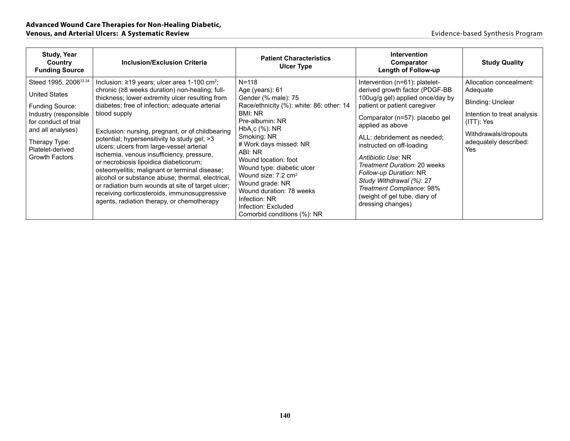| <b>Study, Year</b><br>Country<br><b>Funding Source</b>                                                                                                                                                           | <b>Inclusion/Exclusion Criteria</b>                                                                                                                                                                                                                                                                                                                                                                                                                                                                                                                                                                                                                                                                                                   | <b>Patient Characteristics</b><br><b>Ulcer Type</b>                                                                                                                                                                                                                                                                                                                                                                | <b>Intervention</b><br>Comparator<br>Length of Follow-up                                                                                                                                                                                                                                                                                                                                                                                              | <b>Study Quality</b>                                                                                                                                             |
|------------------------------------------------------------------------------------------------------------------------------------------------------------------------------------------------------------------|---------------------------------------------------------------------------------------------------------------------------------------------------------------------------------------------------------------------------------------------------------------------------------------------------------------------------------------------------------------------------------------------------------------------------------------------------------------------------------------------------------------------------------------------------------------------------------------------------------------------------------------------------------------------------------------------------------------------------------------|--------------------------------------------------------------------------------------------------------------------------------------------------------------------------------------------------------------------------------------------------------------------------------------------------------------------------------------------------------------------------------------------------------------------|-------------------------------------------------------------------------------------------------------------------------------------------------------------------------------------------------------------------------------------------------------------------------------------------------------------------------------------------------------------------------------------------------------------------------------------------------------|------------------------------------------------------------------------------------------------------------------------------------------------------------------|
| Steed 1995, 2006 <sup>33,34</sup><br><b>United States</b><br>Funding Source:<br>Industry (responsible<br>for conduct of trial<br>and all analyses)<br>Therapy Type:<br>Platelet-derived<br><b>Growth Factors</b> | Inclusion: $\geq$ 19 years; ulcer area 1-100 cm <sup>2</sup> ;<br>chronic (≥8 weeks duration) non-healing; full-<br>thickness; lower extremity ulcer resulting from<br>diabetes; free of infection; adequate arterial<br>blood supply<br>Exclusion: nursing, pregnant, or of childbearing<br>potential; hypersensitivity to study gel; >3<br>ulcers; ulcers from large-vessel arterial<br>ischemia, venous insufficiency, pressure,<br>or necrobiosis lipoidica diabeticorum;<br>osteomyelitis; malignant or terminal disease;<br>alcohol or substance abuse; thermal, electrical,<br>or radiation burn wounds at site of target ulcer;<br>receiving corticosteroids, immunosuppressive<br>agents, radiation therapy, or chemotherapy | $N = 118$<br>Age (years): 61<br>Gender (% male): 75<br>Race/ethnicity (%): white: 86; other: 14<br>BMI: NR<br>Pre-albumin: NR<br>HbA, c (%): NR<br>Smoking: NR<br># Work days missed: NR<br>ABI: NR<br>Wound location: foot<br>Wound type: diabetic ulcer<br>Wound size: 7.2 cm <sup>2</sup><br>Wound grade: NR<br>Wound duration: 78 weeks<br>Infection: NR<br>Infection: Excluded<br>Comorbid conditions (%): NR | Intervention (n=61): platelet-<br>derived growth factor (PDGF-BB<br>100ug/g gel) applied once/day by<br>patient or patient caregiver<br>Comparator (n=57): placebo gel<br>applied as above<br>ALL: debridement as needed:<br>instructed on off-loading<br>Antibiotic Use: NR<br>Treatment Duration: 20 weeks<br>Follow-up Duration: NR<br>Study Withdrawal (%): 27<br>Treatment Compliance: 98%<br>(weight of gel tube, diary of<br>dressing changes) | Allocation concealment:<br>Adequate<br>Blinding: Unclear<br>Intention to treat analysis<br>$(ITT)$ : Yes<br>Withdrawals/dropouts<br>adequately described:<br>Yes |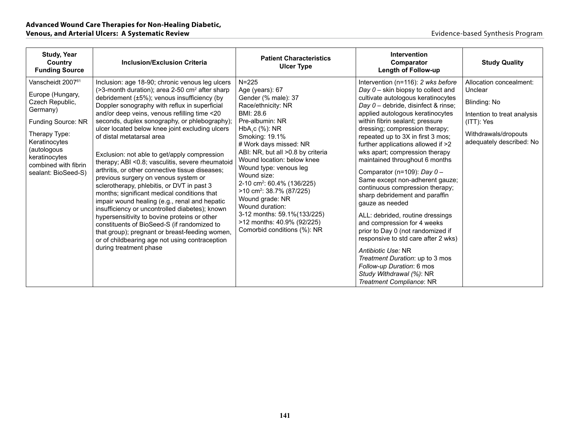| <b>Study, Year</b><br>Country<br><b>Funding Source</b>                                                                                                                                                                  | <b>Inclusion/Exclusion Criteria</b>                                                                                                                                                                                                                                                                                                                                                                                                                                                                                                                                                                                                                                                                                                                                                                                                                                                                                                                                                                                        | <b>Patient Characteristics</b><br><b>Ulcer Type</b>                                                                                                                                                                                                                                                                                                                                                                                                                                                         | Intervention<br>Comparator<br><b>Length of Follow-up</b>                                                                                                                                                                                                                                                                                                                                                                                                                                                                                                                                                                                                                                                                                                                                                                                                            | <b>Study Quality</b>                                                                                                                                |
|-------------------------------------------------------------------------------------------------------------------------------------------------------------------------------------------------------------------------|----------------------------------------------------------------------------------------------------------------------------------------------------------------------------------------------------------------------------------------------------------------------------------------------------------------------------------------------------------------------------------------------------------------------------------------------------------------------------------------------------------------------------------------------------------------------------------------------------------------------------------------------------------------------------------------------------------------------------------------------------------------------------------------------------------------------------------------------------------------------------------------------------------------------------------------------------------------------------------------------------------------------------|-------------------------------------------------------------------------------------------------------------------------------------------------------------------------------------------------------------------------------------------------------------------------------------------------------------------------------------------------------------------------------------------------------------------------------------------------------------------------------------------------------------|---------------------------------------------------------------------------------------------------------------------------------------------------------------------------------------------------------------------------------------------------------------------------------------------------------------------------------------------------------------------------------------------------------------------------------------------------------------------------------------------------------------------------------------------------------------------------------------------------------------------------------------------------------------------------------------------------------------------------------------------------------------------------------------------------------------------------------------------------------------------|-----------------------------------------------------------------------------------------------------------------------------------------------------|
| Vanscheidt 2007 <sup>61</sup><br>Europe (Hungary,<br>Czech Republic,<br>Germany)<br>Funding Source: NR<br>Therapy Type:<br>Keratinocytes<br>(autologous<br>keratinocytes<br>combined with fibrin<br>sealant: BioSeed-S) | Inclusion: age 18-90; chronic venous leg ulcers<br>(>3-month duration); area 2-50 cm <sup>2</sup> after sharp<br>debridement (±5%); venous insufficiency (by<br>Doppler sonography with reflux in superficial<br>and/or deep veins, venous refilling time <20<br>seconds, duplex sonography, or phlebography);<br>ulcer located below knee joint excluding ulcers<br>of distal metatarsal area<br>Exclusion: not able to get/apply compression<br>therapy; ABI <0.8; vasculitis, severe rheumatoid<br>arthritis, or other connective tissue diseases;<br>previous surgery on venous system or<br>sclerotherapy, phlebitis, or DVT in past 3<br>months; significant medical conditions that<br>impair wound healing (e.g., renal and hepatic<br>insufficiency or uncontrolled diabetes); known<br>hypersensitivity to bovine proteins or other<br>constituents of BioSeed-S (if randomized to<br>that group); pregnant or breast-feeding women,<br>or of childbearing age not using contraception<br>during treatment phase | $N = 225$<br>Age (years): 67<br>Gender (% male): 37<br>Race/ethnicity: NR<br>BMI: 28.6<br>Pre-albumin: NR<br>$HbA_{c}C$ (%): NR<br>Smoking: 19.1%<br># Work days missed: NR<br>ABI: NR, but all >0.8 by criteria<br>Wound location: below knee<br>Wound type: venous leg<br>Wound size:<br>2-10 cm <sup>2</sup> : 60.4% (136/225)<br>>10 cm <sup>2</sup> : 38.7% (87/225)<br>Wound grade: NR<br>Wound duration:<br>3-12 months: 59.1%(133/225)<br>>12 months: 40.9% (92/225)<br>Comorbid conditions (%): NR | Intervention (n=116): 2 wks before<br>Day 0 - skin biopsy to collect and<br>cultivate autologous keratinocytes<br>Day 0 - debride, disinfect & rinse;<br>applied autologous keratinocytes<br>within fibrin sealant; pressure<br>dressing; compression therapy;<br>repeated up to 3X in first 3 mos;<br>further applications allowed if >2<br>wks apart; compression therapy<br>maintained throughout 6 months<br>Comparator (n=109): Day 0-<br>Same except non-adherent gauze;<br>continuous compression therapy;<br>sharp debridement and paraffin<br>qauze as needed<br>ALL: debrided, routine dressings<br>and compression for 4 weeks<br>prior to Day 0 (not randomized if<br>responsive to std care after 2 wks)<br>Antibiotic Use: NR<br>Treatment Duration: up to 3 mos<br>Follow-up Duration: 6 mos<br>Study Withdrawal (%): NR<br>Treatment Compliance: NR | Allocation concealment:<br>Unclear<br>Blinding: No<br>Intention to treat analysis<br>(ITT): Yes<br>Withdrawals/dropouts<br>adequately described: No |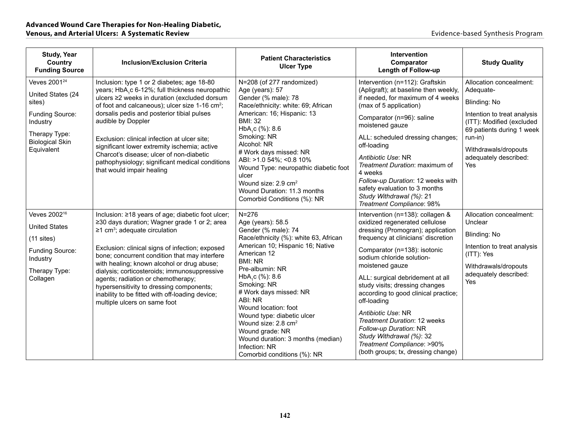| <b>Study, Year</b><br>Country<br><b>Funding Source</b>                                                                                          | <b>Inclusion/Exclusion Criteria</b>                                                                                                                                                                                                                                                                                                                                                                                                                                                                                         | <b>Patient Characteristics</b><br><b>Ulcer Type</b>                                                                                                                                                                                                                                                                                                                                                                                                                        | <b>Intervention</b><br>Comparator<br><b>Length of Follow-up</b>                                                                                                                                                                                                                                                                                                                                                                                                                                                                                    | <b>Study Quality</b>                                                                                                                                                                                             |
|-------------------------------------------------------------------------------------------------------------------------------------------------|-----------------------------------------------------------------------------------------------------------------------------------------------------------------------------------------------------------------------------------------------------------------------------------------------------------------------------------------------------------------------------------------------------------------------------------------------------------------------------------------------------------------------------|----------------------------------------------------------------------------------------------------------------------------------------------------------------------------------------------------------------------------------------------------------------------------------------------------------------------------------------------------------------------------------------------------------------------------------------------------------------------------|----------------------------------------------------------------------------------------------------------------------------------------------------------------------------------------------------------------------------------------------------------------------------------------------------------------------------------------------------------------------------------------------------------------------------------------------------------------------------------------------------------------------------------------------------|------------------------------------------------------------------------------------------------------------------------------------------------------------------------------------------------------------------|
| Veves 2001 <sup>24</sup><br>United States (24<br>sites)<br>Funding Source:<br>Industry<br>Therapy Type:<br><b>Biological Skin</b><br>Equivalent | Inclusion: type 1 or 2 diabetes; age 18-80<br>years; HbA,c 6-12%; full thickness neuropathic<br>ulcers ≥2 weeks in duration (excluded dorsum<br>of foot and calcaneous); ulcer size 1-16 cm <sup>2</sup> ;<br>dorsalis pedis and posterior tibial pulses<br>audible by Doppler<br>Exclusion: clinical infection at ulcer site;<br>significant lower extremity ischemia; active<br>Charcot's disease; ulcer of non-diabetic<br>pathophysiology; significant medical conditions<br>that would impair healing                  | N=208 (of 277 randomized)<br>Age (years): 57<br>Gender (% male): 78<br>Race/ethnicity: white: 69; African<br>American: 16; Hispanic: 13<br><b>BMI: 32</b><br>HbA <sub>1</sub> c (%): 8.6<br>Smoking: NR<br>Alcohol: NR<br># Work days missed: NR<br>ABI: >1.0 54%; <0.8 10%<br>Wound Type: neuropathic diabetic foot<br>ulcer<br>Wound size: 2.9 cm <sup>2</sup><br>Wound Duration: 11.3 months<br>Comorbid Conditions (%): NR                                             | Intervention (n=112): Graftskin<br>(Apligraft); at baseline then weekly,<br>if needed, for maximum of 4 weeks<br>(max of 5 application)<br>Comparator (n=96): saline<br>moistened gauze<br>ALL: scheduled dressing changes;<br>off-loading<br>Antibiotic Use: NR<br>Treatment Duration: maximum of<br>4 weeks<br>Follow-up Duration: 12 weeks with<br>safety evaluation to 3 months<br>Study Withdrawal (%): 21<br>Treatment Compliance: 98%                                                                                                       | Allocation concealment:<br>Adequate-<br>Blinding: No<br>Intention to treat analysis<br>(ITT): Modified (excluded<br>69 patients during 1 week<br>run-in)<br>Withdrawals/dropouts<br>adequately described:<br>Yes |
| Veves 2002 <sup>16</sup><br><b>United States</b><br>$(11$ sites)<br>Funding Source:<br>Industry<br>Therapy Type:<br>Collagen                    | Inclusion: ≥18 years of age; diabetic foot ulcer;<br>≥30 days duration; Wagner grade 1 or 2; area<br>$\geq$ 1 cm <sup>3</sup> ; adequate circulation<br>Exclusion: clinical signs of infection; exposed<br>bone; concurrent condition that may interfere<br>with healing; known alcohol or drug abuse;<br>dialysis; corticosteroids; immunosuppressive<br>agents; radiation or chemotherapy;<br>hypersensitivity to dressing components;<br>inability to be fitted with off-loading device;<br>multiple ulcers on same foot | $N = 276$<br>Age (years): 58.5<br>Gender (% male): 74<br>Race/ethnicity (%): white 63, African<br>American 10; Hispanic 16; Native<br>American 12<br><b>BMI: NR</b><br>Pre-albumin: NR<br>HbA <sub>1</sub> c (%): 8.6<br>Smoking: NR<br># Work days missed: NR<br>ABI: NR<br>Wound location: foot<br>Wound type: diabetic ulcer<br>Wound size: 2.8 cm <sup>2</sup><br>Wound grade: NR<br>Wound duration: 3 months (median)<br>Infection: NR<br>Comorbid conditions (%): NR | Intervention (n=138): collagen &<br>oxidized regenerated cellulose<br>dressing (Promogran); application<br>frequency at clinicians' discretion<br>Comparator (n=138): isotonic<br>sodium chloride solution-<br>moistened gauze<br>ALL: surgical debridement at all<br>study visits; dressing changes<br>according to good clinical practice;<br>off-loading<br>Antibiotic Use: NR<br><b>Treatment Duration: 12 weeks</b><br>Follow-up Duration: NR<br>Study Withdrawal (%): 32<br>Treatment Compliance: >90%<br>(both groups; tx, dressing change) | Allocation concealment:<br>Unclear<br>Blinding: No<br>Intention to treat analysis<br>(ITT): Yes<br>Withdrawals/dropouts<br>adequately described:<br>Yes                                                          |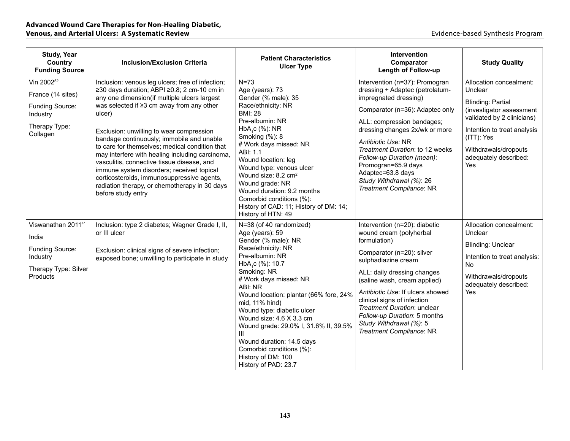| <b>Study, Year</b><br>Country<br><b>Funding Source</b>                                                  | <b>Inclusion/Exclusion Criteria</b>                                                                                                                                                                                                                                                                                                                                                                                                                                                                                                                                                                                  | <b>Patient Characteristics</b><br><b>Ulcer Type</b>                                                                                                                                                                                                                                                                                                                                                                                                          | Intervention<br>Comparator<br><b>Length of Follow-up</b>                                                                                                                                                                                                                                                                                                                                 | <b>Study Quality</b>                                                                                                                                                                                                          |
|---------------------------------------------------------------------------------------------------------|----------------------------------------------------------------------------------------------------------------------------------------------------------------------------------------------------------------------------------------------------------------------------------------------------------------------------------------------------------------------------------------------------------------------------------------------------------------------------------------------------------------------------------------------------------------------------------------------------------------------|--------------------------------------------------------------------------------------------------------------------------------------------------------------------------------------------------------------------------------------------------------------------------------------------------------------------------------------------------------------------------------------------------------------------------------------------------------------|------------------------------------------------------------------------------------------------------------------------------------------------------------------------------------------------------------------------------------------------------------------------------------------------------------------------------------------------------------------------------------------|-------------------------------------------------------------------------------------------------------------------------------------------------------------------------------------------------------------------------------|
| Vin 2002 <sup>52</sup><br>France (14 sites)<br>Funding Source:<br>Industry<br>Therapy Type:<br>Collagen | Inclusion: venous leg ulcers; free of infection;<br>≥30 days duration; ABPI ≥0.8; 2 cm-10 cm in<br>any one dimension(if multiple ulcers largest<br>was selected if ≥3 cm away from any other<br>ulcer)<br>Exclusion: unwilling to wear compression<br>bandage continuously; immobile and unable<br>to care for themselves; medical condition that<br>may interfere with healing including carcinoma,<br>vasculitis, connective tissue disease, and<br>immune system disorders; received topical<br>corticosteroids, immunosuppressive agents,<br>radiation therapy, or chemotherapy in 30 days<br>before study entry | $N=73$<br>Age (years): 73<br>Gender (% male): 35<br>Race/ethnicity: NR<br><b>BMI: 28</b><br>Pre-albumin: NR<br>HbA <sub>1</sub> c (%): NR<br>Smoking (%): 8<br># Work days missed: NR<br>ABI: 1.1<br>Wound location: leg<br>Wound type: venous ulcer<br>Wound size: 8.2 cm <sup>2</sup><br>Wound grade: NR<br>Wound duration: 9.2 months<br>Comorbid conditions (%):<br>History of CAD: 11; History of DM: 14;<br>History of HTN: 49                         | Intervention (n=37): Promogran<br>dressing + Adaptec (petrolatum-<br>impregnated dressing)<br>Comparator (n=36): Adaptec only<br>ALL: compression bandages;<br>dressing changes 2x/wk or more<br>Antibiotic Use: NR<br>Treatment Duration: to 12 weeks<br>Follow-up Duration (mean):<br>Promogran=65.9 days<br>Adaptec=63.8 days<br>Study Withdrawal (%): 26<br>Treatment Compliance: NR | Allocation concealment:<br>Unclear<br><b>Blinding: Partial</b><br>(investigator assessment<br>validated by 2 clinicians)<br>Intention to treat analysis<br>(ITT): Yes<br>Withdrawals/dropouts<br>adequately described:<br>Yes |
| Viswanathan 201141<br>India<br>Funding Source:<br>Industry<br>Therapy Type: Silver<br>Products          | Inclusion: type 2 diabetes; Wagner Grade I, II,<br>or III ulcer<br>Exclusion: clinical signs of severe infection;<br>exposed bone; unwilling to participate in study                                                                                                                                                                                                                                                                                                                                                                                                                                                 | N=38 (of 40 randomized)<br>Age (years): 59<br>Gender (% male): NR<br>Race/ethnicity: NR<br>Pre-albumin: NR<br>HbA.c (%): 10.7<br>Smoking: NR<br># Work days missed: NR<br>ABI: NR<br>Wound location: plantar (66% fore, 24%<br>mid, 11% hind)<br>Wound type: diabetic ulcer<br>Wound size: 4.6 X 3.3 cm<br>Wound grade: 29.0% I, 31.6% II, 39.5%<br>Ш<br>Wound duration: 14.5 days<br>Comorbid conditions (%):<br>History of DM: 100<br>History of PAD: 23.7 | Intervention (n=20): diabetic<br>wound cream (polyherbal<br>formulation)<br>Comparator (n=20): silver<br>sulphadiazine cream<br>ALL: daily dressing changes<br>(saline wash, cream applied)<br>Antibiotic Use: If ulcers showed<br>clinical signs of infection<br>Treatment Duration: unclear<br>Follow-up Duration: 5 months<br>Study Withdrawal (%): 5<br>Treatment Compliance: NR     | Allocation concealment:<br>Unclear<br><b>Blinding: Unclear</b><br>Intention to treat analysis:<br>No<br>Withdrawals/dropouts<br>adequately described:<br>Yes                                                                  |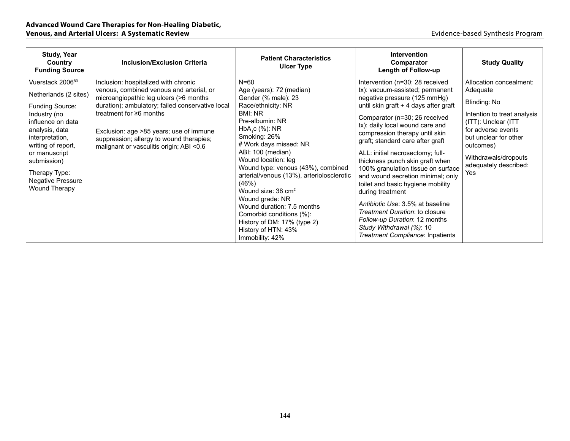| <b>Study, Year</b><br>Country<br><b>Funding Source</b>                                                                                                                                                                                                                 | <b>Inclusion/Exclusion Criteria</b>                                                                                                                                                                                                                                                                                                                | <b>Patient Characteristics</b><br><b>Ulcer Type</b>                                                                                                                                                                                                                                                                                                                                                                                                                                                           | <b>Intervention</b><br>Comparator<br><b>Length of Follow-up</b>                                                                                                                                                                                                                                                                                                                                                                                                                                                                                                                                                                                                         | <b>Study Quality</b>                                                                                                                                                                                                           |
|------------------------------------------------------------------------------------------------------------------------------------------------------------------------------------------------------------------------------------------------------------------------|----------------------------------------------------------------------------------------------------------------------------------------------------------------------------------------------------------------------------------------------------------------------------------------------------------------------------------------------------|---------------------------------------------------------------------------------------------------------------------------------------------------------------------------------------------------------------------------------------------------------------------------------------------------------------------------------------------------------------------------------------------------------------------------------------------------------------------------------------------------------------|-------------------------------------------------------------------------------------------------------------------------------------------------------------------------------------------------------------------------------------------------------------------------------------------------------------------------------------------------------------------------------------------------------------------------------------------------------------------------------------------------------------------------------------------------------------------------------------------------------------------------------------------------------------------------|--------------------------------------------------------------------------------------------------------------------------------------------------------------------------------------------------------------------------------|
| Vuerstack 2006 <sup>80</sup><br>Netherlands (2 sites)<br>Funding Source:<br>Industry (no<br>influence on data<br>analysis, data<br>interpretation,<br>writing of report,<br>or manuscript<br>submission)<br>Therapy Type:<br>Negative Pressure<br><b>Wound Therapy</b> | Inclusion: hospitalized with chronic<br>venous, combined venous and arterial, or<br>microangiopathic leg ulcers (>6 months<br>duration); ambulatory; failed conservative local<br>treatment for $\geq 6$ months<br>Exclusion: age >85 years; use of immune<br>suppression; allergy to wound therapies;<br>malignant or vasculitis origin; ABI <0.6 | $N = 60$<br>Age (years): 72 (median)<br>Gender (% male): 23<br>Race/ethnicity: NR<br>BMI: NR<br>Pre-albumin: NR<br>$HbAsc (\%): NR$<br>Smoking: 26%<br># Work days missed: NR<br>ABI: 100 (median)<br>Wound location: leg<br>Wound type: venous (43%), combined<br>arterial/venous (13%), arteriolosclerotic<br>(46%)<br>Wound size: 38 cm <sup>2</sup><br>Wound grade: NR<br>Wound duration: 7.5 months<br>Comorbid conditions (%):<br>History of DM: 17% (type 2)<br>History of HTN: 43%<br>Immobility: 42% | Intervention (n=30; 28 received<br>tx): vacuum-assisted; permanent<br>negative pressure (125 mmHg)<br>until skin graft + 4 days after graft<br>Comparator (n=30; 26 received<br>tx): daily local wound care and<br>compression therapy until skin<br>graft; standard care after graft<br>ALL: initial necrosectomy; full-<br>thickness punch skin graft when<br>100% granulation tissue on surface<br>and wound secretion minimal; only<br>toilet and basic hygiene mobility<br>during treatment<br>Antibiotic Use: 3.5% at baseline<br>Treatment Duration: to closure<br>Follow-up Duration: 12 months<br>Study Withdrawal (%): 10<br>Treatment Compliance: Inpatients | Allocation concealment:<br>Adequate<br>Blinding: No<br>Intention to treat analysis<br>(ITT): Unclear (ITT)<br>for adverse events<br>but unclear for other<br>outcomes)<br>Withdrawals/dropouts<br>adequately described:<br>Yes |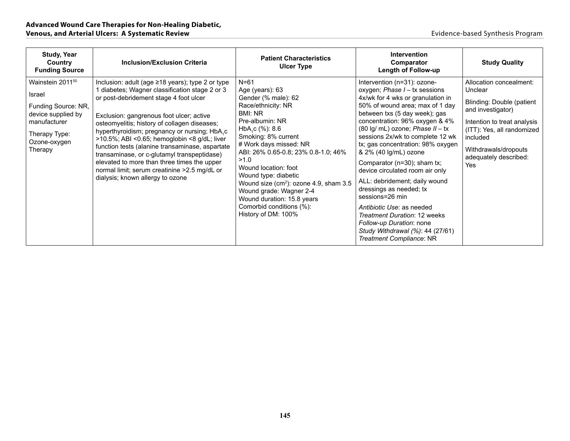| Study, Year<br>Country<br><b>Funding Source</b>                                                                                     | <b>Inclusion/Exclusion Criteria</b>                                                                                                                                                                                                                                                                                                                                                                                                                                                                                                                                            | <b>Patient Characteristics</b><br><b>Ulcer Type</b>                                                                                                                                                                                                                                                                                                                                                                                                     | <b>Intervention</b><br>Comparator<br><b>Length of Follow-up</b>                                                                                                                                                                                                                                                                                                                                                                                                                                                                                                                                                                                               | <b>Study Quality</b>                                                                                                                                                                                                         |
|-------------------------------------------------------------------------------------------------------------------------------------|--------------------------------------------------------------------------------------------------------------------------------------------------------------------------------------------------------------------------------------------------------------------------------------------------------------------------------------------------------------------------------------------------------------------------------------------------------------------------------------------------------------------------------------------------------------------------------|---------------------------------------------------------------------------------------------------------------------------------------------------------------------------------------------------------------------------------------------------------------------------------------------------------------------------------------------------------------------------------------------------------------------------------------------------------|---------------------------------------------------------------------------------------------------------------------------------------------------------------------------------------------------------------------------------------------------------------------------------------------------------------------------------------------------------------------------------------------------------------------------------------------------------------------------------------------------------------------------------------------------------------------------------------------------------------------------------------------------------------|------------------------------------------------------------------------------------------------------------------------------------------------------------------------------------------------------------------------------|
| Wainstein 201150<br>Israel<br>Funding Source: NR,<br>device supplied by<br>manufacturer<br>Therapy Type:<br>Ozone-oxygen<br>Therapy | Inclusion: adult (age ≥18 years); type 2 or type<br>1 diabetes; Wagner classification stage 2 or 3<br>or post-debridement stage 4 foot ulcer<br>Exclusion: gangrenous foot ulcer; active<br>osteomyelitis; history of collagen diseases;<br>hyperthyroidism; pregnancy or nursing; HbA,c<br>>10.5%; ABI <0.65; hemoglobin <8 g/dL; liver<br>function tests (alanine transaminase, aspartate<br>transaminase, or c-glutamyl transpeptidase)<br>elevated to more than three times the upper<br>normal limit; serum creatinine > 2.5 mg/dL or<br>dialysis; known allergy to ozone | $N = 61$<br>Age (years): 63<br>Gender (% male): 62<br>Race/ethnicity: NR<br>BMI: NR<br>Pre-albumin: NR<br>HbA <sub>1</sub> c (%): 8.6<br>Smoking: 8% current<br># Work days missed: NR<br>ABI: 26% 0.65-0.8; 23% 0.8-1.0; 46%<br>>1.0<br>Wound location: foot<br>Wound type: diabetic<br>Wound size (cm <sup>2</sup> ): ozone 4.9, sham 3.5<br>Wound grade: Wagner 2-4<br>Wound duration: 15.8 years<br>Comorbid conditions (%):<br>History of DM: 100% | Intervention (n=31): ozone-<br>oxygen; Phase $I - tx$ sessions<br>4x/wk for 4 wks or granulation in<br>50% of wound area; max of 1 day<br>between txs (5 day week); gas<br>concentration: 96% oxygen & 4%<br>$(80 \lg/mL)$ ozone; Phase $II - tx$<br>sessions 2x/wk to complete 12 wk<br>tx; gas concentration: 98% oxygen<br>& 2% (40 lg/mL) ozone<br>Comparator (n=30); sham tx;<br>device circulated room air only<br>ALL: debridement; daily wound<br>dressings as needed; tx<br>sessions=26 min<br>Antibiotic Use: as needed<br>Treatment Duration: 12 weeks<br>Follow-up Duration: none<br>Study Withdrawal (%): 44 (27/61)<br>Treatment Compliance: NR | Allocation concealment:<br>Unclear<br><b>Blinding: Double (patient</b><br>and investigator)<br>Intention to treat analysis<br>(ITT): Yes, all randomized<br>included<br>Withdrawals/dropouts<br>adequately described:<br>Yes |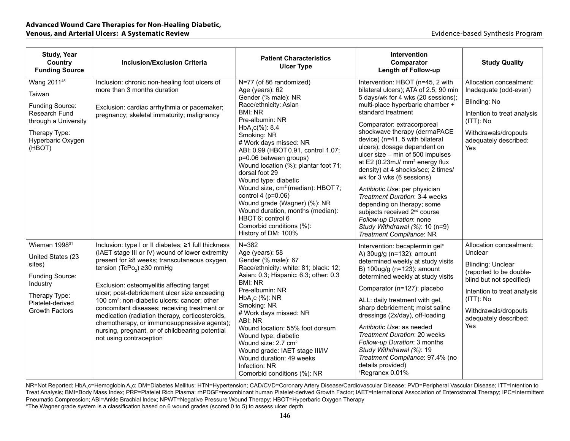| <b>Study, Year</b><br>Country<br><b>Funding Source</b>                                                                                                | <b>Inclusion/Exclusion Criteria</b>                                                                                                                                                                                                                                                                                                                                                                                                                                                                                                                                                     | <b>Patient Characteristics</b><br><b>Ulcer Type</b>                                                                                                                                                                                                                                                                                                                                                                                                                                                                                                                     | <b>Intervention</b><br>Comparator<br><b>Length of Follow-up</b>                                                                                                                                                                                                                                                                                                                                                                                                                                                                                                                                                                                                                                       | <b>Study Quality</b>                                                                                                                                                                                                         |
|-------------------------------------------------------------------------------------------------------------------------------------------------------|-----------------------------------------------------------------------------------------------------------------------------------------------------------------------------------------------------------------------------------------------------------------------------------------------------------------------------------------------------------------------------------------------------------------------------------------------------------------------------------------------------------------------------------------------------------------------------------------|-------------------------------------------------------------------------------------------------------------------------------------------------------------------------------------------------------------------------------------------------------------------------------------------------------------------------------------------------------------------------------------------------------------------------------------------------------------------------------------------------------------------------------------------------------------------------|-------------------------------------------------------------------------------------------------------------------------------------------------------------------------------------------------------------------------------------------------------------------------------------------------------------------------------------------------------------------------------------------------------------------------------------------------------------------------------------------------------------------------------------------------------------------------------------------------------------------------------------------------------------------------------------------------------|------------------------------------------------------------------------------------------------------------------------------------------------------------------------------------------------------------------------------|
| Wang 2011 <sup>45</sup><br>Taiwan<br>Funding Source:<br>Research Fund<br>through a University<br>Therapy Type:<br>Hyperbaric Oxygen<br>(HBOT)         | Inclusion: chronic non-healing foot ulcers of<br>more than 3 months duration<br>Exclusion: cardiac arrhythmia or pacemaker;<br>pregnancy; skeletal immaturity; malignancy                                                                                                                                                                                                                                                                                                                                                                                                               | N=77 (of 86 randomized)<br>Age (years): 62<br>Gender (% male): NR<br>Race/ethnicity: Asian<br><b>BMI: NR</b><br>Pre-albumin: NR<br>$HbA_1c(\%)$ : 8.4<br>Smoking: NR<br># Work days missed: NR<br>ABI: 0.99 (HBOT 0.91, control 1.07;<br>p=0.06 between groups)<br>Wound location (%): plantar foot 71;<br>dorsal foot 29<br>Wound type: diabetic<br>Wound size, cm <sup>2</sup> (median): HBOT7;<br>control 4 ( $p=0.06$ )<br>Wound grade (Wagner) (%): NR<br>Wound duration, months (median):<br>HBOT 6; control 6<br>Comorbid conditions (%):<br>History of DM: 100% | Intervention: HBOT (n=45, 2 with<br>bilateral ulcers); ATA of 2.5; 90 min<br>5 days/wk for 4 wks (20 sessions);<br>multi-place hyperbaric chamber +<br>standard treatment<br>Comparator: extracorporeal<br>shockwave therapy (dermaPACE<br>device) (n=41, 5 with bilateral<br>ulcers); dosage dependent on<br>ulcer size - min of 500 impulses<br>at E2 (0.23mJ/ mm <sup>2</sup> energy flux<br>density) at 4 shocks/sec; 2 times/<br>wk for 3 wks (6 sessions)<br>Antibiotic Use: per physician<br>Treatment Duration: 3-4 weeks<br>depending on therapy; some<br>subjects received 2 <sup>nd</sup> course<br>Follow-up Duration: none<br>Study Withdrawal (%): 10 (n=9)<br>Treatment Compliance: NR | Allocation concealment:<br>Inadequate (odd-even)<br>Blinding: No<br>Intention to treat analysis<br>$(ITT)$ : No<br>Withdrawals/dropouts<br>adequately described:<br>Yes                                                      |
| Wieman 1998 <sup>31</sup><br>United States (23<br>sites)<br>Funding Source:<br>Industry<br>Therapy Type:<br>Platelet-derived<br><b>Growth Factors</b> | Inclusion: type I or II diabetes; ≥1 full thickness<br>(IAET stage III or IV) wound of lower extremity<br>present for ≥8 weeks; transcutaneous oxygen<br>tension (TcPo <sub>2</sub> ) ≥30 mmHg<br>Exclusion: osteomyelitis affecting target<br>ulcer; post-debridement ulcer size exceeding<br>100 cm <sup>2</sup> ; non-diabetic ulcers; cancer; other<br>concomitant diseases; receiving treatment or<br>medication (radiation therapy, corticosteroids,<br>chemotherapy, or immunosuppressive agents);<br>nursing, pregnant, or of childbearing potential<br>not using contraception | $N = 382$<br>Age (years): 58<br>Gender (% male): 67<br>Race/ethnicity: white: 81; black: 12;<br>Asian: 0.3; Hispanic: 6.3; other: 0.3<br><b>BMI: NR</b><br>Pre-albumin: NR<br>HbA <sub>1</sub> c (%): NR<br>Smoking: NR<br># Work days missed: NR<br>ABI: NR<br>Wound location: 55% foot dorsum<br>Wound type: diabetic<br>Wound size: 2.7 cm <sup>2</sup><br>Wound grade: IAET stage III/IV<br>Wound duration: 49 weeks<br>Infection: NR<br>Comorbid conditions (%): NR                                                                                                | Intervention: becaplermin gel <sup>#</sup><br>A) 30ug/g (n=132): amount<br>determined weekly at study visits<br>B) 100ug/g (n=123): amount<br>determined weekly at study visits<br>Comparator (n=127): placebo<br>ALL: daily treatment with gel,<br>sharp debridement; moist saline<br>dressings (2x/day), off-loading<br>Antibiotic Use: as needed<br>Treatment Duration: 20 weeks<br>Follow-up Duration: 3 months<br>Study Withdrawal (%): 19<br>Treatment Compliance: 97.4% (no<br>details provided)<br>Regranex 0.01%                                                                                                                                                                             | Allocation concealment:<br>Unclear<br><b>Blinding: Unclear</b><br>(reported to be double-<br>blind but not specified)<br>Intention to treat analysis<br>$(ITT)$ : No<br>Withdrawals/dropouts<br>adequately described:<br>Yes |

NR=Not Reported; HbA<sub>1</sub>c=Hemoglobin A<sub>1</sub>c; DM=Diabetes Mellitus; HTN=Hypertension; CAD/CVD=Coronary Artery Disease/Cardiovascular Disease; PVD=Peripheral Vascular Disease; ITT=Intention to Treat Analysis; BMI=Body Mass Index; PRP=Platelet Rich Plasma; rhPDGF=recombinant human Platelet-derived Growth Factor; IAET=International Association of Enterostomal Therapy; IPC=Intermittent Pneumatic Compression; ABI=Ankle Brachial Index; NPWT=Negative Pressure Wound Therapy; HBOT=Hyperbaric Oxygen Therapy

\*The Wagner grade system is a classification based on 6 wound grades (scored 0 to 5) to assess ulcer depth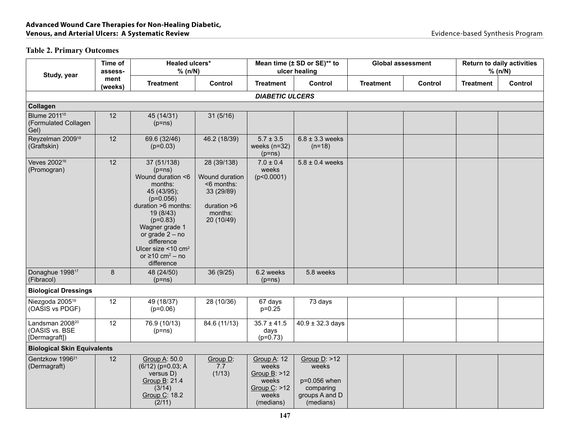## **Table 2. Primary Outcomes**

| Study, year                                                     | Time of<br>assess- | Healed ulcers*<br>% (n/N)                                                                                                                                                                                                                                                            |                                                                                                        |                                                                                            | Mean time (± SD or SE)** to<br>ulcer healing                                        | <b>Global assessment</b> |         |                  | <b>Return to daily activities</b><br>% (n/N) |
|-----------------------------------------------------------------|--------------------|--------------------------------------------------------------------------------------------------------------------------------------------------------------------------------------------------------------------------------------------------------------------------------------|--------------------------------------------------------------------------------------------------------|--------------------------------------------------------------------------------------------|-------------------------------------------------------------------------------------|--------------------------|---------|------------------|----------------------------------------------|
|                                                                 | ment<br>(weeks)    | <b>Treatment</b>                                                                                                                                                                                                                                                                     | Control                                                                                                | <b>Treatment</b>                                                                           | Control                                                                             | <b>Treatment</b>         | Control | <b>Treatment</b> | Control                                      |
|                                                                 |                    |                                                                                                                                                                                                                                                                                      |                                                                                                        | <b>DIABETIC ULCERS</b>                                                                     |                                                                                     |                          |         |                  |                                              |
| <b>Collagen</b>                                                 |                    |                                                                                                                                                                                                                                                                                      |                                                                                                        |                                                                                            |                                                                                     |                          |         |                  |                                              |
| <b>Blume 2011</b> <sup>15</sup><br>(Formulated Collagen<br>Gel) | 12                 | 45 (14/31)<br>$(p=ns)$                                                                                                                                                                                                                                                               | 31(5/16)                                                                                               |                                                                                            |                                                                                     |                          |         |                  |                                              |
| Reyzelman 2009 <sup>18</sup><br>(Graftskin)                     | 12                 | 69.6 (32/46)<br>$(p=0.03)$                                                                                                                                                                                                                                                           | 46.2 (18/39)                                                                                           | $5.7 \pm 3.5$<br>weeks $(n=32)$<br>$(p=ns)$                                                | $6.8 \pm 3.3$ weeks<br>$(n=18)$                                                     |                          |         |                  |                                              |
| Veves 2002 <sup>16</sup><br>(Promogran)                         | 12                 | 37 (51/138)<br>$(p=ns)$<br>Wound duration <6<br>months:<br>45 (43/95);<br>$(p=0.056)$<br>duration >6 months:<br>19 (8/43)<br>$(p=0.83)$<br>Wagner grade 1<br>or grade $2 - no$<br>difference<br>Ulcer size $<$ 10 cm <sup>2</sup><br>or $\geq$ 10 cm <sup>2</sup> – no<br>difference | 28 (39/138)<br>Wound duration<br>$<$ 6 months:<br>33 (29/89)<br>duration $>6$<br>months:<br>20 (10/49) | $7.0 \pm 0.4$<br>weeks<br>(p<0.0001)                                                       | $5.8 \pm 0.4$ weeks                                                                 |                          |         |                  |                                              |
| Donaghue 1998 <sup>17</sup><br>(Fibracol)                       | $\bf 8$            | 48 (24/50)<br>$(p=ns)$                                                                                                                                                                                                                                                               | 36 (9/25)                                                                                              | 6.2 weeks<br>$(p=ns)$                                                                      | 5.8 weeks                                                                           |                          |         |                  |                                              |
| <b>Biological Dressings</b>                                     |                    |                                                                                                                                                                                                                                                                                      |                                                                                                        |                                                                                            |                                                                                     |                          |         |                  |                                              |
| Niezgoda 2005 <sup>19</sup><br>(OASIS vs PDGF)                  | 12                 | 49 (18/37)<br>$(p=0.06)$                                                                                                                                                                                                                                                             | 28 (10/36)                                                                                             | 67 days<br>$p=0.25$                                                                        | 73 days                                                                             |                          |         |                  |                                              |
| Landsman 2008 <sup>20</sup><br>(OASIS vs. BSE<br>[Dermagraft])  | 12                 | 76.9 (10/13)<br>$(p=ns)$                                                                                                                                                                                                                                                             | 84.6 (11/13)                                                                                           | $35.7 \pm 41.5$<br>days<br>$(p=0.73)$                                                      | $40.9 \pm 32.3$ days                                                                |                          |         |                  |                                              |
| <b>Biological Skin Equivalents</b>                              |                    |                                                                                                                                                                                                                                                                                      |                                                                                                        |                                                                                            |                                                                                     |                          |         |                  |                                              |
| Gentzkow 1996 <sup>21</sup><br>(Dermagraft)                     | 12                 | Group A: 50.0<br>$(6/12)$ (p=0.03; A<br>versus D)<br>Group B: 21.4<br>(3/14)<br>Group C: 18.2<br>(2/11)                                                                                                                                                                              | Group D:<br>7.7<br>(1/13)                                                                              | Group A: 12<br>weeks<br>Group $B$ : $>12$<br>weeks<br>Group $C:$ >12<br>weeks<br>(medians) | Group $D:$ >12<br>weeks<br>p=0.056 when<br>comparing<br>groups A and D<br>(medians) |                          |         |                  |                                              |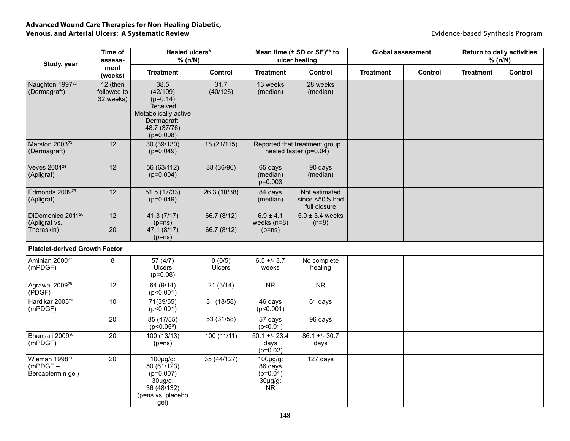| Study, year                                                   | Time of<br>assess-                   | Healed ulcers*<br>% (n/N)                                                                                        |                            | Mean time (± SD or SE)** to<br>ulcer healing                          |                                                           | <b>Global assessment</b> |         | <b>Return to daily activities</b><br>% (n/N) |         |
|---------------------------------------------------------------|--------------------------------------|------------------------------------------------------------------------------------------------------------------|----------------------------|-----------------------------------------------------------------------|-----------------------------------------------------------|--------------------------|---------|----------------------------------------------|---------|
|                                                               | ment<br>(weeks)                      | <b>Treatment</b>                                                                                                 | <b>Control</b>             | <b>Treatment</b>                                                      | Control                                                   | <b>Treatment</b>         | Control | <b>Treatment</b>                             | Control |
| Naughton 1997 <sup>22</sup><br>(Dermagraft)                   | 12 (then<br>followed to<br>32 weeks) | 38.5<br>(42/109)<br>$(p=0.14)$<br>Received<br>Metabolically active<br>Dermagraft:<br>48.7 (37/76)<br>$(p=0.008)$ | 31.7<br>(40/126)           | 13 weeks<br>(median)                                                  | 28 weeks<br>(median)                                      |                          |         |                                              |         |
| Marston 2003 <sup>23</sup><br>(Dermagraft)                    | 12                                   | 30 (39/130)<br>$(p=0.049)$                                                                                       | 18 (21/115)                |                                                                       | Reported that treatment group<br>healed faster $(p=0.04)$ |                          |         |                                              |         |
| Veves 2001 <sup>24</sup><br>(Apligraf)                        | 12                                   | 56 (63/112)<br>$(p=0.004)$                                                                                       | 38 (36/96)                 | 65 days<br>(median)<br>$p=0.003$                                      | 90 days<br>(median)                                       |                          |         |                                              |         |
| Edmonds 2009 <sup>25</sup><br>(Apligraf)                      | 12                                   | 51.5 (17/33)<br>$(p=0.049)$                                                                                      | 26.3 (10/38)               | 84 days<br>(median)                                                   | Not estimated<br>since <50% had<br>full closure           |                          |         |                                              |         |
| DiDomenico 2011 <sup>26</sup><br>(Apligraf vs.<br>Theraskin)  | 12<br>20                             | 41.3 (7/17)<br>$(p=ns)$<br>47.1 (8/17)<br>$(p=ns)$                                                               | 66.7 (8/12)<br>66.7 (8/12) | $6.9 \pm 4.1$<br>weeks $(n=8)$<br>$(p=ns)$                            | $5.0 \pm 3.4$ weeks<br>$(n=8)$                            |                          |         |                                              |         |
| <b>Platelet-derived Growth Factor</b>                         |                                      |                                                                                                                  |                            |                                                                       |                                                           |                          |         |                                              |         |
| Aminian 2000 <sup>27</sup><br>(rhPDGF)                        | 8                                    | 57(4/7)<br><b>Ulcers</b><br>$(p=0.08)$                                                                           | 0(0/5)<br>Ulcers           | $6.5 +/- 3.7$<br>weeks                                                | No complete<br>healing                                    |                          |         |                                              |         |
| Agrawal 2009 <sup>28</sup><br>(PDGF)                          | 12                                   | 64 (9/14)<br>(p<0.001)                                                                                           | 21(3/14)                   | <b>NR</b>                                                             | ${\sf NR}$                                                |                          |         |                                              |         |
| Hardikar 2005 <sup>29</sup><br>(rhPDGF)                       | $10$                                 | 71(39/55)<br>(p<0.001)                                                                                           | 31 (18/58)                 | 46 days<br>(p<0.001)                                                  | 61 days                                                   |                          |         |                                              |         |
|                                                               | 20                                   | 85 (47/55)<br>$(p<0.05^{\beta})$                                                                                 | 53 (31/58)                 | 57 days<br>(p<0.01)                                                   | 96 days                                                   |                          |         |                                              |         |
| Bhansali 2009 <sup>30</sup><br>(rhPDGF)                       | 20                                   | 100 (13/13)<br>$(p=ns)$                                                                                          | 100 (11/11)                | $50.1 +/- 23.4$<br>days<br>$(p=0.02)$                                 | $86.1 +/- 30.7$<br>days                                   |                          |         |                                              |         |
| Wieman 1998 <sup>31</sup><br>$(rhPDGF -$<br>Bercaplermin gel) | 20                                   | 100µg/g:<br>50 (61/123)<br>$(p=0.007)$<br>$30\mu g/g$ :<br>36 (48/132)<br>(p=ns vs. placebo<br>gel)              | 35 (44/127)                | $100\mu g/g$ :<br>86 days<br>$(p=0.01)$<br>$30\mu g/g$ :<br><b>NR</b> | 127 days                                                  |                          |         |                                              |         |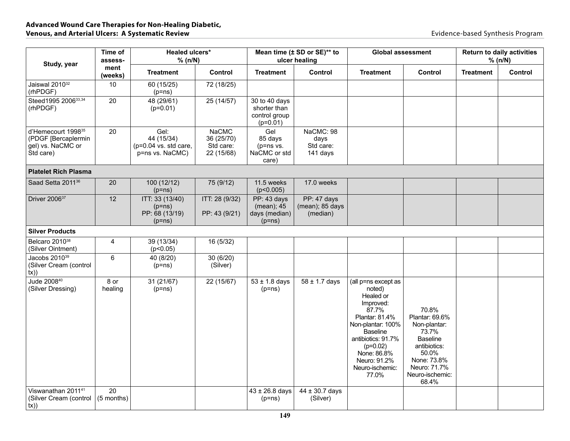| Study, year                                                                             | Time of<br>assess- | Healed ulcers*<br>% (n/N)                                      |                                                       |                                                              | Mean time (± SD or SE)** to<br>ulcer healing |                                                                                                                                                                                                                           | <b>Global assessment</b>                                                                                                                                | <b>Return to daily activities</b><br>% (n/N) |         |
|-----------------------------------------------------------------------------------------|--------------------|----------------------------------------------------------------|-------------------------------------------------------|--------------------------------------------------------------|----------------------------------------------|---------------------------------------------------------------------------------------------------------------------------------------------------------------------------------------------------------------------------|---------------------------------------------------------------------------------------------------------------------------------------------------------|----------------------------------------------|---------|
|                                                                                         | ment<br>(weeks)    | <b>Treatment</b>                                               | Control                                               | <b>Treatment</b>                                             | Control                                      | <b>Treatment</b>                                                                                                                                                                                                          | <b>Control</b>                                                                                                                                          | <b>Treatment</b>                             | Control |
| Jaiswal 2010 <sup>32</sup><br>(rhPDGF)                                                  | 10                 | 60 (15/25)<br>$(p=ns)$                                         | 72 (18/25)                                            |                                                              |                                              |                                                                                                                                                                                                                           |                                                                                                                                                         |                                              |         |
| Steed1995 200633,34<br>(rhPDGF)                                                         | 20                 | 48 (29/61)<br>$(p=0.01)$                                       | 25 (14/57)                                            | 30 to 40 days<br>shorter than<br>control group<br>$(p=0.01)$ |                                              |                                                                                                                                                                                                                           |                                                                                                                                                         |                                              |         |
| d'Hemecourt 1998 <sup>35</sup><br>(PDGF [Bercaplermin<br>gel) vs. NaCMC or<br>Std care) | 20                 | Gel:<br>44 (15/34)<br>(p=0.04 vs. std care,<br>p=ns vs. NaCMC) | <b>NaCMC</b><br>36 (25/70)<br>Std care:<br>22 (15/68) | Gel<br>85 days<br>$(p=ns vs.$<br>NaCMC or std<br>care)       | NaCMC: 98<br>days<br>Std care:<br>141 days   |                                                                                                                                                                                                                           |                                                                                                                                                         |                                              |         |
| <b>Platelet Rich Plasma</b>                                                             |                    |                                                                |                                                       |                                                              |                                              |                                                                                                                                                                                                                           |                                                                                                                                                         |                                              |         |
| Saad Setta 2011 <sup>36</sup>                                                           | 20                 | 100 (12/12)<br>$(p=ns)$                                        | 75 (9/12)                                             | 11.5 weeks<br>(p<0.005)                                      | 17.0 weeks                                   |                                                                                                                                                                                                                           |                                                                                                                                                         |                                              |         |
| Driver 2006 <sup>37</sup>                                                               | 12                 | ITT: 33 (13/40)<br>$(p=ns)$<br>PP: 68 (13/19)<br>$(p=ns)$      | ITT: 28 (9/32)<br>PP: 43 (9/21)                       | PP: 43 days<br>(mean); 45<br>days (median)<br>$(p=ns)$       | PP: 47 days<br>(mean); 85 days<br>(median)   |                                                                                                                                                                                                                           |                                                                                                                                                         |                                              |         |
| <b>Silver Products</b>                                                                  |                    |                                                                |                                                       |                                                              |                                              |                                                                                                                                                                                                                           |                                                                                                                                                         |                                              |         |
| Belcaro 2010 <sup>38</sup><br>(Silver Ointment)                                         | 4                  | 39 (13/34)<br>(p<0.05)                                         | 16 (5/32)                                             |                                                              |                                              |                                                                                                                                                                                                                           |                                                                                                                                                         |                                              |         |
| Jacobs 2010 <sup>39</sup><br>(Silver Cream (control<br>(x))                             | $\,6\,$            | 40 (8/20)<br>$(p=ns)$                                          | 30 (6/20)<br>(Silver)                                 |                                                              |                                              |                                                                                                                                                                                                                           |                                                                                                                                                         |                                              |         |
| Jude 2008 <sup>40</sup><br>(Silver Dressing)                                            | 8 or<br>healing    | 31 (21/67)<br>$(p=ns)$                                         | 22 (15/67)                                            | $53 \pm 1.8$ days<br>$(p=ns)$                                | $58 \pm 1.7$ days                            | (all p=ns except as<br>noted)<br>Healed or<br>Improved:<br>87.7%<br>Plantar: 81.4%<br>Non-plantar: 100%<br><b>Baseline</b><br>antibiotics: 91.7%<br>$(p=0.02)$<br>None: 86.8%<br>Neuro: 91.2%<br>Neuro-ischemic:<br>77.0% | 70.8%<br>Plantar: 69.6%<br>Non-plantar:<br>73.7%<br><b>Baseline</b><br>antibiotics:<br>50.0%<br>None: 73.8%<br>Neuro: 71.7%<br>Neuro-ischemic:<br>68.4% |                                              |         |
| Viswanathan 201141<br>(Silver Cream (control<br>tx)                                     | 20<br>(5 months)   |                                                                |                                                       | $43 \pm 26.8$ days<br>$(p=ns)$                               | $44 \pm 30.7$ days<br>(Silver)               |                                                                                                                                                                                                                           |                                                                                                                                                         |                                              |         |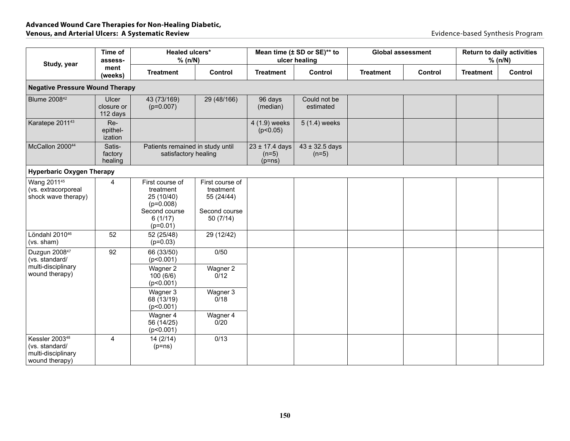| Study, year                                                                          | Time of<br>assess-              | Healed ulcers*<br>% (n/N)                                                                           |                                                                         |                                           | Mean time (± SD or SE)** to<br>ulcer healing |                  | <b>Global assessment</b> |                  | <b>Return to daily activities</b><br>% (n/N) |  |
|--------------------------------------------------------------------------------------|---------------------------------|-----------------------------------------------------------------------------------------------------|-------------------------------------------------------------------------|-------------------------------------------|----------------------------------------------|------------------|--------------------------|------------------|----------------------------------------------|--|
|                                                                                      | ment<br>(weeks)                 | <b>Treatment</b>                                                                                    | Control                                                                 | <b>Treatment</b>                          | Control                                      | <b>Treatment</b> | Control                  | <b>Treatment</b> | Control                                      |  |
| <b>Negative Pressure Wound Therapy</b>                                               |                                 |                                                                                                     |                                                                         |                                           |                                              |                  |                          |                  |                                              |  |
| Blume 2008 <sup>42</sup>                                                             | Ulcer<br>closure or<br>112 days | 43 (73/169)<br>$(p=0.007)$                                                                          | 29 (48/166)                                                             | 96 days<br>(median)                       | Could not be<br>estimated                    |                  |                          |                  |                                              |  |
| Karatepe 2011 <sup>43</sup>                                                          | Re-<br>epithel-<br>ization      |                                                                                                     |                                                                         | 4 (1.9) weeks<br>(p<0.05)                 | 5 (1.4) weeks                                |                  |                          |                  |                                              |  |
| McCallon 200044                                                                      | Satis-<br>factory<br>healing    | Patients remained in study until<br>satisfactory healing                                            |                                                                         | $23 \pm 17.4$ days<br>$(n=5)$<br>$(p=ns)$ | $43 \pm 32.5$ days<br>$(n=5)$                |                  |                          |                  |                                              |  |
| <b>Hyperbaric Oxygen Therapy</b>                                                     |                                 |                                                                                                     |                                                                         |                                           |                                              |                  |                          |                  |                                              |  |
| Wang 2011 <sup>45</sup><br>(vs. extracorporeal<br>shock wave therapy)                | 4                               | First course of<br>treatment<br>25 (10/40)<br>$(p=0.008)$<br>Second course<br>6(1/17)<br>$(p=0.01)$ | First course of<br>treatment<br>55 (24/44)<br>Second course<br>50(7/14) |                                           |                                              |                  |                          |                  |                                              |  |
| Löndahl 2010 <sup>46</sup><br>(vs. sham)                                             | 52                              | 52 (25/48)<br>$(p=0.03)$                                                                            | 29 (12/42)                                                              |                                           |                                              |                  |                          |                  |                                              |  |
| Duzgun 2008 <sup>47</sup><br>(vs. standard/<br>multi-disciplinary                    | 92                              | 66 (33/50)<br>(p<0.001)<br>Wagner 2                                                                 | 0/50<br>Wagner 2                                                        |                                           |                                              |                  |                          |                  |                                              |  |
| wound therapy)                                                                       |                                 | 100(6/6)<br>(p<0.001)                                                                               | 0/12                                                                    |                                           |                                              |                  |                          |                  |                                              |  |
|                                                                                      |                                 | Wagner 3<br>68 (13/19)<br>(p<0.001)                                                                 | Wagner 3<br>0/18                                                        |                                           |                                              |                  |                          |                  |                                              |  |
|                                                                                      |                                 | Wagner 4<br>56 (14/25)<br>(p<0.001)                                                                 | Wagner 4<br>0/20                                                        |                                           |                                              |                  |                          |                  |                                              |  |
| Kessler 2003 <sup>48</sup><br>(vs. standard/<br>multi-disciplinary<br>wound therapy) | 4                               | 14(2/14)<br>$(p=ns)$                                                                                | 0/13                                                                    |                                           |                                              |                  |                          |                  |                                              |  |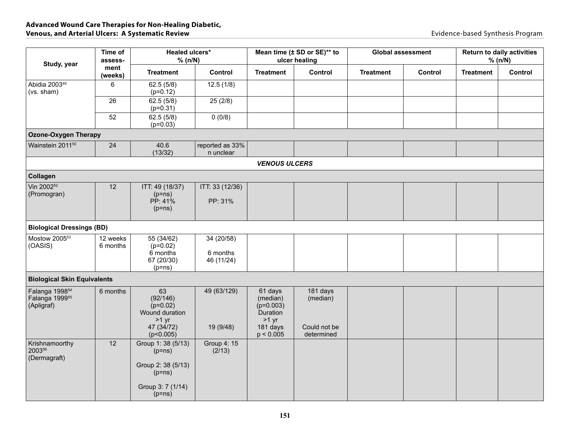| Study, year                                                            | Time of<br>assess-   | Healed ulcers*<br>% (n/N)                                               |                                      |                                                                       | Mean time (± SD or SE)** to<br>ulcer healing |                  | <b>Global assessment</b> |                  | <b>Return to daily activities</b><br>% (n/N) |  |
|------------------------------------------------------------------------|----------------------|-------------------------------------------------------------------------|--------------------------------------|-----------------------------------------------------------------------|----------------------------------------------|------------------|--------------------------|------------------|----------------------------------------------|--|
|                                                                        | ment<br>(weeks)      | <b>Treatment</b>                                                        | Control                              | <b>Treatment</b>                                                      | Control                                      | <b>Treatment</b> | Control                  | <b>Treatment</b> | Control                                      |  |
| Abidia 2003 <sup>49</sup><br>(vs. sham)                                | 6                    | 62.5(5/8)<br>$(p=0.12)$                                                 | 12.5(1/8)                            |                                                                       |                                              |                  |                          |                  |                                              |  |
|                                                                        | 26                   | 62.5(5/8)<br>$(p=0.31)$                                                 | 25(2/8)                              |                                                                       |                                              |                  |                          |                  |                                              |  |
|                                                                        | 52                   | 62.5(5/8)<br>$(p=0.03)$                                                 | 0(0/8)                               |                                                                       |                                              |                  |                          |                  |                                              |  |
| <b>Ozone-Oxygen Therapy</b>                                            |                      |                                                                         |                                      |                                                                       |                                              |                  |                          |                  |                                              |  |
| Wainstein 2011 <sup>50</sup>                                           | 24                   | 40.6<br>(13/32)                                                         | reported as 33%<br>n unclear         |                                                                       |                                              |                  |                          |                  |                                              |  |
|                                                                        |                      |                                                                         |                                      | <b>VENOUS ULCERS</b>                                                  |                                              |                  |                          |                  |                                              |  |
| Collagen                                                               |                      |                                                                         |                                      |                                                                       |                                              |                  |                          |                  |                                              |  |
| Vin 2002 <sup>52</sup><br>(Promogran)                                  | 12                   | ITT: 49 (18/37)<br>$(p=ns)$                                             | ITT: 33 (12/36)                      |                                                                       |                                              |                  |                          |                  |                                              |  |
|                                                                        |                      | PP: 41%<br>$(p=ns)$                                                     | PP: 31%                              |                                                                       |                                              |                  |                          |                  |                                              |  |
| <b>Biological Dressings (BD)</b>                                       |                      |                                                                         |                                      |                                                                       |                                              |                  |                          |                  |                                              |  |
| Mostow 2005 <sup>53</sup><br>(OASIS)                                   | 12 weeks<br>6 months | 55 (34/62)<br>$(p=0.02)$<br>6 months<br>67 (20/30)                      | 34 (20/58)<br>6 months<br>46 (11/24) |                                                                       |                                              |                  |                          |                  |                                              |  |
|                                                                        |                      | $(p=ns)$                                                                |                                      |                                                                       |                                              |                  |                          |                  |                                              |  |
| <b>Biological Skin Equivalents</b>                                     |                      |                                                                         |                                      |                                                                       |                                              |                  |                          |                  |                                              |  |
| Falanga 1998 <sup>54</sup><br>Falanga 1999 <sup>55</sup><br>(Apligraf) | 6 months             | 63<br>(92/146)<br>$(p=0.02)$<br>Wound duration<br>$>1$ yr<br>47 (34/72) | 49 (63/129)<br>19 (9/48)             | 61 days<br>(median)<br>$(p=0.003)$<br>Duration<br>$>1$ yr<br>181 days | 181 days<br>(median)<br>Could not be         |                  |                          |                  |                                              |  |
|                                                                        |                      | (p<0.005)                                                               |                                      | p < 0.005                                                             | determined                                   |                  |                          |                  |                                              |  |
| Krishnamoorthy<br>200356<br>(Dermagraft)                               | 12                   | Group 1: 38 (5/13)<br>$(p=ns)$<br>Group 2: 38 (5/13)                    | Group 4: 15<br>(2/13)                |                                                                       |                                              |                  |                          |                  |                                              |  |
|                                                                        |                      | $(p=ns)$<br>Group 3: 7 (1/14)<br>$(p=ns)$                               |                                      |                                                                       |                                              |                  |                          |                  |                                              |  |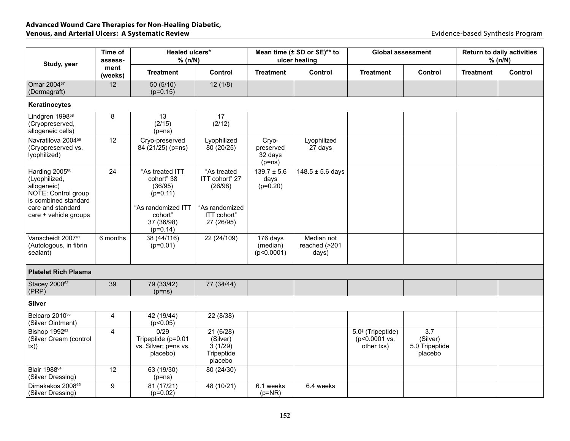| Study, year                                                                                               | Time of<br>assess- |                                                                | Healed ulcers*<br>% (n/N)                                |                                           | Mean time (± SD or SE)** to<br>ulcer healing |                                                    | <b>Global assessment</b>                     |                  | <b>Return to daily activities</b><br>% (n/N) |  |
|-----------------------------------------------------------------------------------------------------------|--------------------|----------------------------------------------------------------|----------------------------------------------------------|-------------------------------------------|----------------------------------------------|----------------------------------------------------|----------------------------------------------|------------------|----------------------------------------------|--|
|                                                                                                           | ment<br>(weeks)    | <b>Treatment</b>                                               | Control                                                  | <b>Treatment</b>                          | Control                                      | <b>Treatment</b>                                   | Control                                      | <b>Treatment</b> | Control                                      |  |
| Omar 2004 <sup>57</sup><br>(Dermagraft)                                                                   | 12                 | 50(5/10)<br>$(p=0.15)$                                         | 12(1/8)                                                  |                                           |                                              |                                                    |                                              |                  |                                              |  |
| Keratinocytes                                                                                             |                    |                                                                |                                                          |                                           |                                              |                                                    |                                              |                  |                                              |  |
| Lindgren 1998 <sup>58</sup><br>(Cryopreserved,<br>allogeneic cells)                                       | $\bf 8$            | 13<br>(2/15)<br>$(p=ns)$                                       | 17<br>(2/12)                                             |                                           |                                              |                                                    |                                              |                  |                                              |  |
| Navratilova 2004 <sup>59</sup><br>(Cryopreserved vs.<br>lyophilized)                                      | 12                 | Cryo-preserved<br>84 (21/25) (p=ns)                            | Lyophilized<br>80 (20/25)                                | Cryo-<br>preserved<br>32 days<br>$(p=ns)$ | Lyophilized<br>27 days                       |                                                    |                                              |                  |                                              |  |
| Harding 2005 <sup>60</sup><br>(Lyophilized,<br>allogeneic)<br>NOTE: Control group<br>is combined standard | 24                 | "As treated ITT<br>cohort" 38<br>(36/95)<br>$(p=0.11)$         | "As treated<br>ITT cohort" 27<br>(26/98)                 | $139.7 \pm 5.6$<br>days<br>$(p=0.20)$     | $148.5 \pm 5.6$ days                         |                                                    |                                              |                  |                                              |  |
| care and standard<br>care + vehicle groups                                                                |                    | "As randomized ITT<br>cohort"<br>37 (36/98)<br>$(p=0.14)$      | "As randomized<br>ITT cohort"<br>27 (26/95)              |                                           |                                              |                                                    |                                              |                  |                                              |  |
| Vanscheidt 2007 <sup>61</sup><br>(Autologous, in fibrin<br>sealant)                                       | 6 months           | 38 (44/116)<br>$(p=0.01)$                                      | 22 (24/109)                                              | 176 days<br>(median)<br>(p<0.0001)        | Median not<br>reached (>201<br>days)         |                                                    |                                              |                  |                                              |  |
| <b>Platelet Rich Plasma</b>                                                                               |                    |                                                                |                                                          |                                           |                                              |                                                    |                                              |                  |                                              |  |
| Stacey 200062<br>(PRP)                                                                                    | 39                 | 79 (33/42)<br>$(p=ns)$                                         | 77 (34/44)                                               |                                           |                                              |                                                    |                                              |                  |                                              |  |
| <b>Silver</b>                                                                                             |                    |                                                                |                                                          |                                           |                                              |                                                    |                                              |                  |                                              |  |
| Belcaro 2010 <sup>38</sup><br>(Silver Ointment)                                                           | 4                  | 42 (19/44)<br>(p<0.05)                                         | 22 (8/38)                                                |                                           |                                              |                                                    |                                              |                  |                                              |  |
| Bishop 1992 <sup>63</sup><br>(Silver Cream (control<br>tx)                                                | $\overline{4}$     | 0/29<br>Tripeptide (p=0.01<br>vs. Silver; p=ns vs.<br>placebo) | 21(6/28)<br>(Silver)<br>3(1/29)<br>Tripeptide<br>placebo |                                           |                                              | $5.0‡$ (Tripeptide)<br>(p<0.0001 vs.<br>other txs) | 3.7<br>(Silver)<br>5.0 Tripeptide<br>placebo |                  |                                              |  |
| Blair 1988 <sup>64</sup><br>(Silver Dressing)                                                             | 12                 | 63 (19/30)<br>$(p=ns)$                                         | 80 (24/30)                                               |                                           |                                              |                                                    |                                              |                  |                                              |  |
| Dimakakos 2008 <sup>65</sup><br>(Silver Dressing)                                                         | 9                  | 81 (17/21)<br>$(p=0.02)$                                       | 48 (10/21)                                               | 6.1 weeks<br>$(p=NR)$                     | 6.4 weeks                                    |                                                    |                                              |                  |                                              |  |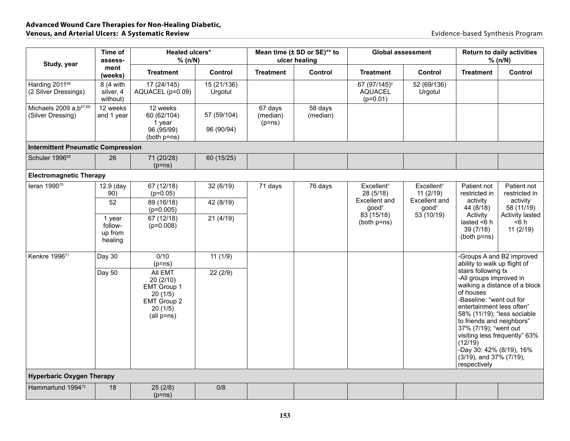| Study, year                                              | Time of<br>assess-                      | Healed ulcers*<br>% (n/N)                                                             |                           |                                 | Mean time (± SD or SE)** to<br>ulcer healing |                                                          | <b>Global assessment</b>             | <b>Return to daily activities</b><br>% (n/N)                                                                                                                                                                                                                 |                                                                                               |
|----------------------------------------------------------|-----------------------------------------|---------------------------------------------------------------------------------------|---------------------------|---------------------------------|----------------------------------------------|----------------------------------------------------------|--------------------------------------|--------------------------------------------------------------------------------------------------------------------------------------------------------------------------------------------------------------------------------------------------------------|-----------------------------------------------------------------------------------------------|
|                                                          | ment<br>(weeks)                         | <b>Treatment</b>                                                                      | Control                   | <b>Treatment</b>                | Control                                      | <b>Treatment</b>                                         | Control                              | <b>Treatment</b>                                                                                                                                                                                                                                             | Control                                                                                       |
| Harding 2011 <sup>66</sup><br>(2 Silver Dressings)       | 8 (4 with<br>silver, 4<br>without)      | 17 (24/145)<br>AQUACEL (p=0.09)                                                       | 15 (21/136)<br>Urgotul    |                                 |                                              | 67 (97/145) <sup>†</sup><br><b>AQUACEL</b><br>$(p=0.01)$ | 52 (69/136)<br>Urgotul               |                                                                                                                                                                                                                                                              |                                                                                               |
| Michaels 2009 a, b <sup>67,68</sup><br>(Silver Dressing) | 12 weeks<br>and 1 year                  | 12 weeks<br>60 (62/104)<br>1 year<br>96 (95/99)<br>(both p=ns)                        | 57 (59/104)<br>96 (90/94) | 67 days<br>(median)<br>$(p=ns)$ | 58 days<br>(median)                          |                                                          |                                      |                                                                                                                                                                                                                                                              |                                                                                               |
| <b>Intermittent Pneumatic Compression</b>                |                                         |                                                                                       |                           |                                 |                                              |                                                          |                                      |                                                                                                                                                                                                                                                              |                                                                                               |
| Schuler 1996 <sup>69</sup>                               | 26                                      | 71 (20/28)<br>$(p=ns)$                                                                | 60 (15/25)                |                                 |                                              |                                                          |                                      |                                                                                                                                                                                                                                                              |                                                                                               |
| <b>Electromagnetic Therapy</b>                           |                                         |                                                                                       |                           |                                 |                                              |                                                          |                                      |                                                                                                                                                                                                                                                              |                                                                                               |
| leran 199070                                             | 12.9 (day<br>90)                        | 67 (12/18)<br>$(p=0.05)$                                                              | 32(6/19)                  | 71 days                         | 76 days                                      | $Excellent$ <sup>#</sup><br>28 (5/18)                    | $Excellent$ <sup>#</sup><br>11(2/19) | Patient not<br>restricted in                                                                                                                                                                                                                                 | Patient not<br>restricted in                                                                  |
|                                                          | 52                                      | 89 (16/18)<br>$(p=0.005)$                                                             | 42 (8/19)                 |                                 |                                              | Excellent and<br>good <sup>#</sup>                       | Excellent and<br>$good*$             | activity<br>44 (8/18)                                                                                                                                                                                                                                        | activity<br>58(11/19)                                                                         |
|                                                          | 1 year<br>follow-<br>up from<br>healing | 67 (12/18)<br>$(p=0.008)$                                                             | 21(4/19)                  |                                 |                                              | 83(15/18)<br>(both p=ns)                                 | 53(10/19)                            | Activity<br>lasted $<$ 6 h<br>39 (7/18)<br>(both p=ns)                                                                                                                                                                                                       | Activity lasted<br>$6 h$<br>11(2/19)                                                          |
| Kenkre 1996 <sup>71</sup>                                | Day 30                                  | 0/10<br>$(p=ns)$                                                                      | 11(1/9)                   |                                 |                                              |                                                          |                                      | ability to walk up flight of                                                                                                                                                                                                                                 | Groups A and B2 improved                                                                      |
|                                                          | Day 50                                  | All EMT<br>20(2/10)<br>EMT Group 1<br>20(1/5)<br>EMT Group 2<br>20(1/5)<br>(all p=ns) | 22(2/9)                   |                                 |                                              |                                                          |                                      | stairs following tx<br>-All groups improved in<br>of houses<br>-Baseline: "went out for<br>entertainment less often"<br>to friends and neighbors"<br>37% (7/19); "went out<br>(12/19)<br>-Day 30: 42% (8/19), 16%<br>(3/19), and 37% (7/19),<br>respectively | walking a distance of a block<br>58% (11/19); "less sociable<br>visiting less frequently" 63% |
| <b>Hyperbaric Oxygen Therapy</b>                         |                                         |                                                                                       |                           |                                 |                                              |                                                          |                                      |                                                                                                                                                                                                                                                              |                                                                                               |
| Hammarlund 1994 <sup>72</sup>                            | 18                                      | 25(2/8)<br>$(p=ns)$                                                                   | 0/8                       |                                 |                                              |                                                          |                                      |                                                                                                                                                                                                                                                              |                                                                                               |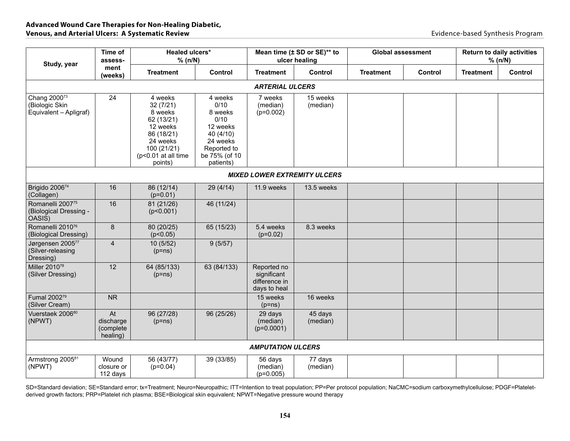| Study, year                                                          | Time of<br>assess-                       | Healed ulcers*<br>% (n/N)                                                                                                           |                                                                                                                      |                                                             | Mean time (± SD or SE)** to<br>ulcer healing | <b>Global assessment</b> |         |                  | <b>Return to daily activities</b><br>% (n/N) |
|----------------------------------------------------------------------|------------------------------------------|-------------------------------------------------------------------------------------------------------------------------------------|----------------------------------------------------------------------------------------------------------------------|-------------------------------------------------------------|----------------------------------------------|--------------------------|---------|------------------|----------------------------------------------|
|                                                                      | ment<br>(weeks)                          | <b>Treatment</b>                                                                                                                    | Control                                                                                                              | <b>Treatment</b>                                            | Control                                      | <b>Treatment</b>         | Control | <b>Treatment</b> | Control                                      |
|                                                                      |                                          |                                                                                                                                     |                                                                                                                      | <b>ARTERIAL ULCERS</b>                                      |                                              |                          |         |                  |                                              |
| Chang 2000 <sup>73</sup><br>(Biologic Skin<br>Equivalent - Apligraf) | 24                                       | 4 weeks<br>32(7/21)<br>8 weeks<br>62 (13/21)<br>12 weeks<br>86 (18/21)<br>24 weeks<br>100 (21/21)<br>(p<0.01 at all time<br>points) | 4 weeks<br>0/10<br>8 weeks<br>0/10<br>12 weeks<br>40 (4/10)<br>24 weeks<br>Reported to<br>be 75% (of 10<br>patients) | 7 weeks<br>(median)<br>$(p=0.002)$                          | 15 weeks<br>(median)                         |                          |         |                  |                                              |
|                                                                      |                                          |                                                                                                                                     |                                                                                                                      |                                                             | <b>MIXED LOWER EXTREMITY ULCERS</b>          |                          |         |                  |                                              |
| Brigido 200674<br>(Collagen)                                         | 16                                       | 86 (12/14)<br>$(p=0.01)$                                                                                                            | 29(4/14)                                                                                                             | 11.9 weeks                                                  | 13.5 weeks                                   |                          |         |                  |                                              |
| Romanelli 200775<br>(Biological Dressing -<br>OASIS)                 | 16                                       | 81 (21/26)<br>(p<0.001)                                                                                                             | 46 (11/24)                                                                                                           |                                                             |                                              |                          |         |                  |                                              |
| Romanelli 201076<br>(Biological Dressing)                            | $\bf 8$                                  | 80 (20/25)<br>(p<0.05)                                                                                                              | 65 (15/23)                                                                                                           | 5.4 weeks<br>$(p=0.02)$                                     | 8.3 weeks                                    |                          |         |                  |                                              |
| Jørgensen 200577<br>(Silver-releasing<br>Dressing)                   | 4                                        | 10(5/52)<br>$(p=ns)$                                                                                                                | 9(5/57)                                                                                                              |                                                             |                                              |                          |         |                  |                                              |
| Miller 2010 <sup>78</sup><br>(Silver Dressing)                       | 12                                       | 64 (85/133)<br>$(p=ns)$                                                                                                             | 63 (84/133)                                                                                                          | Reported no<br>significant<br>difference in<br>days to heal |                                              |                          |         |                  |                                              |
| Fumal 2002 <sup>79</sup><br>(Silver Cream)                           | <b>NR</b>                                |                                                                                                                                     |                                                                                                                      | 15 weeks<br>$(p=ns)$                                        | 16 weeks                                     |                          |         |                  |                                              |
| Vuerstaek 2006 <sup>80</sup><br>(NPWT)                               | At<br>discharge<br>(complete<br>healing) | 96 (27/28)<br>$(p=ns)$                                                                                                              | 96 (25/26)                                                                                                           | 29 days<br>(median)<br>$(p=0.0001)$                         | 45 days<br>(median)                          |                          |         |                  |                                              |
|                                                                      |                                          |                                                                                                                                     |                                                                                                                      | <b>AMPUTATION ULCERS</b>                                    |                                              |                          |         |                  |                                              |
| Armstrong 200581<br>(NPWT)                                           | Wound<br>closure or<br>112 days          | 56 (43/77)<br>$(p=0.04)$                                                                                                            | 39 (33/85)                                                                                                           | 56 days<br>(median)<br>$(p=0.005)$                          | 77 days<br>(median)                          |                          |         |                  |                                              |

SD=Standard deviation; SE=Standard error; tx=Treatment; Neuro=Neuropathic; ITT=Intention to treat population; PP=Per protocol population; NaCMC=sodium carboxymethylcellulose; PDGF=Plateletderived growth factors; PRP=Platelet rich plasma; BSE=Biological skin equivalent; NPWT=Negative pressure wound therapy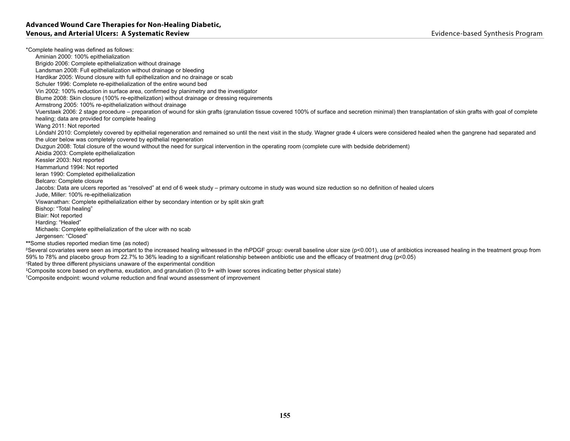\*Complete healing was defined as follows: Aminian 2000: 100% epithelialization Brigido 2006: Complete epithelialization without drainage Landsman 2008: Full epithelialization without drainage or bleeding Hardikar 2005: Wound closure with full epithelization and no drainage or scab Schuler 1996: Complete re-epithelialization of the entire wound bed Vin 2002: 100% reduction in surface area, confirmed by planimetry and the investigator Blume 2008: Skin closure (100% re-epithelization) without drainage or dressing requirements Armstrong 2005: 100% re-epithelialization without drainage Vuerstaek 2006: 2 stage procedure – preparation of wound for skin grafts (granulation tissue covered 100% of surface and secretion minimal) then transplantation of skin grafts with goal of complete healing; data are provided for complete healing Wang 2011: Not reported Löndahl 2010: Completely covered by epithelial regeneration and remained so until the next visit in the study. Wagner grade 4 ulcers were considered healed when the gangrene had separated and the ulcer below was completely covered by epithelial regeneration Duzgun 2008: Total closure of the wound without the need for surgical intervention in the operating room (complete cure with bedside debridement) Abidia 2003: Complete epithelialization Kessler 2003: Not reported Hammarlund 1994: Not reported Ieran 1990: Completed epithelialization Belcaro: Complete closure Jacobs: Data are ulcers reported as "resolved" at end of 6 week study – primary outcome in study was wound size reduction so no definition of healed ulcers Jude, Miller: 100% re-epithelialization Viswanathan: Complete epithelialization either by secondary intention or by split skin graft Bishop: "Total healing" Blair: Not reported Harding: "Healed" Michaels: Complete epithelialization of the ulcer with no scab Jørgensen: "Closed" **\*\***Some studies reported median time (as noted) <sup>β</sup>Several covariates were seen as important to the increased healing witnessed in the rhPDGF group: overall baseline ulcer size (p<0.001), use of antibiotics increased healing in the treatment group from 59% to 78% and placebo group from 22.7% to 36% leading to a significant relationship between antibiotic use and the efficacy of treatment drug (p<0.05) # Rated by three different physicians unaware of the experimental condition ‡ Composite score based on erythema, exudation, and granulation (0 to 9+ with lower scores indicating better physical state)

† Composite endpoint: wound volume reduction and final wound assessment of improvement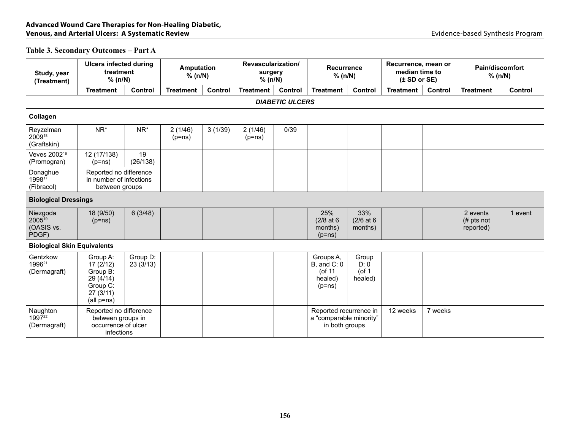## **Table 3. Secondary Outcomes – Part A**

| Study, year<br>(Treatment)                     | <b>Ulcers infected during</b><br>treatment<br>% (n/N)                               |                      | <b>Amputation</b><br>% (n/N) |         | Revascularization/<br>surgery<br>% (n/N) |                        | <b>Recurrence</b><br>% (n/N)                                        |                                      | Recurrence, mean or<br>median time to<br>(± SD or SE) |         |                                      | <b>Pain/discomfort</b><br>% (n/N) |
|------------------------------------------------|-------------------------------------------------------------------------------------|----------------------|------------------------------|---------|------------------------------------------|------------------------|---------------------------------------------------------------------|--------------------------------------|-------------------------------------------------------|---------|--------------------------------------|-----------------------------------|
|                                                | <b>Treatment</b>                                                                    | Control              | <b>Treatment</b>             | Control | <b>Treatment</b>                         | Control                | <b>Treatment</b>                                                    | Control                              | <b>Treatment</b>                                      | Control | <b>Treatment</b>                     | Control                           |
|                                                |                                                                                     |                      |                              |         |                                          | <b>DIABETIC ULCERS</b> |                                                                     |                                      |                                                       |         |                                      |                                   |
| Collagen                                       |                                                                                     |                      |                              |         |                                          |                        |                                                                     |                                      |                                                       |         |                                      |                                   |
| Reyzelman<br>200918<br>(Graftskin)             | $NR^*$                                                                              | NR*                  | 2(1/46)<br>$(p=ns)$          | 3(1/39) | 2(1/46)<br>$(p=ns)$                      | 0/39                   |                                                                     |                                      |                                                       |         |                                      |                                   |
| Veves 2002 <sup>16</sup><br>(Promogran)        | 12 (17/138)<br>$(p=ns)$                                                             | 19<br>(26/138)       |                              |         |                                          |                        |                                                                     |                                      |                                                       |         |                                      |                                   |
| Donaghue<br>199817<br>(Fibracol)               | Reported no difference<br>in number of infections<br>between groups                 |                      |                              |         |                                          |                        |                                                                     |                                      |                                                       |         |                                      |                                   |
| <b>Biological Dressings</b>                    |                                                                                     |                      |                              |         |                                          |                        |                                                                     |                                      |                                                       |         |                                      |                                   |
| Niezgoda<br>200519<br>(OASIS vs.<br>PDGF)      | 18 (9/50)<br>$(p=ns)$                                                               | 6(3/48)              |                              |         |                                          |                        | 25%<br>$(2/8$ at 6<br>months)<br>$(p=ns)$                           | 33%<br>$(2/6$ at 6<br>months)        |                                                       |         | 2 events<br>$#$ pts not<br>reported) | 1 event                           |
| <b>Biological Skin Equivalents</b>             |                                                                                     |                      |                              |         |                                          |                        |                                                                     |                                      |                                                       |         |                                      |                                   |
| Gentzkow<br>1996 <sup>21</sup><br>(Dermagraft) | Group A:<br>17(2/12)<br>Group B:<br>29 (4/14)<br>Group C:<br>27(3/11)<br>(all p=ns) | Group D:<br>23(3/13) |                              |         |                                          |                        | Groups A,<br>$B$ , and $C: 0$<br>(of 11<br>healed)<br>$(p=ns)$      | Group<br>D: 0<br>$($ of 1<br>healed) |                                                       |         |                                      |                                   |
| Naughton<br>199722<br>(Dermagraft)             | Reported no difference<br>between groups in<br>occurrence of ulcer<br>infections    |                      |                              |         |                                          |                        | Reported recurrence in<br>a "comparable minority"<br>in both groups |                                      | 12 weeks                                              | 7 weeks |                                      |                                   |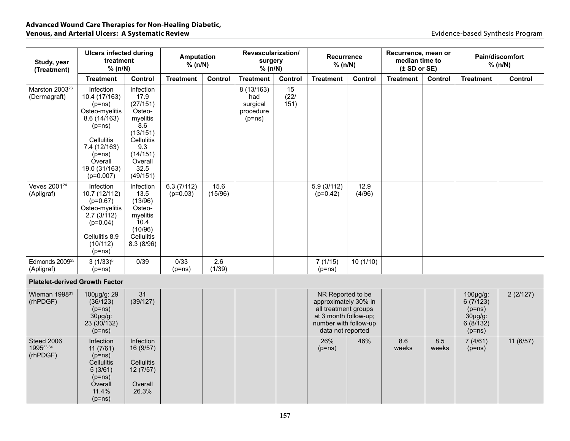| Study, year<br>(Treatment)                 | <b>Ulcers infected during</b><br>treatment<br>% (n/N)                                                                                                                           |                                                                                                                                        | Amputation<br>% (n/N)    |                 | Revascularization/<br>surgery<br>% (n/N)               |                    | Recurrence<br>% (n/N)                                                                                                                    |                | Recurrence, mean or<br>median time to<br>(± SD or SE) |              |                                                                                  | Pain/discomfort<br>% (n/N) |
|--------------------------------------------|---------------------------------------------------------------------------------------------------------------------------------------------------------------------------------|----------------------------------------------------------------------------------------------------------------------------------------|--------------------------|-----------------|--------------------------------------------------------|--------------------|------------------------------------------------------------------------------------------------------------------------------------------|----------------|-------------------------------------------------------|--------------|----------------------------------------------------------------------------------|----------------------------|
|                                            | <b>Treatment</b>                                                                                                                                                                | Control                                                                                                                                | <b>Treatment</b>         | Control         | <b>Treatment</b>                                       | Control            | <b>Treatment</b>                                                                                                                         | Control        | <b>Treatment</b>                                      | Control      | <b>Treatment</b>                                                                 | Control                    |
| Marston 2003 <sup>23</sup><br>(Dermagraft) | Infection<br>10.4 (17/163)<br>$(p=ns)$<br>Osteo-myelitis<br>8.6(14/163)<br>$(p=ns)$<br><b>Cellulitis</b><br>7.4 (12/163)<br>$(p=ns)$<br>Overall<br>19.0 (31/163)<br>$(p=0.007)$ | Infection<br>17.9<br>(27/151)<br>Osteo-<br>myelitis<br>8.6<br>(13/151)<br>Cellulitis<br>9.3<br>(14/151)<br>Overall<br>32.5<br>(49/151) |                          |                 | 8 (13/163)<br>had<br>surgical<br>procedure<br>$(p=ns)$ | 15<br>(22)<br>151) |                                                                                                                                          |                |                                                       |              |                                                                                  |                            |
| Veves 2001 <sup>24</sup><br>(Apligraf)     | Infection<br>10.7 (12/112)<br>$(p=0.67)$<br>Osteo-myelitis<br>2.7(3/112)<br>$(p=0.04)$<br>Cellulitis 8.9<br>(10/112)<br>$(p=ns)$                                                | Infection<br>13.5<br>(13/96)<br>Osteo-<br>myelitis<br>10.4<br>(10/96)<br>Cellulitis<br>8.3(8/96)                                       | 6.3(7/112)<br>$(p=0.03)$ | 15.6<br>(15/96) |                                                        |                    | 5.9(3/112)<br>$(p=0.42)$                                                                                                                 | 12.9<br>(4/96) |                                                       |              |                                                                                  |                            |
| Edmonds 2009 <sup>25</sup><br>(Apligraf)   | $3(1/33)^8$<br>$(p=ns)$                                                                                                                                                         | 0/39                                                                                                                                   | 0/33<br>$(p=ns)$         | 2.6<br>(1/39)   |                                                        |                    | 7(1/15)<br>$(p=ns)$                                                                                                                      | 10(1/10)       |                                                       |              |                                                                                  |                            |
| <b>Platelet-derived Growth Factor</b>      |                                                                                                                                                                                 |                                                                                                                                        |                          |                 |                                                        |                    |                                                                                                                                          |                |                                                       |              |                                                                                  |                            |
| Wieman 1998 <sup>31</sup><br>(rhPDGF)      | 100µg/g: 29<br>(36/123)<br>$(p=ns)$<br>$30\mu g/g$ :<br>23 (30/132)<br>$(p=ns)$                                                                                                 | 31<br>(39/127)                                                                                                                         |                          |                 |                                                        |                    | NR Reported to be<br>approximately 30% in<br>all treatment groups<br>at 3 month follow-up;<br>number with follow-up<br>data not reported |                |                                                       |              | $100 \mu g/g$ :<br>6(7/123)<br>$(p=ns)$<br>$30\mu g/g$ :<br>6(8/132)<br>$(p=ns)$ | 2(2/127)                   |
| Steed 2006<br>199533,34<br>(rhPDGF)        | <b>Infection</b><br>11(7/61)<br>$(p=ns)$<br>Cellulitis<br>5(3/61)<br>$(p=ns)$<br>Överall<br>11.4%<br>$(p=ns)$                                                                   | Infection<br>16 (9/57)<br>Cellulitis<br>12(7/57)<br>Overall<br>26.3%                                                                   |                          |                 |                                                        |                    | 26%<br>$(p=ns)$                                                                                                                          | 46%            | 8.6<br>weeks                                          | 8.5<br>weeks | 7(4/61)<br>$(p=ns)$                                                              | 11 (6/57)                  |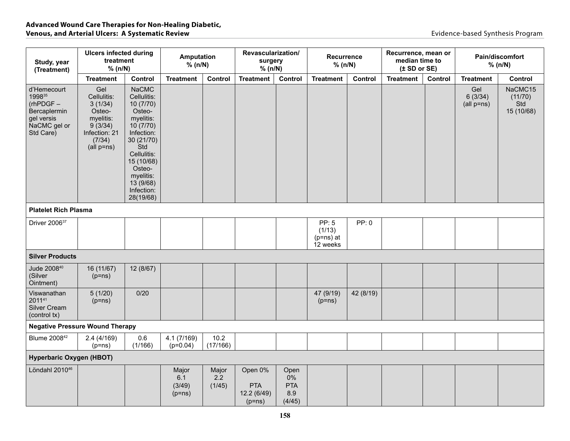| Study, year<br>(Treatment)                                                                      | <b>Ulcers infected during</b><br>treatment<br>% (n/N)                                                    |                                                                                                                                                                                                           | Amputation<br>% (n/N)              |                        | Revascularization/<br>surgery<br>% (n/N)         |                                           | Recurrence<br>% (n/N)                             |           | Recurrence, mean or<br>median time to<br>(± SD or SE) |         |                                  | Pain/discomfort<br>% (n/N)              |
|-------------------------------------------------------------------------------------------------|----------------------------------------------------------------------------------------------------------|-----------------------------------------------------------------------------------------------------------------------------------------------------------------------------------------------------------|------------------------------------|------------------------|--------------------------------------------------|-------------------------------------------|---------------------------------------------------|-----------|-------------------------------------------------------|---------|----------------------------------|-----------------------------------------|
|                                                                                                 | <b>Treatment</b>                                                                                         | Control                                                                                                                                                                                                   | <b>Treatment</b>                   | Control                | <b>Treatment</b>                                 | Control                                   | <b>Treatment</b>                                  | Control   | <b>Treatment</b>                                      | Control | <b>Treatment</b>                 | Control                                 |
| d'Hemecourt<br>199835<br>$(rhPDGF -$<br>Bercaplermin<br>gel versis<br>NaCMC gel or<br>Std Care) | Gel<br>Cellulitis:<br>3(1/34)<br>Osteo-<br>myelitis:<br>9(3/34)<br>Infection: 21<br>(7/34)<br>(all p=ns) | <b>NaCMC</b><br>Cellulitis:<br>10(7/70)<br>Osteo-<br>myelitis:<br>10(7/70)<br>Infection:<br>30 (21/70)<br>Std<br>Cellulitis:<br>15 (10/68)<br>Osteo-<br>myelitis:<br>13 (9/68)<br>Infection:<br>28(19/68) |                                    |                        |                                                  |                                           |                                                   |           |                                                       |         | Gel<br>6(3/34)<br>$(all p = ns)$ | NaCMC15<br>(11/70)<br>Std<br>15 (10/68) |
| <b>Platelet Rich Plasma</b>                                                                     |                                                                                                          |                                                                                                                                                                                                           |                                    |                        |                                                  |                                           |                                                   |           |                                                       |         |                                  |                                         |
| Driver 2006 <sup>37</sup>                                                                       |                                                                                                          |                                                                                                                                                                                                           |                                    |                        |                                                  |                                           | <b>PP: 5</b><br>(1/13)<br>$(p=ns)$ at<br>12 weeks | PP: 0     |                                                       |         |                                  |                                         |
| <b>Silver Products</b>                                                                          |                                                                                                          |                                                                                                                                                                                                           |                                    |                        |                                                  |                                           |                                                   |           |                                                       |         |                                  |                                         |
| Jude 200840<br>(Silver<br>Ointment)                                                             | 16 (11/67)<br>$(p=ns)$                                                                                   | 12 (8/67)                                                                                                                                                                                                 |                                    |                        |                                                  |                                           |                                                   |           |                                                       |         |                                  |                                         |
| Viswanathan<br>201141<br>Silver Cream<br>(control tx)                                           | 5(1/20)<br>$(p=ns)$                                                                                      | 0/20                                                                                                                                                                                                      |                                    |                        |                                                  |                                           | 47 (9/19)<br>$(p=ns)$                             | 42 (8/19) |                                                       |         |                                  |                                         |
| <b>Negative Pressure Wound Therapy</b>                                                          |                                                                                                          |                                                                                                                                                                                                           |                                    |                        |                                                  |                                           |                                                   |           |                                                       |         |                                  |                                         |
| Blume 2008 <sup>42</sup>                                                                        | 2.4(4/169)<br>$(p=ns)$                                                                                   | 0.6<br>(1/166)                                                                                                                                                                                            | 4.1(7/169)<br>$(p=0.04)$           | 10.2<br>(17/166)       |                                                  |                                           |                                                   |           |                                                       |         |                                  |                                         |
| <b>Hyperbaric Oxygen (HBOT)</b>                                                                 |                                                                                                          |                                                                                                                                                                                                           |                                    |                        |                                                  |                                           |                                                   |           |                                                       |         |                                  |                                         |
| Löndahl 2010 <sup>46</sup>                                                                      |                                                                                                          |                                                                                                                                                                                                           | Major<br>6.1<br>(3/49)<br>$(p=ns)$ | Major<br>2.2<br>(1/45) | Open 0%<br><b>PTA</b><br>12.2 (6/49)<br>$(p=ns)$ | Open<br>0%<br><b>PTA</b><br>8.9<br>(4/45) |                                                   |           |                                                       |         |                                  |                                         |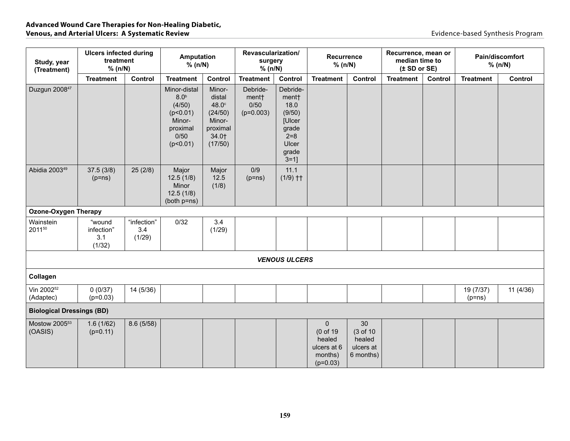| Study, year<br>(Treatment)           | <b>Ulcers infected during</b><br>treatment<br>% (n/N) |                              | <b>Amputation</b><br>% (n/N)                                                                     |                                                                                | Revascularization/<br>surgery<br>% (n/N) |                                                                                                         | <b>Recurrence</b><br>% (n/N)                                               |                                                    | Recurrence, mean or<br>median time to<br>(± SD or SE) |         |                       | Pain/discomfort<br>% (n/N) |
|--------------------------------------|-------------------------------------------------------|------------------------------|--------------------------------------------------------------------------------------------------|--------------------------------------------------------------------------------|------------------------------------------|---------------------------------------------------------------------------------------------------------|----------------------------------------------------------------------------|----------------------------------------------------|-------------------------------------------------------|---------|-----------------------|----------------------------|
|                                      | <b>Treatment</b>                                      | Control                      | <b>Treatment</b>                                                                                 | Control                                                                        | <b>Treatment</b>                         | Control                                                                                                 | <b>Treatment</b>                                                           | Control                                            | <b>Treatment</b>                                      | Control | <b>Treatment</b>      | Control                    |
| Duzgun 2008 <sup>47</sup>            |                                                       |                              | Minor-distal<br>8.0 <sup>b</sup><br>(4/50)<br>(p<0.01)<br>Minor-<br>proximal<br>0/50<br>(p<0.01) | Minor-<br>distal<br>48.0°<br>(24/50)<br>Minor-<br>proximal<br>34.0+<br>(17/50) | Debride-<br>ment†<br>0/50<br>$(p=0.003)$ | Debride-<br>ment†<br>18.0<br>(9/50)<br><b>[Ulcer</b><br>grade<br>$2 = 8$<br>Ulcer<br>grade<br>$3 = 1$ ] |                                                                            |                                                    |                                                       |         |                       |                            |
| Abidia 2003 <sup>49</sup>            | 37.5(3/8)<br>$(p=ns)$                                 | 25(2/8)                      | Major<br>12.5(1/8)<br>Minor<br>12.5(1/8)<br>(both p=ns)                                          | Major<br>12.5<br>(1/8)                                                         | 0/9<br>$(p=ns)$                          | 11.1<br>$(1/9)$ ††                                                                                      |                                                                            |                                                    |                                                       |         |                       |                            |
| <b>Ozone-Oxygen Therapy</b>          |                                                       |                              |                                                                                                  |                                                                                |                                          |                                                                                                         |                                                                            |                                                    |                                                       |         |                       |                            |
| Wainstein<br>201150                  | "wound<br>infection"<br>3.1<br>(1/32)                 | "infection"<br>3.4<br>(1/29) | 0/32                                                                                             | 3.4<br>(1/29)                                                                  |                                          |                                                                                                         |                                                                            |                                                    |                                                       |         |                       |                            |
|                                      |                                                       |                              |                                                                                                  |                                                                                |                                          | <b>VENOUS ULCERS</b>                                                                                    |                                                                            |                                                    |                                                       |         |                       |                            |
| Collagen                             |                                                       |                              |                                                                                                  |                                                                                |                                          |                                                                                                         |                                                                            |                                                    |                                                       |         |                       |                            |
| Vin 2002 <sup>52</sup><br>(Adaptec)  | 0(0/37)<br>$(p=0.03)$                                 | 14 (5/36)                    |                                                                                                  |                                                                                |                                          |                                                                                                         |                                                                            |                                                    |                                                       |         | 19 (7/37)<br>$(p=ns)$ | 11(4/36)                   |
| <b>Biological Dressings (BD)</b>     |                                                       |                              |                                                                                                  |                                                                                |                                          |                                                                                                         |                                                                            |                                                    |                                                       |         |                       |                            |
| Mostow 2005 <sup>53</sup><br>(OASIS) | 1.6(1/62)<br>$(p=0.11)$                               | 8.6(5/58)                    |                                                                                                  |                                                                                |                                          |                                                                                                         | $\mathbf{0}$<br>(0 of 19<br>healed<br>ulcers at 6<br>months)<br>$(p=0.03)$ | 30<br>(3 of 10<br>healed<br>ulcers at<br>6 months) |                                                       |         |                       |                            |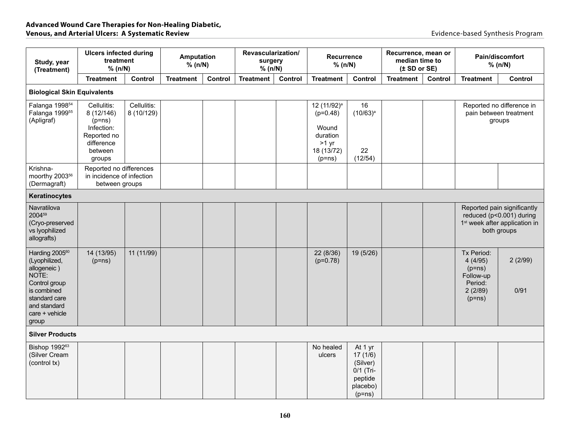| Study, year<br>(Treatment)                                                                                                                                      | <b>Ulcers infected during</b><br>treatment<br>% (n/N)                                                 |                           | Amputation<br>% (n/N) |         | Revascularization/<br>surgery<br>% (n/N) |         | Recurrence<br>% (n/N)                                                                           |                                                                                | Recurrence, mean or<br>median time to<br>(± SD or SE) |         | Pain/discomfort<br>% (n/N)<br><b>Treatment</b>                                   |                                                                                                                     |
|-----------------------------------------------------------------------------------------------------------------------------------------------------------------|-------------------------------------------------------------------------------------------------------|---------------------------|-----------------------|---------|------------------------------------------|---------|-------------------------------------------------------------------------------------------------|--------------------------------------------------------------------------------|-------------------------------------------------------|---------|----------------------------------------------------------------------------------|---------------------------------------------------------------------------------------------------------------------|
|                                                                                                                                                                 | <b>Treatment</b>                                                                                      | Control                   | <b>Treatment</b>      | Control | <b>Treatment</b>                         | Control | <b>Treatment</b>                                                                                | Control                                                                        | <b>Treatment</b>                                      | Control |                                                                                  | Control                                                                                                             |
| <b>Biological Skin Equivalents</b>                                                                                                                              |                                                                                                       |                           |                       |         |                                          |         |                                                                                                 |                                                                                |                                                       |         |                                                                                  |                                                                                                                     |
| Falanga 1998 <sup>54</sup><br>Falanga 1999 <sup>55</sup><br>(Apligraf)                                                                                          | Cellulitis:<br>8 (12/146)<br>$(p=ns)$<br>Infection:<br>Reported no<br>difference<br>between<br>groups | Cellulitis:<br>8 (10/129) |                       |         |                                          |         | 12 (11/92) <sup>a</sup><br>$(p=0.48)$<br>Wound<br>duration<br>$>1$ yr<br>18 (13/72)<br>$(p=ns)$ | 16<br>$(10/63)^a$<br>22<br>(12/54)                                             |                                                       |         |                                                                                  | Reported no difference in<br>pain between treatment<br>groups                                                       |
| Krishna-<br>moorthy 2003 <sup>56</sup><br>(Dermagraft)                                                                                                          | Reported no differences<br>in incidence of infection<br>between groups                                |                           |                       |         |                                          |         |                                                                                                 |                                                                                |                                                       |         |                                                                                  |                                                                                                                     |
| Keratinocytes                                                                                                                                                   |                                                                                                       |                           |                       |         |                                          |         |                                                                                                 |                                                                                |                                                       |         |                                                                                  |                                                                                                                     |
| Navratilova<br>200459<br>(Cryo-preserved<br>vs lyophilized<br>allografts)                                                                                       |                                                                                                       |                           |                       |         |                                          |         |                                                                                                 |                                                                                |                                                       |         |                                                                                  | Reported pain significantly<br>reduced (p<0.001) during<br>1 <sup>st</sup> week after application in<br>both groups |
| Harding 2005 <sup>60</sup><br>(Lyophilized,<br>allogeneic)<br>NOTE:<br>Control group<br>is combined<br>standard care<br>and standard<br>care + vehicle<br>group | 14 (13/95)<br>$(p=ns)$                                                                                | 11 (11/99)                |                       |         |                                          |         | 22 (8/36)<br>$(p=0.78)$                                                                         | 19 (5/26)                                                                      |                                                       |         | Tx Period:<br>4(4/95)<br>$(p=ns)$<br>Follow-up<br>Period:<br>2(2/89)<br>$(p=ns)$ | 2(2/99)<br>0/91                                                                                                     |
| <b>Silver Products</b>                                                                                                                                          |                                                                                                       |                           |                       |         |                                          |         |                                                                                                 |                                                                                |                                                       |         |                                                                                  |                                                                                                                     |
| Bishop 1992 <sup>63</sup><br>(Silver Cream<br>(control tx)                                                                                                      |                                                                                                       |                           |                       |         |                                          |         | No healed<br>ulcers                                                                             | At 1 yr<br>17(1/6)<br>(Silver)<br>0/1 (Tri-<br>peptide<br>placebo)<br>$(p=ns)$ |                                                       |         |                                                                                  |                                                                                                                     |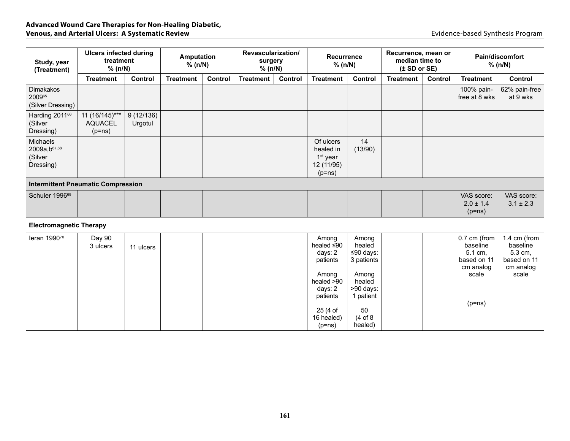| Study, year<br>(Treatment)                                    | <b>Ulcers infected during</b><br>treatment<br>% (n/N) |                      | <b>Amputation</b><br>% (n/N) |         | Revascularization/<br>surgery<br>% (n/N) |         | <b>Recurrence</b><br>% (n/N)                                                                                                           |                                                                                                                      | Recurrence, mean or<br>median time to<br>(± SD or SE) |         |                                                                                      | Pain/discomfort<br>% (n/N)                                               |
|---------------------------------------------------------------|-------------------------------------------------------|----------------------|------------------------------|---------|------------------------------------------|---------|----------------------------------------------------------------------------------------------------------------------------------------|----------------------------------------------------------------------------------------------------------------------|-------------------------------------------------------|---------|--------------------------------------------------------------------------------------|--------------------------------------------------------------------------|
|                                                               | <b>Treatment</b>                                      | Control              | <b>Treatment</b>             | Control | <b>Treatment</b>                         | Control | <b>Treatment</b>                                                                                                                       | Control                                                                                                              | <b>Treatment</b>                                      | Control | <b>Treatment</b>                                                                     | Control                                                                  |
| Dimakakos<br>200965<br>(Silver Dressing)                      |                                                       |                      |                              |         |                                          |         |                                                                                                                                        |                                                                                                                      |                                                       |         | 100% pain-<br>free at 8 wks                                                          | 62% pain-free<br>at 9 wks                                                |
| Harding 2011 <sup>66</sup><br>(Silver<br>Dressing)            | 11 (16/145)***<br><b>AQUACEL</b><br>$(p=ns)$          | 9(12/136)<br>Urgotul |                              |         |                                          |         |                                                                                                                                        |                                                                                                                      |                                                       |         |                                                                                      |                                                                          |
| Michaels<br>2009a, b <sup>67,68</sup><br>(Silver<br>Dressing) |                                                       |                      |                              |         |                                          |         | Of ulcers<br>healed in<br>1 <sup>st</sup> year<br>12 (11/95)<br>$(p=ns)$                                                               | 14<br>(13/90)                                                                                                        |                                                       |         |                                                                                      |                                                                          |
| <b>Intermittent Pneumatic Compression</b>                     |                                                       |                      |                              |         |                                          |         |                                                                                                                                        |                                                                                                                      |                                                       |         |                                                                                      |                                                                          |
| Schuler 1996 <sup>69</sup>                                    |                                                       |                      |                              |         |                                          |         |                                                                                                                                        |                                                                                                                      |                                                       |         | VAS score:<br>$2.0 \pm 1.4$<br>$(p=ns)$                                              | VAS score:<br>$3.1 \pm 2.3$                                              |
| <b>Electromagnetic Therapy</b>                                |                                                       |                      |                              |         |                                          |         |                                                                                                                                        |                                                                                                                      |                                                       |         |                                                                                      |                                                                          |
| leran 199070                                                  | Day 90<br>3 ulcers                                    | 11 ulcers            |                              |         |                                          |         | Among<br>healed $\leq 90$<br>days: 2<br>patients<br>Among<br>healed $>90$<br>days: 2<br>patients<br>25 (4 of<br>16 healed)<br>$(p=ns)$ | Among<br>healed<br>≤90 days:<br>3 patients<br>Among<br>healed<br>>90 days:<br>1 patient<br>50<br>(4 of 8)<br>healed) |                                                       |         | 0.7 cm (from<br>baseline<br>5.1 cm,<br>based on 11<br>cm analog<br>scale<br>$(p=ns)$ | 1.4 cm (from<br>baseline<br>5.3 cm,<br>based on 11<br>cm analog<br>scale |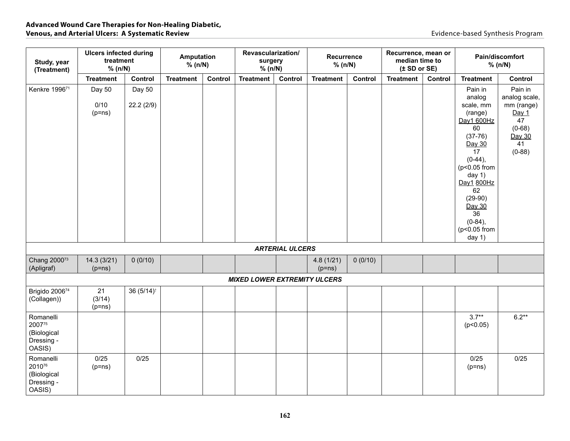| Study, year<br>(Treatment)                                 | <b>Ulcers infected during</b><br>treatment<br>% (n/N) |                     | <b>Amputation</b><br>% (n/N) |         | Revascularization/<br>surgery<br>% (n/N) |                        | Recurrence<br>% (n/N) |         | Recurrence, mean or<br>median time to<br>(± SD or SE) |         |                                                                                                                                                                                                                                | Pain/discomfort<br>% (n/N)                                                                    |
|------------------------------------------------------------|-------------------------------------------------------|---------------------|------------------------------|---------|------------------------------------------|------------------------|-----------------------|---------|-------------------------------------------------------|---------|--------------------------------------------------------------------------------------------------------------------------------------------------------------------------------------------------------------------------------|-----------------------------------------------------------------------------------------------|
|                                                            | <b>Treatment</b>                                      | Control             | <b>Treatment</b>             | Control | <b>Treatment</b>                         | Control                | <b>Treatment</b>      | Control | <b>Treatment</b>                                      | Control | <b>Treatment</b>                                                                                                                                                                                                               | Control                                                                                       |
| Kenkre 199671                                              | Day 50<br>0/10<br>$(p=ns)$                            | Day 50<br>22.2(2/9) |                              |         |                                          |                        |                       |         |                                                       |         | Pain in<br>analog<br>scale, mm<br>(range)<br>Day1 600Hz<br>60<br>$(37-76)$<br>Day 30<br>17<br>$(0-44),$<br>(p<0.05 from<br>day $1)$<br>Day1 800Hz<br>62<br>$(29-90)$<br>Day 30<br>36<br>$(0-84)$ ,<br>(p<0.05 from<br>day $1)$ | Pain in<br>analog scale,<br>mm (range)<br>Day 1<br>47<br>$(0-68)$<br>Day 30<br>41<br>$(0-88)$ |
|                                                            |                                                       |                     |                              |         |                                          | <b>ARTERIAL ULCERS</b> |                       |         |                                                       |         |                                                                                                                                                                                                                                |                                                                                               |
| Chang 2000 <sup>73</sup><br>(Apligraf)                     | 14.3(3/21)<br>$(p=ns)$                                | 0(0/10)             |                              |         |                                          |                        | 4.8(1/21)<br>$(p=ns)$ | 0(0/10) |                                                       |         |                                                                                                                                                                                                                                |                                                                                               |
|                                                            |                                                       |                     |                              |         | <b>MIXED LOWER EXTREMITY ULCERS</b>      |                        |                       |         |                                                       |         |                                                                                                                                                                                                                                |                                                                                               |
| Brigido 200674<br>(Collagen))                              | 21<br>(3/14)<br>$(p=ns)$                              | 36 (5/14)           |                              |         |                                          |                        |                       |         |                                                       |         |                                                                                                                                                                                                                                |                                                                                               |
| Romanelli<br>200775<br>(Biological<br>Dressing -<br>OASIS) |                                                       |                     |                              |         |                                          |                        |                       |         |                                                       |         | $3.7**$<br>(p<0.05)                                                                                                                                                                                                            | $6.2**$                                                                                       |
| Romanelli<br>201076<br>(Biological<br>Dressing -<br>OASIS) | 0/25<br>$(p=ns)$                                      | 0/25                |                              |         |                                          |                        |                       |         |                                                       |         | 0/25<br>$(p=ns)$                                                                                                                                                                                                               | 0/25                                                                                          |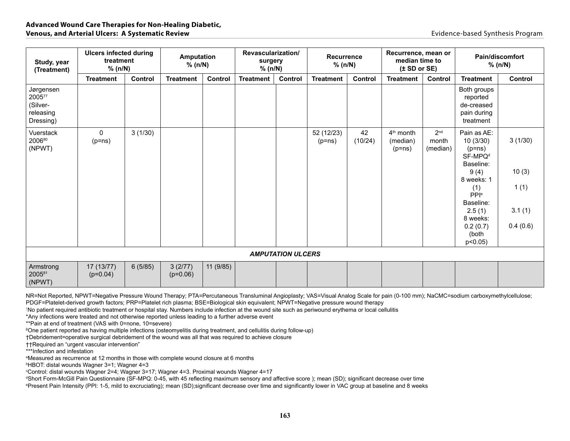| Study, year<br>(Treatment)                                | <b>Ulcers infected during</b><br>treatment<br>% (n/N) |                | Amputation<br>% (n/N) |           | Revascularization/<br>surgery<br>% (n/N) |                          | <b>Recurrence</b><br>% (n/N) |               | Recurrence, mean or<br>median time to<br>(± SD or SE) |                                      |                                                                         | Pain/discomfort<br>% (n/N) |
|-----------------------------------------------------------|-------------------------------------------------------|----------------|-----------------------|-----------|------------------------------------------|--------------------------|------------------------------|---------------|-------------------------------------------------------|--------------------------------------|-------------------------------------------------------------------------|----------------------------|
|                                                           | <b>Treatment</b>                                      | <b>Control</b> | <b>Treatment</b>      | Control   | <b>Treatment</b>                         | Control                  | <b>Treatment</b>             | Control       | <b>Treatment</b>                                      | Control                              | <b>Treatment</b>                                                        | Control                    |
| Jørgensen<br>200577<br>(Silver-<br>releasing<br>Dressing) |                                                       |                |                       |           |                                          |                          |                              |               |                                                       |                                      | Both groups<br>reported<br>de-creased<br>pain during<br>treatment       |                            |
| Vuerstack<br>200680<br>(NPWT)                             | $\mathbf{0}$<br>$(p=ns)$                              | 3(1/30)        |                       |           |                                          |                          | 52 (12/23)<br>$(p=ns)$       | 42<br>(10/24) | $4th$ month<br>(median)<br>$(p=ns)$                   | 2 <sup>nd</sup><br>month<br>(median) | Pain as AE:<br>10(3/30)<br>$(p=ns)$<br>SF-MPQ <sup>d</sup><br>Baseline: | 3(1/30)                    |
|                                                           |                                                       |                |                       |           |                                          |                          |                              |               |                                                       |                                      | 9(4)<br>8 weeks: 1                                                      | 10(3)                      |
|                                                           |                                                       |                |                       |           |                                          |                          |                              |               |                                                       |                                      | (1)<br>PPI <sup>e</sup>                                                 | 1(1)                       |
|                                                           |                                                       |                |                       |           |                                          |                          |                              |               |                                                       |                                      | Baseline:<br>2.5(1)<br>8 weeks:                                         | 3.1(1)                     |
|                                                           |                                                       |                |                       |           |                                          |                          |                              |               |                                                       |                                      | 0.2(0.7)<br>(both<br>$p<0.05$ )                                         | 0.4(0.6)                   |
|                                                           |                                                       |                |                       |           |                                          | <b>AMPUTATION ULCERS</b> |                              |               |                                                       |                                      |                                                                         |                            |
| Armstrong<br>200581<br>(NPWT)                             | 17 (13/77)<br>$(p=0.04)$                              | 6(5/85)        | 3(2/77)<br>$(p=0.06)$ | 11 (9/85) |                                          |                          |                              |               |                                                       |                                      |                                                                         |                            |

NR=Not Reported, NPWT=Negative Pressure Wound Therapy; PTA=Percutaneous Transluminal Angioplasty; VAS=Visual Analog Scale for pain (0-100 mm); NaCMC=sodium carboxymethylcellulose;

PDGF=Platelet-derived growth factors; PRP=Platelet rich plasma; BSE=Biological skin equivalent; NPWT=Negative pressure wound therapy

↑ No patient required antibiotic treatment or hospital stay. Numbers include infection at the wound site such as periwound erythema or local cellulitis

\*Any infections were treated and not otherwise reported unless leading to a further adverse event

\*\*Pain at end of treatment (VAS with 0=none, 10=severe)

<sup>β</sup>One patient reported as having multiple infections (osteomyelitis during treatment, and cellulitis during follow-up)

†Debridement=operative surgical debridement of the wound was all that was required to achieve closure

††Required an "urgent vascular intervention"

\*\*\*Infection and infestation

a Measured as recurrence at 12 months in those with complete wound closure at 6 months

b HBOT: distal wounds Wagner 3=1; Wagner 4=3

c Control: distal wounds Wagner 2=4; Wagner 3=17; Wagner 4=3. Proximal wounds Wagner 4=17

d Short Form-McGill Pain Questionnaire (SF-MPQ: 0-45, with 45 reflecting maximum sensory and affective score ); mean (SD); significant decrease over time

e Present Pain Intensity (PPI: 1-5, mild to excruciating); mean (SD);significant decrease over time and significantly lower in VAC group at baseline and 8 weeks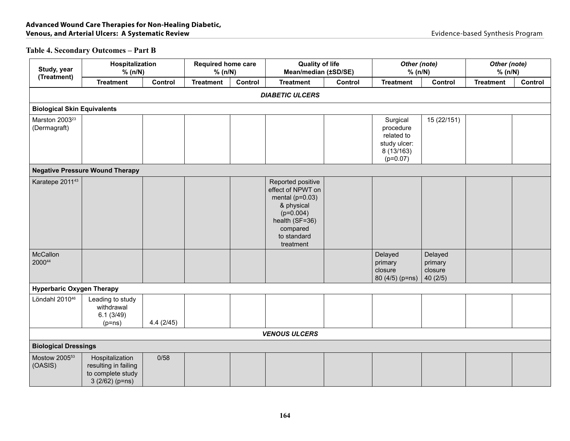## **Table 4. Secondary Outcomes – Part B**

| Study, year                                | Hospitalization<br>% (n/N)                                                      |           | <b>Required home care</b><br>% (n/N) |         | <b>Quality of life</b><br>Mean/median (±SD/SE)                                                                                                       |                | Other (note)<br>% (n/N)                                                         |                               | Other (note)<br>% (n/N) |         |
|--------------------------------------------|---------------------------------------------------------------------------------|-----------|--------------------------------------|---------|------------------------------------------------------------------------------------------------------------------------------------------------------|----------------|---------------------------------------------------------------------------------|-------------------------------|-------------------------|---------|
| (Treatment)                                | <b>Treatment</b>                                                                | Control   | <b>Treatment</b>                     | Control | <b>Treatment</b>                                                                                                                                     | <b>Control</b> | <b>Treatment</b>                                                                | Control                       | <b>Treatment</b>        | Control |
|                                            |                                                                                 |           |                                      |         | <b>DIABETIC ULCERS</b>                                                                                                                               |                |                                                                                 |                               |                         |         |
| <b>Biological Skin Equivalents</b>         |                                                                                 |           |                                      |         |                                                                                                                                                      |                |                                                                                 |                               |                         |         |
| Marston 2003 <sup>23</sup><br>(Dermagraft) |                                                                                 |           |                                      |         |                                                                                                                                                      |                | Surgical<br>procedure<br>related to<br>study ulcer:<br>8 (13/163)<br>$(p=0.07)$ | 15 (22/151)                   |                         |         |
|                                            | <b>Negative Pressure Wound Therapy</b>                                          |           |                                      |         |                                                                                                                                                      |                |                                                                                 |                               |                         |         |
| Karatepe 2011 <sup>43</sup><br>McCallon    |                                                                                 |           |                                      |         | Reported positive<br>effect of NPWT on<br>mental ( $p=0.03$ )<br>& physical<br>$(p=0.004)$<br>health (SF=36)<br>compared<br>to standard<br>treatment |                | Delayed                                                                         | Delayed                       |                         |         |
| 200044                                     |                                                                                 |           |                                      |         |                                                                                                                                                      |                | primary<br>closure<br>80 (4/5) (p=ns)                                           | primary<br>closure<br>40(2/5) |                         |         |
| <b>Hyperbaric Oxygen Therapy</b>           |                                                                                 |           |                                      |         |                                                                                                                                                      |                |                                                                                 |                               |                         |         |
| Löndahl 2010 <sup>46</sup>                 | Leading to study<br>withdrawal<br>6.1(3/49)<br>$(p=ns)$                         | 4.4(2/45) |                                      |         |                                                                                                                                                      |                |                                                                                 |                               |                         |         |
|                                            |                                                                                 |           |                                      |         | <b>VENOUS ULCERS</b>                                                                                                                                 |                |                                                                                 |                               |                         |         |
| <b>Biological Dressings</b>                |                                                                                 |           |                                      |         |                                                                                                                                                      |                |                                                                                 |                               |                         |         |
| Mostow 2005 <sup>53</sup><br>(OASIS)       | Hospitalization<br>resulting in failing<br>to complete study<br>$3(2/62)(p=ns)$ | 0/58      |                                      |         |                                                                                                                                                      |                |                                                                                 |                               |                         |         |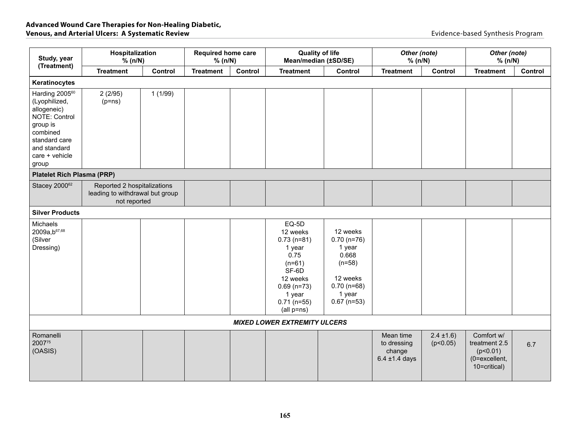| Study, year<br>(Treatment)                                                                                                                                      | Hospitalization<br>% (n/N)                                                     |         | <b>Required home care</b><br>% (n/N) |         | <b>Quality of life</b><br>Mean/median (±SD/SE)                                                                                                  |                                                                                                                  | Other (note)<br>% (n/N)                                  |                           | Other (note)<br>% (n/N)                                                  |         |
|-----------------------------------------------------------------------------------------------------------------------------------------------------------------|--------------------------------------------------------------------------------|---------|--------------------------------------|---------|-------------------------------------------------------------------------------------------------------------------------------------------------|------------------------------------------------------------------------------------------------------------------|----------------------------------------------------------|---------------------------|--------------------------------------------------------------------------|---------|
|                                                                                                                                                                 | <b>Treatment</b>                                                               | Control | <b>Treatment</b>                     | Control | <b>Treatment</b>                                                                                                                                | Control                                                                                                          | <b>Treatment</b>                                         | Control                   | <b>Treatment</b>                                                         | Control |
| Keratinocytes                                                                                                                                                   |                                                                                |         |                                      |         |                                                                                                                                                 |                                                                                                                  |                                                          |                           |                                                                          |         |
| Harding 2005 <sup>60</sup><br>(Lyophilized,<br>allogeneic)<br>NOTE: Control<br>group is<br>combined<br>standard care<br>and standard<br>care + vehicle<br>group | 2(2/95)<br>$(p=ns)$                                                            | 1(1/99) |                                      |         |                                                                                                                                                 |                                                                                                                  |                                                          |                           |                                                                          |         |
| <b>Platelet Rich Plasma (PRP)</b>                                                                                                                               |                                                                                |         |                                      |         |                                                                                                                                                 |                                                                                                                  |                                                          |                           |                                                                          |         |
| Stacey 200062                                                                                                                                                   | Reported 2 hospitalizations<br>leading to withdrawal but group<br>not reported |         |                                      |         |                                                                                                                                                 |                                                                                                                  |                                                          |                           |                                                                          |         |
| <b>Silver Products</b>                                                                                                                                          |                                                                                |         |                                      |         |                                                                                                                                                 |                                                                                                                  |                                                          |                           |                                                                          |         |
| Michaels<br>2009a, b <sup>67,68</sup><br>(Silver<br>Dressing)                                                                                                   |                                                                                |         |                                      |         | EQ-5D<br>12 weeks<br>$0.73$ (n=81)<br>1 year<br>0.75<br>$(n=61)$<br>SF-6D<br>12 weeks<br>$0.69$ (n=73)<br>1 year<br>$0.71$ (n=55)<br>(all p=ns) | 12 weeks<br>$0.70$ (n=76)<br>1 year<br>0.668<br>$(n=58)$<br>12 weeks<br>$0.70$ (n=68)<br>1 year<br>$0.67$ (n=53) |                                                          |                           |                                                                          |         |
|                                                                                                                                                                 |                                                                                |         |                                      |         | <b>MIXED LOWER EXTREMITY ULCERS</b>                                                                                                             |                                                                                                                  |                                                          |                           |                                                                          |         |
| Romanelli<br>200775<br>(OASIS)                                                                                                                                  |                                                                                |         |                                      |         |                                                                                                                                                 |                                                                                                                  | Mean time<br>to dressing<br>change<br>$6.4 \pm 1.4$ days | $2.4 \pm 1.6$<br>(p<0.05) | Comfort w/<br>treatment 2.5<br>(p<0.01)<br>(0=excellent,<br>10=critical) | 6.7     |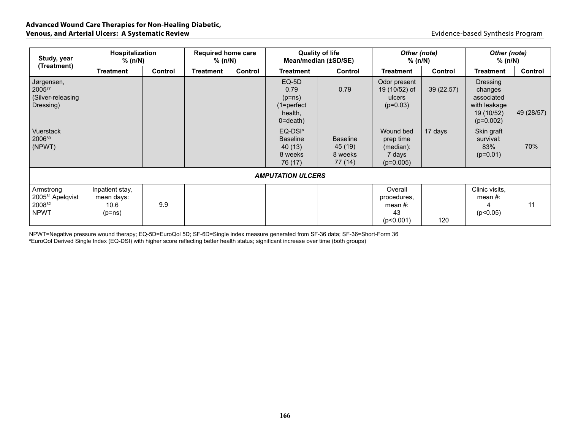| Study, year                                                        | Hospitalization<br>% (n/N)                      | <b>Required home care</b><br>$%$ (n/N) |                  | <b>Quality of life</b> | Mean/median (±SD/SE)                                                     | Other (note)<br>$%$ (n/N)                        |                                                              | Other (note)<br>% (n/N) |                                                                                       |            |
|--------------------------------------------------------------------|-------------------------------------------------|----------------------------------------|------------------|------------------------|--------------------------------------------------------------------------|--------------------------------------------------|--------------------------------------------------------------|-------------------------|---------------------------------------------------------------------------------------|------------|
| (Treatment)                                                        | <b>Treatment</b>                                | Control                                | <b>Treatment</b> | Control                | Treatment                                                                | Control                                          | Treatment                                                    | Control                 | <b>Treatment</b>                                                                      | Control    |
| Jørgensen,<br>200577<br>(Silver-releasing<br>Dressing)             |                                                 |                                        |                  |                        | $EQ-5D$<br>0.79<br>$(p=ns)$<br>$(1 = perfect$<br>health,<br>$0 =$ death) | 0.79                                             | Odor present<br>19 (10/52) of<br>ulcers<br>$(p=0.03)$        | 39(22.57)               | <b>Dressing</b><br>changes<br>associated<br>with leakage<br>19 (10/52)<br>$(p=0.002)$ | 49 (28/57) |
| <b>Vuerstack</b><br>200680<br>(NPWT)                               |                                                 |                                        |                  |                        | EQ-DSI <sup>a</sup><br><b>Baseline</b><br>40(13)<br>8 weeks<br>76 (17)   | <b>Baseline</b><br>45 (19)<br>8 weeks<br>77 (14) | Wound bed<br>prep time<br>(median):<br>7 days<br>$(p=0.005)$ | 17 days                 | Skin graft<br>survival:<br>83%<br>$(p=0.01)$                                          | 70%        |
|                                                                    |                                                 |                                        |                  |                        | <b>AMPUTATION ULCERS</b>                                                 |                                                  |                                                              |                         |                                                                                       |            |
| Armstrong<br>2005 <sup>81</sup> Apelqvist<br>200882<br><b>NPWT</b> | Inpatient stay,<br>mean days:<br>10.6<br>(p=ns) | 9.9                                    |                  |                        |                                                                          |                                                  | Overall<br>procedures,<br>mean $#$ :<br>43<br>(p<0.001)      | 120                     | Clinic visits,<br>mean $#$ :<br>(p<0.05)                                              | 11         |

NPWT=Negative pressure wound therapy; EQ-5D=EuroQol 5D; SF-6D=Single index measure generated from SF-36 data; SF-36=Short-Form 36<br>ªEuroQol Derived Single Index (EQ-DSI) with higher score reflecting better health status; s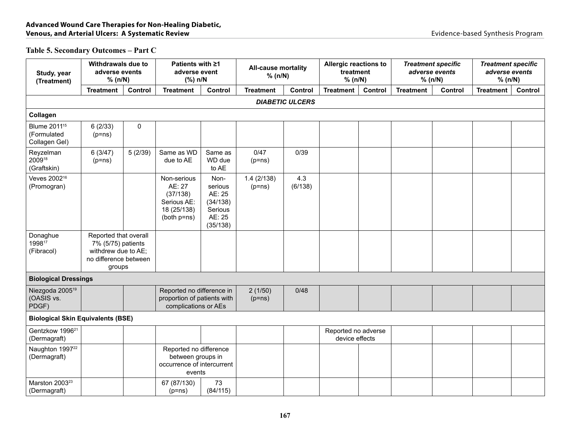#### **Table 5. Secondary Outcomes – Part C**

| Study, year<br>(Treatment)                               | Withdrawals due to<br>adverse events<br>% (n/N)                                                       |                                                                                     | Patients with ≥1<br>adverse event<br>(%) n/N                                     |                                                                        | <b>All-cause mortality</b><br>% (n/N) |                        | Allergic reactions to<br>treatment<br>% (n/N) |         | <b>Treatment specific</b><br>adverse events<br>% (n/N) |         | <b>Treatment specific</b><br>adverse events<br>% (n/N) |         |
|----------------------------------------------------------|-------------------------------------------------------------------------------------------------------|-------------------------------------------------------------------------------------|----------------------------------------------------------------------------------|------------------------------------------------------------------------|---------------------------------------|------------------------|-----------------------------------------------|---------|--------------------------------------------------------|---------|--------------------------------------------------------|---------|
|                                                          | <b>Treatment</b>                                                                                      | Control                                                                             | <b>Treatment</b>                                                                 | Control                                                                | <b>Treatment</b>                      | Control                | <b>Treatment</b>                              | Control | <b>Treatment</b>                                       | Control | <b>Treatment</b>                                       | Control |
|                                                          |                                                                                                       |                                                                                     |                                                                                  |                                                                        |                                       | <b>DIABETIC ULCERS</b> |                                               |         |                                                        |         |                                                        |         |
| Collagen                                                 |                                                                                                       |                                                                                     |                                                                                  |                                                                        |                                       |                        |                                               |         |                                                        |         |                                                        |         |
| Blume 2011 <sup>15</sup><br>(Formulated<br>Collagen Gel) | 6(2/33)<br>$(p=ns)$                                                                                   | $\mathbf 0$                                                                         |                                                                                  |                                                                        |                                       |                        |                                               |         |                                                        |         |                                                        |         |
| Reyzelman<br>200918<br>(Graftskin)                       | 6(3/47)<br>$(p=ns)$                                                                                   | 5(2/39)                                                                             | Same as WD<br>due to AE                                                          | Same as<br>WD due<br>to AE                                             | 0/47<br>$(p=ns)$                      | 0/39                   |                                               |         |                                                        |         |                                                        |         |
| Veves 2002 <sup>16</sup><br>(Promogran)                  |                                                                                                       |                                                                                     | Non-serious<br>AE: 27<br>(37/138)<br>Serious AE:<br>18 (25/138)<br>(both p=ns)   | Non-<br>serious<br>AE: 25<br>(34/138)<br>Serious<br>AE: 25<br>(35/138) | 1.4(2/138)<br>$(p=ns)$                | 4.3<br>(6/138)         |                                               |         |                                                        |         |                                                        |         |
| Donaghue<br>199817<br>(Fibracol)                         | Reported that overall<br>7% (5/75) patients<br>withdrew due to AE;<br>no difference between<br>groups |                                                                                     |                                                                                  |                                                                        |                                       |                        |                                               |         |                                                        |         |                                                        |         |
| <b>Biological Dressings</b>                              |                                                                                                       |                                                                                     |                                                                                  |                                                                        |                                       |                        |                                               |         |                                                        |         |                                                        |         |
| Niezgoda 2005 <sup>19</sup><br>(OASIS vs.<br>PDGF)       |                                                                                                       |                                                                                     | Reported no difference in<br>proportion of patients with<br>complications or AEs |                                                                        | 2(1/50)<br>$(p=ns)$                   | 0/48                   |                                               |         |                                                        |         |                                                        |         |
| <b>Biological Skin Equivalents (BSE)</b>                 |                                                                                                       |                                                                                     |                                                                                  |                                                                        |                                       |                        |                                               |         |                                                        |         |                                                        |         |
| Gentzkow 1996 <sup>21</sup><br>(Dermagraft)              |                                                                                                       |                                                                                     |                                                                                  |                                                                        |                                       |                        | Reported no adverse<br>device effects         |         |                                                        |         |                                                        |         |
| Naughton 1997 <sup>22</sup><br>(Dermagraft)              |                                                                                                       | Reported no difference<br>between groups in<br>occurrence of intercurrent<br>events |                                                                                  |                                                                        |                                       |                        |                                               |         |                                                        |         |                                                        |         |
| Marston 2003 <sup>23</sup><br>(Dermagraft)               |                                                                                                       |                                                                                     | 67 (87/130)<br>$(p=ns)$                                                          | 73<br>(84/115)                                                         |                                       |                        |                                               |         |                                                        |         |                                                        |         |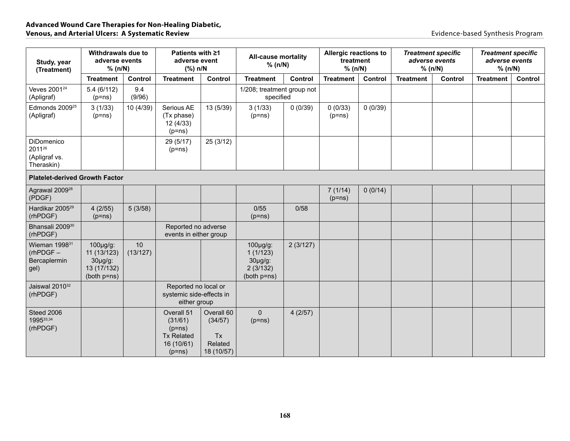| Study, year<br>(Treatment)                                       | Withdrawals due to<br>adverse events<br>% (n/N)                        |                | Patients with ≥1<br>adverse event<br>$(\%)$ n/N                                  |                                                             | <b>All-cause mortality</b><br>% (n/N)                               |          | Allergic reactions to<br>treatment<br>% (n/N) |         | <b>Treatment specific</b><br>adverse events<br>% (n/N) |         | <b>Treatment specific</b><br>adverse events<br>% (n/N) |         |
|------------------------------------------------------------------|------------------------------------------------------------------------|----------------|----------------------------------------------------------------------------------|-------------------------------------------------------------|---------------------------------------------------------------------|----------|-----------------------------------------------|---------|--------------------------------------------------------|---------|--------------------------------------------------------|---------|
|                                                                  | <b>Treatment</b>                                                       | Control        | <b>Treatment</b>                                                                 | Control                                                     | <b>Treatment</b>                                                    | Control  | <b>Treatment</b>                              | Control | <b>Treatment</b>                                       | Control | <b>Treatment</b>                                       | Control |
| Veves 2001 <sup>24</sup><br>(Apligraf)                           | 5.4(6/112)<br>$(p=ns)$                                                 | 9.4<br>(9/96)  |                                                                                  |                                                             | 1/208; treatment group not<br>specified                             |          |                                               |         |                                                        |         |                                                        |         |
| Edmonds 2009 <sup>25</sup><br>(Apligraf)                         | 3(1/33)<br>$(p=ns)$                                                    | 10 (4/39)      | Serious AE<br>(Tx phase)<br>12(4/33)<br>$(p=ns)$                                 | 13 (5/39)                                                   | 3(1/33)<br>$(p=ns)$                                                 | 0(0/39)  | 0(0/33)<br>$(p=ns)$                           | 0(0/39) |                                                        |         |                                                        |         |
| DiDomenico<br>201126<br>(Apligraf vs.<br>Theraskin)              |                                                                        |                | 29 (5/17)<br>$(p=ns)$                                                            | 25 (3/12)                                                   |                                                                     |          |                                               |         |                                                        |         |                                                        |         |
| <b>Platelet-derived Growth Factor</b>                            |                                                                        |                |                                                                                  |                                                             |                                                                     |          |                                               |         |                                                        |         |                                                        |         |
| Agrawal 2009 <sup>28</sup><br>(PDGF)                             |                                                                        |                |                                                                                  |                                                             |                                                                     |          | 7(1/14)<br>$(p=ns)$                           | 0(0/14) |                                                        |         |                                                        |         |
| Hardikar 2005 <sup>29</sup><br>(rhPDGF)                          | 4(2/55)<br>$(p=ns)$                                                    | 5(3/58)        |                                                                                  |                                                             | 0/55<br>$(p=ns)$                                                    | 0/58     |                                               |         |                                                        |         |                                                        |         |
| Bhansali 2009 <sup>30</sup><br>(rhPDGF)                          |                                                                        |                | Reported no adverse<br>events in either group                                    |                                                             |                                                                     |          |                                               |         |                                                        |         |                                                        |         |
| Wieman 1998 <sup>31</sup><br>$(rhPDGF -$<br>Bercaplermin<br>gel) | 100µg/g:<br>11 (13/123)<br>$30\mu g/g$ :<br>13 (17/132)<br>(both p=ns) | 10<br>(13/127) |                                                                                  |                                                             | $100$ µg/g:<br>1(1/123)<br>$30\mu g/g$ :<br>2(3/132)<br>(both p=ns) | 2(3/127) |                                               |         |                                                        |         |                                                        |         |
| Jaiswal 2010 <sup>32</sup><br>(rhPDGF)                           |                                                                        |                | Reported no local or<br>systemic side-effects in<br>either group                 |                                                             |                                                                     |          |                                               |         |                                                        |         |                                                        |         |
| Steed 2006<br>199533,34<br>(rhPDGF)                              |                                                                        |                | Overall 51<br>(31/61)<br>$(p=ns)$<br><b>Tx Related</b><br>16 (10/61)<br>$(p=ns)$ | Overall 60<br>(34/57)<br><b>Tx</b><br>Related<br>18 (10/57) | $\Omega$<br>$(p=ns)$                                                | 4(2/57)  |                                               |         |                                                        |         |                                                        |         |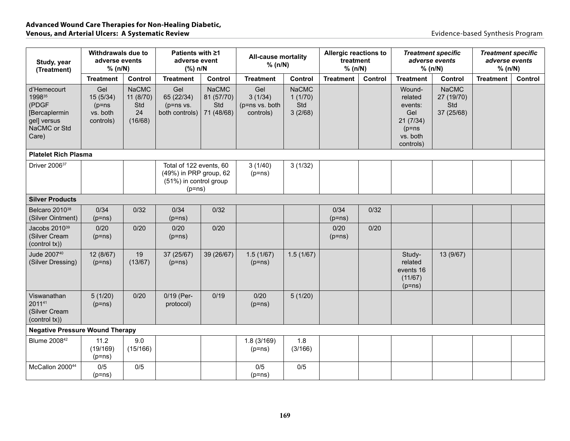| Study, year<br>(Treatment)                                                              | Withdrawals due to<br>adverse events<br>% (n/N)       |                                                   | Patients with ≥1<br>adverse event<br>(%) n/N                                            |                                                 | <b>All-cause mortality</b><br>% (n/N)         |                                           | Allergic reactions to<br>treatment<br>% (n/N) |         | adverse events<br>% (n/N)                                                            | <b>Treatment specific</b>                       | <b>Treatment specific</b><br>adverse events<br>% (n/N) |                |
|-----------------------------------------------------------------------------------------|-------------------------------------------------------|---------------------------------------------------|-----------------------------------------------------------------------------------------|-------------------------------------------------|-----------------------------------------------|-------------------------------------------|-----------------------------------------------|---------|--------------------------------------------------------------------------------------|-------------------------------------------------|--------------------------------------------------------|----------------|
|                                                                                         | <b>Treatment</b>                                      | Control                                           | <b>Treatment</b>                                                                        | Control                                         | <b>Treatment</b>                              | Control                                   | <b>Treatment</b>                              | Control | <b>Treatment</b>                                                                     | Control                                         | <b>Treatment</b>                                       | <b>Control</b> |
| d'Hemecourt<br>199835<br>(PDGF<br>[Bercaplermin<br>gel] versus<br>NaCMC or Std<br>Care) | Gel<br>15 (5/34)<br>$(p=ns)$<br>vs. both<br>controls) | <b>NaCMC</b><br>11 (8/70)<br>Std<br>24<br>(16/68) | Gel<br>65 (22/34)<br>$(p=ns vs.$<br>both controls)                                      | <b>NaCMC</b><br>81 (57/70)<br>Std<br>71 (48/68) | Gel<br>3(1/34)<br>(p=ns vs. both<br>controls) | <b>NaCMC</b><br>1(1/70)<br>Std<br>3(2/68) |                                               |         | Wound-<br>related<br>events:<br>Gel<br>21(7/34)<br>$(p=ns)$<br>vs. both<br>controls) | <b>NaCMC</b><br>27 (19/70)<br>Std<br>37 (25/68) |                                                        |                |
| <b>Platelet Rich Plasma</b>                                                             |                                                       |                                                   |                                                                                         |                                                 |                                               |                                           |                                               |         |                                                                                      |                                                 |                                                        |                |
| Driver 2006 <sup>37</sup>                                                               |                                                       |                                                   | Total of 122 events, 60<br>(49%) in PRP group, 62<br>(51%) in control group<br>$(p=ns)$ |                                                 | 3(1/40)<br>$(p=ns)$                           | 3(1/32)                                   |                                               |         |                                                                                      |                                                 |                                                        |                |
| <b>Silver Products</b>                                                                  |                                                       |                                                   |                                                                                         |                                                 |                                               |                                           |                                               |         |                                                                                      |                                                 |                                                        |                |
| Belcaro 2010 <sup>38</sup><br>(Silver Ointment)                                         | 0/34<br>$(p=ns)$                                      | 0/32                                              | 0/34<br>$(p=ns)$                                                                        | 0/32                                            |                                               |                                           | 0/34<br>$(p=ns)$                              | 0/32    |                                                                                      |                                                 |                                                        |                |
| Jacobs 2010 <sup>39</sup><br>(Silver Cream<br>(control tx))                             | 0/20<br>$(p=ns)$                                      | 0/20                                              | 0/20<br>$(p=ns)$                                                                        | 0/20                                            |                                               |                                           | 0/20<br>$(p=ns)$                              | 0/20    |                                                                                      |                                                 |                                                        |                |
| Jude 200740<br>(Silver Dressing)                                                        | 12 (8/67)<br>$(p=ns)$                                 | 19<br>(13/67)                                     | 37 (25/67)<br>$(p=ns)$                                                                  | 39 (26/67)                                      | 1.5(1/67)<br>$(p=ns)$                         | 1.5(1/67)                                 |                                               |         | Study-<br>related<br>events 16<br>(11/67)<br>$(p=ns)$                                | 13 (9/67)                                       |                                                        |                |
| Viswanathan<br>201141<br>(Silver Cream<br>(control tx))                                 | 5(1/20)<br>$(p=ns)$                                   | 0/20                                              | 0/19 (Per-<br>protocol)                                                                 | 0/19                                            | 0/20<br>$(p=ns)$                              | 5(1/20)                                   |                                               |         |                                                                                      |                                                 |                                                        |                |
| <b>Negative Pressure Wound Therapy</b>                                                  |                                                       |                                                   |                                                                                         |                                                 |                                               |                                           |                                               |         |                                                                                      |                                                 |                                                        |                |
| Blume 2008 <sup>42</sup>                                                                | 11.2<br>(19/169)<br>$(p=ns)$                          | 9.0<br>(15/166)                                   |                                                                                         |                                                 | 1.8(3/169)<br>$(p=ns)$                        | 1.8<br>(3/166)                            |                                               |         |                                                                                      |                                                 |                                                        |                |
| McCallon 200044                                                                         | 0/5<br>$(p=ns)$                                       | 0/5                                               |                                                                                         |                                                 | 0/5<br>$(p=ns)$                               | 0/5                                       |                                               |         |                                                                                      |                                                 |                                                        |                |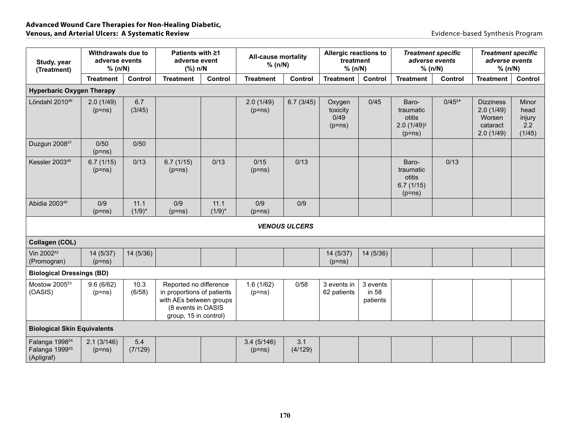| Withdrawals due to<br>adverse events<br>Study, year<br>% (n/N)<br>(Treatment) |                        | Patients with ≥1<br>adverse event<br>$(\%)$ n/N |                                                                                                                                | <b>All-cause mortality</b><br>% (n/N) |                        | Allergic reactions to<br>treatment<br>% (n/N) |                                        | <b>Treatment specific</b><br>adverse events<br>% (n/N) |                                                                    | <b>Treatment specific</b><br>adverse events<br>% (n/N) |                                                                  |                                          |
|-------------------------------------------------------------------------------|------------------------|-------------------------------------------------|--------------------------------------------------------------------------------------------------------------------------------|---------------------------------------|------------------------|-----------------------------------------------|----------------------------------------|--------------------------------------------------------|--------------------------------------------------------------------|--------------------------------------------------------|------------------------------------------------------------------|------------------------------------------|
|                                                                               | <b>Treatment</b>       | Control                                         | <b>Treatment</b>                                                                                                               | <b>Control</b>                        | <b>Treatment</b>       | Control                                       | <b>Treatment</b>                       | Control                                                | <b>Treatment</b>                                                   | Control                                                | <b>Treatment</b>                                                 | Control                                  |
| <b>Hyperbaric Oxygen Therapy</b>                                              |                        |                                                 |                                                                                                                                |                                       |                        |                                               |                                        |                                                        |                                                                    |                                                        |                                                                  |                                          |
| Löndahl 2010 <sup>46</sup>                                                    | 2.0(1/49)<br>$(p=ns)$  | 6.7<br>(3/45)                                   |                                                                                                                                |                                       | 2.0(1/49)<br>$(p=ns)$  | 6.7(3/45)                                     | Oxygen<br>toxicity<br>0/49<br>$(p=ns)$ | 0/45                                                   | Baro-<br>traumatic<br>otitis<br>$2.0(1/49)^{\ddagger}$<br>$(p=ns)$ | $0/45^{**}$                                            | <b>Dizziness</b><br>2.0(1/49)<br>Worsen<br>cataract<br>2.0(1/49) | Minor<br>head<br>injury<br>2.2<br>(1/45) |
| Duzgun 2008 <sup>47</sup>                                                     | 0/50<br>$(p=ns)$       | 0/50                                            |                                                                                                                                |                                       |                        |                                               |                                        |                                                        |                                                                    |                                                        |                                                                  |                                          |
| Kessler 2003 <sup>48</sup>                                                    | 6.7(1/15)<br>$(p=ns)$  | 0/13                                            | 6.7(1/15)<br>$(p=ns)$                                                                                                          | 0/13                                  | 0/15<br>$(p=ns)$       | 0/13                                          |                                        |                                                        | Baro-<br>traumatic<br>otitis<br>6.7(1/15)<br>$(p=ns)$              | 0/13                                                   |                                                                  |                                          |
| Abidia 2003 <sup>49</sup>                                                     | 0/9<br>$(p=ns)$        | 11.1<br>$(1/9)^*$                               | 0/9<br>$(p=ns)$                                                                                                                | 11.1<br>$(1/9)^*$                     | 0/9<br>$(p=ns)$        | 0/9                                           |                                        |                                                        |                                                                    |                                                        |                                                                  |                                          |
|                                                                               |                        |                                                 |                                                                                                                                |                                       |                        | <b>VENOUS ULCERS</b>                          |                                        |                                                        |                                                                    |                                                        |                                                                  |                                          |
| Collagen (COL)                                                                |                        |                                                 |                                                                                                                                |                                       |                        |                                               |                                        |                                                        |                                                                    |                                                        |                                                                  |                                          |
| Vin 2002 <sup>52</sup><br>(Promogran)                                         | 14 (5/37)<br>$(p=ns)$  | 14 (5/36)                                       |                                                                                                                                |                                       |                        |                                               | 14 (5/37)<br>$(p=ns)$                  | 14 (5/36)                                              |                                                                    |                                                        |                                                                  |                                          |
| <b>Biological Dressings (BD)</b>                                              |                        |                                                 |                                                                                                                                |                                       |                        |                                               |                                        |                                                        |                                                                    |                                                        |                                                                  |                                          |
| Mostow 2005 <sup>53</sup><br>(OASIS)                                          | 9.6(6/62)<br>$(p=ns)$  | 10.3<br>(6/58)                                  | Reported no difference<br>in proportions of patients<br>with AEs between groups<br>(8 events in OASIS<br>group, 15 in control) |                                       | 1.6(1/62)<br>$(p=ns)$  | 0/58                                          | 3 events in<br>62 patients             | 3 events<br>in 58<br>patients                          |                                                                    |                                                        |                                                                  |                                          |
| <b>Biological Skin Equivalents</b>                                            |                        |                                                 |                                                                                                                                |                                       |                        |                                               |                                        |                                                        |                                                                    |                                                        |                                                                  |                                          |
| Falanga 1998 <sup>54</sup><br>Falanga 1999 <sup>55</sup><br>(Apligraf)        | 2.1(3/146)<br>$(p=ns)$ | 5.4<br>(7/129)                                  |                                                                                                                                |                                       | 3.4(5/146)<br>$(p=ns)$ | 3.1<br>(4/129)                                |                                        |                                                        |                                                                    |                                                        |                                                                  |                                          |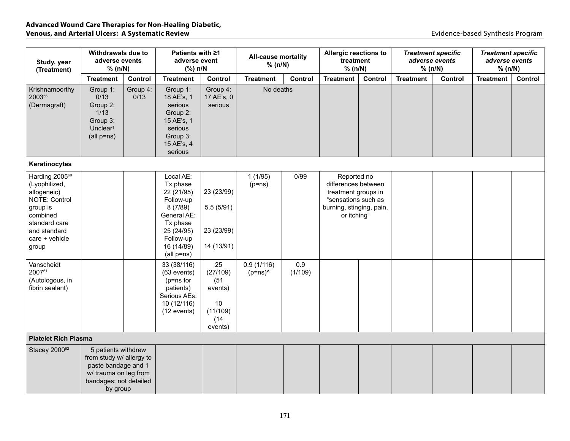| Study, year<br>(Treatment)                                                                                                                                             | Withdrawals due to<br>adverse events<br>% (n/N)                                                                                       |                  | Patients with ≥1<br>adverse event<br>(%) n/N                                                                                                      |                                                                        | <b>All-cause mortality</b><br>% (n/N) |                | Allergic reactions to<br>treatment<br>% (n/N)                                                                               |         | <b>Treatment specific</b><br>adverse events<br>% (n/N) |         | <b>Treatment specific</b><br>adverse events<br>% (n/N) |                |
|------------------------------------------------------------------------------------------------------------------------------------------------------------------------|---------------------------------------------------------------------------------------------------------------------------------------|------------------|---------------------------------------------------------------------------------------------------------------------------------------------------|------------------------------------------------------------------------|---------------------------------------|----------------|-----------------------------------------------------------------------------------------------------------------------------|---------|--------------------------------------------------------|---------|--------------------------------------------------------|----------------|
|                                                                                                                                                                        | <b>Treatment</b>                                                                                                                      | Control          | <b>Treatment</b>                                                                                                                                  | Control                                                                | <b>Treatment</b>                      | Control        | <b>Treatment</b>                                                                                                            | Control | <b>Treatment</b>                                       | Control | <b>Treatment</b>                                       | <b>Control</b> |
| Krishnamoorthy<br>200356<br>(Dermagraft)                                                                                                                               | Group 1:<br>0/13<br>Group 2:<br>1/13<br>Group 3:<br>Unclear <sup>t</sup><br>$(all p = ns)$                                            | Group 4:<br>0/13 | Group 1:<br>18 AE's, 1<br>serious<br>Group 2:<br>15 AE's, 1<br>serious<br>Group 3:<br>15 AE's, 4<br>serious                                       | Group 4:<br>17 AE's, 0<br>serious                                      | No deaths                             |                |                                                                                                                             |         |                                                        |         |                                                        |                |
| Keratinocytes                                                                                                                                                          |                                                                                                                                       |                  |                                                                                                                                                   |                                                                        |                                       |                |                                                                                                                             |         |                                                        |         |                                                        |                |
| Harding 2005 <sup>60</sup><br>(Lyophilized,<br>allogeneic)<br><b>NOTE: Control</b><br>group is<br>combined<br>standard care<br>and standard<br>care + vehicle<br>group |                                                                                                                                       |                  | Local AE:<br>Tx phase<br>22 (21/95)<br>Follow-up<br>8(7/89)<br>General AE:<br>Tx phase<br>25 (24/95)<br>Follow-up<br>16 (14/89)<br>$(all p = ns)$ | 23 (23/99)<br>5.5(5/91)<br>23 (23/99)<br>14 (13/91)                    | 1(1/95)<br>$(p=ns)$                   | 0/99           | Reported no<br>differences between<br>treatment groups in<br>"sensations such as<br>burning, stinging, pain,<br>or itching" |         |                                                        |         |                                                        |                |
| Vanscheidt<br>200761<br>(Autologous, in<br>fibrin sealant)                                                                                                             |                                                                                                                                       |                  | 33 (38/116)<br>$(63$ events)<br>$(p=ns for$<br>patients)<br>Serious AEs:<br>10 (12/116)<br>(12 events)                                            | 25<br>(27/109)<br>(51)<br>events)<br>10<br>(11/109)<br>(14)<br>events) | 0.9(1/116)<br>$(p=ns)^0$              | 0.9<br>(1/109) |                                                                                                                             |         |                                                        |         |                                                        |                |
| <b>Platelet Rich Plasma</b>                                                                                                                                            |                                                                                                                                       |                  |                                                                                                                                                   |                                                                        |                                       |                |                                                                                                                             |         |                                                        |         |                                                        |                |
| Stacey 200062                                                                                                                                                          | 5 patients withdrew<br>from study w/ allergy to<br>paste bandage and 1<br>w/ trauma on leg from<br>bandages; not detailed<br>by group |                  |                                                                                                                                                   |                                                                        |                                       |                |                                                                                                                             |         |                                                        |         |                                                        |                |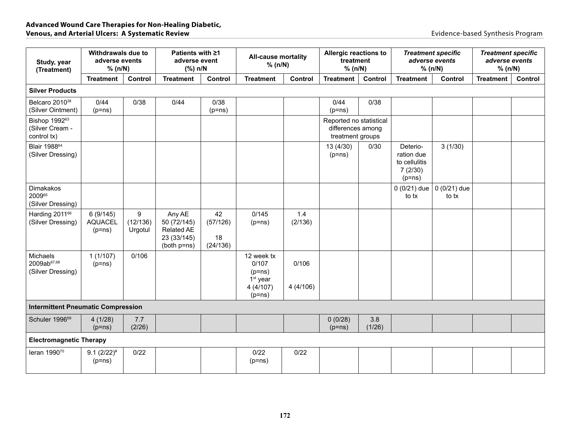| Study, year<br>(Treatment)                                  |                                        | Withdrawals due to<br>adverse events<br>% (n/N) |                                                                          | Patients with ≥1<br>adverse event<br>(%) n/N |                                                                                 | <b>All-cause mortality</b><br>% (n/N) | Allergic reactions to<br>treatment<br>% (n/N)                    |               |                                                                | <b>Treatment specific</b><br>adverse events<br>% (n/N) | <b>Treatment specific</b><br>adverse events<br>% (n/N) |         |
|-------------------------------------------------------------|----------------------------------------|-------------------------------------------------|--------------------------------------------------------------------------|----------------------------------------------|---------------------------------------------------------------------------------|---------------------------------------|------------------------------------------------------------------|---------------|----------------------------------------------------------------|--------------------------------------------------------|--------------------------------------------------------|---------|
|                                                             | <b>Treatment</b>                       | Control                                         | <b>Treatment</b>                                                         | Control                                      | <b>Treatment</b>                                                                | Control                               | <b>Treatment</b>                                                 | Control       | <b>Treatment</b>                                               | Control                                                | <b>Treatment</b>                                       | Control |
| <b>Silver Products</b>                                      |                                        |                                                 |                                                                          |                                              |                                                                                 |                                       |                                                                  |               |                                                                |                                                        |                                                        |         |
| Belcaro 2010 <sup>38</sup><br>(Silver Ointment)             | 0/44<br>$(p=ns)$                       | 0/38                                            | 0/44                                                                     | 0/38<br>$(p=ns)$                             |                                                                                 |                                       | 0/44<br>$(p=ns)$                                                 | 0/38          |                                                                |                                                        |                                                        |         |
| Bishop 1992 <sup>63</sup><br>(Silver Cream -<br>control tx) |                                        |                                                 |                                                                          |                                              |                                                                                 |                                       | Reported no statistical<br>differences among<br>treatment groups |               |                                                                |                                                        |                                                        |         |
| Blair 1988 <sup>64</sup><br>(Silver Dressing)               |                                        |                                                 |                                                                          |                                              |                                                                                 |                                       | 13 (4/30)<br>$(p=ns)$                                            | 0/30          | Deterio-<br>ration due<br>to cellulitis<br>7(2/30)<br>$(p=ns)$ | 3(1/30)                                                |                                                        |         |
| <b>Dimakakos</b><br>200965<br>(Silver Dressing)             |                                        |                                                 |                                                                          |                                              |                                                                                 |                                       |                                                                  |               | $0(0/21)$ due<br>to tx                                         | $0(0/21)$ due<br>to tx                                 |                                                        |         |
| Harding 2011 <sup>66</sup><br>(Silver Dressing)             | 6(9/145)<br><b>AQUACEL</b><br>$(p=ns)$ | 9<br>(12/136)<br>Urgotul                        | Any AE<br>50 (72/145)<br><b>Related AE</b><br>23 (33/145)<br>(both p=ns) | 42<br>(57/126)<br>18<br>(24/136)             | 0/145<br>$(p=ns)$                                                               | 1.4<br>(2/136)                        |                                                                  |               |                                                                |                                                        |                                                        |         |
| Michaels<br>2009ab <sup>67,68</sup><br>(Silver Dressing)    | 1(1/107)<br>$(p=ns)$                   | 0/106                                           |                                                                          |                                              | 12 week tx<br>0/107<br>$(p=ns)$<br>1 <sup>st</sup> year<br>4(4/107)<br>$(p=ns)$ | 0/106<br>4(4/106)                     |                                                                  |               |                                                                |                                                        |                                                        |         |
| <b>Intermittent Pneumatic Compression</b>                   |                                        |                                                 |                                                                          |                                              |                                                                                 |                                       |                                                                  |               |                                                                |                                                        |                                                        |         |
| Schuler 1996 <sup>69</sup>                                  | 4(1/28)<br>$(p=ns)$                    | 7.7<br>(2/26)                                   |                                                                          |                                              |                                                                                 |                                       | 0(0/28)<br>$(p=ns)$                                              | 3.8<br>(1/26) |                                                                |                                                        |                                                        |         |
| <b>Electromagnetic Therapy</b>                              |                                        |                                                 |                                                                          |                                              |                                                                                 |                                       |                                                                  |               |                                                                |                                                        |                                                        |         |
| leran 199070                                                | $9.1 (2/22)^*$<br>$(p=ns)$             | 0/22                                            |                                                                          |                                              | 0/22<br>$(p=ns)$                                                                | 0/22                                  |                                                                  |               |                                                                |                                                        |                                                        |         |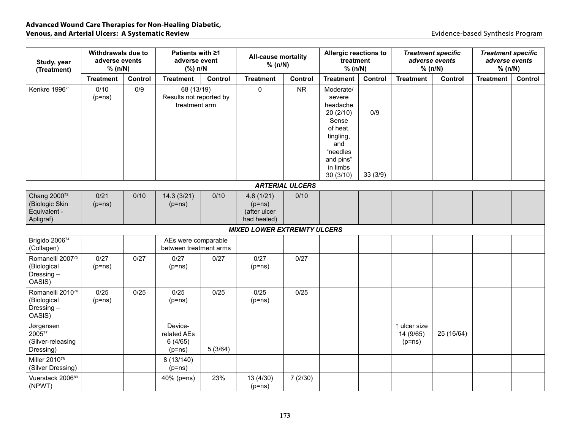| Study, year<br>(Treatment)                                              | <b>Withdrawals due to</b><br>adverse events<br>% (n/N) |         | Patients with ≥1<br>adverse event<br>(%) n/N           |         | <b>All-cause mortality</b><br>% (n/N)                |                        | Allergic reactions to<br>treatment<br>% (n/N)                                                                                         |                | <b>Treatment specific</b><br>% (n/N)  | adverse events | <b>Treatment specific</b><br>adverse events<br>% (n/N) |         |
|-------------------------------------------------------------------------|--------------------------------------------------------|---------|--------------------------------------------------------|---------|------------------------------------------------------|------------------------|---------------------------------------------------------------------------------------------------------------------------------------|----------------|---------------------------------------|----------------|--------------------------------------------------------|---------|
|                                                                         | <b>Treatment</b>                                       | Control | <b>Treatment</b>                                       | Control | <b>Treatment</b>                                     | Control                | <b>Treatment</b>                                                                                                                      | Control        | <b>Treatment</b>                      | Control        | <b>Treatment</b>                                       | Control |
| Kenkre 1996 <sup>71</sup>                                               | 0/10<br>$(p=ns)$                                       | 0/9     | 68 (13/19)<br>Results not reported by<br>treatment arm |         | $\pmb{0}$                                            | <b>NR</b>              | Moderate/<br>severe<br>headache<br>20(2/10)<br>Sense<br>of heat,<br>tingling,<br>and<br>"needles<br>and pins"<br>in limbs<br>30(3/10) | 0/9<br>33(3/9) |                                       |                |                                                        |         |
|                                                                         |                                                        |         |                                                        |         |                                                      | <b>ARTERIAL ULCERS</b> |                                                                                                                                       |                |                                       |                |                                                        |         |
| Chang 2000 <sup>73</sup><br>(Biologic Skin<br>Equivalent -<br>Apligraf) | 0/21<br>$(p=ns)$                                       | 0/10    | 14.3(3/21)<br>$(p=ns)$                                 | 0/10    | 4.8(1/21)<br>$(p=ns)$<br>(after ulcer<br>had healed) | 0/10                   |                                                                                                                                       |                |                                       |                |                                                        |         |
|                                                                         |                                                        |         |                                                        |         | <b>MIXED LOWER EXTREMITY ULCERS</b>                  |                        |                                                                                                                                       |                |                                       |                |                                                        |         |
| Brigido 200674<br>(Collagen)                                            |                                                        |         | AEs were comparable<br>between treatment arms          |         |                                                      |                        |                                                                                                                                       |                |                                       |                |                                                        |         |
| Romanelli 200775<br>(Biological<br>Dressing-<br>OASIS)                  | 0/27<br>$(p=ns)$                                       | 0/27    | 0/27<br>$(p=ns)$                                       | 0/27    | 0/27<br>$(p=ns)$                                     | 0/27                   |                                                                                                                                       |                |                                       |                |                                                        |         |
| Romanelli 2010 <sup>76</sup><br>(Biological<br>Dressing-<br>OASIS)      | 0/25<br>$(p=ns)$                                       | 0/25    | 0/25<br>$(p=ns)$                                       | 0/25    | 0/25<br>$(p=ns)$                                     | 0/25                   |                                                                                                                                       |                |                                       |                |                                                        |         |
| Jørgensen<br>200577<br>(Silver-releasing<br>Dressing)                   |                                                        |         | Device-<br>related AEs<br>6(4/65)<br>$(p=ns)$          | 5(3/64) |                                                      |                        |                                                                                                                                       |                | ↑ ulcer size<br>14 (9/65)<br>$(p=ns)$ | 25 (16/64)     |                                                        |         |
| Miller 2010 <sup>78</sup><br>(Silver Dressing)                          |                                                        |         | 8 (13/140)<br>$(p=ns)$                                 |         |                                                      |                        |                                                                                                                                       |                |                                       |                |                                                        |         |
| Vuerstack 200680<br>(NPWT)                                              |                                                        |         | 40% (p=ns)                                             | 23%     | 13 (4/30)<br>$(p=ns)$                                | 7(2/30)                |                                                                                                                                       |                |                                       |                |                                                        |         |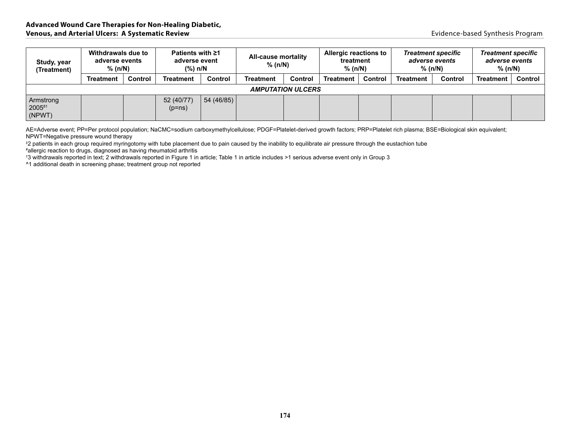| Study, year<br>(Treatment)    | Withdrawals due to<br>adverse events<br>$%$ (n/N) |         | Patients with ≥1<br>adverse event<br>(%) n/N |            | <b>All-cause mortality</b><br>% (n/N) |         | Allergic reactions to<br>treatment<br>$%$ (n/N) |         | <b>Treatment specific</b><br>adverse events<br>$%$ (n/N) |         | <b>Treatment specific</b><br>adverse events<br>$%$ (n/N) |                |  |
|-------------------------------|---------------------------------------------------|---------|----------------------------------------------|------------|---------------------------------------|---------|-------------------------------------------------|---------|----------------------------------------------------------|---------|----------------------------------------------------------|----------------|--|
|                               | <b>Treatment</b>                                  | Control | <b>Treatment</b>                             | Control    | <b>Treatment</b>                      | Control | <b>Treatment</b>                                | Control | <b>Treatment</b>                                         | Control | <b>Treatment</b>                                         | <b>Control</b> |  |
|                               | <b>AMPUTATION ULCERS</b>                          |         |                                              |            |                                       |         |                                                 |         |                                                          |         |                                                          |                |  |
| Armstrong<br>200581<br>(NPWT) |                                                   |         | 52 (40/77)<br>$(p=ns)$                       | 54 (46/85) |                                       |         |                                                 |         |                                                          |         |                                                          |                |  |

AE=Adverse event; PP=Per protocol population; NaCMC=sodium carboxymethylcellulose; PDGF=Platelet-derived growth factors; PRP=Platelet rich plasma; BSE=Biological skin equivalent; NPWT=Negative pressure wound therapy

‡ 2 patients in each group required myringotomy with tube placement due to pain caused by the inability to equilibrate air pressure through the eustachion tube

# allergic reaction to drugs, diagnosed as having rheumatoid arthritis

† 3 withdrawals reported in text; 2 withdrawals reported in Figure 1 in article; Table 1 in article includes >1 serious adverse event only in Group 3

^1 additional death in screening phase; treatment group not reported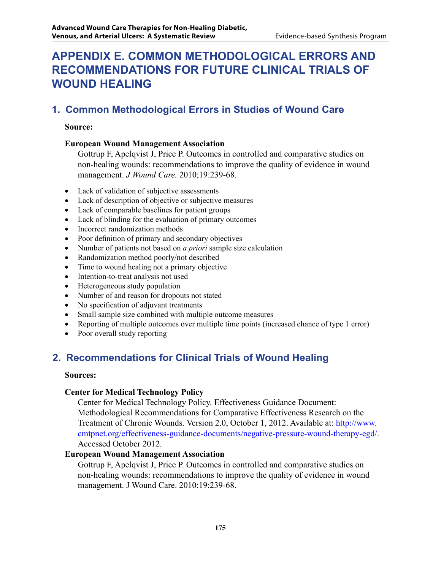# **APPENDIX E. Common Methodological Errors and Recommendations for Future Clinical Trials of Wound Healing**

# **1. Common Methodological Errors in Studies of Wound Care**

#### **Source:**

### **European Wound Management Association**

Gottrup F, Apelqvist J, Price P. Outcomes in controlled and comparative studies on non-healing wounds: recommendations to improve the quality of evidence in wound management. *J Wound Care.* 2010;19:239-68.

- Lack of validation of subjective assessments
- Lack of description of objective or subjective measures
- Lack of comparable baselines for patient groups
- Lack of blinding for the evaluation of primary outcomes
- Incorrect randomization methods
- Poor definition of primary and secondary objectives
- Number of patients not based on *a priori* sample size calculation
- Randomization method poorly/not described
- Time to wound healing not a primary objective
- Intention-to-treat analysis not used
- Heterogeneous study population
- Number of and reason for dropouts not stated
- No specification of adjuvant treatments
- Small sample size combined with multiple outcome measures
- Reporting of multiple outcomes over multiple time points (increased chance of type 1 error)
- Poor overall study reporting

# **2. Recommendations for Clinical Trials of Wound Healing**

#### **Sources:**

#### **Center for Medical Technology Policy**

Center for Medical Technology Policy. Effectiveness Guidance Document: Methodological Recommendations for Comparative Effectiveness Research on the Treatment of Chronic Wounds. Version 2.0, October 1, 2012. Available at: http://www. [cmtpnet.org/effectiveness-guidance-documents/negative-pressure-wound-therapy-egd/.](http://www.cmtpnet.org/effectiveness-guidance-documents/negative-pressure-wound-therapy-egd/)  Accessed October 2012.

#### **European Wound Management Association**

Gottrup F, Apelqvist J, Price P. Outcomes in controlled and comparative studies on non-healing wounds: recommendations to improve the quality of evidence in wound management. J Wound Care. 2010;19:239-68.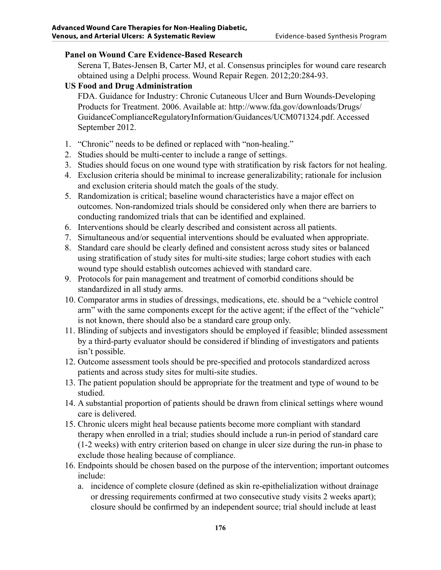### **Panel on Wound Care Evidence-Based Research**

Serena T, Bates-Jensen B, Carter MJ, et al. Consensus principles for wound care research obtained using a Delphi process. Wound Repair Regen. 2012;20:284-93.

## **US Food and Drug Administration**

FDA. Guidance for Industry: Chronic Cutaneous Ulcer and Burn Wounds-Developing Products for Treatment. 2006. Available at: http://www.fda.gov/downloads/Drugs/ [GuidanceComplianceRegulatoryInformation/Guidances/UCM071324.pdf. Accessed](http://www.fda.gov/downloads/Drugs/GuidanceComplianceRegulatoryInformation/Guidances/UCM071324.pdf)  September 2012.

- 1. "Chronic" needs to be defined or replaced with "non-healing."
- 2. Studies should be multi-center to include a range of settings.
- 3. Studies should focus on one wound type with stratification by risk factors for not healing.
- 4. Exclusion criteria should be minimal to increase generalizability; rationale for inclusion and exclusion criteria should match the goals of the study.
- 5. Randomization is critical; baseline wound characteristics have a major effect on outcomes. Non-randomized trials should be considered only when there are barriers to conducting randomized trials that can be identified and explained.
- 6. Interventions should be clearly described and consistent across all patients.
- 7. Simultaneous and/or sequential interventions should be evaluated when appropriate.
- 8. Standard care should be clearly defined and consistent across study sites or balanced using stratification of study sites for multi-site studies; large cohort studies with each wound type should establish outcomes achieved with standard care.
- 9. Protocols for pain management and treatment of comorbid conditions should be standardized in all study arms.
- 10. Comparator arms in studies of dressings, medications, etc. should be a "vehicle control arm" with the same components except for the active agent; if the effect of the "vehicle" is not known, there should also be a standard care group only.
- 11. Blinding of subjects and investigators should be employed if feasible; blinded assessment by a third-party evaluator should be considered if blinding of investigators and patients isn't possible.
- 12. Outcome assessment tools should be pre-specified and protocols standardized across patients and across study sites for multi-site studies.
- 13. The patient population should be appropriate for the treatment and type of wound to be studied.
- 14. A substantial proportion of patients should be drawn from clinical settings where wound care is delivered.
- 15. Chronic ulcers might heal because patients become more compliant with standard therapy when enrolled in a trial; studies should include a run-in period of standard care (1-2 weeks) with entry criterion based on change in ulcer size during the run-in phase to exclude those healing because of compliance.
- 16. Endpoints should be chosen based on the purpose of the intervention; important outcomes include:
	- a. incidence of complete closure (defined as skin re-epithelialization without drainage or dressing requirements confirmed at two consecutive study visits 2 weeks apart); closure should be confirmed by an independent source; trial should include at least